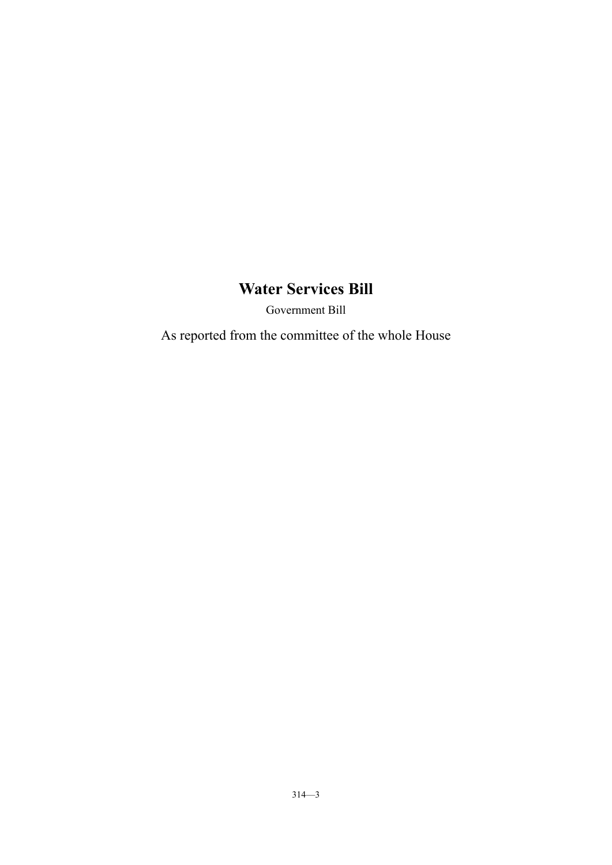Government Bill

As reported from the committee of the whole House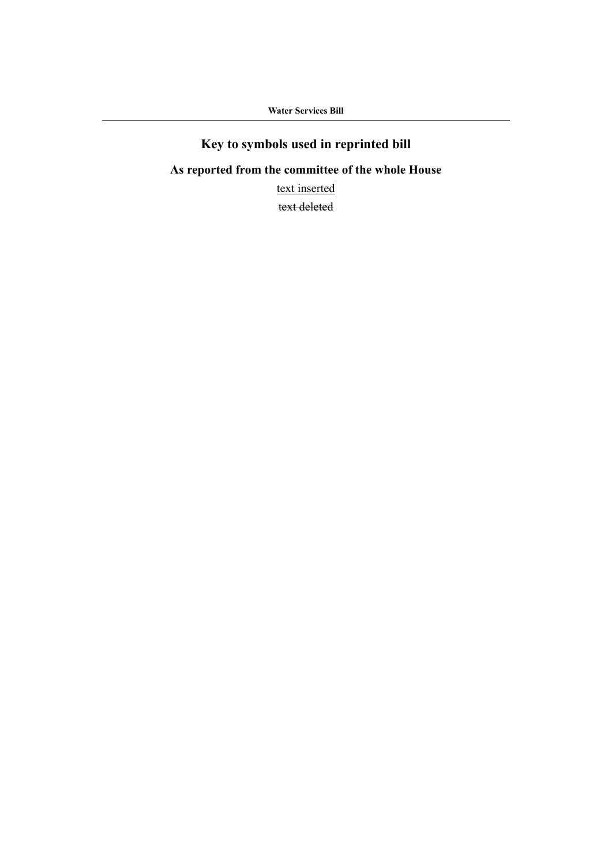# **Key to symbols used in reprinted bill**

# **As reported from the committee of the whole House**

text inserted

text deleted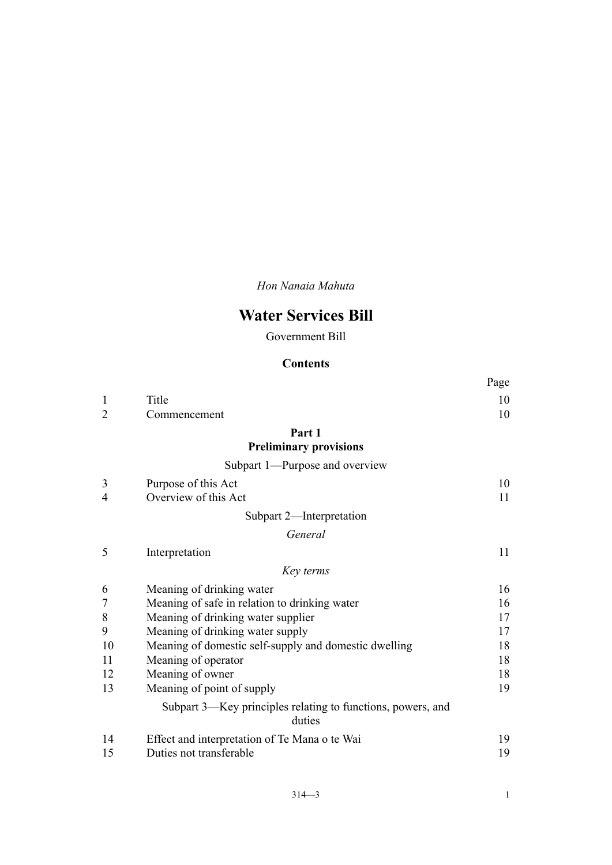*Hon Nanaia Mahuta*

# **Water Services Bill**

Government Bill

# **Contents**

|                |                                                                       | Page |
|----------------|-----------------------------------------------------------------------|------|
| 1              | Title                                                                 | 10   |
| $\overline{2}$ | Commencement                                                          | 10   |
|                | Part 1                                                                |      |
|                | <b>Preliminary provisions</b>                                         |      |
|                | Subpart 1—Purpose and overview                                        |      |
| 3              | Purpose of this Act                                                   | 10   |
| 4              | Overview of this Act                                                  | 11   |
|                | Subpart 2-Interpretation                                              |      |
|                | General                                                               |      |
| 5              | Interpretation                                                        | 11   |
|                | Key terms                                                             |      |
| 6              | Meaning of drinking water                                             | 16   |
| 7              | Meaning of safe in relation to drinking water                         | 16   |
| 8              | Meaning of drinking water supplier                                    | 17   |
| 9              | Meaning of drinking water supply                                      | 17   |
| 10             | Meaning of domestic self-supply and domestic dwelling                 | 18   |
| 11             | Meaning of operator                                                   | 18   |
| 12             | Meaning of owner                                                      | 18   |
| 13             | Meaning of point of supply                                            | 19   |
|                | Subpart 3—Key principles relating to functions, powers, and<br>duties |      |
| 14             | Effect and interpretation of Te Mana o te Wai                         | 19   |
| 15             | Duties not transferable                                               | 19   |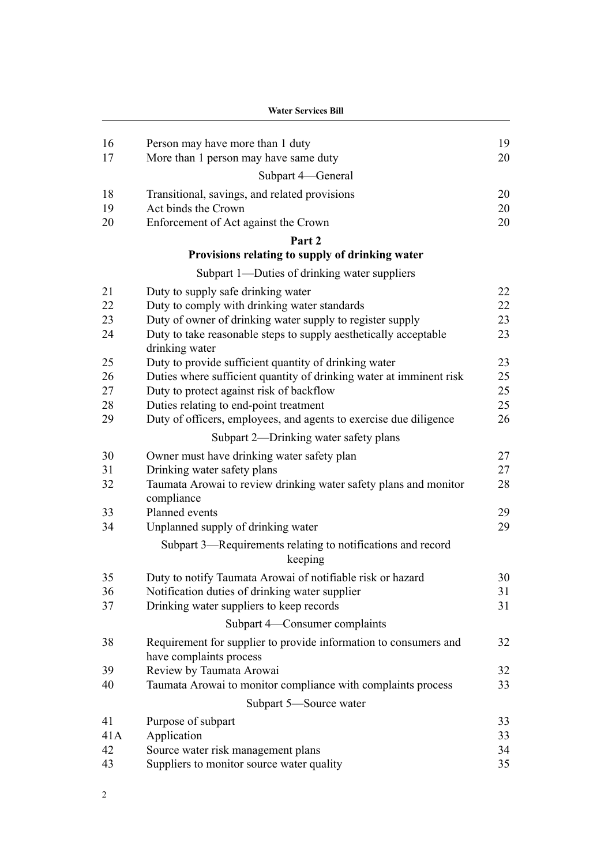| 19<br>16<br>Person may have more than 1 duty<br>20<br>17<br>More than 1 person may have same duty<br>Subpart 4-General<br>18<br>20<br>Transitional, savings, and related provisions<br>Act binds the Crown<br>19<br>20<br>20<br>Enforcement of Act against the Crown<br>20<br>Part 2<br>Provisions relating to supply of drinking water<br>Subpart 1—Duties of drinking water suppliers<br>22<br>21<br>Duty to supply safe drinking water<br>Duty to comply with drinking water standards<br>22<br>22<br>Duty of owner of drinking water supply to register supply<br>23<br>23<br>23<br>24<br>Duty to take reasonable steps to supply aesthetically acceptable<br>drinking water<br>23<br>25<br>Duty to provide sufficient quantity of drinking water<br>Duties where sufficient quantity of drinking water at imminent risk<br>25<br>26<br>Duty to protect against risk of backflow<br>25<br>27<br>25<br>28<br>Duties relating to end-point treatment<br>Duty of officers, employees, and agents to exercise due diligence<br>26<br>29<br>Subpart 2—Drinking water safety plans<br>27<br>30<br>Owner must have drinking water safety plan<br>31<br>27<br>Drinking water safety plans<br>Taumata Arowai to review drinking water safety plans and monitor<br>28<br>32<br>compliance<br>Planned events<br>29<br>33<br>29<br>34<br>Unplanned supply of drinking water<br>Subpart 3—Requirements relating to notifications and record<br>keeping<br>35<br>Duty to notify Taumata Arowai of notifiable risk or hazard<br>30<br>Notification duties of drinking water supplier<br>36<br>31<br>37<br>Drinking water suppliers to keep records<br>31<br>Subpart 4—Consumer complaints<br>Requirement for supplier to provide information to consumers and<br>38<br>32<br>have complaints process<br>39<br>Review by Taumata Arowai<br>32<br>Taumata Arowai to monitor compliance with complaints process<br>33<br>40<br>Subpart 5-Source water<br>41<br>Purpose of subpart<br>33<br>41A<br>Application<br>33<br>42<br>34<br>Source water risk management plans<br>43<br>Suppliers to monitor source water quality<br>35 | <b>Water Services Bill</b> |  |  |
|------------------------------------------------------------------------------------------------------------------------------------------------------------------------------------------------------------------------------------------------------------------------------------------------------------------------------------------------------------------------------------------------------------------------------------------------------------------------------------------------------------------------------------------------------------------------------------------------------------------------------------------------------------------------------------------------------------------------------------------------------------------------------------------------------------------------------------------------------------------------------------------------------------------------------------------------------------------------------------------------------------------------------------------------------------------------------------------------------------------------------------------------------------------------------------------------------------------------------------------------------------------------------------------------------------------------------------------------------------------------------------------------------------------------------------------------------------------------------------------------------------------------------------------------------------------------------------------------------------------------------------------------------------------------------------------------------------------------------------------------------------------------------------------------------------------------------------------------------------------------------------------------------------------------------------------------------------------------------------------------------------------------------------------------------------------------------------------------------------------|----------------------------|--|--|
|                                                                                                                                                                                                                                                                                                                                                                                                                                                                                                                                                                                                                                                                                                                                                                                                                                                                                                                                                                                                                                                                                                                                                                                                                                                                                                                                                                                                                                                                                                                                                                                                                                                                                                                                                                                                                                                                                                                                                                                                                                                                                                                  |                            |  |  |
|                                                                                                                                                                                                                                                                                                                                                                                                                                                                                                                                                                                                                                                                                                                                                                                                                                                                                                                                                                                                                                                                                                                                                                                                                                                                                                                                                                                                                                                                                                                                                                                                                                                                                                                                                                                                                                                                                                                                                                                                                                                                                                                  |                            |  |  |
|                                                                                                                                                                                                                                                                                                                                                                                                                                                                                                                                                                                                                                                                                                                                                                                                                                                                                                                                                                                                                                                                                                                                                                                                                                                                                                                                                                                                                                                                                                                                                                                                                                                                                                                                                                                                                                                                                                                                                                                                                                                                                                                  |                            |  |  |
|                                                                                                                                                                                                                                                                                                                                                                                                                                                                                                                                                                                                                                                                                                                                                                                                                                                                                                                                                                                                                                                                                                                                                                                                                                                                                                                                                                                                                                                                                                                                                                                                                                                                                                                                                                                                                                                                                                                                                                                                                                                                                                                  |                            |  |  |
|                                                                                                                                                                                                                                                                                                                                                                                                                                                                                                                                                                                                                                                                                                                                                                                                                                                                                                                                                                                                                                                                                                                                                                                                                                                                                                                                                                                                                                                                                                                                                                                                                                                                                                                                                                                                                                                                                                                                                                                                                                                                                                                  |                            |  |  |
|                                                                                                                                                                                                                                                                                                                                                                                                                                                                                                                                                                                                                                                                                                                                                                                                                                                                                                                                                                                                                                                                                                                                                                                                                                                                                                                                                                                                                                                                                                                                                                                                                                                                                                                                                                                                                                                                                                                                                                                                                                                                                                                  |                            |  |  |
|                                                                                                                                                                                                                                                                                                                                                                                                                                                                                                                                                                                                                                                                                                                                                                                                                                                                                                                                                                                                                                                                                                                                                                                                                                                                                                                                                                                                                                                                                                                                                                                                                                                                                                                                                                                                                                                                                                                                                                                                                                                                                                                  |                            |  |  |
|                                                                                                                                                                                                                                                                                                                                                                                                                                                                                                                                                                                                                                                                                                                                                                                                                                                                                                                                                                                                                                                                                                                                                                                                                                                                                                                                                                                                                                                                                                                                                                                                                                                                                                                                                                                                                                                                                                                                                                                                                                                                                                                  |                            |  |  |
|                                                                                                                                                                                                                                                                                                                                                                                                                                                                                                                                                                                                                                                                                                                                                                                                                                                                                                                                                                                                                                                                                                                                                                                                                                                                                                                                                                                                                                                                                                                                                                                                                                                                                                                                                                                                                                                                                                                                                                                                                                                                                                                  |                            |  |  |
|                                                                                                                                                                                                                                                                                                                                                                                                                                                                                                                                                                                                                                                                                                                                                                                                                                                                                                                                                                                                                                                                                                                                                                                                                                                                                                                                                                                                                                                                                                                                                                                                                                                                                                                                                                                                                                                                                                                                                                                                                                                                                                                  |                            |  |  |
|                                                                                                                                                                                                                                                                                                                                                                                                                                                                                                                                                                                                                                                                                                                                                                                                                                                                                                                                                                                                                                                                                                                                                                                                                                                                                                                                                                                                                                                                                                                                                                                                                                                                                                                                                                                                                                                                                                                                                                                                                                                                                                                  |                            |  |  |
|                                                                                                                                                                                                                                                                                                                                                                                                                                                                                                                                                                                                                                                                                                                                                                                                                                                                                                                                                                                                                                                                                                                                                                                                                                                                                                                                                                                                                                                                                                                                                                                                                                                                                                                                                                                                                                                                                                                                                                                                                                                                                                                  |                            |  |  |
|                                                                                                                                                                                                                                                                                                                                                                                                                                                                                                                                                                                                                                                                                                                                                                                                                                                                                                                                                                                                                                                                                                                                                                                                                                                                                                                                                                                                                                                                                                                                                                                                                                                                                                                                                                                                                                                                                                                                                                                                                                                                                                                  |                            |  |  |
|                                                                                                                                                                                                                                                                                                                                                                                                                                                                                                                                                                                                                                                                                                                                                                                                                                                                                                                                                                                                                                                                                                                                                                                                                                                                                                                                                                                                                                                                                                                                                                                                                                                                                                                                                                                                                                                                                                                                                                                                                                                                                                                  |                            |  |  |
|                                                                                                                                                                                                                                                                                                                                                                                                                                                                                                                                                                                                                                                                                                                                                                                                                                                                                                                                                                                                                                                                                                                                                                                                                                                                                                                                                                                                                                                                                                                                                                                                                                                                                                                                                                                                                                                                                                                                                                                                                                                                                                                  |                            |  |  |
|                                                                                                                                                                                                                                                                                                                                                                                                                                                                                                                                                                                                                                                                                                                                                                                                                                                                                                                                                                                                                                                                                                                                                                                                                                                                                                                                                                                                                                                                                                                                                                                                                                                                                                                                                                                                                                                                                                                                                                                                                                                                                                                  |                            |  |  |
|                                                                                                                                                                                                                                                                                                                                                                                                                                                                                                                                                                                                                                                                                                                                                                                                                                                                                                                                                                                                                                                                                                                                                                                                                                                                                                                                                                                                                                                                                                                                                                                                                                                                                                                                                                                                                                                                                                                                                                                                                                                                                                                  |                            |  |  |
|                                                                                                                                                                                                                                                                                                                                                                                                                                                                                                                                                                                                                                                                                                                                                                                                                                                                                                                                                                                                                                                                                                                                                                                                                                                                                                                                                                                                                                                                                                                                                                                                                                                                                                                                                                                                                                                                                                                                                                                                                                                                                                                  |                            |  |  |
|                                                                                                                                                                                                                                                                                                                                                                                                                                                                                                                                                                                                                                                                                                                                                                                                                                                                                                                                                                                                                                                                                                                                                                                                                                                                                                                                                                                                                                                                                                                                                                                                                                                                                                                                                                                                                                                                                                                                                                                                                                                                                                                  |                            |  |  |
|                                                                                                                                                                                                                                                                                                                                                                                                                                                                                                                                                                                                                                                                                                                                                                                                                                                                                                                                                                                                                                                                                                                                                                                                                                                                                                                                                                                                                                                                                                                                                                                                                                                                                                                                                                                                                                                                                                                                                                                                                                                                                                                  |                            |  |  |
|                                                                                                                                                                                                                                                                                                                                                                                                                                                                                                                                                                                                                                                                                                                                                                                                                                                                                                                                                                                                                                                                                                                                                                                                                                                                                                                                                                                                                                                                                                                                                                                                                                                                                                                                                                                                                                                                                                                                                                                                                                                                                                                  |                            |  |  |
|                                                                                                                                                                                                                                                                                                                                                                                                                                                                                                                                                                                                                                                                                                                                                                                                                                                                                                                                                                                                                                                                                                                                                                                                                                                                                                                                                                                                                                                                                                                                                                                                                                                                                                                                                                                                                                                                                                                                                                                                                                                                                                                  |                            |  |  |
|                                                                                                                                                                                                                                                                                                                                                                                                                                                                                                                                                                                                                                                                                                                                                                                                                                                                                                                                                                                                                                                                                                                                                                                                                                                                                                                                                                                                                                                                                                                                                                                                                                                                                                                                                                                                                                                                                                                                                                                                                                                                                                                  |                            |  |  |
|                                                                                                                                                                                                                                                                                                                                                                                                                                                                                                                                                                                                                                                                                                                                                                                                                                                                                                                                                                                                                                                                                                                                                                                                                                                                                                                                                                                                                                                                                                                                                                                                                                                                                                                                                                                                                                                                                                                                                                                                                                                                                                                  |                            |  |  |
|                                                                                                                                                                                                                                                                                                                                                                                                                                                                                                                                                                                                                                                                                                                                                                                                                                                                                                                                                                                                                                                                                                                                                                                                                                                                                                                                                                                                                                                                                                                                                                                                                                                                                                                                                                                                                                                                                                                                                                                                                                                                                                                  |                            |  |  |
|                                                                                                                                                                                                                                                                                                                                                                                                                                                                                                                                                                                                                                                                                                                                                                                                                                                                                                                                                                                                                                                                                                                                                                                                                                                                                                                                                                                                                                                                                                                                                                                                                                                                                                                                                                                                                                                                                                                                                                                                                                                                                                                  |                            |  |  |
|                                                                                                                                                                                                                                                                                                                                                                                                                                                                                                                                                                                                                                                                                                                                                                                                                                                                                                                                                                                                                                                                                                                                                                                                                                                                                                                                                                                                                                                                                                                                                                                                                                                                                                                                                                                                                                                                                                                                                                                                                                                                                                                  |                            |  |  |
|                                                                                                                                                                                                                                                                                                                                                                                                                                                                                                                                                                                                                                                                                                                                                                                                                                                                                                                                                                                                                                                                                                                                                                                                                                                                                                                                                                                                                                                                                                                                                                                                                                                                                                                                                                                                                                                                                                                                                                                                                                                                                                                  |                            |  |  |
|                                                                                                                                                                                                                                                                                                                                                                                                                                                                                                                                                                                                                                                                                                                                                                                                                                                                                                                                                                                                                                                                                                                                                                                                                                                                                                                                                                                                                                                                                                                                                                                                                                                                                                                                                                                                                                                                                                                                                                                                                                                                                                                  |                            |  |  |
|                                                                                                                                                                                                                                                                                                                                                                                                                                                                                                                                                                                                                                                                                                                                                                                                                                                                                                                                                                                                                                                                                                                                                                                                                                                                                                                                                                                                                                                                                                                                                                                                                                                                                                                                                                                                                                                                                                                                                                                                                                                                                                                  |                            |  |  |
|                                                                                                                                                                                                                                                                                                                                                                                                                                                                                                                                                                                                                                                                                                                                                                                                                                                                                                                                                                                                                                                                                                                                                                                                                                                                                                                                                                                                                                                                                                                                                                                                                                                                                                                                                                                                                                                                                                                                                                                                                                                                                                                  |                            |  |  |
|                                                                                                                                                                                                                                                                                                                                                                                                                                                                                                                                                                                                                                                                                                                                                                                                                                                                                                                                                                                                                                                                                                                                                                                                                                                                                                                                                                                                                                                                                                                                                                                                                                                                                                                                                                                                                                                                                                                                                                                                                                                                                                                  |                            |  |  |
|                                                                                                                                                                                                                                                                                                                                                                                                                                                                                                                                                                                                                                                                                                                                                                                                                                                                                                                                                                                                                                                                                                                                                                                                                                                                                                                                                                                                                                                                                                                                                                                                                                                                                                                                                                                                                                                                                                                                                                                                                                                                                                                  |                            |  |  |
|                                                                                                                                                                                                                                                                                                                                                                                                                                                                                                                                                                                                                                                                                                                                                                                                                                                                                                                                                                                                                                                                                                                                                                                                                                                                                                                                                                                                                                                                                                                                                                                                                                                                                                                                                                                                                                                                                                                                                                                                                                                                                                                  |                            |  |  |
|                                                                                                                                                                                                                                                                                                                                                                                                                                                                                                                                                                                                                                                                                                                                                                                                                                                                                                                                                                                                                                                                                                                                                                                                                                                                                                                                                                                                                                                                                                                                                                                                                                                                                                                                                                                                                                                                                                                                                                                                                                                                                                                  |                            |  |  |
|                                                                                                                                                                                                                                                                                                                                                                                                                                                                                                                                                                                                                                                                                                                                                                                                                                                                                                                                                                                                                                                                                                                                                                                                                                                                                                                                                                                                                                                                                                                                                                                                                                                                                                                                                                                                                                                                                                                                                                                                                                                                                                                  |                            |  |  |
|                                                                                                                                                                                                                                                                                                                                                                                                                                                                                                                                                                                                                                                                                                                                                                                                                                                                                                                                                                                                                                                                                                                                                                                                                                                                                                                                                                                                                                                                                                                                                                                                                                                                                                                                                                                                                                                                                                                                                                                                                                                                                                                  |                            |  |  |
|                                                                                                                                                                                                                                                                                                                                                                                                                                                                                                                                                                                                                                                                                                                                                                                                                                                                                                                                                                                                                                                                                                                                                                                                                                                                                                                                                                                                                                                                                                                                                                                                                                                                                                                                                                                                                                                                                                                                                                                                                                                                                                                  |                            |  |  |
|                                                                                                                                                                                                                                                                                                                                                                                                                                                                                                                                                                                                                                                                                                                                                                                                                                                                                                                                                                                                                                                                                                                                                                                                                                                                                                                                                                                                                                                                                                                                                                                                                                                                                                                                                                                                                                                                                                                                                                                                                                                                                                                  |                            |  |  |
|                                                                                                                                                                                                                                                                                                                                                                                                                                                                                                                                                                                                                                                                                                                                                                                                                                                                                                                                                                                                                                                                                                                                                                                                                                                                                                                                                                                                                                                                                                                                                                                                                                                                                                                                                                                                                                                                                                                                                                                                                                                                                                                  |                            |  |  |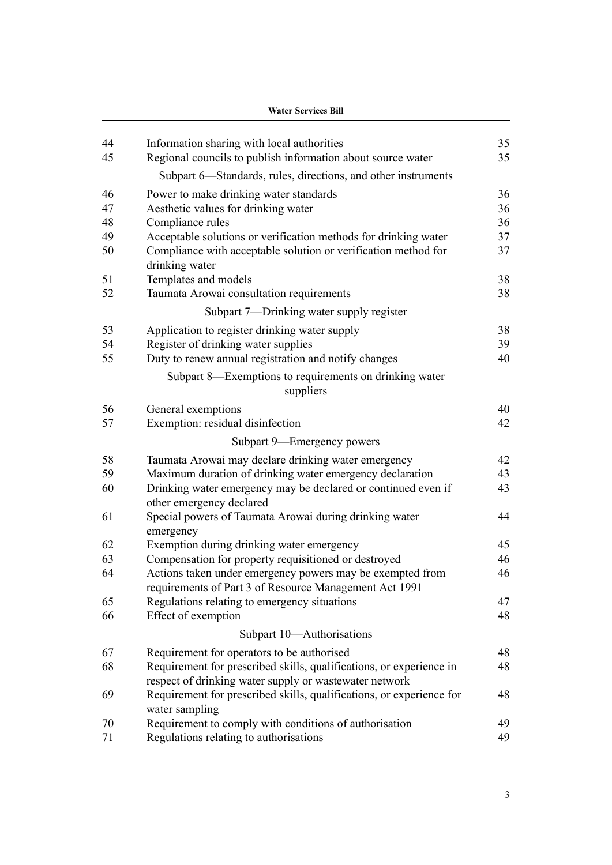|    | <b>Water Services Bill</b>                                                                                                    |    |  |
|----|-------------------------------------------------------------------------------------------------------------------------------|----|--|
| 44 | Information sharing with local authorities                                                                                    | 35 |  |
| 45 | Regional councils to publish information about source water                                                                   | 35 |  |
|    | Subpart 6—Standards, rules, directions, and other instruments                                                                 |    |  |
| 46 | Power to make drinking water standards                                                                                        | 36 |  |
| 47 | Aesthetic values for drinking water                                                                                           | 36 |  |
| 48 | Compliance rules                                                                                                              | 36 |  |
| 49 | Acceptable solutions or verification methods for drinking water                                                               | 37 |  |
| 50 | Compliance with acceptable solution or verification method for<br>drinking water                                              | 37 |  |
| 51 | Templates and models                                                                                                          | 38 |  |
| 52 | Taumata Arowai consultation requirements                                                                                      | 38 |  |
|    | Subpart 7—Drinking water supply register                                                                                      |    |  |
| 53 | Application to register drinking water supply                                                                                 | 38 |  |
| 54 | Register of drinking water supplies                                                                                           | 39 |  |
| 55 | Duty to renew annual registration and notify changes                                                                          | 40 |  |
|    | Subpart 8—Exemptions to requirements on drinking water<br>suppliers                                                           |    |  |
| 56 | General exemptions                                                                                                            | 40 |  |
| 57 | Exemption: residual disinfection                                                                                              | 42 |  |
|    | Subpart 9—Emergency powers                                                                                                    |    |  |
| 58 | Taumata Arowai may declare drinking water emergency                                                                           | 42 |  |
| 59 | Maximum duration of drinking water emergency declaration                                                                      | 43 |  |
| 60 | Drinking water emergency may be declared or continued even if<br>other emergency declared                                     | 43 |  |
| 61 | Special powers of Taumata Arowai during drinking water<br>emergency                                                           | 44 |  |
| 62 | Exemption during drinking water emergency                                                                                     | 45 |  |
| 63 | Compensation for property requisitioned or destroyed                                                                          | 46 |  |
| 64 | Actions taken under emergency powers may be exempted from<br>requirements of Part 3 of Resource Management Act 1991           | 46 |  |
| 65 | Regulations relating to emergency situations                                                                                  | 47 |  |
| 66 | Effect of exemption                                                                                                           | 48 |  |
|    | Subpart 10-Authorisations                                                                                                     |    |  |
| 67 | Requirement for operators to be authorised                                                                                    | 48 |  |
| 68 | Requirement for prescribed skills, qualifications, or experience in<br>respect of drinking water supply or wastewater network | 48 |  |
| 69 | Requirement for prescribed skills, qualifications, or experience for<br>water sampling                                        | 48 |  |
| 70 | Requirement to comply with conditions of authorisation                                                                        | 49 |  |
| 71 | Regulations relating to authorisations                                                                                        | 49 |  |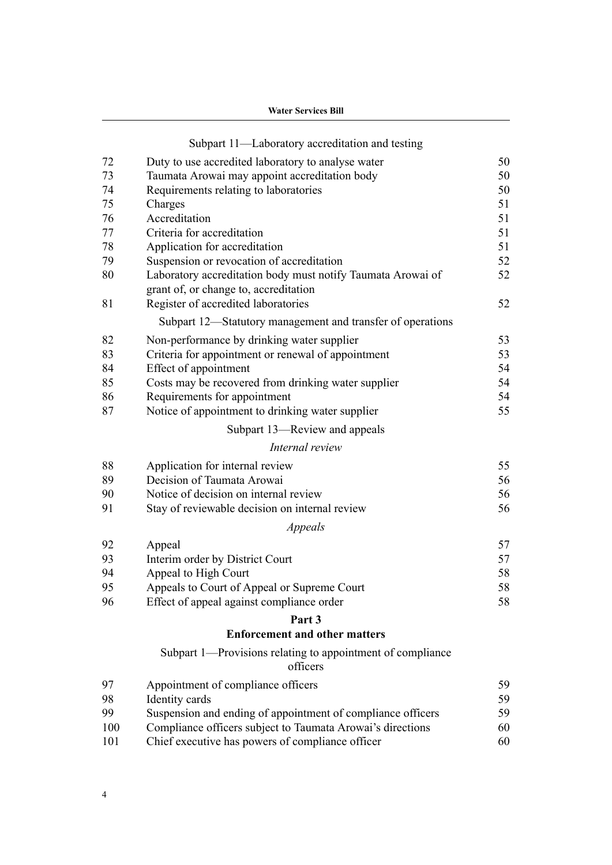|     | <b>Water Services Bill</b>                                                                           |    |  |  |
|-----|------------------------------------------------------------------------------------------------------|----|--|--|
|     | Subpart 11—Laboratory accreditation and testing                                                      |    |  |  |
| 72  | Duty to use accredited laboratory to analyse water                                                   | 50 |  |  |
| 73  | Taumata Arowai may appoint accreditation body                                                        | 50 |  |  |
| 74  | Requirements relating to laboratories                                                                | 50 |  |  |
| 75  | Charges                                                                                              | 51 |  |  |
| 76  | Accreditation                                                                                        | 51 |  |  |
| 77  | Criteria for accreditation                                                                           | 51 |  |  |
| 78  | Application for accreditation                                                                        | 51 |  |  |
| 79  | Suspension or revocation of accreditation                                                            | 52 |  |  |
| 80  | Laboratory accreditation body must notify Taumata Arowai of<br>grant of, or change to, accreditation | 52 |  |  |
| 81  | Register of accredited laboratories                                                                  | 52 |  |  |
|     | Subpart 12—Statutory management and transfer of operations                                           |    |  |  |
| 82  | Non-performance by drinking water supplier                                                           | 53 |  |  |
| 83  | Criteria for appointment or renewal of appointment                                                   | 53 |  |  |
| 84  | Effect of appointment                                                                                | 54 |  |  |
| 85  | Costs may be recovered from drinking water supplier                                                  | 54 |  |  |
| 86  | Requirements for appointment                                                                         | 54 |  |  |
| 87  | Notice of appointment to drinking water supplier                                                     | 55 |  |  |
|     | Subpart 13—Review and appeals                                                                        |    |  |  |
|     | Internal review                                                                                      |    |  |  |
| 88  | Application for internal review                                                                      | 55 |  |  |
| 89  | Decision of Taumata Arowai                                                                           | 56 |  |  |
| 90  | Notice of decision on internal review                                                                | 56 |  |  |
| 91  | Stay of reviewable decision on internal review                                                       | 56 |  |  |
|     | Appeals                                                                                              |    |  |  |
| 92  | Appeal                                                                                               | 57 |  |  |
| 93  | Interim order by District Court                                                                      | 57 |  |  |
| 94  | Appeal to High Court                                                                                 | 58 |  |  |
| 95  | Appeals to Court of Appeal or Supreme Court                                                          | 58 |  |  |
| 96  | Effect of appeal against compliance order                                                            | 58 |  |  |
|     | Part <sub>3</sub>                                                                                    |    |  |  |
|     | <b>Enforcement and other matters</b>                                                                 |    |  |  |
|     | Subpart 1—Provisions relating to appointment of compliance<br>officers                               |    |  |  |
| 97  | Appointment of compliance officers                                                                   | 59 |  |  |
| 98  | Identity cards                                                                                       | 59 |  |  |
| 99  | Suspension and ending of appointment of compliance officers                                          | 59 |  |  |
| 100 | Compliance officers subject to Taumata Arowai's directions                                           | 60 |  |  |
| 101 | Chief executive has powers of compliance officer                                                     | 60 |  |  |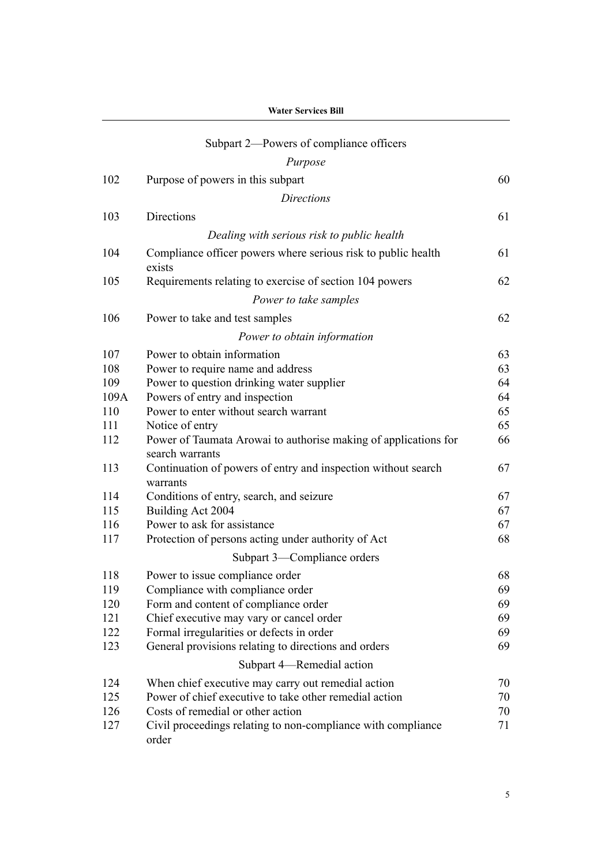|      | <b>Water Services Bill</b><br>Subpart 2—Powers of compliance officers     |    |  |
|------|---------------------------------------------------------------------------|----|--|
|      |                                                                           |    |  |
|      | Purpose                                                                   |    |  |
| 102  | Purpose of powers in this subpart                                         | 60 |  |
|      | <b>Directions</b>                                                         |    |  |
| 103  | Directions                                                                | 61 |  |
|      |                                                                           |    |  |
|      | Dealing with serious risk to public health                                |    |  |
| 104  | Compliance officer powers where serious risk to public health<br>exists   | 61 |  |
| 105  | Requirements relating to exercise of section 104 powers                   | 62 |  |
|      | Power to take samples                                                     |    |  |
| 106  | Power to take and test samples                                            | 62 |  |
|      | Power to obtain information                                               |    |  |
| 107  | Power to obtain information                                               | 63 |  |
| 108  | Power to require name and address                                         | 63 |  |
| 109  | Power to question drinking water supplier                                 | 64 |  |
| 109A | Powers of entry and inspection                                            | 64 |  |
| 110  | Power to enter without search warrant                                     | 65 |  |
| 111  | Notice of entry                                                           | 65 |  |
| 112  | Power of Taumata Arowai to authorise making of applications for           | 66 |  |
|      | search warrants                                                           |    |  |
| 113  | Continuation of powers of entry and inspection without search<br>warrants | 67 |  |
| 114  | Conditions of entry, search, and seizure                                  | 67 |  |
| 115  | Building Act 2004                                                         | 67 |  |
| 116  | Power to ask for assistance                                               | 67 |  |
| 117  | Protection of persons acting under authority of Act                       | 68 |  |
|      | Subpart 3—Compliance orders                                               |    |  |
| 118  | Power to issue compliance order                                           | 68 |  |
| 119  | Compliance with compliance order                                          | 69 |  |
| 120  | Form and content of compliance order                                      | 69 |  |
| 121  | Chief executive may vary or cancel order                                  | 69 |  |
| 122  | Formal irregularities or defects in order                                 | 69 |  |
| 123  | General provisions relating to directions and orders                      | 69 |  |
|      | Subpart 4-Remedial action                                                 |    |  |
| 124  | When chief executive may carry out remedial action                        | 70 |  |
| 125  | Power of chief executive to take other remedial action                    | 70 |  |
| 126  | Costs of remedial or other action                                         | 70 |  |
| 127  | Civil proceedings relating to non-compliance with compliance<br>order     | 71 |  |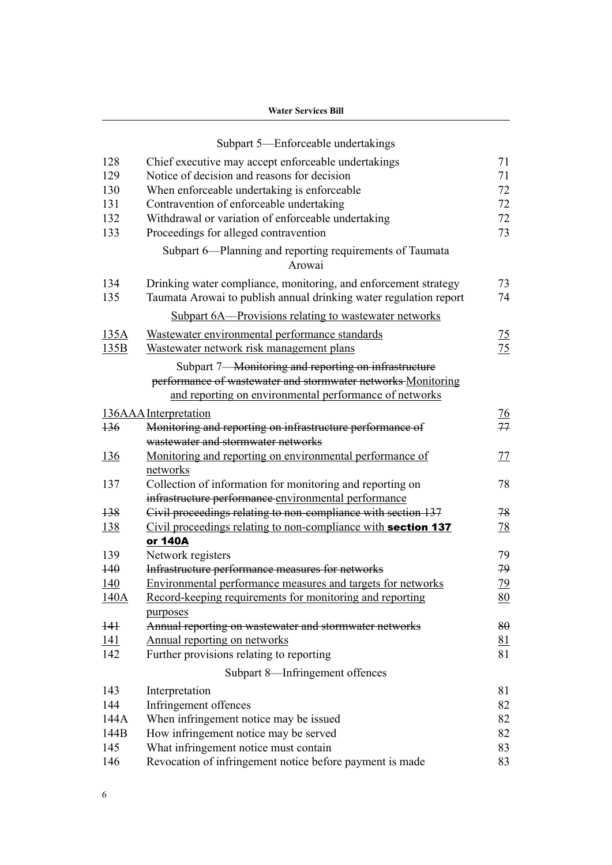|                  | Subpart 5—Enforceable undertakings                                                                                                                                             |                |
|------------------|--------------------------------------------------------------------------------------------------------------------------------------------------------------------------------|----------------|
| 128              | Chief executive may accept enforceable undertakings                                                                                                                            | 71             |
| 129              | Notice of decision and reasons for decision                                                                                                                                    | 71             |
| 130              | When enforceable undertaking is enforceable                                                                                                                                    | 72             |
| 131              | Contravention of enforceable undertaking                                                                                                                                       | 72             |
| 132              | Withdrawal or variation of enforceable undertaking                                                                                                                             | 72             |
| 133              | Proceedings for alleged contravention                                                                                                                                          | 73             |
|                  | Subpart 6—Planning and reporting requirements of Taumata<br>Arowai                                                                                                             |                |
| 134              | Drinking water compliance, monitoring, and enforcement strategy                                                                                                                | 73             |
| 135              | Taumata Arowai to publish annual drinking water regulation report                                                                                                              | 74             |
|                  |                                                                                                                                                                                |                |
|                  | Subpart 6A—Provisions relating to wastewater networks                                                                                                                          |                |
| 135A             | Wastewater environmental performance standards                                                                                                                                 | $\frac{75}{2}$ |
| 135B             | Wastewater network risk management plans                                                                                                                                       | 75             |
|                  | Subpart 7-Monitoring and reporting on infrastructure<br>performance of wastewater and stormwater networks Monitoring<br>and reporting on environmental performance of networks |                |
|                  | 136AAA Interpretation                                                                                                                                                          | $\frac{76}{1}$ |
| $\overline{136}$ | Monitoring and reporting on infrastructure performance of                                                                                                                      | 77             |
|                  | wastewater and stormwater networks                                                                                                                                             |                |
| <u>136</u>       | Monitoring and reporting on environmental performance of                                                                                                                       | 77             |
|                  | networks                                                                                                                                                                       |                |
| 137              | Collection of information for monitoring and reporting on                                                                                                                      | 78             |
|                  | infrastructure performance environmental performance                                                                                                                           |                |
| $+38$            | Civil proceedings relating to non-compliance with section 137                                                                                                                  | 78             |
| <u>138</u>       | Civil proceedings relating to non-compliance with section 137                                                                                                                  | <u>78</u>      |
|                  | or 140A                                                                                                                                                                        |                |
| 139              | Network registers                                                                                                                                                              | 79             |
| $+40$            | Infrastructure performance measures for networks                                                                                                                               | 79             |
| 140              | Environmental performance measures and targets for networks                                                                                                                    | 79             |
| 140A             | Record-keeping requirements for monitoring and reporting                                                                                                                       | <u>80</u>      |
|                  | purposes                                                                                                                                                                       |                |
| $+4+$            | Annual reporting on wastewater and stormwater networks                                                                                                                         | 80             |
| <u>141</u>       | Annual reporting on networks                                                                                                                                                   | <u>81</u>      |
| 142              | Further provisions relating to reporting                                                                                                                                       | 81             |
|                  | Subpart 8-Infringement offences                                                                                                                                                |                |
| 143              | Interpretation                                                                                                                                                                 | 81             |
| 144              | Infringement offences                                                                                                                                                          | 82             |
| 144A             | When infringement notice may be issued                                                                                                                                         | 82             |
| 144B             | How infringement notice may be served                                                                                                                                          | 82             |
| 145              | What infringement notice must contain                                                                                                                                          | 83             |
| 146              | Revocation of infringement notice before payment is made                                                                                                                       | 83             |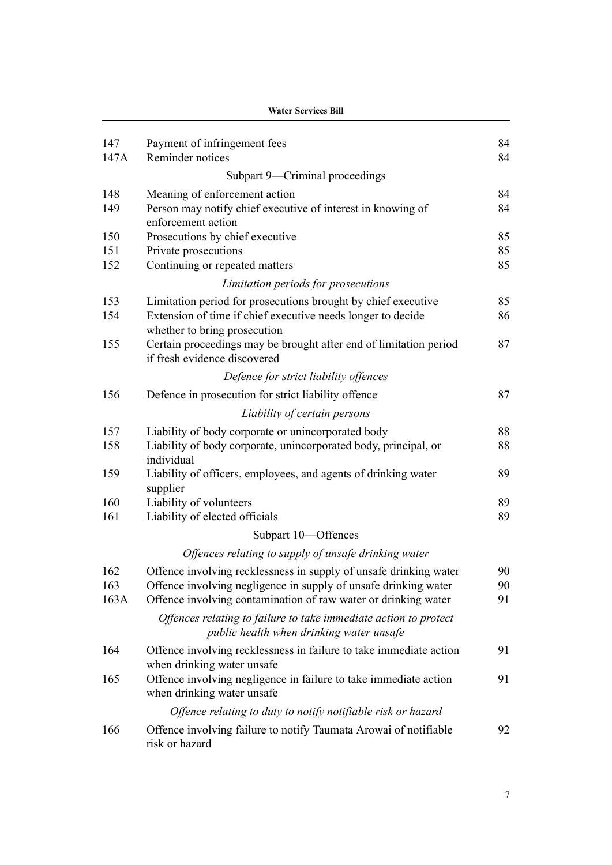|             | <b>Water Services Bill</b>                                                                                   |          |  |
|-------------|--------------------------------------------------------------------------------------------------------------|----------|--|
| 147<br>147A | Payment of infringement fees<br>Reminder notices                                                             | 84<br>84 |  |
|             | Subpart 9-Criminal proceedings                                                                               |          |  |
| 148         | Meaning of enforcement action                                                                                | 84       |  |
| 149         | Person may notify chief executive of interest in knowing of<br>enforcement action                            | 84       |  |
| 150         | Prosecutions by chief executive                                                                              | 85       |  |
| 151         | Private prosecutions                                                                                         | 85       |  |
| 152         | Continuing or repeated matters                                                                               | 85       |  |
|             | Limitation periods for prosecutions                                                                          |          |  |
| 153         | Limitation period for prosecutions brought by chief executive                                                | 85       |  |
| 154         | Extension of time if chief executive needs longer to decide<br>whether to bring prosecution                  | 86       |  |
| 155         | Certain proceedings may be brought after end of limitation period<br>if fresh evidence discovered            | 87       |  |
|             | Defence for strict liability offences                                                                        |          |  |
| 156         | Defence in prosecution for strict liability offence                                                          | 87       |  |
|             | Liability of certain persons                                                                                 |          |  |
| 157         | Liability of body corporate or unincorporated body                                                           | 88       |  |
| 158         | Liability of body corporate, unincorporated body, principal, or<br>individual                                | 88       |  |
| 159         | Liability of officers, employees, and agents of drinking water<br>supplier                                   | 89       |  |
| 160         | Liability of volunteers                                                                                      | 89       |  |
| 161         | Liability of elected officials                                                                               | 89       |  |
|             | Subpart 10-Offences                                                                                          |          |  |
|             | Offences relating to supply of unsafe drinking water                                                         |          |  |
| 162         | Offence involving recklessness in supply of unsafe drinking water                                            | 90       |  |
| 163         | Offence involving negligence in supply of unsafe drinking water                                              | 90       |  |
| 163A        | Offence involving contamination of raw water or drinking water                                               | 91       |  |
|             | Offences relating to failure to take immediate action to protect<br>public health when drinking water unsafe |          |  |
| 164         | Offence involving recklessness in failure to take immediate action<br>when drinking water unsafe             | 91       |  |
| 165         | Offence involving negligence in failure to take immediate action<br>when drinking water unsafe               | 91       |  |
|             | Offence relating to duty to notify notifiable risk or hazard                                                 |          |  |
| 166         | Offence involving failure to notify Taumata Arowai of notifiable<br>risk or hazard                           | 92       |  |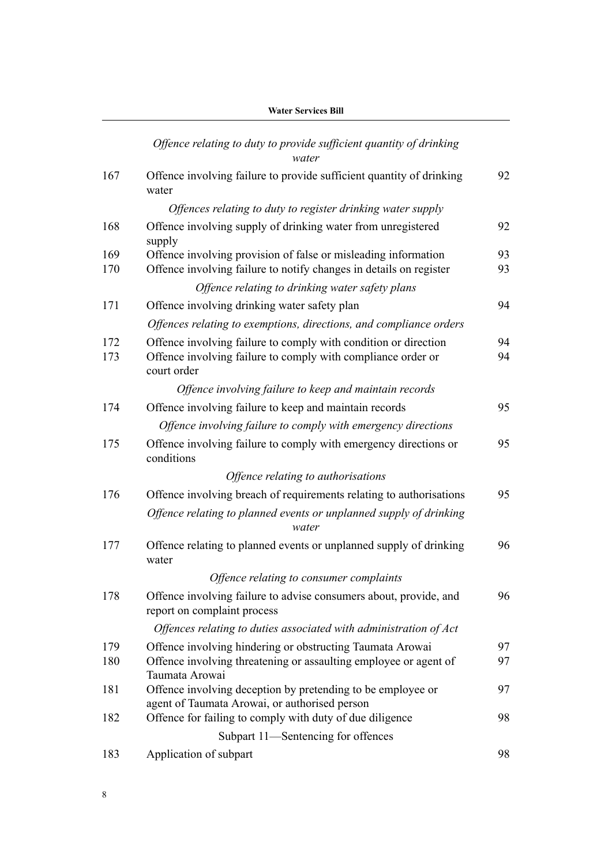|            | Offence relating to duty to provide sufficient quantity of drinking<br>water                                                                   |          |
|------------|------------------------------------------------------------------------------------------------------------------------------------------------|----------|
| 167        | Offence involving failure to provide sufficient quantity of drinking<br>water                                                                  | 92       |
|            | Offences relating to duty to register drinking water supply                                                                                    |          |
| 168        | Offence involving supply of drinking water from unregistered<br>supply                                                                         | 92       |
| 169<br>170 | Offence involving provision of false or misleading information<br>Offence involving failure to notify changes in details on register           | 93<br>93 |
|            | Offence relating to drinking water safety plans                                                                                                |          |
| 171        | Offence involving drinking water safety plan                                                                                                   | 94       |
|            | Offences relating to exemptions, directions, and compliance orders                                                                             |          |
| 172<br>173 | Offence involving failure to comply with condition or direction<br>Offence involving failure to comply with compliance order or<br>court order | 94<br>94 |
|            | Offence involving failure to keep and maintain records                                                                                         |          |
| 174        | Offence involving failure to keep and maintain records                                                                                         | 95       |
|            | Offence involving failure to comply with emergency directions                                                                                  |          |
| 175        | Offence involving failure to comply with emergency directions or<br>conditions                                                                 | 95       |
|            | Offence relating to authorisations                                                                                                             |          |
| 176        | Offence involving breach of requirements relating to authorisations                                                                            | 95       |
|            | Offence relating to planned events or unplanned supply of drinking<br>water                                                                    |          |
| 177        | Offence relating to planned events or unplanned supply of drinking<br>water                                                                    | 96       |
|            | Offence relating to consumer complaints                                                                                                        |          |
| 178        | Offence involving failure to advise consumers about, provide, and<br>report on complaint process                                               | 96       |
|            | Offences relating to duties associated with administration of Act                                                                              |          |
| 179        | Offence involving hindering or obstructing Taumata Arowai                                                                                      | 97       |
| 180        | Offence involving threatening or assaulting employee or agent of<br>Taumata Arowai                                                             | 97       |
| 181        | Offence involving deception by pretending to be employee or<br>agent of Taumata Arowai, or authorised person                                   | 97       |
| 182        | Offence for failing to comply with duty of due diligence                                                                                       | 98       |
|            | Subpart 11—Sentencing for offences                                                                                                             |          |
| 183        | Application of subpart                                                                                                                         | 98       |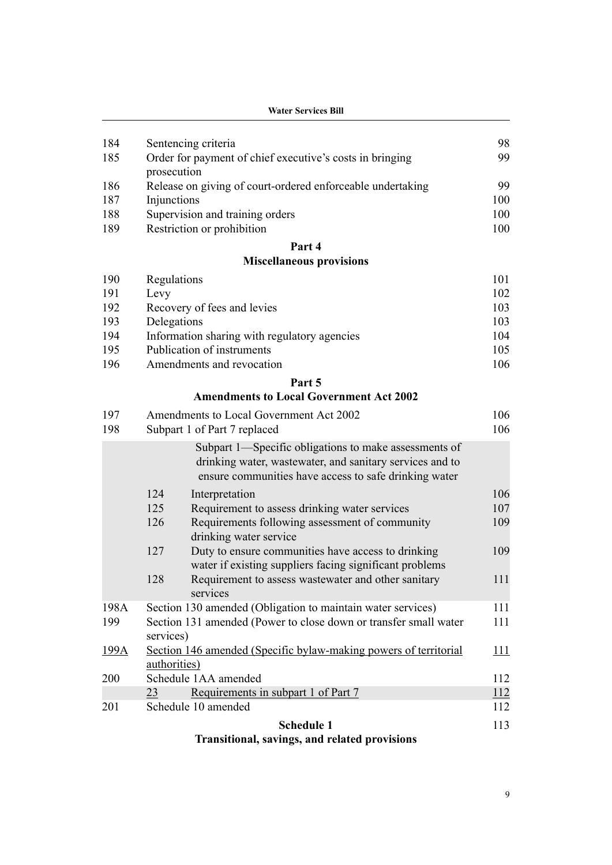| 186        | Release on giving of court-ordered enforceable undertaking | 99         |
|------------|------------------------------------------------------------|------------|
| 187<br>188 | Injunctions<br>Supervision and training orders             | 100<br>100 |
| 189        | Restriction or prohibition                                 | 100        |
|            |                                                            |            |

#### **[Part 4](#page-104-0)**

# **[Miscellaneous provisions](#page-104-0)**

| 190 | Regulations                                  | 101 |
|-----|----------------------------------------------|-----|
| 191 | Levy                                         | 102 |
| 192 | Recovery of fees and levies                  | 103 |
| 193 | Delegations                                  | 103 |
| 194 | Information sharing with regulatory agencies | 104 |
| 195 | Publication of instruments                   | 105 |
| 196 | Amendments and revocation                    | 106 |

# **[Part 5](#page-109-0)**

# **[Amendments to Local Government Act 2002](#page-109-0)**

|      | <b>Schedule 1</b>                                                                                                                                                          | 113        |
|------|----------------------------------------------------------------------------------------------------------------------------------------------------------------------------|------------|
| 201  | Schedule 10 amended                                                                                                                                                        | 112        |
|      | Requirements in subpart 1 of Part 7<br>23                                                                                                                                  | <u>112</u> |
| 200  | Schedule 1AA amended                                                                                                                                                       | 112        |
|      | authorities)                                                                                                                                                               |            |
| 199A | services)<br>Section 146 amended (Specific bylaw-making powers of territorial                                                                                              | 111        |
| 199  | Section 131 amended (Power to close down or transfer small water                                                                                                           | 111        |
| 198A | Section 130 amended (Obligation to maintain water services)                                                                                                                | 111        |
|      | 128<br>Requirement to assess wastewater and other sanitary<br>services                                                                                                     | 111        |
|      | 127<br>Duty to ensure communities have access to drinking<br>water if existing suppliers facing significant problems                                                       | 109        |
|      | Requirements following assessment of community<br>126<br>drinking water service                                                                                            | 109        |
|      | 125<br>Requirement to assess drinking water services                                                                                                                       | 107        |
|      | 124<br>Interpretation                                                                                                                                                      | 106        |
|      | Subpart 1—Specific obligations to make assessments of<br>drinking water, wastewater, and sanitary services and to<br>ensure communities have access to safe drinking water |            |
| 198  | Subpart 1 of Part 7 replaced                                                                                                                                               | 106        |
| 197  | Amendments to Local Government Act 2002                                                                                                                                    | 106        |

# **[Transitional, savings, and related provisions](#page-116-0)**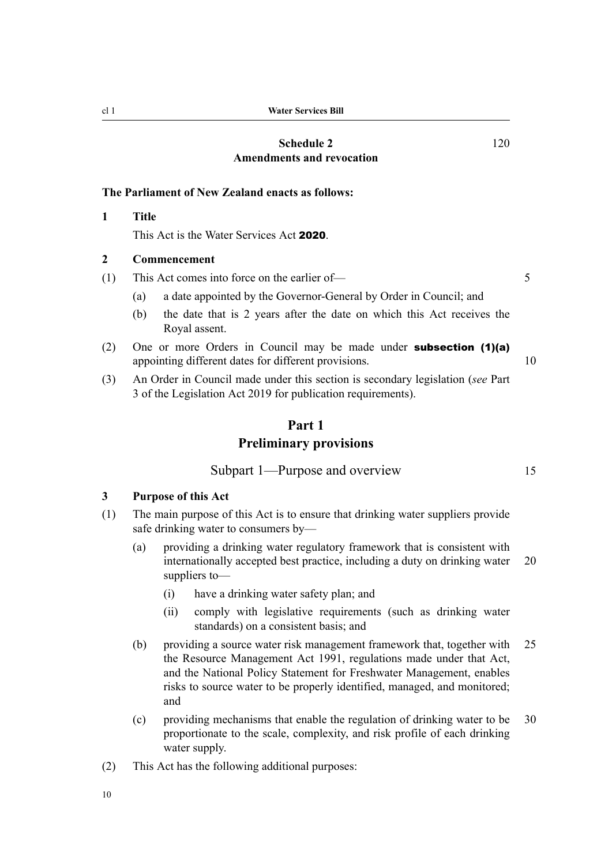#### **[Schedule 2](#page-123-0) [Amendments and revocation](#page-123-0)**

#### <span id="page-13-0"></span>**The Parliament of New Zealand enacts as follows:**

#### **1 Title**

This Act is the Water Services Act 2020.

#### **2 Commencement**

(1) This Act comes into force on the earlier of— 5

- (a) a date appointed by the Governor-General by Order in Council; and
- (b) the date that is 2 years after the date on which this Act receives the Royal assent.
- (2) One or more Orders in Council may be made under **subsection (1)(a)** appointing different dates for different provisions. 10
- (3) An Order in Council made under this section is secondary legislation (*see* Part 3 of the Legislation Act 2019 for publication requirements).

# **Part 1**

# **Preliminary provisions**

Subpart 1—Purpose and overview 15

#### **3 Purpose of this Act**

- (1) The main purpose of this Act is to ensure that drinking water suppliers provide safe drinking water to consumers by—
	- (a) providing a drinking water regulatory framework that is consistent with internationally accepted best practice, including a duty on drinking water 20 suppliers to—
		- (i) have a drinking water safety plan; and
		- (ii) comply with legislative requirements (such as drinking water standards) on a consistent basis; and
	- (b) providing a source water risk management framework that, together with 25 the Resource Management Act 1991, regulations made under that Act, and the National Policy Statement for Freshwater Management, enables risks to source water to be properly identified, managed, and monitored; and
	- (c) providing mechanisms that enable the regulation of drinking water to be 30 proportionate to the scale, complexity, and risk profile of each drinking water supply.
- (2) This Act has the following additional purposes:

10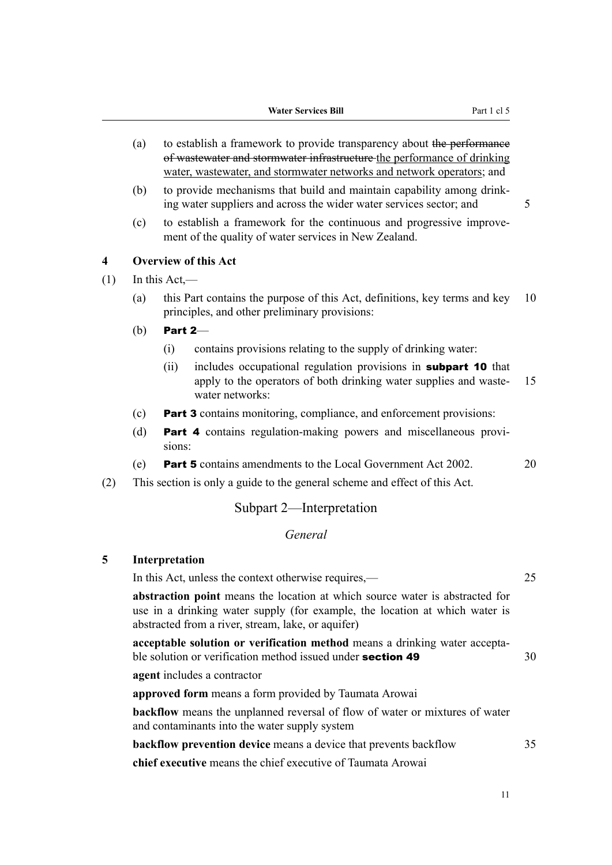- <span id="page-14-0"></span>(a) to establish a framework to provide transparency about the performance of wastewater and stormwater infrastructure the performance of drinking water, wastewater, and stormwater networks and network operators; and
- (b) to provide mechanisms that build and maintain capability among drink‐ ing water suppliers and across the wider water services sector; and 5
- (c) to establish a framework for the continuous and progressive improve‐ ment of the quality of water services in New Zealand.

### **4 Overview of this Act**

- $(1)$  In this Act,—
	- (a) this Part contains the purpose of this Act, definitions, key terms and key 10 principles, and other preliminary provisions:
	- (b) Part 2—
		- (i) contains provisions relating to the supply of drinking water:
		- (ii) includes occupational regulation provisions in subpart 10 that apply to the operators of both drinking water supplies and waste- 15 water networks:
	- (c) Part 3 contains monitoring, compliance, and enforcement provisions:
	- (d) Part 4 contains regulation-making powers and miscellaneous provisions:
	- (e) Part 5 contains amendments to the Local Government Act 2002. 20
- (2) This section is only a guide to the general scheme and effect of this Act.

# Subpart 2—Interpretation

# *General*

# **5 Interpretation**

| In this Act, unless the context otherwise requires,—                                                                                                                                                              | 25 |
|-------------------------------------------------------------------------------------------------------------------------------------------------------------------------------------------------------------------|----|
| abstraction point means the location at which source water is abstracted for<br>use in a drinking water supply (for example, the location at which water is<br>abstracted from a river, stream, lake, or aquifer) |    |
| acceptable solution or verification method means a drinking water accepta-<br>ble solution or verification method issued under <b>section 49</b>                                                                  | 30 |
| <b>agent</b> includes a contractor                                                                                                                                                                                |    |
| approved form means a form provided by Taumata Arowai                                                                                                                                                             |    |
| <b>backflow</b> means the unplanned reversal of flow of water or mixtures of water<br>and contaminants into the water supply system                                                                               |    |
| <b>backflow prevention device</b> means a device that prevents backflow                                                                                                                                           | 35 |
| <b>chief executive</b> means the chief executive of Taumata Arowai                                                                                                                                                |    |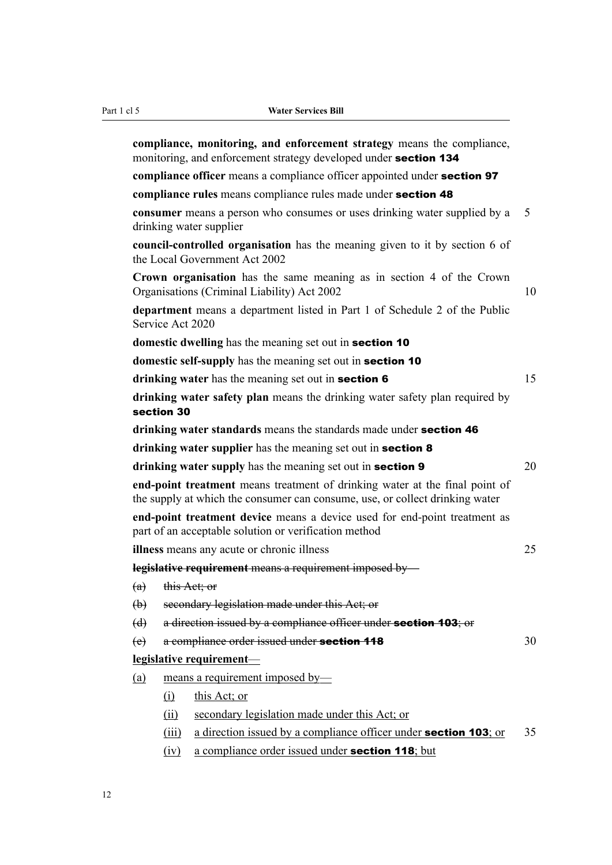|                                                                                                                     |                                                           | compliance, monitoring, and enforcement strategy means the compliance,<br>monitoring, and enforcement strategy developed under section 134                  |    |  |  |
|---------------------------------------------------------------------------------------------------------------------|-----------------------------------------------------------|-------------------------------------------------------------------------------------------------------------------------------------------------------------|----|--|--|
|                                                                                                                     |                                                           | compliance officer means a compliance officer appointed under section 97                                                                                    |    |  |  |
|                                                                                                                     |                                                           | compliance rules means compliance rules made under section 48                                                                                               |    |  |  |
| <b>consumer</b> means a person who consumes or uses drinking water supplied by a<br>drinking water supplier         |                                                           |                                                                                                                                                             |    |  |  |
|                                                                                                                     |                                                           | council-controlled organisation has the meaning given to it by section 6 of<br>the Local Government Act 2002                                                |    |  |  |
| Crown organisation has the same meaning as in section 4 of the Crown<br>Organisations (Criminal Liability) Act 2002 |                                                           |                                                                                                                                                             |    |  |  |
|                                                                                                                     | Service Act 2020                                          | department means a department listed in Part 1 of Schedule 2 of the Public                                                                                  |    |  |  |
|                                                                                                                     |                                                           | domestic dwelling has the meaning set out in section 10                                                                                                     |    |  |  |
|                                                                                                                     |                                                           | domestic self-supply has the meaning set out in section 10                                                                                                  |    |  |  |
|                                                                                                                     | drinking water has the meaning set out in section 6<br>15 |                                                                                                                                                             |    |  |  |
|                                                                                                                     | section 30                                                | drinking water safety plan means the drinking water safety plan required by                                                                                 |    |  |  |
|                                                                                                                     |                                                           | drinking water standards means the standards made under section 46                                                                                          |    |  |  |
|                                                                                                                     |                                                           | drinking water supplier has the meaning set out in section 8                                                                                                |    |  |  |
|                                                                                                                     |                                                           | drinking water supply has the meaning set out in section 9                                                                                                  | 20 |  |  |
|                                                                                                                     |                                                           | end-point treatment means treatment of drinking water at the final point of<br>the supply at which the consumer can consume, use, or collect drinking water |    |  |  |
|                                                                                                                     |                                                           | end-point treatment device means a device used for end-point treatment as<br>part of an acceptable solution or verification method                          |    |  |  |
|                                                                                                                     |                                                           | illness means any acute or chronic illness                                                                                                                  | 25 |  |  |
|                                                                                                                     |                                                           | legislative requirement means a requirement imposed by-                                                                                                     |    |  |  |
|                                                                                                                     | $(a)$ this Act; or                                        |                                                                                                                                                             |    |  |  |
| $\biguplus$                                                                                                         |                                                           | secondary legislation made under this Act; or                                                                                                               |    |  |  |
| $\left(\mathrm{d}\right)$                                                                                           |                                                           | a direction issued by a compliance officer under section 103; or                                                                                            |    |  |  |
| $\left(\mathrm{e}\right)$                                                                                           |                                                           | a compliance order issued under section 118                                                                                                                 | 30 |  |  |
|                                                                                                                     |                                                           | legislative requirement-                                                                                                                                    |    |  |  |
| (a)                                                                                                                 | means a requirement imposed by-                           |                                                                                                                                                             |    |  |  |
|                                                                                                                     | $\Omega$                                                  | this Act; or                                                                                                                                                |    |  |  |
|                                                                                                                     | (ii)                                                      | secondary legislation made under this Act; or                                                                                                               |    |  |  |
|                                                                                                                     | (iii)                                                     | a direction issued by a compliance officer under <b>section 103</b> ; or                                                                                    | 35 |  |  |
|                                                                                                                     | (iv)                                                      | a compliance order issued under section 118; but                                                                                                            |    |  |  |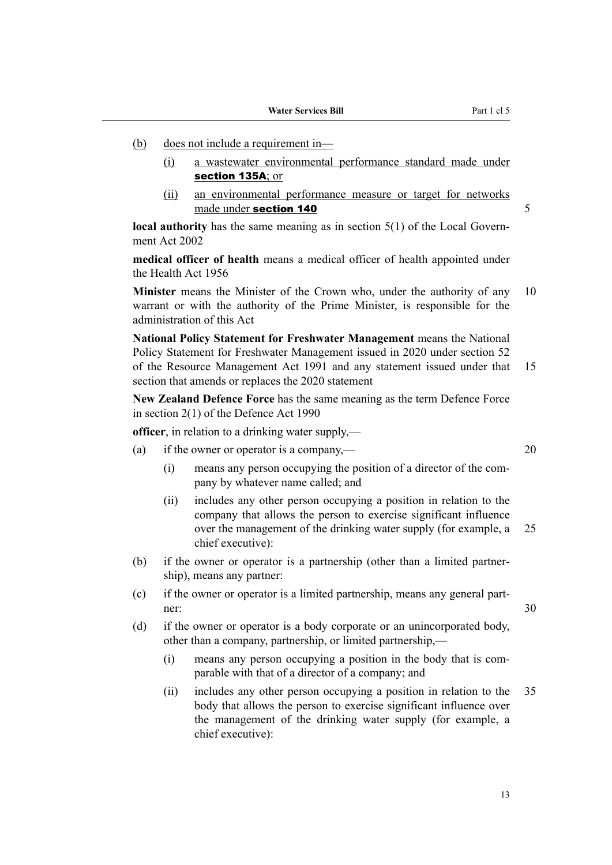- (b) does not include a requirement in—
	- (i) a wastewater environmental performance standard made under section 135A; or
	- (ii) an environmental performance measure or target for networks made under section 140 5

**local authority** has the same meaning as in section 5(1) of the Local Government Act 2002

**medical officer of health** means a medical officer of health appointed under the Health Act 1956

**Minister** means the Minister of the Crown who, under the authority of any 10 warrant or with the authority of the Prime Minister, is responsible for the administration of this Act

**National Policy Statement for Freshwater Management** means the National Policy Statement for Freshwater Management issued in 2020 under section 52 of the Resource Management Act 1991 and any statement issued under that 15 section that amends or replaces the 2020 statement

**New Zealand Defence Force** has the same meaning as the term Defence Force in section 2(1) of the Defence Act 1990

**officer**, in relation to a drinking water supply,—

- (a) if the owner or operator is a company,— $20$ 
	- (i) means any person occupying the position of a director of the com‐ pany by whatever name called; and
	- (ii) includes any other person occupying a position in relation to the company that allows the person to exercise significant influence over the management of the drinking water supply (for example, a 25 chief executive):
- (b) if the owner or operator is a partnership (other than a limited partner‐ ship), means any partner:
- (c) if the owner or operator is a limited partnership, means any general part‐ ner:  $30$

(d) if the owner or operator is a body corporate or an unincorporated body, other than a company, partnership, or limited partnership,—

- (i) means any person occupying a position in the body that is com‐ parable with that of a director of a company; and
- (ii) includes any other person occupying a position in relation to the 35 body that allows the person to exercise significant influence over the management of the drinking water supply (for example, a chief executive):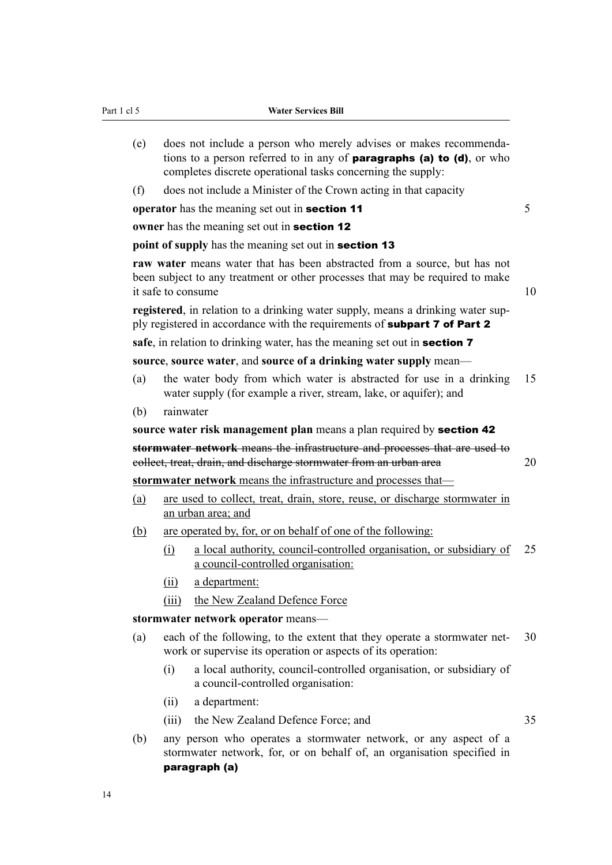(e) does not include a person who merely advises or makes recommenda‐ tions to a person referred to in any of **paragraphs (a) to (d)**, or who completes discrete operational tasks concerning the supply: (f) does not include a Minister of the Crown acting in that capacity **operator** has the meaning set out in **section 11** 5 **owner** has the meaning set out in **section 12 point of supply** has the meaning set out in **section 13 raw water** means water that has been abstracted from a source, but has not

been subject to any treatment or other processes that may be required to make it safe to consume 10

**registered**, in relation to a drinking water supply, means a drinking water supply registered in accordance with the requirements of **subpart 7 of Part 2** 

safe, in relation to drinking water, has the meaning set out in **section 7** 

#### **source**, **source water**, and **source of a drinking water supply** mean—

- (a) the water body from which water is abstracted for use in a drinking 15 water supply (for example a river, stream, lake, or aquifer); and
- (b) rainwater
- **source water risk management plan** means a plan required by section 42

**stormwater network** means the infrastructure and processes that are used to collect, treat, drain, and discharge stormwater from an urban area 20

**stormwater network** means the infrastructure and processes that—

- (a) are used to collect, treat, drain, store, reuse, or discharge stormwater in an urban area; and
- (b) are operated by, for, or on behalf of one of the following:
	- (i) a local authority, council-controlled organisation, or subsidiary of 25 a council-controlled organisation:
	- (ii) a department:
	- (iii) the New Zealand Defence Force

#### **stormwater network operator** means—

- (a) each of the following, to the extent that they operate a stormwater net‐ 30 work or supervise its operation or aspects of its operation:
	- (i) a local authority, council-controlled organisation, or subsidiary of a council-controlled organisation:
	- (ii) a department:
	- (iii) the New Zealand Defence Force; and 35
- (b) any person who operates a stormwater network, or any aspect of a stormwater network, for, or on behalf of, an organisation specified in paragraph (a)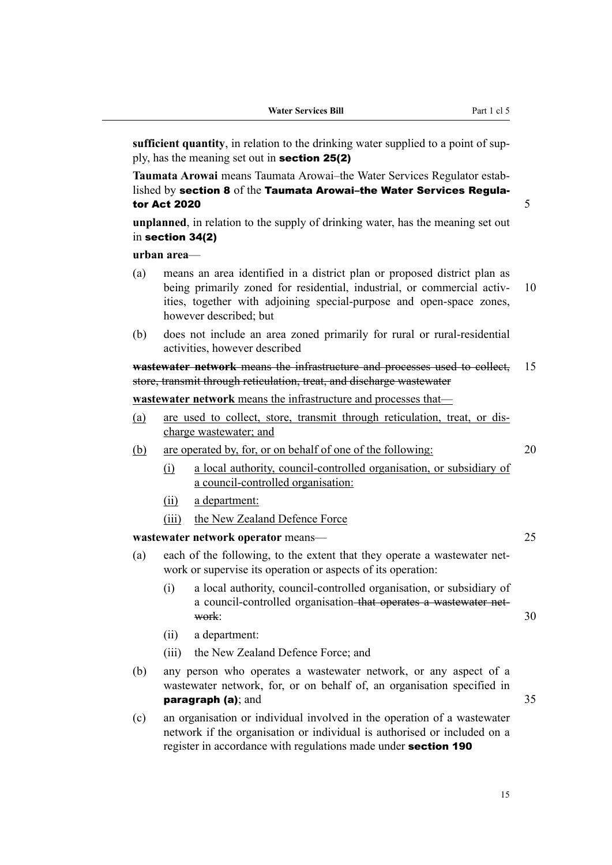|  | <b>Water Services Bill</b> |  |
|--|----------------------------|--|
|--|----------------------------|--|

**sufficient quantity**, in relation to the drinking water supplied to a point of supply, has the meaning set out in section 25(2)

**Taumata Arowai** means Taumata Arowai–the Water Services Regulator estab‐ lished by section 8 of the Taumata Arowai–the Water Services Regulator Act 2020  $\overline{5}$ 

**unplanned**, in relation to the supply of drinking water, has the meaning set out in section 34(2)

#### **urban area**—

- (a) means an area identified in a district plan or proposed district plan as being primarily zoned for residential, industrial, or commercial activ- 10 ities, together with adjoining special-purpose and open-space zones, however described; but
- (b) does not include an area zoned primarily for rural or rural-residential activities, however described

**wastewater network** means the infrastructure and processes used to collect, 15 store, transmit through reticulation, treat, and discharge wastewater

# **wastewater network** means the infrastructure and processes that—

- (a) are used to collect, store, transmit through reticulation, treat, or dis‐ charge wastewater; and
- (b) are operated by, for, or on behalf of one of the following: 20
	- (i) a local authority, council-controlled organisation, or subsidiary of a council-controlled organisation:
	- (ii) a department:
	- (iii) the New Zealand Defence Force

#### **wastewater network operator** means— 25

- (a) each of the following, to the extent that they operate a wastewater network or supervise its operation or aspects of its operation:
	- (i) a local authority, council-controlled organisation, or subsidiary of a council-controlled organisation that operates a wastewater net‐ work:  $30$
	- (ii) a department:
	- (iii) the New Zealand Defence Force; and
- (b) any person who operates a wastewater network, or any aspect of a wastewater network, for, or on behalf of, an organisation specified in **paragraph (a)**; and 35
- (c) an organisation or individual involved in the operation of a wastewater network if the organisation or individual is authorised or included on a register in accordance with regulations made under section 190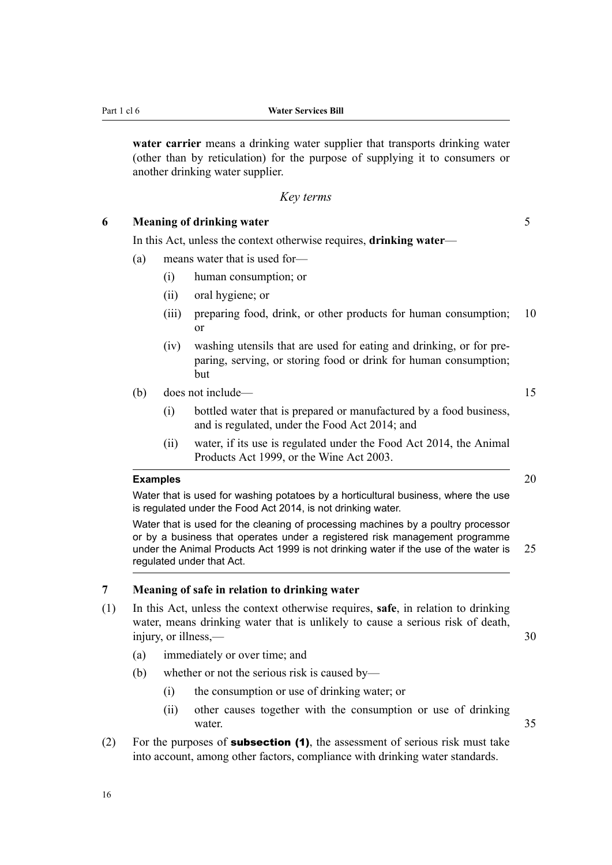<span id="page-19-0"></span>**water carrier** means a drinking water supplier that transports drinking water (other than by reticulation) for the purpose of supplying it to consumers or another drinking water supplier.

#### *Key terms*

# **6 Meaning of drinking water** 5

In this Act, unless the context otherwise requires, **drinking water**—

- (a) means water that is used for—
	- (i) human consumption; or
	- (ii) oral hygiene; or
	- (iii) preparing food, drink, or other products for human consumption; 10 or
	- (iv) washing utensils that are used for eating and drinking, or for pre‐ paring, serving, or storing food or drink for human consumption; but
- (b) does not include— 15
	- (i) bottled water that is prepared or manufactured by a food business, and is regulated, under the Food Act 2014; and
	- (ii) water, if its use is regulated under the Food Act 2014, the Animal Products Act 1999, or the Wine Act 2003.

#### **Examples** 20

Water that is used for washing potatoes by a horticultural business, where the use is regulated under the Food Act 2014, is not drinking water.

Water that is used for the cleaning of processing machines by a poultry processor or by a business that operates under a registered risk management programme under the Animal Products Act 1999 is not drinking water if the use of the water is 25 regulated under that Act.

#### **7 Meaning of safe in relation to drinking water**

- (1) In this Act, unless the context otherwise requires, **safe**, in relation to drinking water, means drinking water that is unlikely to cause a serious risk of death, injury, or illness,— 30
	- (a) immediately or over time; and
	- (b) whether or not the serious risk is caused by—
		- (i) the consumption or use of drinking water; or
		- (ii) other causes together with the consumption or use of drinking water. 35
- (2) For the purposes of **subsection (1)**, the assessment of serious risk must take into account, among other factors, compliance with drinking water standards.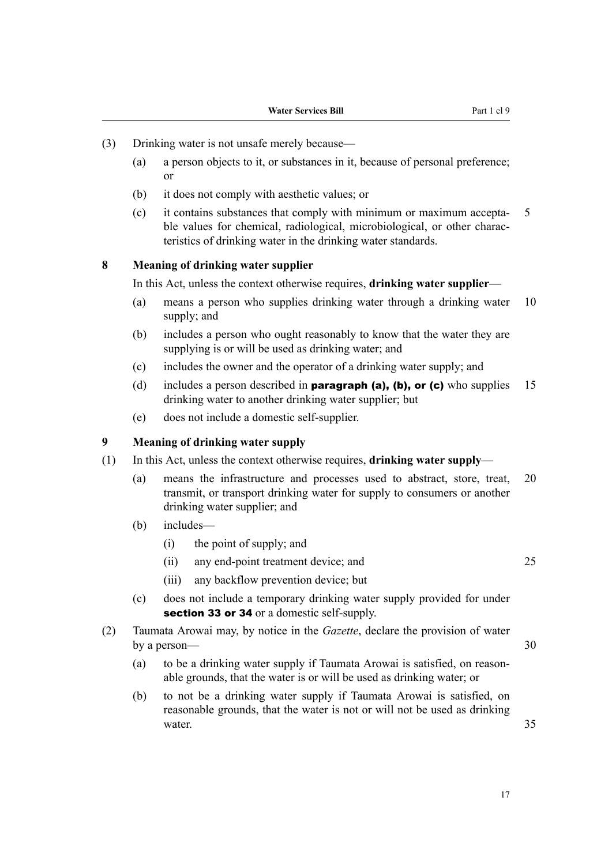- <span id="page-20-0"></span>(3) Drinking water is not unsafe merely because—
	- (a) a person objects to it, or substances in it, because of personal preference; or
	- (b) it does not comply with aesthetic values; or
	- $\epsilon$  it contains substances that comply with minimum or maximum accepta- 5 ble values for chemical, radiological, microbiological, or other characteristics of drinking water in the drinking water standards.

#### **8 Meaning of drinking water supplier**

In this Act, unless the context otherwise requires, **drinking water supplier**—

- (a) means a person who supplies drinking water through a drinking water 10 supply; and
- (b) includes a person who ought reasonably to know that the water they are supplying is or will be used as drinking water; and
- (c) includes the owner and the operator of a drinking water supply; and
- (d) includes a person described in **paragraph (a), (b), or (c)** who supplies 15 drinking water to another drinking water supplier; but
- (e) does not include a domestic self-supplier.

#### **9 Meaning of drinking water supply**

- (1) In this Act, unless the context otherwise requires, **drinking water supply**
	- (a) means the infrastructure and processes used to abstract, store, treat, 20 transmit, or transport drinking water for supply to consumers or another drinking water supplier; and
	- (b) includes—
		- (i) the point of supply; and
		- (ii) any end-point treatment device; and 25
		- (iii) any backflow prevention device; but
	- (c) does not include a temporary drinking water supply provided for under section 33 or 34 or a domestic self-supply.
- (2) Taumata Arowai may, by notice in the *Gazette*, declare the provision of water by a person— $\sim$  30
	- (a) to be a drinking water supply if Taumata Arowai is satisfied, on reason‐ able grounds, that the water is or will be used as drinking water; or
	- (b) to not be a drinking water supply if Taumata Arowai is satisfied, on reasonable grounds, that the water is not or will not be used as drinking water. 35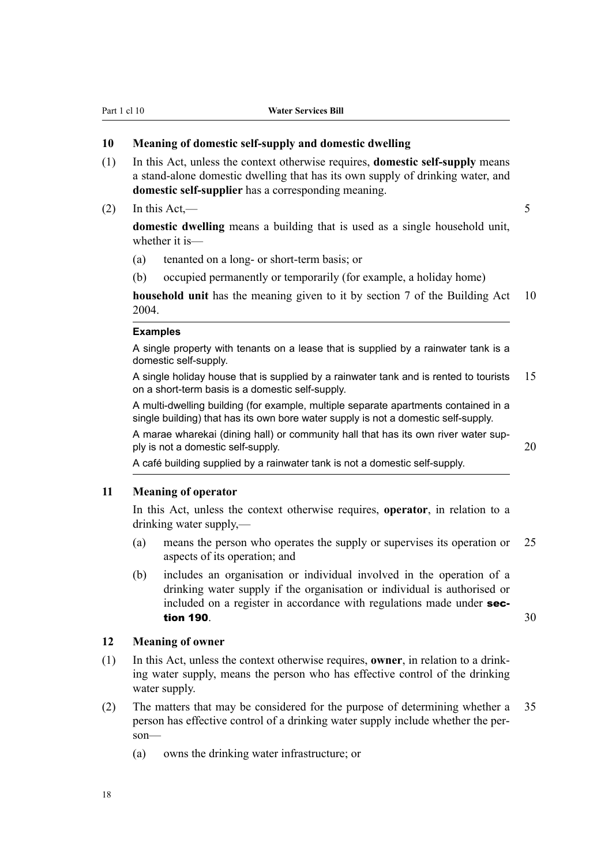#### <span id="page-21-0"></span>**10 Meaning of domestic self-supply and domestic dwelling**

- (1) In this Act, unless the context otherwise requires, **domestic self-supply** means a stand-alone domestic dwelling that has its own supply of drinking water, and **domestic self-supplier** has a corresponding meaning.
- (2) In this Act,  $\frac{1}{2}$  5

**domestic dwelling** means a building that is used as a single household unit, whether it is—

- (a) tenanted on a long- or short-term basis; or
- (b) occupied permanently or temporarily (for example, a holiday home)

**household unit** has the meaning given to it by section 7 of the Building Act 10 2004.

#### **Examples**

A single property with tenants on a lease that is supplied by a rainwater tank is a domestic self-supply.

A single holiday house that is supplied by a rainwater tank and is rented to tourists  $15$ on a short-term basis is a domestic self-supply.

A multi-dwelling building (for example, multiple separate apartments contained in a single building) that has its own bore water supply is not a domestic self-supply.

A marae wharekai (dining hall) or community hall that has its own river water supply is not a domestic self-supply. 20

A café building supplied by a rainwater tank is not a domestic self-supply.

# **11 Meaning of operator**

In this Act, unless the context otherwise requires, **operator**, in relation to a drinking water supply,—

- (a) means the person who operates the supply or supervises its operation or 25 aspects of its operation; and
- (b) includes an organisation or individual involved in the operation of a drinking water supply if the organisation or individual is authorised or included on a register in accordance with regulations made under **sec**tion 190.  $\sim$  30

#### **12 Meaning of owner**

- (1) In this Act, unless the context otherwise requires, **owner**, in relation to a drink‐ ing water supply, means the person who has effective control of the drinking water supply.
- (2) The matters that may be considered for the purpose of determining whether a 35 person has effective control of a drinking water supply include whether the per‐ son—
	- (a) owns the drinking water infrastructure; or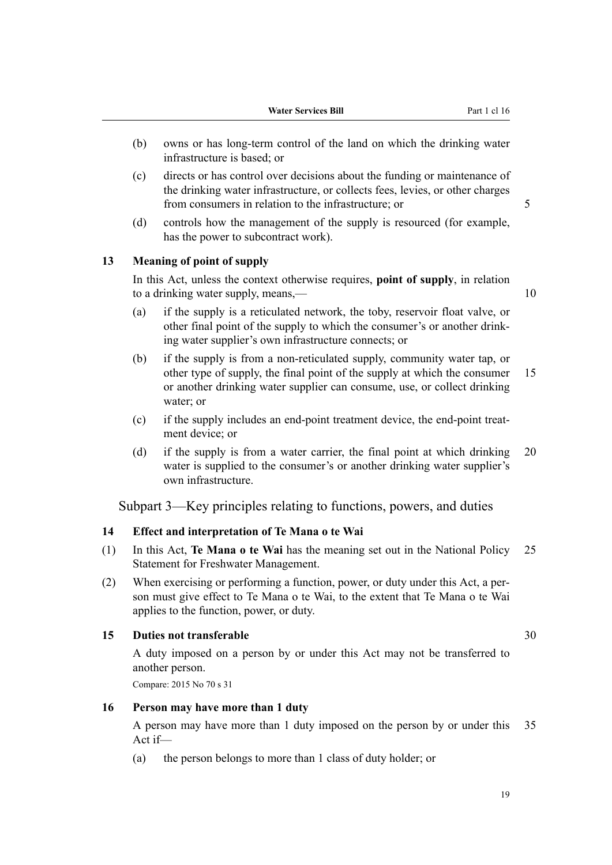- <span id="page-22-0"></span>(b) owns or has long-term control of the land on which the drinking water infrastructure is based; or
- (c) directs or has control over decisions about the funding or maintenance of the drinking water infrastructure, or collects fees, levies, or other charges from consumers in relation to the infrastructure; or 5
- (d) controls how the management of the supply is resourced (for example, has the power to subcontract work).

### **13 Meaning of point of supply**

In this Act, unless the context otherwise requires, **point of supply**, in relation to a drinking water supply, means,— 10

- (a) if the supply is a reticulated network, the toby, reservoir float valve, or other final point of the supply to which the consumer's or another drink‐ ing water supplier's own infrastructure connects; or
- (b) if the supply is from a non-reticulated supply, community water tap, or other type of supply, the final point of the supply at which the consumer 15 or another drinking water supplier can consume, use, or collect drinking water; or
- (c) if the supply includes an end-point treatment device, the end-point treat‐ ment device; or
- (d) if the supply is from a water carrier, the final point at which drinking 20 water is supplied to the consumer's or another drinking water supplier's own infrastructure.

Subpart 3—Key principles relating to functions, powers, and duties

#### **14 Effect and interpretation of Te Mana o te Wai**

- (1) In this Act, **Te Mana o te Wai** has the meaning set out in the National Policy 25 Statement for Freshwater Management.
- (2) When exercising or performing a function, power, or duty under this Act, a per‐ son must give effect to Te Mana o te Wai, to the extent that Te Mana o te Wai applies to the function, power, or duty.

#### **15 Duties not transferable** 30

A duty imposed on a person by or under this Act may not be transferred to another person.

Compare: 2015 No 70 s 31

#### **16 Person may have more than 1 duty**

A person may have more than 1 duty imposed on the person by or under this 35 Act if—

(a) the person belongs to more than 1 class of duty holder; or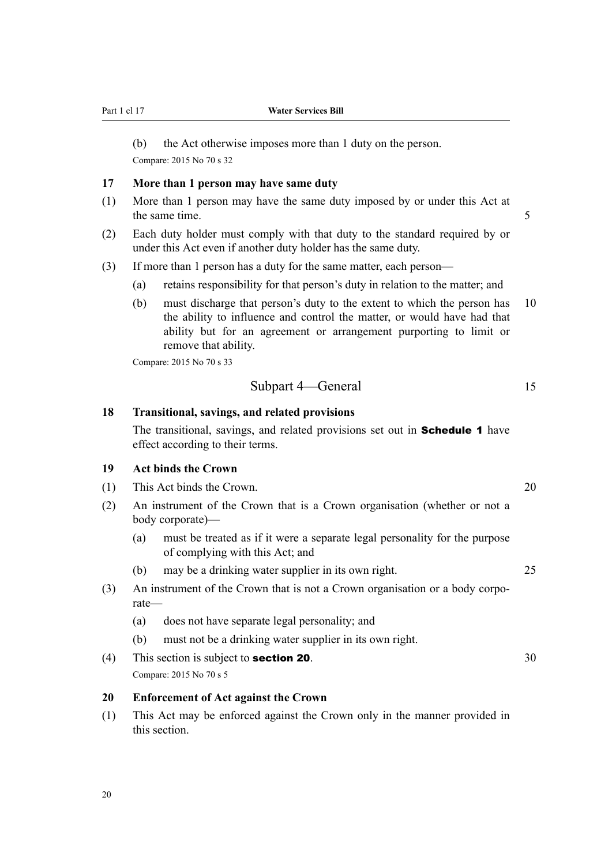20

<span id="page-23-0"></span>Part 1 cl 17 **Water Services Bill**

(b) the Act otherwise imposes more than 1 duty on the person. Compare: 2015 No 70 s 32

#### **17 More than 1 person may have same duty**

- (1) More than 1 person may have the same duty imposed by or under this Act at the same time. 5
- (2) Each duty holder must comply with that duty to the standard required by or under this Act even if another duty holder has the same duty.
- (3) If more than 1 person has a duty for the same matter, each person—
	- (a) retains responsibility for that person's duty in relation to the matter; and
	- (b) must discharge that person's duty to the extent to which the person has 10 the ability to influence and control the matter, or would have had that ability but for an agreement or arrangement purporting to limit or remove that ability.

Compare: 2015 No 70 s 33

Subpart 4—General 15

#### **18 Transitional, savings, and related provisions**

The transitional, savings, and related provisions set out in **Schedule 1** have effect according to their terms.

# **19 Act binds the Crown**

- (1) This Act binds the Crown. 20
- (2) An instrument of the Crown that is a Crown organisation (whether or not a body corporate)—
	- (a) must be treated as if it were a separate legal personality for the purpose of complying with this Act; and
	- (b) may be a drinking water supplier in its own right. 25
- (3) An instrument of the Crown that is not a Crown organisation or a body corpo‐ rate—
	- (a) does not have separate legal personality; and
	- (b) must not be a drinking water supplier in its own right.
- (4) This section is subject to **section 20**.  $30$ Compare: 2015 No 70 s 5

#### **20 Enforcement of Act against the Crown**

(1) This Act may be enforced against the Crown only in the manner provided in this section.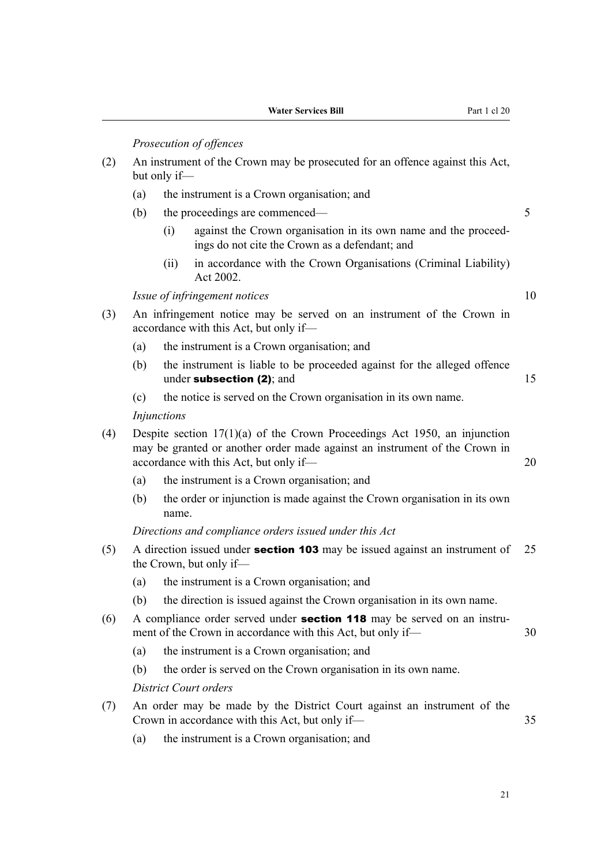*Prosecution of offences*

- (2) An instrument of the Crown may be prosecuted for an offence against this Act, but only if—
	- (a) the instrument is a Crown organisation; and
	- (b) the proceedings are commenced— 5
		- (i) against the Crown organisation in its own name and the proceedings do not cite the Crown as a defendant; and
		- (ii) in accordance with the Crown Organisations (Criminal Liability) Act 2002.

*Issue of infringement notices* 10

- (3) An infringement notice may be served on an instrument of the Crown in accordance with this Act, but only if—
	- (a) the instrument is a Crown organisation; and
	- (b) the instrument is liable to be proceeded against for the alleged offence under subsection  $(2)$ ; and  $15$
	- (c) the notice is served on the Crown organisation in its own name.

*Injunctions*

- (4) Despite section 17(1)(a) of the Crown Proceedings Act 1950, an injunction may be granted or another order made against an instrument of the Crown in accordance with this Act, but only if— 20
	- (a) the instrument is a Crown organisation; and
	- (b) the order or injunction is made against the Crown organisation in its own name.

*Directions and compliance orders issued under this Act*

- (5) A direction issued under **section 103** may be issued against an instrument of  $25$ the Crown, but only if—
	- (a) the instrument is a Crown organisation; and
	- (b) the direction is issued against the Crown organisation in its own name.
- (6) A compliance order served under **section 118** may be served on an instrument of the Crown in accordance with this Act, but only if— 30
	- (a) the instrument is a Crown organisation; and
	- (b) the order is served on the Crown organisation in its own name.

*District Court orders*

- (7) An order may be made by the District Court against an instrument of the Crown in accordance with this Act, but only if— 35
	- (a) the instrument is a Crown organisation; and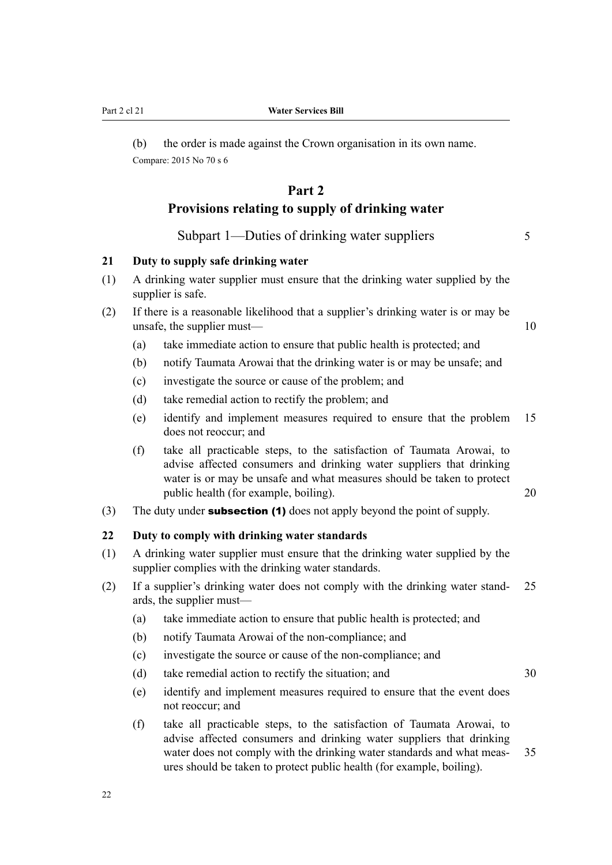(b) the order is made against the Crown organisation in its own name. Compare: 2015 No 70 s 6

# **Part 2 Provisions relating to supply of drinking water**

Subpart 1—Duties of drinking water suppliers 5

# **21 Duty to supply safe drinking water**

- (1) A drinking water supplier must ensure that the drinking water supplied by the supplier is safe.
- (2) If there is a reasonable likelihood that a supplier's drinking water is or may be unsafe, the supplier must— $10$ 
	- (a) take immediate action to ensure that public health is protected; and
	- (b) notify Taumata Arowai that the drinking water is or may be unsafe; and
	- (c) investigate the source or cause of the problem; and
	- (d) take remedial action to rectify the problem; and
	- (e) identify and implement measures required to ensure that the problem 15 does not reoccur; and
	- (f) take all practicable steps, to the satisfaction of Taumata Arowai, to advise affected consumers and drinking water suppliers that drinking water is or may be unsafe and what measures should be taken to protect public health (for example, boiling). 20
- (3) The duty under **subsection (1)** does not apply beyond the point of supply.

# **22 Duty to comply with drinking water standards**

- (1) A drinking water supplier must ensure that the drinking water supplied by the supplier complies with the drinking water standards.
- (2) If a supplier's drinking water does not comply with the drinking water stand‐ 25 ards, the supplier must—
	- (a) take immediate action to ensure that public health is protected; and
	- (b) notify Taumata Arowai of the non-compliance; and
	- (c) investigate the source or cause of the non-compliance; and
	- (d) take remedial action to rectify the situation; and  $30$
	- (e) identify and implement measures required to ensure that the event does not reoccur; and
	- (f) take all practicable steps, to the satisfaction of Taumata Arowai, to advise affected consumers and drinking water suppliers that drinking water does not comply with the drinking water standards and what meas-<br>35 ures should be taken to protect public health (for example, boiling).

<span id="page-25-0"></span>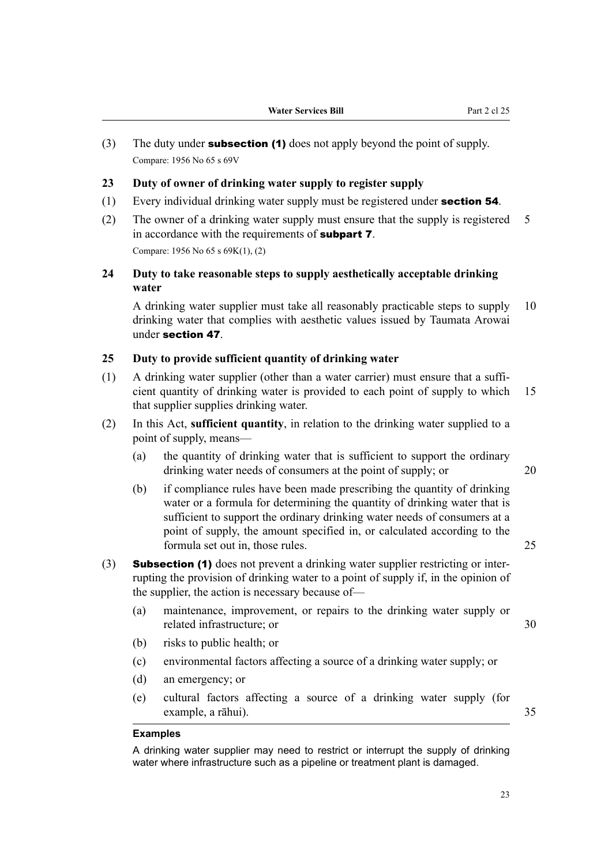<span id="page-26-0"></span>(3) The duty under **subsection (1)** does not apply beyond the point of supply. Compare: 1956 No 65 s 69V

#### **23 Duty of owner of drinking water supply to register supply**

- $(1)$  Every individual drinking water supply must be registered under **section 54**.
- (2) The owner of a drinking water supply must ensure that the supply is registered 5 in accordance with the requirements of **subpart 7**. Compare: 1956 No 65 s 69K(1), (2)

# **24 Duty to take reasonable steps to supply aesthetically acceptable drinking water**

A drinking water supplier must take all reasonably practicable steps to supply 10 drinking water that complies with aesthetic values issued by Taumata Arowai under section 47.

# **25 Duty to provide sufficient quantity of drinking water**

- $(1)$  A drinking water supplier (other than a water carrier) must ensure that a sufficient quantity of drinking water is provided to each point of supply to which 15 that supplier supplies drinking water.
- (2) In this Act, **sufficient quantity**, in relation to the drinking water supplied to a point of supply, means—
	- (a) the quantity of drinking water that is sufficient to support the ordinary drinking water needs of consumers at the point of supply; or 20
	- (b) if compliance rules have been made prescribing the quantity of drinking water or a formula for determining the quantity of drinking water that is sufficient to support the ordinary drinking water needs of consumers at a point of supply, the amount specified in, or calculated according to the formula set out in, those rules. 25
- (3) Subsection (1) does not prevent a drinking water supplier restricting or interrupting the provision of drinking water to a point of supply if, in the opinion of the supplier, the action is necessary because of—
	- (a) maintenance, improvement, or repairs to the drinking water supply or related infrastructure; or 30
	- (b) risks to public health; or
	- (c) environmental factors affecting a source of a drinking water supply; or
	- (d) an emergency; or
	- (e) cultural factors affecting a source of a drinking water supply (for example, a rāhui). 35

#### **Examples**

A drinking water supplier may need to restrict or interrupt the supply of drinking water where infrastructure such as a pipeline or treatment plant is damaged.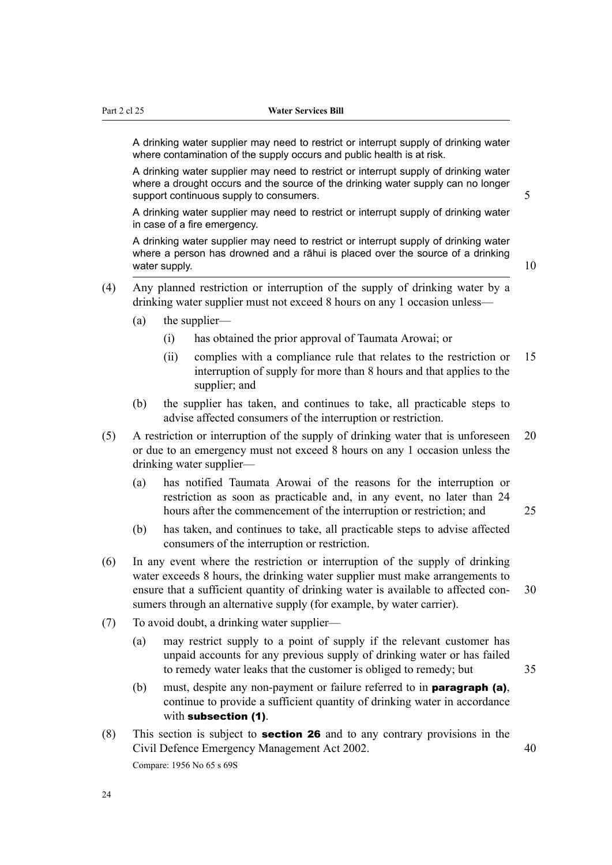A drinking water supplier may need to restrict or interrupt supply of drinking water where contamination of the supply occurs and public health is at risk.

A drinking water supplier may need to restrict or interrupt supply of drinking water where a drought occurs and the source of the drinking water supply can no longer support continuous supply to consumers.  $\frac{1}{5}$ 

A drinking water supplier may need to restrict or interrupt supply of drinking water in case of a fire emergency.

A drinking water supplier may need to restrict or interrupt supply of drinking water where a person has drowned and a rāhui is placed over the source of a drinking water supply.  $10$ 

- (4) Any planned restriction or interruption of the supply of drinking water by a drinking water supplier must not exceed 8 hours on any 1 occasion unless—
	- (a) the supplier—
		- (i) has obtained the prior approval of Taumata Arowai; or
		- (ii) complies with a compliance rule that relates to the restriction or 15 interruption of supply for more than 8 hours and that applies to the supplier; and
	- (b) the supplier has taken, and continues to take, all practicable steps to advise affected consumers of the interruption or restriction.
- (5) A restriction or interruption of the supply of drinking water that is unforeseen 20 or due to an emergency must not exceed 8 hours on any 1 occasion unless the drinking water supplier—
	- (a) has notified Taumata Arowai of the reasons for the interruption or restriction as soon as practicable and, in any event, no later than 24 hours after the commencement of the interruption or restriction; and 25
	- (b) has taken, and continues to take, all practicable steps to advise affected consumers of the interruption or restriction.
- (6) In any event where the restriction or interruption of the supply of drinking water exceeds 8 hours, the drinking water supplier must make arrangements to ensure that a sufficient quantity of drinking water is available to affected con-<br>30 sumers through an alternative supply (for example, by water carrier).
- (7) To avoid doubt, a drinking water supplier—
	- (a) may restrict supply to a point of supply if the relevant customer has unpaid accounts for any previous supply of drinking water or has failed to remedy water leaks that the customer is obliged to remedy; but 35
	- (b) must, despite any non-payment or failure referred to in **paragraph (a)**, continue to provide a sufficient quantity of drinking water in accordance with subsection (1).
- (8) This section is subject to **section 26** and to any contrary provisions in the Civil Defence Emergency Management Act 2002. 40 Compare: 1956 No 65 s 69S

24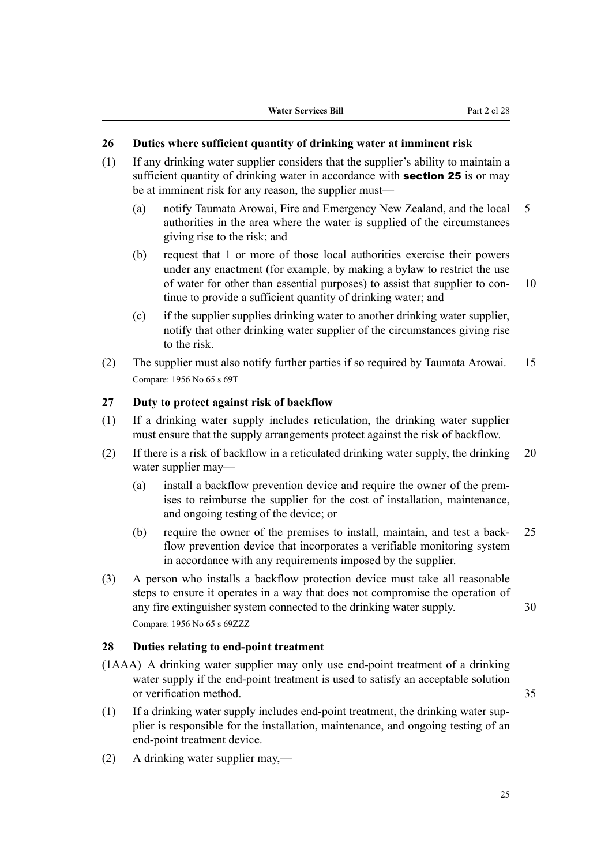## <span id="page-28-0"></span>**26 Duties where sufficient quantity of drinking water at imminent risk**

- (1) If any drinking water supplier considers that the supplier's ability to maintain a sufficient quantity of drinking water in accordance with **section 25** is or may be at imminent risk for any reason, the supplier must—
	- (a) notify Taumata Arowai, Fire and Emergency New Zealand, and the local 5 authorities in the area where the water is supplied of the circumstances giving rise to the risk; and
	- (b) request that 1 or more of those local authorities exercise their powers under any enactment (for example, by making a bylaw to restrict the use of water for other than essential purposes) to assist that supplier to con- 10 tinue to provide a sufficient quantity of drinking water; and
	- (c) if the supplier supplies drinking water to another drinking water supplier, notify that other drinking water supplier of the circumstances giving rise to the risk.
- (2) The supplier must also notify further parties if so required by Taumata Arowai. 15 Compare: 1956 No 65 s 69T

# **27 Duty to protect against risk of backflow**

- (1) If a drinking water supply includes reticulation, the drinking water supplier must ensure that the supply arrangements protect against the risk of backflow.
- (2) If there is a risk of backflow in a reticulated drinking water supply, the drinking 20 water supplier may—
	- (a) install a backflow prevention device and require the owner of the premises to reimburse the supplier for the cost of installation, maintenance, and ongoing testing of the device; or
	- (b) require the owner of the premises to install, maintain, and test a back‐ 25 flow prevention device that incorporates a verifiable monitoring system in accordance with any requirements imposed by the supplier.
- (3) A person who installs a backflow protection device must take all reasonable steps to ensure it operates in a way that does not compromise the operation of any fire extinguisher system connected to the drinking water supply. 30 Compare: 1956 No 65 s 69ZZZ

## **28 Duties relating to end-point treatment**

- (1AAA) A drinking water supplier may only use end-point treatment of a drinking water supply if the end-point treatment is used to satisfy an acceptable solution or verification method. 35
- (1) If a drinking water supply includes end-point treatment, the drinking water sup‐ plier is responsible for the installation, maintenance, and ongoing testing of an end-point treatment device.
- (2) A drinking water supplier may,—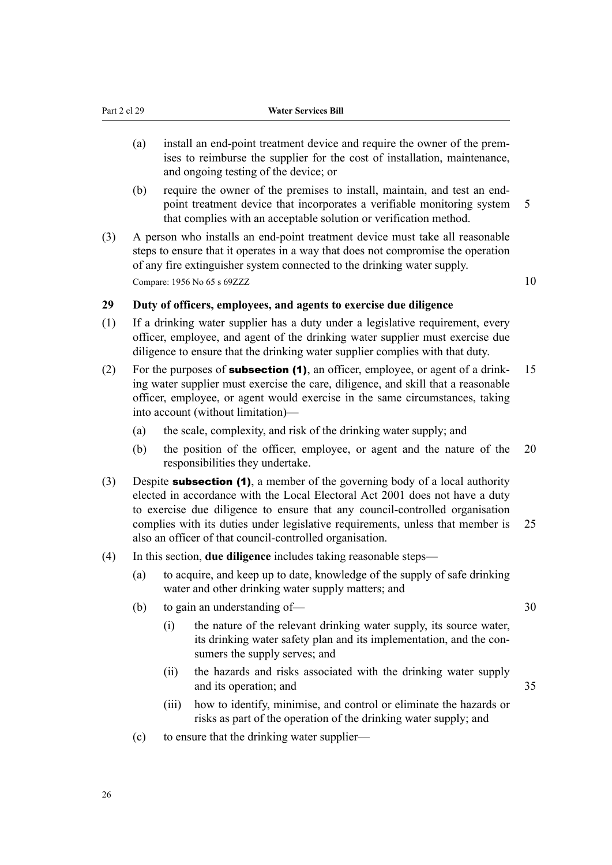- <span id="page-29-0"></span>(a) install an end-point treatment device and require the owner of the premises to reimburse the supplier for the cost of installation, maintenance, and ongoing testing of the device; or
- (b) require the owner of the premises to install, maintain, and test an endpoint treatment device that incorporates a verifiable monitoring system 5 that complies with an acceptable solution or verification method.
- (3) A person who installs an end-point treatment device must take all reasonable steps to ensure that it operates in a way that does not compromise the operation of any fire extinguisher system connected to the drinking water supply. Compare:  $1956$  No  $65$  s  $69ZZZ$   $10$

### **29 Duty of officers, employees, and agents to exercise due diligence**

- (1) If a drinking water supplier has a duty under a legislative requirement, every officer, employee, and agent of the drinking water supplier must exercise due diligence to ensure that the drinking water supplier complies with that duty.
- (2) For the purposes of **subsection (1)**, an officer, employee, or agent of a drink-  $15$ ing water supplier must exercise the care, diligence, and skill that a reasonable officer, employee, or agent would exercise in the same circumstances, taking into account (without limitation)—
	- (a) the scale, complexity, and risk of the drinking water supply; and
	- (b) the position of the officer, employee, or agent and the nature of the 20 responsibilities they undertake.
- (3) Despite **subsection (1)**, a member of the governing body of a local authority elected in accordance with the Local Electoral Act 2001 does not have a duty to exercise due diligence to ensure that any council-controlled organisation complies with its duties under legislative requirements, unless that member is 25 also an officer of that council-controlled organisation.
- (4) In this section, **due diligence** includes taking reasonable steps—
	- (a) to acquire, and keep up to date, knowledge of the supply of safe drinking water and other drinking water supply matters; and
	- (b) to gain an understanding of— 30

- (i) the nature of the relevant drinking water supply, its source water, its drinking water safety plan and its implementation, and the consumers the supply serves; and
- (ii) the hazards and risks associated with the drinking water supply and its operation; and 35
- (iii) how to identify, minimise, and control or eliminate the hazards or risks as part of the operation of the drinking water supply; and
- (c) to ensure that the drinking water supplier—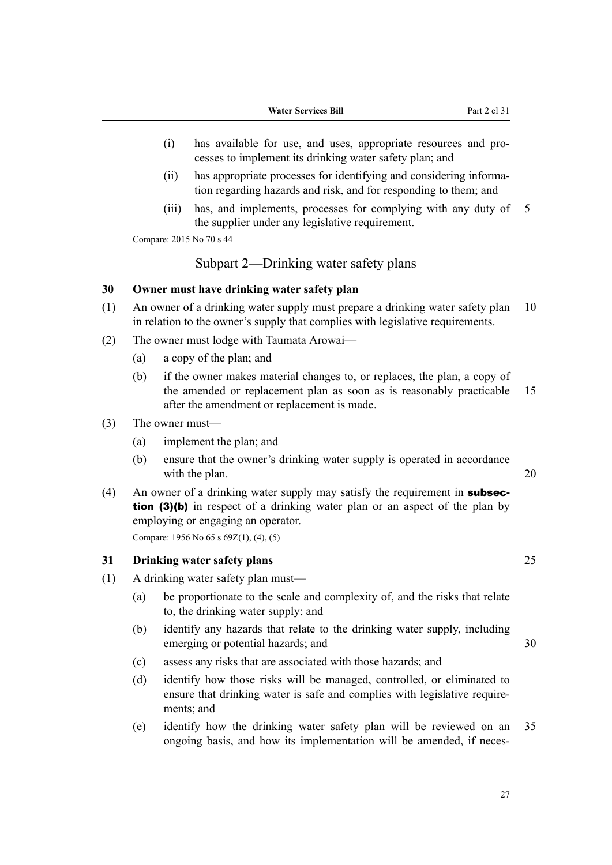- <span id="page-30-0"></span>(i) has available for use, and uses, appropriate resources and pro‐ cesses to implement its drinking water safety plan; and
- (ii) has appropriate processes for identifying and considering informa‐ tion regarding hazards and risk, and for responding to them; and
- (iii) has, and implements, processes for complying with any duty of 5 the supplier under any legislative requirement.

Compare: 2015 No 70 s 44

# Subpart 2—Drinking water safety plans

#### **30 Owner must have drinking water safety plan**

- (1) An owner of a drinking water supply must prepare a drinking water safety plan 10 in relation to the owner's supply that complies with legislative requirements.
- (2) The owner must lodge with Taumata Arowai—
	- (a) a copy of the plan; and
	- (b) if the owner makes material changes to, or replaces, the plan, a copy of the amended or replacement plan as soon as is reasonably practicable 15 after the amendment or replacement is made.
- (3) The owner must—
	- (a) implement the plan; and
	- (b) ensure that the owner's drinking water supply is operated in accordance with the plan. 20
- (4) An owner of a drinking water supply may satisfy the requirement in **subsec**tion (3)(b) in respect of a drinking water plan or an aspect of the plan by employing or engaging an operator.

Compare: 1956 No 65 s 69Z(1), (4), (5)

# **31 Drinking water safety plans** 25

- (1) A drinking water safety plan must—
	- (a) be proportionate to the scale and complexity of, and the risks that relate to, the drinking water supply; and
	- (b) identify any hazards that relate to the drinking water supply, including emerging or potential hazards; and  $30$
	- (c) assess any risks that are associated with those hazards; and
	- (d) identify how those risks will be managed, controlled, or eliminated to ensure that drinking water is safe and complies with legislative requirements; and
	- (e) identify how the drinking water safety plan will be reviewed on an 35 ongoing basis, and how its implementation will be amended, if neces-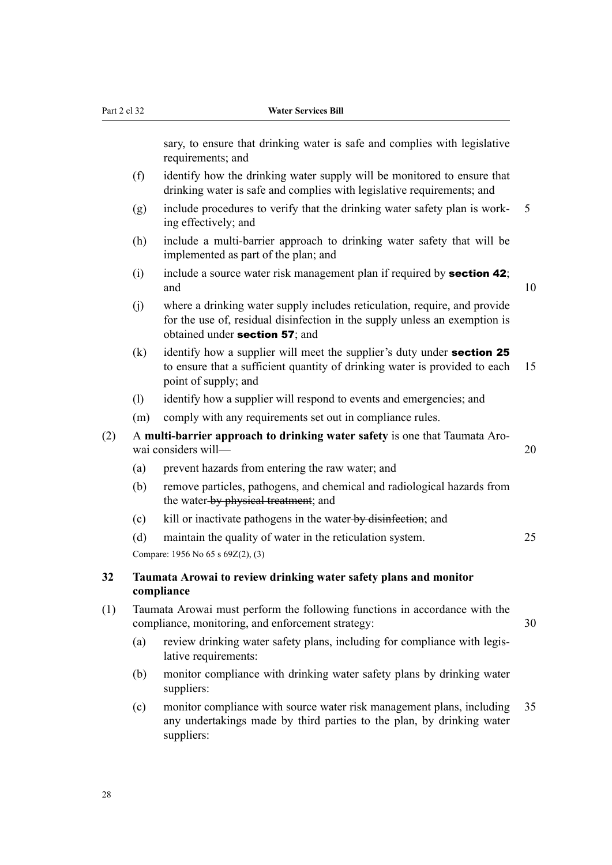<span id="page-31-0"></span>sary, to ensure that drinking water is safe and complies with legislative requirements; and

- (f) identify how the drinking water supply will be monitored to ensure that drinking water is safe and complies with legislative requirements; and
- (g) include procedures to verify that the drinking water safety plan is work-  $5$ ing effectively; and
- (h) include a multi-barrier approach to drinking water safety that will be implemented as part of the plan; and
- (i) include a source water risk management plan if required by **section 42**; and  $10$
- (j) where a drinking water supply includes reticulation, require, and provide for the use of, residual disinfection in the supply unless an exemption is obtained under section 57; and
- $(k)$  identify how a supplier will meet the supplier's duty under **section 25** to ensure that a sufficient quantity of drinking water is provided to each 15 point of supply; and
- (l) identify how a supplier will respond to events and emergencies; and
- (m) comply with any requirements set out in compliance rules.
- (2) A **multi-barrier approach to drinking water safety** is one that Taumata Aro‐ wai considers will— 20
	- (a) prevent hazards from entering the raw water; and
	- (b) remove particles, pathogens, and chemical and radiological hazards from the water by physical treatment; and
	- (c) kill or inactivate pathogens in the water-by-disinfection; and
	- (d) maintain the quality of water in the reticulation system. 25

Compare: 1956 No 65 s 69Z(2), (3)

#### **32 Taumata Arowai to review drinking water safety plans and monitor compliance**

- (1) Taumata Arowai must perform the following functions in accordance with the compliance, monitoring, and enforcement strategy: 30
	- (a) review drinking water safety plans, including for compliance with legislative requirements:
	- (b) monitor compliance with drinking water safety plans by drinking water suppliers:
	- (c) monitor compliance with source water risk management plans, including 35 any undertakings made by third parties to the plan, by drinking water suppliers: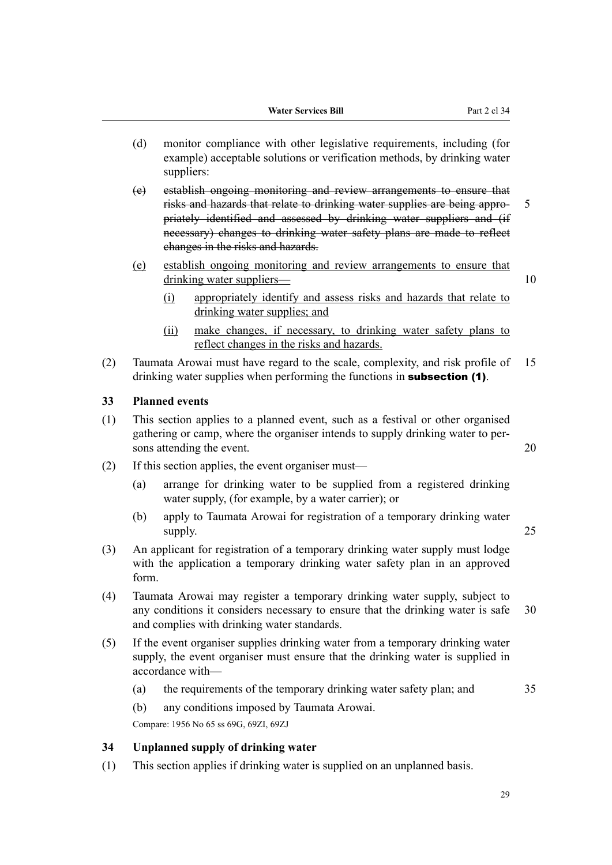- <span id="page-32-0"></span>(d) monitor compliance with other legislative requirements, including (for example) acceptable solutions or verification methods, by drinking water suppliers:
- (e) establish ongoing monitoring and review arrangements to ensure that risks and hazards that relate to drinking water supplies are being appro- 5 priately identified and assessed by drinking water suppliers and (if necessary) changes to drinking water safety plans are made to reflect changes in the risks and hazards.
- (e) establish ongoing monitoring and review arrangements to ensure that drinking water suppliers— 10
	- (i) appropriately identify and assess risks and hazards that relate to drinking water supplies; and
	- (ii) make changes, if necessary, to drinking water safety plans to reflect changes in the risks and hazards.
- (2) Taumata Arowai must have regard to the scale, complexity, and risk profile of 15 drinking water supplies when performing the functions in **subsection (1)**.

# **33 Planned events**

- (1) This section applies to a planned event, such as a festival or other organised gathering or camp, where the organiser intends to supply drinking water to per‐ sons attending the event. 20
- (2) If this section applies, the event organiser must—
	- (a) arrange for drinking water to be supplied from a registered drinking water supply, (for example, by a water carrier); or
	- (b) apply to Taumata Arowai for registration of a temporary drinking water supply. 25
- (3) An applicant for registration of a temporary drinking water supply must lodge with the application a temporary drinking water safety plan in an approved form.
- (4) Taumata Arowai may register a temporary drinking water supply, subject to any conditions it considers necessary to ensure that the drinking water is safe 30 and complies with drinking water standards.
- (5) If the event organiser supplies drinking water from a temporary drinking water supply, the event organiser must ensure that the drinking water is supplied in accordance with—
	- (a) the requirements of the temporary drinking water safety plan; and 35

(b) any conditions imposed by Taumata Arowai.

Compare: 1956 No 65 ss 69G, 69ZI, 69ZJ

# **34 Unplanned supply of drinking water**

(1) This section applies if drinking water is supplied on an unplanned basis.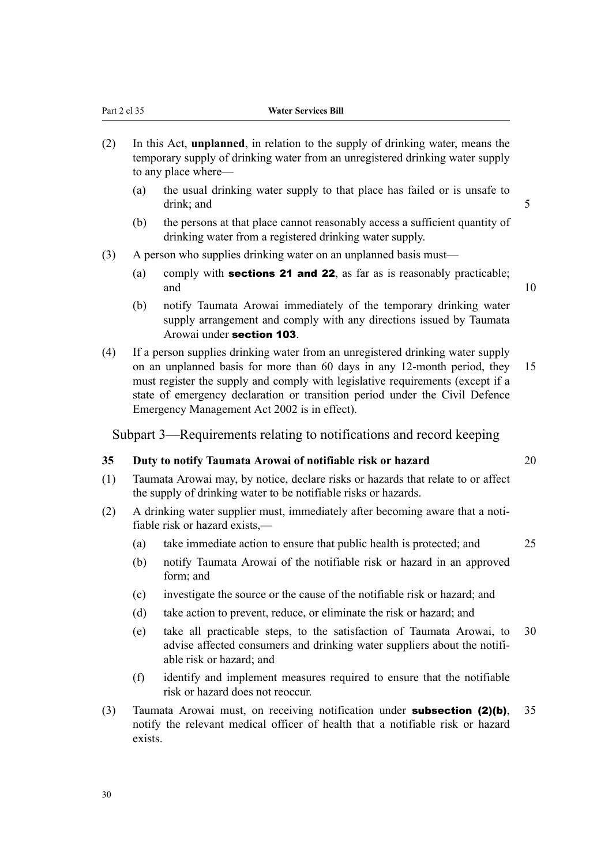to any place where—

(a) the usual drinking water supply to that place has failed or is unsafe to drink: and 5

temporary supply of drinking water from an unregistered drinking water supply

<span id="page-33-0"></span>(2) In this Act, **unplanned**, in relation to the supply of drinking water, means the

- (b) the persons at that place cannot reasonably access a sufficient quantity of drinking water from a registered drinking water supply.
- (3) A person who supplies drinking water on an unplanned basis must—
	- (a) comply with **sections 21 and 22**, as far as is reasonably practicable; and  $10$
	- (b) notify Taumata Arowai immediately of the temporary drinking water supply arrangement and comply with any directions issued by Taumata Arowai under section 103.
- (4) If a person supplies drinking water from an unregistered drinking water supply on an unplanned basis for more than 60 days in any 12-month period, they 15 must register the supply and comply with legislative requirements (except if a state of emergency declaration or transition period under the Civil Defence Emergency Management Act 2002 is in effect).

Subpart 3—Requirements relating to notifications and record keeping

# **35 Duty to notify Taumata Arowai of notifiable risk or hazard** 20

- (1) Taumata Arowai may, by notice, declare risks or hazards that relate to or affect the supply of drinking water to be notifiable risks or hazards.
- (2) A drinking water supplier must, immediately after becoming aware that a notifiable risk or hazard exists,—
	- (a) take immediate action to ensure that public health is protected; and 25
	- (b) notify Taumata Arowai of the notifiable risk or hazard in an approved form; and
	- (c) investigate the source or the cause of the notifiable risk or hazard; and
	- (d) take action to prevent, reduce, or eliminate the risk or hazard; and
	- (e) take all practicable steps, to the satisfaction of Taumata Arowai, to 30 advise affected consumers and drinking water suppliers about the notifi‐ able risk or hazard; and
	- (f) identify and implement measures required to ensure that the notifiable risk or hazard does not reoccur.
- (3) Taumata Arowai must, on receiving notification under **subsection (2)(b)**,  $35$ notify the relevant medical officer of health that a notifiable risk or hazard exists.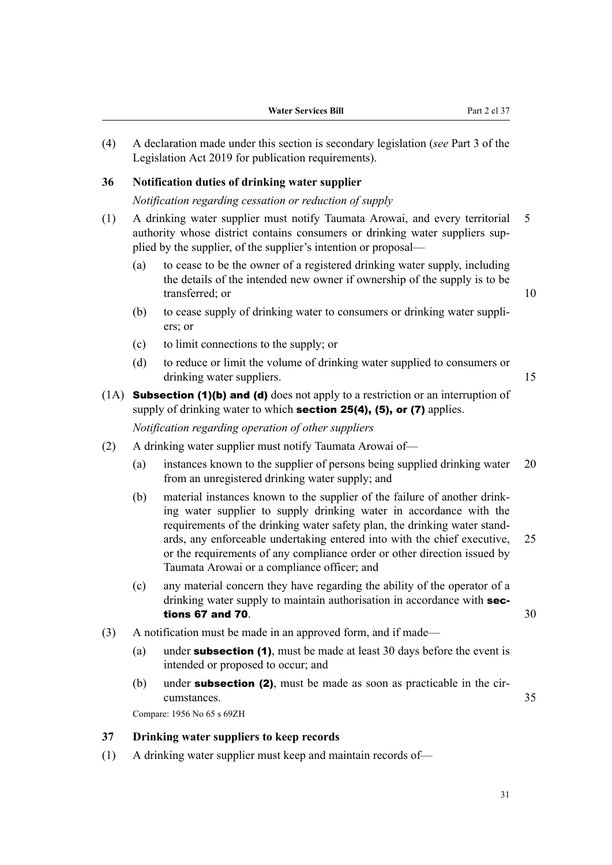<span id="page-34-0"></span>(4) A declaration made under this section is secondary legislation (*see* Part 3 of the Legislation Act 2019 for publication requirements).

#### **36 Notification duties of drinking water supplier**

*Notification regarding cessation or reduction of supply*

- (1) A drinking water supplier must notify Taumata Arowai, and every territorial 5 authority whose district contains consumers or drinking water suppliers supplied by the supplier, of the supplier's intention or proposal—
	- (a) to cease to be the owner of a registered drinking water supply, including the details of the intended new owner if ownership of the supply is to be transferred; or 10
	- (b) to cease supply of drinking water to consumers or drinking water suppli‐ ers; or
	- (c) to limit connections to the supply; or
	- (d) to reduce or limit the volume of drinking water supplied to consumers or drinking water suppliers. 15

 $(1A)$  Subsection (1)(b) and (d) does not apply to a restriction or an interruption of supply of drinking water to which **section 25(4), (5), or (7)** applies. *Notification regarding operation of other suppliers*

(2) A drinking water supplier must notify Taumata Arowai of—

- (a) instances known to the supplier of persons being supplied drinking water 20 from an unregistered drinking water supply; and
- (b) material instances known to the supplier of the failure of another drink‐ ing water supplier to supply drinking water in accordance with the requirements of the drinking water safety plan, the drinking water stand‐ ards, any enforceable undertaking entered into with the chief executive, 25 or the requirements of any compliance order or other direction issued by Taumata Arowai or a compliance officer; and
- (c) any material concern they have regarding the ability of the operator of a drinking water supply to maintain authorisation in accordance with sections 67 and 70.  $\sim$  300 set of  $\sim$  300 set of  $\sim$  300 set of  $\sim$  300 set of  $\sim$  300 set of  $\sim$  300 set of  $\sim$  300 set of  $\sim$  300 set of  $\sim$  300 set of  $\sim$  300 set of  $\sim$  300 set of  $\sim$  300 set of  $\sim$  300 set
- (3) A notification must be made in an approved form, and if made—
	- (a) under **subsection (1)**, must be made at least 30 days before the event is intended or proposed to occur; and
	- (b) under **subsection (2)**, must be made as soon as practicable in the circumstances. 35

Compare: 1956 No 65 s 69ZH

# **37 Drinking water suppliers to keep records**

- (1) A drinking water supplier must keep and maintain records of—
- 31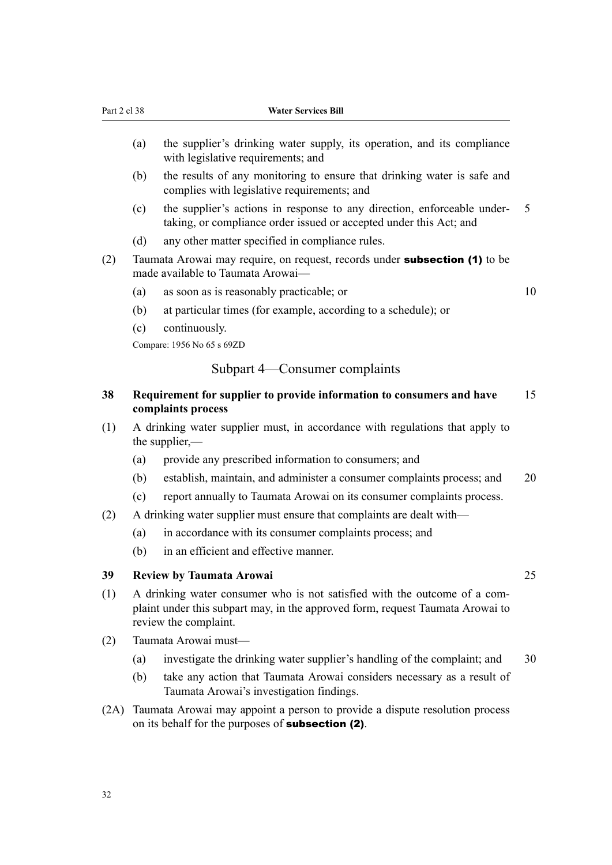- <span id="page-35-0"></span>(a) the supplier's drinking water supply, its operation, and its compliance with legislative requirements; and
- (b) the results of any monitoring to ensure that drinking water is safe and complies with legislative requirements; and
- (c) the supplier's actions in response to any direction, enforceable under‐ 5 taking, or compliance order issued or accepted under this Act; and
- (d) any other matter specified in compliance rules.
- (2) Taumata Arowai may require, on request, records under **subsection (1)** to be made available to Taumata Arowai—
	- (a) as soon as is reasonably practicable; or 10

- (b) at particular times (for example, according to a schedule); or
- (c) continuously.

Compare: 1956 No 65 s 69ZD

# Subpart 4—Consumer complaints

#### **38 Requirement for supplier to provide information to consumers and have** 15 **complaints process**

- (1) A drinking water supplier must, in accordance with regulations that apply to the supplier,—
	- (a) provide any prescribed information to consumers; and
	- (b) establish, maintain, and administer a consumer complaints process; and 20
	- (c) report annually to Taumata Arowai on its consumer complaints process.
- (2) A drinking water supplier must ensure that complaints are dealt with—
	- (a) in accordance with its consumer complaints process; and
	- (b) in an efficient and effective manner.

#### **39 Review by Taumata Arowai** 25

- $(1)$  A drinking water consumer who is not satisfied with the outcome of a complaint under this subpart may, in the approved form, request Taumata Arowai to review the complaint.
- (2) Taumata Arowai must—
	- (a) investigate the drinking water supplier's handling of the complaint; and 30
	- (b) take any action that Taumata Arowai considers necessary as a result of Taumata Arowai's investigation findings.
- (2A) Taumata Arowai may appoint a person to provide a dispute resolution process on its behalf for the purposes of subsection (2).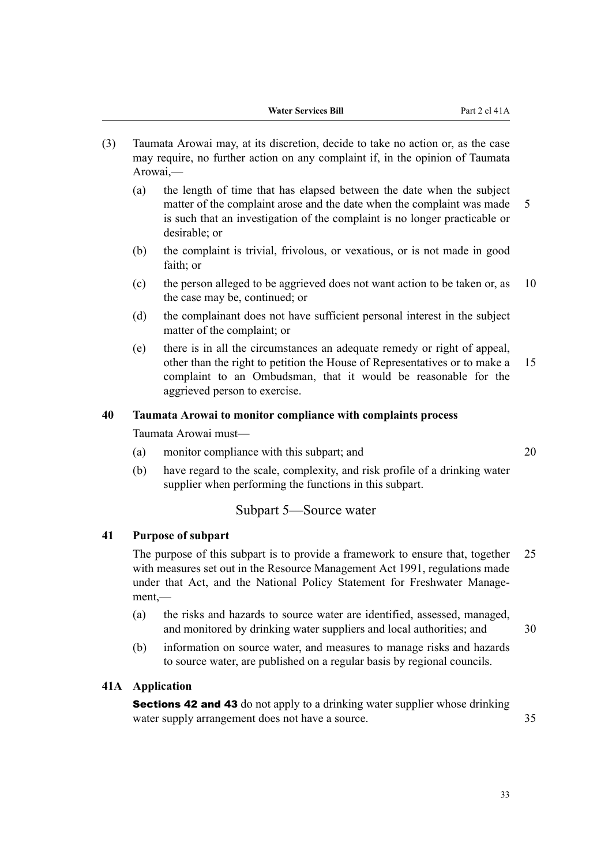- (3) Taumata Arowai may, at its discretion, decide to take no action or, as the case may require, no further action on any complaint if, in the opinion of Taumata Arowai,—
	- (a) the length of time that has elapsed between the date when the subject matter of the complaint arose and the date when the complaint was made 5 is such that an investigation of the complaint is no longer practicable or desirable; or
	- (b) the complaint is trivial, frivolous, or vexatious, or is not made in good faith; or
	- (c) the person alleged to be aggrieved does not want action to be taken or, as 10 the case may be, continued; or
	- (d) the complainant does not have sufficient personal interest in the subject matter of the complaint; or
	- (e) there is in all the circumstances an adequate remedy or right of appeal, other than the right to petition the House of Representatives or to make a 15 complaint to an Ombudsman, that it would be reasonable for the aggrieved person to exercise.

## **40 Taumata Arowai to monitor compliance with complaints process**

Taumata Arowai must—

- (a) monitor compliance with this subpart; and 20
- (b) have regard to the scale, complexity, and risk profile of a drinking water supplier when performing the functions in this subpart.

## Subpart 5—Source water

### **41 Purpose of subpart**

The purpose of this subpart is to provide a framework to ensure that, together 25 with measures set out in the Resource Management Act 1991, regulations made under that Act, and the National Policy Statement for Freshwater Management,—

- (a) the risks and hazards to source water are identified, assessed, managed, and monitored by drinking water suppliers and local authorities; and 30
- (b) information on source water, and measures to manage risks and hazards to source water, are published on a regular basis by regional councils.

## **41A Application**

**Sections 42 and 43** do not apply to a drinking water supplier whose drinking water supply arrangement does not have a source. 35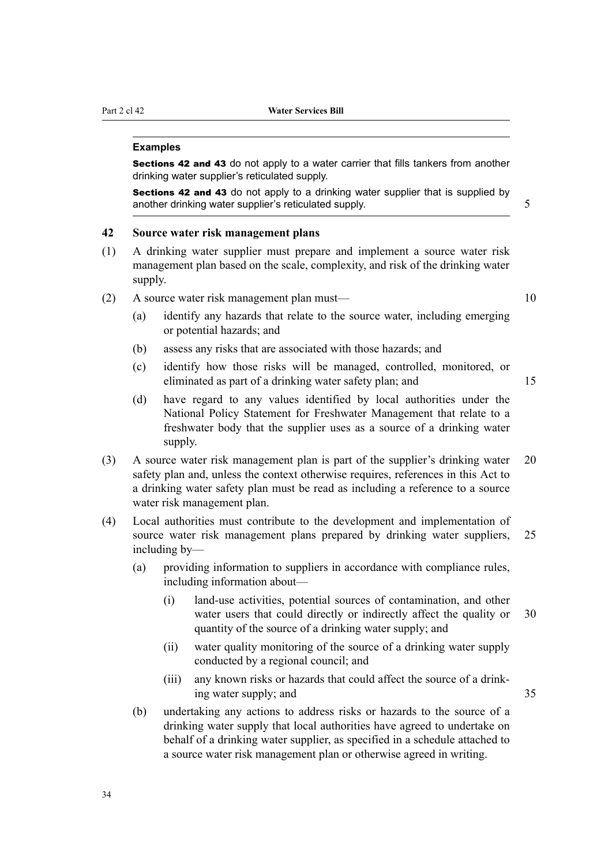#### **Examples**

Sections 42 and 43 do not apply to a water carrier that fills tankers from another drinking water supplier's reticulated supply.

Sections 42 and 43 do not apply to a drinking water supplier that is supplied by another drinking water supplier's reticulated supply. 5

## **42 Source water risk management plans**

- (1) A drinking water supplier must prepare and implement a source water risk management plan based on the scale, complexity, and risk of the drinking water supply.
- (2) A source water risk management plan must—<br>10
	- (a) identify any hazards that relate to the source water, including emerging or potential hazards; and
	- (b) assess any risks that are associated with those hazards; and
	- (c) identify how those risks will be managed, controlled, monitored, or eliminated as part of a drinking water safety plan; and 15
	- (d) have regard to any values identified by local authorities under the National Policy Statement for Freshwater Management that relate to a freshwater body that the supplier uses as a source of a drinking water supply.
- (3) A source water risk management plan is part of the supplier's drinking water 20 safety plan and, unless the context otherwise requires, references in this Act to a drinking water safety plan must be read as including a reference to a source water risk management plan.
- (4) Local authorities must contribute to the development and implementation of source water risk management plans prepared by drinking water suppliers, 25 including by—
	- (a) providing information to suppliers in accordance with compliance rules, including information about—
		- (i) land-use activities, potential sources of contamination, and other water users that could directly or indirectly affect the quality or 30 quantity of the source of a drinking water supply; and
		- (ii) water quality monitoring of the source of a drinking water supply conducted by a regional council; and
		- (iii) any known risks or hazards that could affect the source of a drink‐ ing water supply; and 35
	- (b) undertaking any actions to address risks or hazards to the source of a drinking water supply that local authorities have agreed to undertake on behalf of a drinking water supplier, as specified in a schedule attached to a source water risk management plan or otherwise agreed in writing.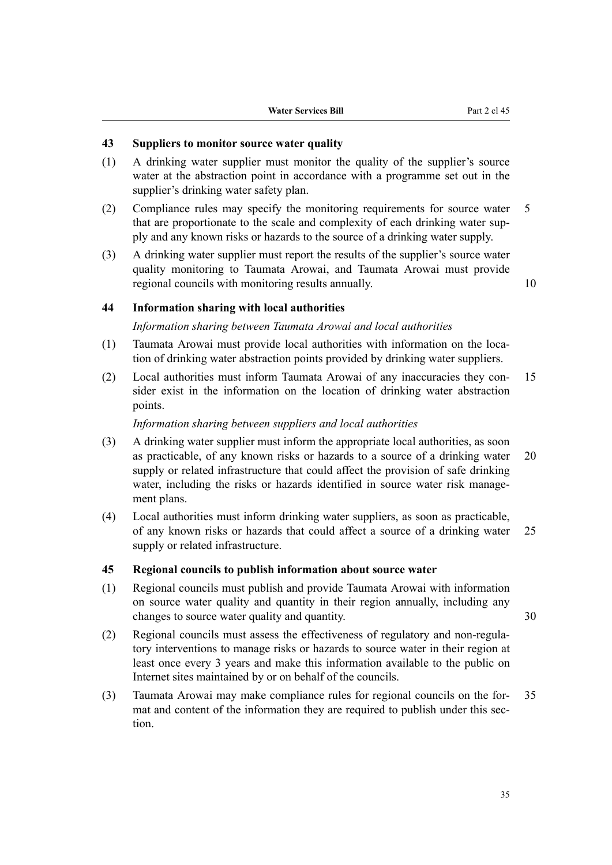## **43 Suppliers to monitor source water quality**

- (1) A drinking water supplier must monitor the quality of the supplier's source water at the abstraction point in accordance with a programme set out in the supplier's drinking water safety plan.
- (2) Compliance rules may specify the monitoring requirements for source water 5 that are proportionate to the scale and complexity of each drinking water sup‐ ply and any known risks or hazards to the source of a drinking water supply.
- (3) A drinking water supplier must report the results of the supplier's source water quality monitoring to Taumata Arowai, and Taumata Arowai must provide regional councils with monitoring results annually. 10

#### **44 Information sharing with local authorities**

## *Information sharing between Taumata Arowai and local authorities*

- (1) Taumata Arowai must provide local authorities with information on the loca‐ tion of drinking water abstraction points provided by drinking water suppliers.
- (2) Local authorities must inform Taumata Arowai of any inaccuracies they con‐ 15 sider exist in the information on the location of drinking water abstraction points.

## *Information sharing between suppliers and local authorities*

- (3) A drinking water supplier must inform the appropriate local authorities, as soon as practicable, of any known risks or hazards to a source of a drinking water 20 supply or related infrastructure that could affect the provision of safe drinking water, including the risks or hazards identified in source water risk management plans.
- (4) Local authorities must inform drinking water suppliers, as soon as practicable, of any known risks or hazards that could affect a source of a drinking water 25 supply or related infrastructure.

## **45 Regional councils to publish information about source water**

- (1) Regional councils must publish and provide Taumata Arowai with information on source water quality and quantity in their region annually, including any changes to source water quality and quantity. 30
- (2) Regional councils must assess the effectiveness of regulatory and non-regula‐ tory interventions to manage risks or hazards to source water in their region at least once every 3 years and make this information available to the public on Internet sites maintained by or on behalf of the councils.
- (3) Taumata Arowai may make compliance rules for regional councils on the for‐ 35 mat and content of the information they are required to publish under this section.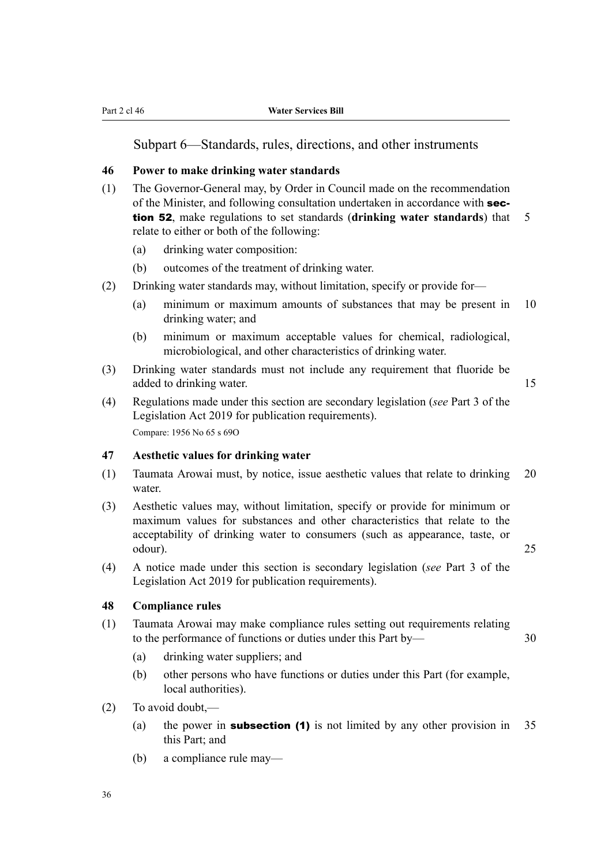Subpart 6—Standards, rules, directions, and other instruments

## **46 Power to make drinking water standards**

- (1) The Governor-General may, by Order in Council made on the recommendation of the Minister, and following consultation undertaken in accordance with section 52, make regulations to set standards (**drinking water standards**) that 5 relate to either or both of the following:
	- (a) drinking water composition:
	- (b) outcomes of the treatment of drinking water.
- (2) Drinking water standards may, without limitation, specify or provide for—
	- (a) minimum or maximum amounts of substances that may be present in 10 drinking water; and
	- (b) minimum or maximum acceptable values for chemical, radiological, microbiological, and other characteristics of drinking water.
- (3) Drinking water standards must not include any requirement that fluoride be added to drinking water. 15
- (4) Regulations made under this section are secondary legislation (*see* Part 3 of the Legislation Act 2019 for publication requirements). Compare: 1956 No 65 s 69O

## **47 Aesthetic values for drinking water**

- (1) Taumata Arowai must, by notice, issue aesthetic values that relate to drinking 20 water.
- (3) Aesthetic values may, without limitation, specify or provide for minimum or maximum values for substances and other characteristics that relate to the acceptability of drinking water to consumers (such as appearance, taste, or odour). 25
- (4) A notice made under this section is secondary legislation (*see* Part 3 of the Legislation Act 2019 for publication requirements).

## **48 Compliance rules**

- (1) Taumata Arowai may make compliance rules setting out requirements relating to the performance of functions or duties under this Part by— 30
	- (a) drinking water suppliers; and
	- (b) other persons who have functions or duties under this Part (for example, local authorities).
- (2) To avoid doubt,—
	- (a) the power in **subsection (1)** is not limited by any other provision in  $35$ this Part; and
	- (b) a compliance rule may—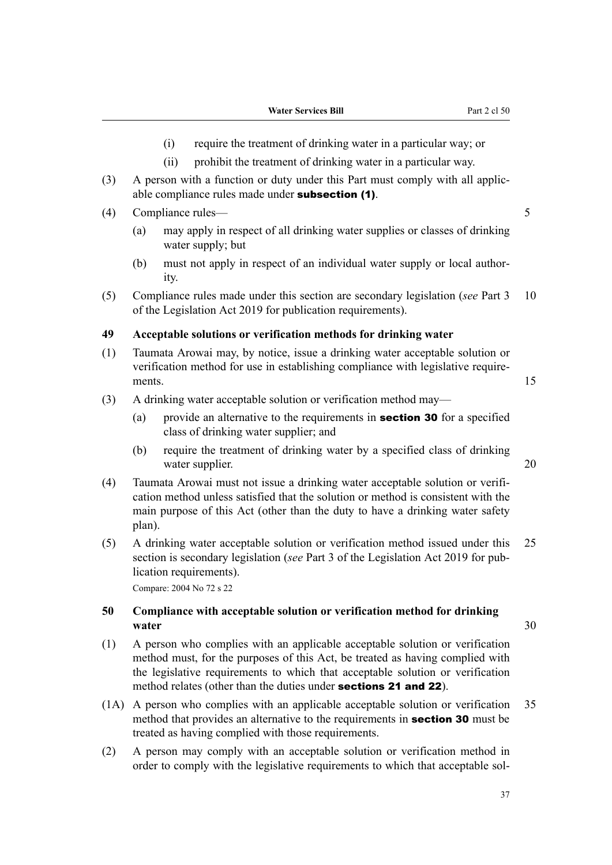- (i) require the treatment of drinking water in a particular way; or
- (ii) prohibit the treatment of drinking water in a particular way.
- (3) A person with a function or duty under this Part must comply with all applic‐ able compliance rules made under subsection (1).
- (4) Compliance rules— 5
	- (a) may apply in respect of all drinking water supplies or classes of drinking water supply; but
	- (b) must not apply in respect of an individual water supply or local authority.
- (5) Compliance rules made under this section are secondary legislation (*see* Part 3 10 of the Legislation Act 2019 for publication requirements).

#### **49 Acceptable solutions or verification methods for drinking water**

- (1) Taumata Arowai may, by notice, issue a drinking water acceptable solution or verification method for use in establishing compliance with legislative require‐ ments. 15
- (3) A drinking water acceptable solution or verification method may—
	- (a) provide an alternative to the requirements in **section 30** for a specified class of drinking water supplier; and
	- (b) require the treatment of drinking water by a specified class of drinking water supplier. 20
- (4) Taumata Arowai must not issue a drinking water acceptable solution or verifi‐ cation method unless satisfied that the solution or method is consistent with the main purpose of this Act (other than the duty to have a drinking water safety plan).
- (5) A drinking water acceptable solution or verification method issued under this 25 section is secondary legislation (*see* Part 3 of the Legislation Act 2019 for publication requirements).

Compare: 2004 No 72 s 22

## **50 Compliance with acceptable solution or verification method for drinking water** 30

- (1) A person who complies with an applicable acceptable solution or verification method must, for the purposes of this Act, be treated as having complied with the legislative requirements to which that acceptable solution or verification method relates (other than the duties under sections 21 and 22).
- (1A) A person who complies with an applicable acceptable solution or verification 35 method that provides an alternative to the requirements in **section 30** must be treated as having complied with those requirements.
- (2) A person may comply with an acceptable solution or verification method in order to comply with the legislative requirements to which that acceptable sol‐

37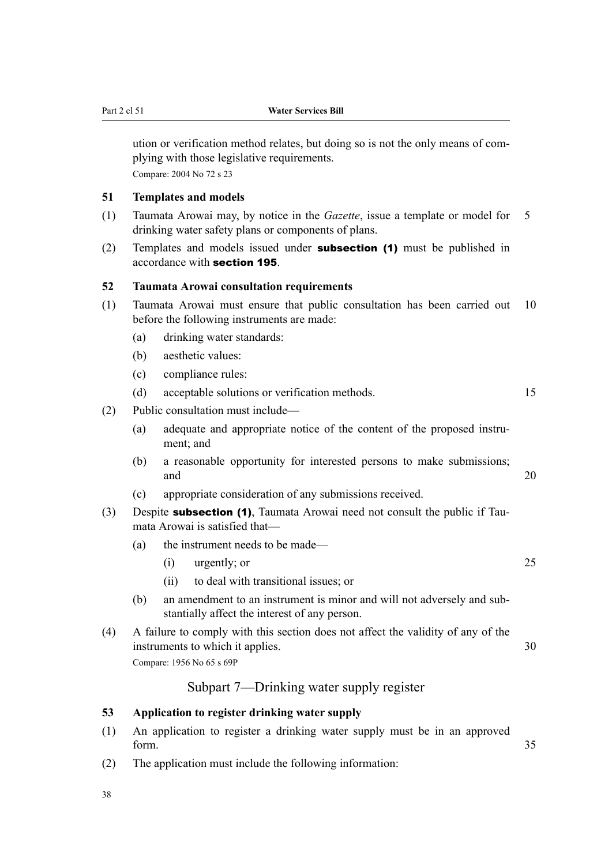ution or verification method relates, but doing so is not the only means of com‐ plying with those legislative requirements. Compare: 2004 No 72 s 23

## **51 Templates and models**

- (1) Taumata Arowai may, by notice in the *Gazette*, issue a template or model for 5 drinking water safety plans or components of plans.
- (2) Templates and models issued under **subsection (1)** must be published in accordance with section 195.

## **52 Taumata Arowai consultation requirements**

- (1) Taumata Arowai must ensure that public consultation has been carried out 10 before the following instruments are made:
	- (a) drinking water standards:
	- (b) aesthetic values:
	- (c) compliance rules:
	- (d) acceptable solutions or verification methods. 15
- (2) Public consultation must include—
	- (a) adequate and appropriate notice of the content of the proposed instrument; and
	- (b) a reasonable opportunity for interested persons to make submissions; and 20
	- (c) appropriate consideration of any submissions received.
- (3) Despite **subsection (1)**, Taumata Arowai need not consult the public if Taumata Arowai is satisfied that—
	- (a) the instrument needs to be made—
		- (i) urgently; or 25
		- (ii) to deal with transitional issues; or
	- (b) an amendment to an instrument is minor and will not adversely and sub‐ stantially affect the interest of any person.
- (4) A failure to comply with this section does not affect the validity of any of the instruments to which it applies. 30 Compare: 1956 No 65 s 69P

# Subpart 7—Drinking water supply register

## **53 Application to register drinking water supply**

- (1) An application to register a drinking water supply must be in an approved form. 35
- (2) The application must include the following information:
- 38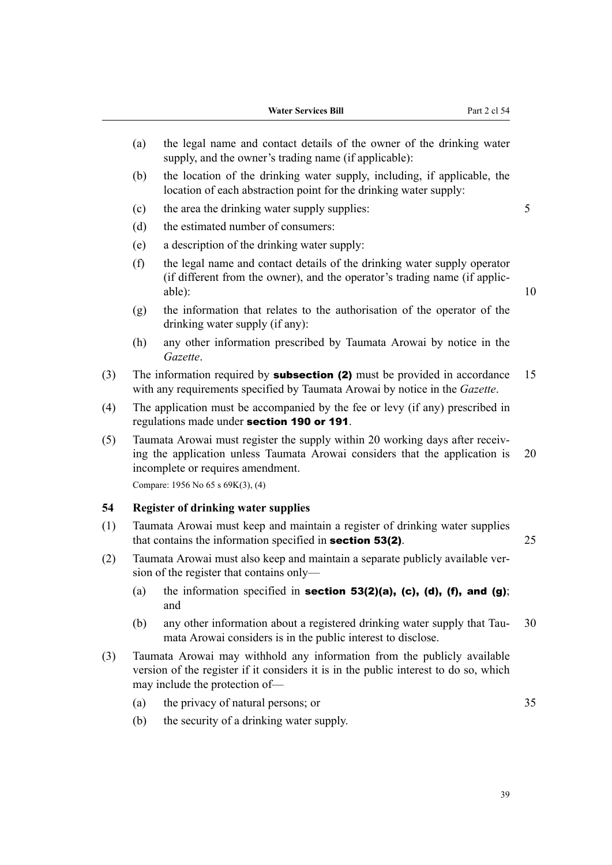- (a) the legal name and contact details of the owner of the drinking water supply, and the owner's trading name (if applicable):
- (b) the location of the drinking water supply, including, if applicable, the location of each abstraction point for the drinking water supply:
- (c) the area the drinking water supply supplies: 5
- (d) the estimated number of consumers:
- (e) a description of the drinking water supply:
- (f) the legal name and contact details of the drinking water supply operator (if different from the owner), and the operator's trading name (if applic‐ able): 10
- (g) the information that relates to the authorisation of the operator of the drinking water supply (if any):
- (h) any other information prescribed by Taumata Arowai by notice in the *Gazette*.
- (3) The information required by **subsection (2)** must be provided in accordance 15 with any requirements specified by Taumata Arowai by notice in the *Gazette*.
- (4) The application must be accompanied by the fee or levy (if any) prescribed in regulations made under section 190 or 191.
- (5) Taumata Arowai must register the supply within 20 working days after receiv‐ ing the application unless Taumata Arowai considers that the application is 20 incomplete or requires amendment.

Compare: 1956 No 65 s 69K(3), (4)

#### **54 Register of drinking water supplies**

- (1) Taumata Arowai must keep and maintain a register of drinking water supplies that contains the information specified in **section 53(2)**. 25
- (2) Taumata Arowai must also keep and maintain a separate publicly available ver‐ sion of the register that contains only—
	- (a) the information specified in section 53(2)(a), (c), (d), (f), and (g); and
	- (b) any other information about a registered drinking water supply that Tau- 30 mata Arowai considers is in the public interest to disclose.
- (3) Taumata Arowai may withhold any information from the publicly available version of the register if it considers it is in the public interest to do so, which may include the protection of—
	- (a) the privacy of natural persons; or 35
		-

(b) the security of a drinking water supply.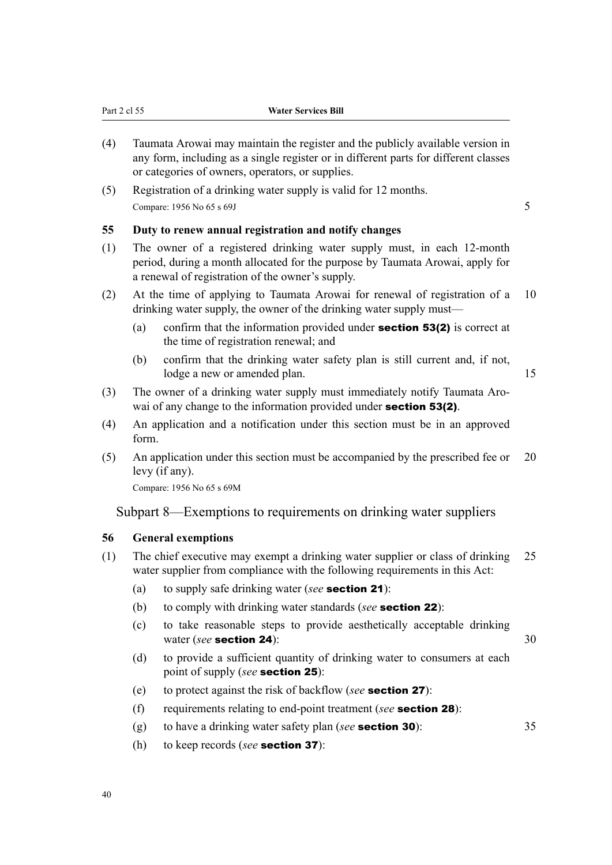| (4) | Taumata Arowai may maintain the register and the publicty available version in<br>any form, including as a single register or in different parts for different classes<br>or categories of owners, operators, or supplies. |    |  |  |
|-----|----------------------------------------------------------------------------------------------------------------------------------------------------------------------------------------------------------------------------|----|--|--|
| (5) | Registration of a drinking water supply is valid for 12 months.                                                                                                                                                            |    |  |  |
|     | Compare: 1956 No 65 s 69J                                                                                                                                                                                                  |    |  |  |
| 55  | Duty to renew annual registration and notify changes                                                                                                                                                                       |    |  |  |
| (1) | The owner of a registered drinking water supply must, in each 12-month<br>period, during a month allocated for the purpose by Taumata Arowai, apply for<br>a renewal of registration of the owner's supply.                |    |  |  |
| (2) | At the time of applying to Taumata Arowai for renewal of registration of a<br>drinking water supply, the owner of the drinking water supply must—                                                                          | 10 |  |  |

- (a) confirm that the information provided under **section 53(2)** is correct at the time of registration renewal; and
- (b) confirm that the drinking water safety plan is still current and, if not, lodge a new or amended plan. 15

- (3) The owner of a drinking water supply must immediately notify Taumata Aro‐ wai of any change to the information provided under **section 53(2)**.
- (4) An application and a notification under this section must be in an approved form.
- (5) An application under this section must be accompanied by the prescribed fee or 20 levy (if any).

Compare: 1956 No 65 s 69M

Part 2 cl 55 **Water Services Bill**

Subpart 8—Exemptions to requirements on drinking water suppliers

## **56 General exemptions**

- (1) The chief executive may exempt a drinking water supplier or class of drinking 25 water supplier from compliance with the following requirements in this Act:
	- (a) to supply safe drinking water (*see* section 21):
	- (b) to comply with drinking water standards (*see* section 22):
	- (c) to take reasonable steps to provide aesthetically acceptable drinking water (*see* section 24): 30
	- (d) to provide a sufficient quantity of drinking water to consumers at each point of supply (*see* section 25):
	- (e) to protect against the risk of backflow (*see* section 27):
	- (f) requirements relating to end-point treatment (*see* section 28):
	- (g) to have a drinking water safety plan (*see* section 30): 35
	- (h) to keep records (*see* section 37):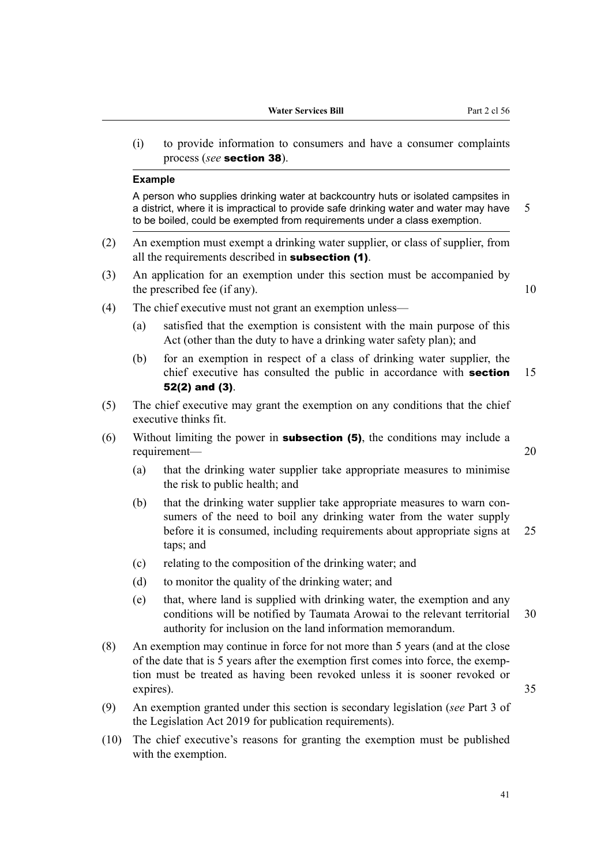(i) to provide information to consumers and have a consumer complaints process (*see* section 38).

#### **Example**

A person who supplies drinking water at backcountry huts or isolated campsites in a district, where it is impractical to provide safe drinking water and water may have  $5$ to be boiled, could be exempted from requirements under a class exemption.

- (2) An exemption must exempt a drinking water supplier, or class of supplier, from all the requirements described in subsection (1).
- (3) An application for an exemption under this section must be accompanied by the prescribed fee (if any).  $10$ 
	-

- (4) The chief executive must not grant an exemption unless—
	- (a) satisfied that the exemption is consistent with the main purpose of this Act (other than the duty to have a drinking water safety plan); and
	- (b) for an exemption in respect of a class of drinking water supplier, the chief executive has consulted the public in accordance with **section** 15 52(2) and (3).
- (5) The chief executive may grant the exemption on any conditions that the chief executive thinks fit.
- (6) Without limiting the power in **subsection (5)**, the conditions may include a requirement— 20
	- (a) that the drinking water supplier take appropriate measures to minimise the risk to public health; and
	- (b) that the drinking water supplier take appropriate measures to warn consumers of the need to boil any drinking water from the water supply before it is consumed, including requirements about appropriate signs at 25 taps; and
	- (c) relating to the composition of the drinking water; and
	- (d) to monitor the quality of the drinking water; and
	- (e) that, where land is supplied with drinking water, the exemption and any conditions will be notified by Taumata Arowai to the relevant territorial 30 authority for inclusion on the land information memorandum.
- (8) An exemption may continue in force for not more than 5 years (and at the close of the date that is 5 years after the exemption first comes into force, the exemp‐ tion must be treated as having been revoked unless it is sooner revoked or expires). 35
- (9) An exemption granted under this section is secondary legislation (*see* Part 3 of the Legislation Act 2019 for publication requirements).
- (10) The chief executive's reasons for granting the exemption must be published with the exemption.

41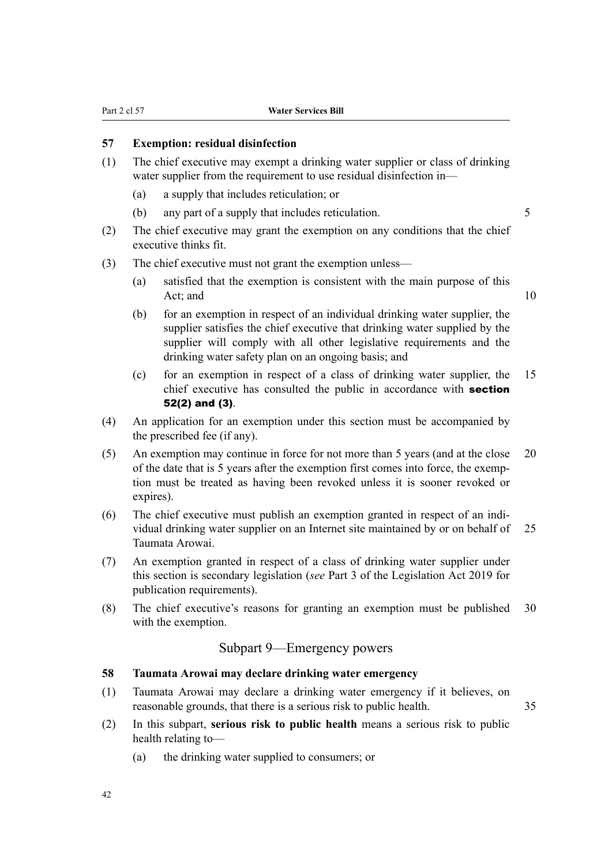## **57 Exemption: residual disinfection**

- (1) The chief executive may exempt a drinking water supplier or class of drinking water supplier from the requirement to use residual disinfection in—
	- (a) a supply that includes reticulation; or
	- (b) any part of a supply that includes reticulation.

- (2) The chief executive may grant the exemption on any conditions that the chief executive thinks fit.
- (3) The chief executive must not grant the exemption unless—
	- (a) satisfied that the exemption is consistent with the main purpose of this Act; and 10

- (b) for an exemption in respect of an individual drinking water supplier, the supplier satisfies the chief executive that drinking water supplied by the supplier will comply with all other legislative requirements and the drinking water safety plan on an ongoing basis; and
- (c) for an exemption in respect of a class of drinking water supplier, the 15 chief executive has consulted the public in accordance with **section** 52(2) and (3).
- (4) An application for an exemption under this section must be accompanied by the prescribed fee (if any).
- (5) An exemption may continue in force for not more than 5 years (and at the close 20 of the date that is 5 years after the exemption first comes into force, the exemp‐ tion must be treated as having been revoked unless it is sooner revoked or expires).
- (6) The chief executive must publish an exemption granted in respect of an indi‐ vidual drinking water supplier on an Internet site maintained by or on behalf of 25 Taumata Arowai.
- (7) An exemption granted in respect of a class of drinking water supplier under this section is secondary legislation (*see* Part 3 of the Legislation Act 2019 for publication requirements).
- (8) The chief executive's reasons for granting an exemption must be published 30 with the exemption.

# Subpart 9—Emergency powers

## **58 Taumata Arowai may declare drinking water emergency**

- (1) Taumata Arowai may declare a drinking water emergency if it believes, on reasonable grounds, that there is a serious risk to public health. 35
- (2) In this subpart, **serious risk to public health** means a serious risk to public health relating to—
	- (a) the drinking water supplied to consumers; or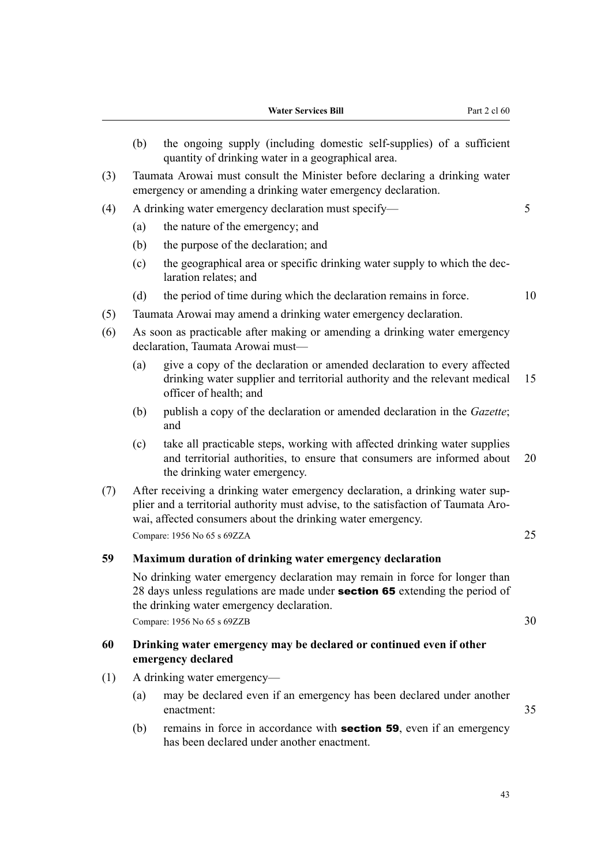- (b) the ongoing supply (including domestic self-supplies) of a sufficient quantity of drinking water in a geographical area.
- (3) Taumata Arowai must consult the Minister before declaring a drinking water emergency or amending a drinking water emergency declaration.
- (4) A drinking water emergency declaration must specify— 5
	- (a) the nature of the emergency; and
	- (b) the purpose of the declaration; and
	- (c) the geographical area or specific drinking water supply to which the dec‐ laration relates; and
	- (d) the period of time during which the declaration remains in force. 10
- (5) Taumata Arowai may amend a drinking water emergency declaration.
- (6) As soon as practicable after making or amending a drinking water emergency declaration, Taumata Arowai must—
	- (a) give a copy of the declaration or amended declaration to every affected drinking water supplier and territorial authority and the relevant medical 15 officer of health; and
	- (b) publish a copy of the declaration or amended declaration in the *Gazette*; and
	- (c) take all practicable steps, working with affected drinking water supplies and territorial authorities, to ensure that consumers are informed about 20 the drinking water emergency.
- (7) After receiving a drinking water emergency declaration, a drinking water sup‐ plier and a territorial authority must advise, to the satisfaction of Taumata Arowai, affected consumers about the drinking water emergency. Compare: 1956 No 65 s 69ZZA 25

## **59 Maximum duration of drinking water emergency declaration**

No drinking water emergency declaration may remain in force for longer than 28 days unless regulations are made under **section 65** extending the period of the drinking water emergency declaration.

Compare: 1956 No 65 s 69ZZB 30

## **60 Drinking water emergency may be declared or continued even if other emergency declared**

- (1) A drinking water emergency—
	- (a) may be declared even if an emergency has been declared under another enactment: 35
	- (b) remains in force in accordance with **section 59**, even if an emergency has been declared under another enactment.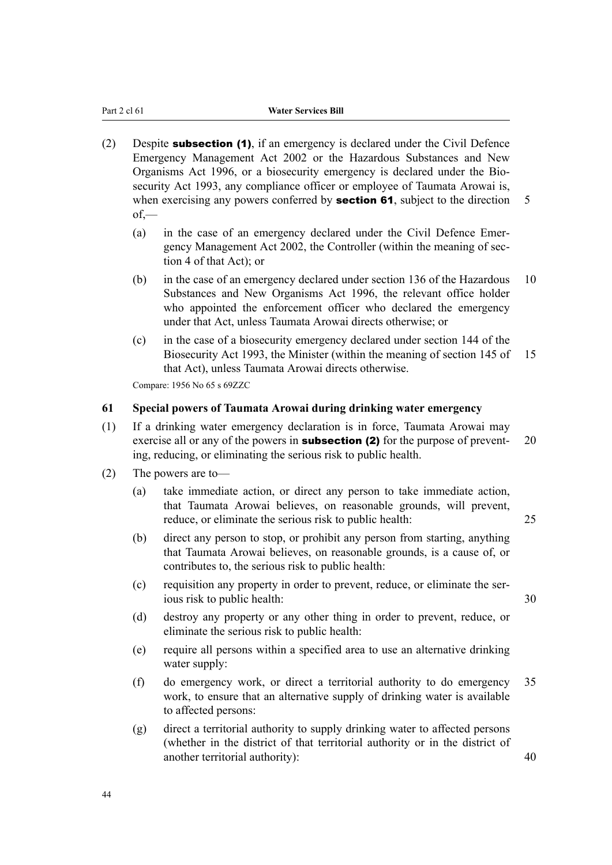- (2) Despite subsection (1), if an emergency is declared under the Civil Defence Emergency Management Act 2002 or the Hazardous Substances and New Organisms Act 1996, or a biosecurity emergency is declared under the Bio‐ security Act 1993, any compliance officer or employee of Taumata Arowai is, when exercising any powers conferred by **section 61**, subject to the direction  $\overline{5}$  $of$ —
	- (a) in the case of an emergency declared under the Civil Defence Emergency Management Act 2002, the Controller (within the meaning of sec‐ tion 4 of that Act); or
	- (b) in the case of an emergency declared under section 136 of the Hazardous 10 Substances and New Organisms Act 1996, the relevant office holder who appointed the enforcement officer who declared the emergency under that Act, unless Taumata Arowai directs otherwise; or
	- (c) in the case of a biosecurity emergency declared under section 144 of the Biosecurity Act 1993, the Minister (within the meaning of section 145 of 15 that Act), unless Taumata Arowai directs otherwise.

Compare: 1956 No 65 s 69ZZC

#### **61 Special powers of Taumata Arowai during drinking water emergency**

- (1) If a drinking water emergency declaration is in force, Taumata Arowai may exercise all or any of the powers in **subsection (2)** for the purpose of prevent-  $20$ ing, reducing, or eliminating the serious risk to public health.
- (2) The powers are to—
	- (a) take immediate action, or direct any person to take immediate action, that Taumata Arowai believes, on reasonable grounds, will prevent, reduce, or eliminate the serious risk to public health: 25
	- (b) direct any person to stop, or prohibit any person from starting, anything that Taumata Arowai believes, on reasonable grounds, is a cause of, or contributes to, the serious risk to public health:
	- (c) requisition any property in order to prevent, reduce, or eliminate the ser‐ ious risk to public health: 30
	- (d) destroy any property or any other thing in order to prevent, reduce, or eliminate the serious risk to public health:
	- (e) require all persons within a specified area to use an alternative drinking water supply:
	- (f) do emergency work, or direct a territorial authority to do emergency 35 work, to ensure that an alternative supply of drinking water is available to affected persons:
	- (g) direct a territorial authority to supply drinking water to affected persons (whether in the district of that territorial authority or in the district of another territorial authority): 40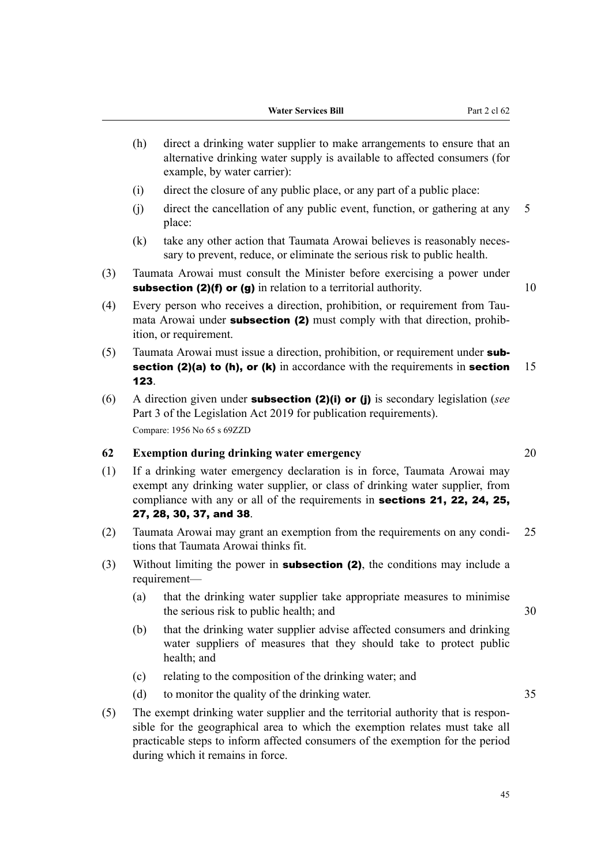- (h) direct a drinking water supplier to make arrangements to ensure that an alternative drinking water supply is available to affected consumers (for example, by water carrier):
- (i) direct the closure of any public place, or any part of a public place:
- (j) direct the cancellation of any public event, function, or gathering at any 5 place:
- (k) take any other action that Taumata Arowai believes is reasonably necessary to prevent, reduce, or eliminate the serious risk to public health.
- (3) Taumata Arowai must consult the Minister before exercising a power under subsection (2)(f) or (g) in relation to a territorial authority.  $10$
- (4) Every person who receives a direction, prohibition, or requirement from Tau‐ mata Arowai under **subsection (2)** must comply with that direction, prohibition, or requirement.
- (5) Taumata Arowai must issue a direction, prohibition, or requirement under subsection (2)(a) to (h), or (k) in accordance with the requirements in section  $15$ 123.
- (6) A direction given under subsection (2)(i) or (j) is secondary legislation (*see* Part 3 of the Legislation Act 2019 for publication requirements). Compare: 1956 No 65 s 69ZZD

### **62 Exemption during drinking water emergency** 20

- (1) If a drinking water emergency declaration is in force, Taumata Arowai may exempt any drinking water supplier, or class of drinking water supplier, from compliance with any or all of the requirements in sections 21, 22, 24, 25, 27, 28, 30, 37, and 38.
- (2) Taumata Arowai may grant an exemption from the requirements on any condi‐ 25 tions that Taumata Arowai thinks fit.
- (3) Without limiting the power in **subsection (2)**, the conditions may include a requirement—
	- (a) that the drinking water supplier take appropriate measures to minimise the serious risk to public health; and  $30$
	- (b) that the drinking water supplier advise affected consumers and drinking water suppliers of measures that they should take to protect public health; and
	- (c) relating to the composition of the drinking water; and
	- (d) to monitor the quality of the drinking water. 35
- (5) The exempt drinking water supplier and the territorial authority that is respon‐ sible for the geographical area to which the exemption relates must take all practicable steps to inform affected consumers of the exemption for the period during which it remains in force.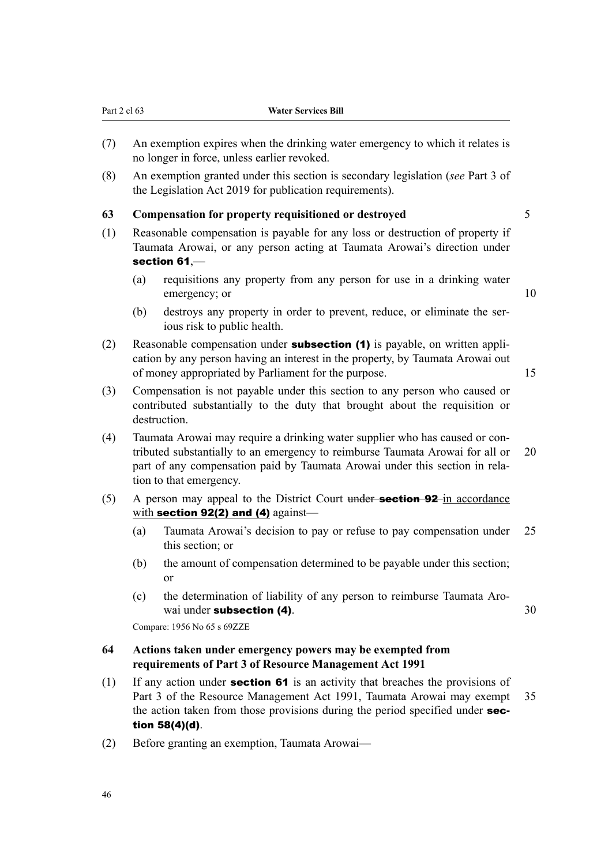- (7) An exemption expires when the drinking water emergency to which it relates is no longer in force, unless earlier revoked.
- (8) An exemption granted under this section is secondary legislation (*see* Part 3 of the Legislation Act 2019 for publication requirements).

#### **63 Compensation for property requisitioned or destroyed** 5

- (1) Reasonable compensation is payable for any loss or destruction of property if Taumata Arowai, or any person acting at Taumata Arowai's direction under section 61,—
	- (a) requisitions any property from any person for use in a drinking water emergency; or 10
	- (b) destroys any property in order to prevent, reduce, or eliminate the serious risk to public health.
- (2) Reasonable compensation under **subsection (1)** is payable, on written application by any person having an interest in the property, by Taumata Arowai out of money appropriated by Parliament for the purpose. 15
- (3) Compensation is not payable under this section to any person who caused or contributed substantially to the duty that brought about the requisition or destruction.
- (4) Taumata Arowai may require a drinking water supplier who has caused or con‐ tributed substantially to an emergency to reimburse Taumata Arowai for all or 20 part of any compensation paid by Taumata Arowai under this section in relation to that emergency.
- (5) A person may appeal to the District Court under **section 92**-in accordance with section 92(2) and (4) against-
	- (a) Taumata Arowai's decision to pay or refuse to pay compensation under 25 this section; or
	- (b) the amount of compensation determined to be payable under this section; or
	- (c) the determination of liability of any person to reimburse Taumata Aro‐ wai under **subsection (4)**. 30

Compare: 1956 No 65 s 69ZZE

## **64 Actions taken under emergency powers may be exempted from requirements of Part 3 of Resource Management Act 1991**

- (1) If any action under **section 61** is an activity that breaches the provisions of Part 3 of the Resource Management Act 1991, Taumata Arowai may exempt 35 the action taken from those provisions during the period specified under section 58(4)(d).
- (2) Before granting an exemption, Taumata Arowai—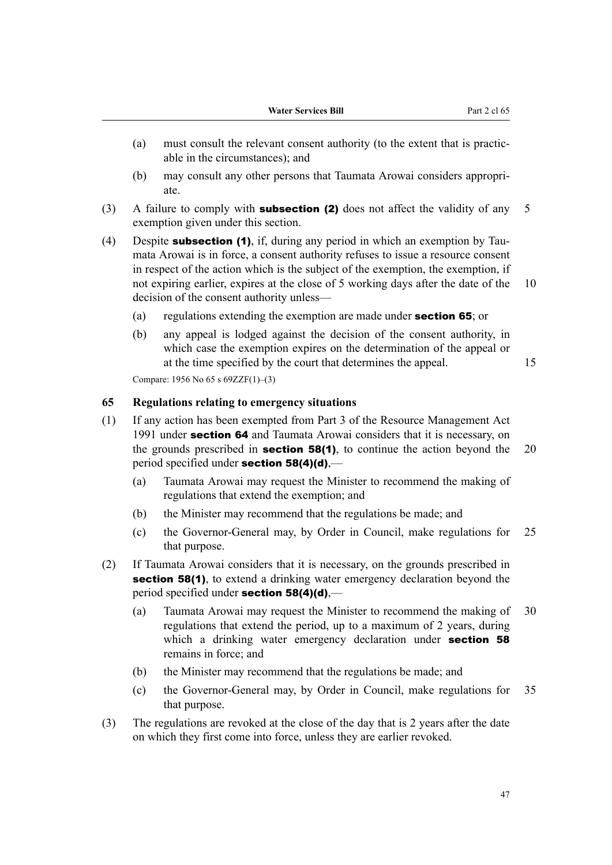- (a) must consult the relevant consent authority (to the extent that is practic‐ able in the circumstances); and
- (b) may consult any other persons that Taumata Arowai considers appropri‐ ate.
- (3) A failure to comply with **subsection (2)** does not affect the validity of any 5 exemption given under this section.
- (4) Despite **subsection (1)**, if, during any period in which an exemption by Taumata Arowai is in force, a consent authority refuses to issue a resource consent in respect of the action which is the subject of the exemption, the exemption, if not expiring earlier, expires at the close of 5 working days after the date of the 10 decision of the consent authority unless—
	- (a) regulations extending the exemption are made under section 65; or
	- (b) any appeal is lodged against the decision of the consent authority, in which case the exemption expires on the determination of the appeal or at the time specified by the court that determines the appeal. 15

Compare: 1956 No 65 s 69ZZF(1)–(3)

## **65 Regulations relating to emergency situations**

- (1) If any action has been exempted from Part 3 of the Resource Management Act 1991 under section 64 and Taumata Arowai considers that it is necessary, on the grounds prescribed in **section 58(1)**, to continue the action beyond the 20 period specified under section 58(4)(d),—
	- (a) Taumata Arowai may request the Minister to recommend the making of regulations that extend the exemption; and
	- (b) the Minister may recommend that the regulations be made; and
	- (c) the Governor-General may, by Order in Council, make regulations for 25 that purpose.
- (2) If Taumata Arowai considers that it is necessary, on the grounds prescribed in section 58(1), to extend a drinking water emergency declaration beyond the period specified under section 58(4)(d),—
	- (a) Taumata Arowai may request the Minister to recommend the making of 30 regulations that extend the period, up to a maximum of 2 years, during which a drinking water emergency declaration under **section 58** remains in force; and
	- (b) the Minister may recommend that the regulations be made; and
	- (c) the Governor-General may, by Order in Council, make regulations for 35 that purpose.
- (3) The regulations are revoked at the close of the day that is 2 years after the date on which they first come into force, unless they are earlier revoked.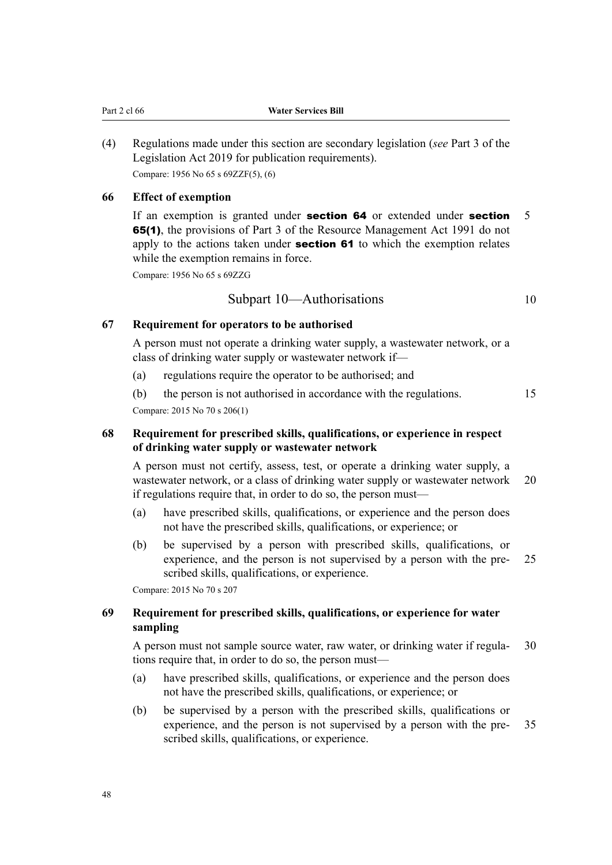(4) Regulations made under this section are secondary legislation (*see* Part 3 of the Legislation Act 2019 for publication requirements). Compare: 1956 No 65 s 69ZZF(5), (6)

## **66 Effect of exemption**

If an exemption is granted under **section 64** or extended under **section** 5 65(1), the provisions of Part 3 of the Resource Management Act 1991 do not apply to the actions taken under **section 61** to which the exemption relates while the exemption remains in force.

Compare: 1956 No 65 s 69ZZG

## Subpart 10—Authorisations 10

## **67 Requirement for operators to be authorised**

A person must not operate a drinking water supply, a wastewater network, or a class of drinking water supply or wastewater network if—

- (a) regulations require the operator to be authorised; and
- (b) the person is not authorised in accordance with the regulations. 15 Compare: 2015 No 70 s 206(1)

## **68 Requirement for prescribed skills, qualifications, or experience in respect of drinking water supply or wastewater network**

A person must not certify, assess, test, or operate a drinking water supply, a wastewater network, or a class of drinking water supply or wastewater network 20 if regulations require that, in order to do so, the person must—

- (a) have prescribed skills, qualifications, or experience and the person does not have the prescribed skills, qualifications, or experience; or
- (b) be supervised by a person with prescribed skills, qualifications, or experience, and the person is not supervised by a person with the pre- 25 scribed skills, qualifications, or experience.

Compare: 2015 No 70 s 207

## **69 Requirement for prescribed skills, qualifications, or experience for water sampling**

A person must not sample source water, raw water, or drinking water if regula- 30 tions require that, in order to do so, the person must—

- (a) have prescribed skills, qualifications, or experience and the person does not have the prescribed skills, qualifications, or experience; or
- (b) be supervised by a person with the prescribed skills, qualifications or experience, and the person is not supervised by a person with the pre- 35 scribed skills, qualifications, or experience.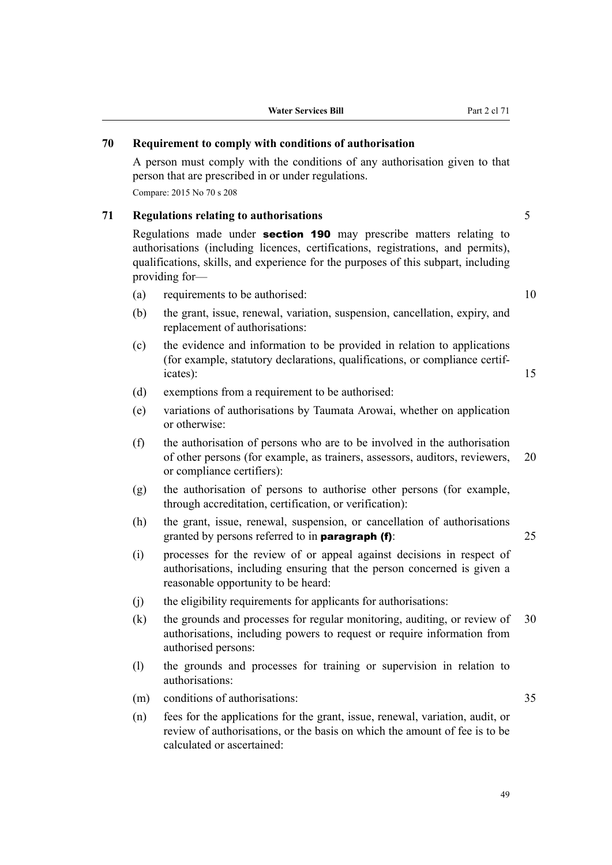## **70 Requirement to comply with conditions of authorisation**

A person must comply with the conditions of any authorisation given to that person that are prescribed in or under regulations.

Compare: 2015 No 70 s 208

## **71 Regulations relating to authorisations** 5

Regulations made under **section 190** may prescribe matters relating to authorisations (including licences, certifications, registrations, and permits), qualifications, skills, and experience for the purposes of this subpart, including providing for—

- (a) requirements to be authorised: 10
- (b) the grant, issue, renewal, variation, suspension, cancellation, expiry, and replacement of authorisations:
- (c) the evidence and information to be provided in relation to applications (for example, statutory declarations, qualifications, or compliance certif‐ icates): 15
- (d) exemptions from a requirement to be authorised:
- (e) variations of authorisations by Taumata Arowai, whether on application or otherwise:
- (f) the authorisation of persons who are to be involved in the authorisation of other persons (for example, as trainers, assessors, auditors, reviewers, 20 or compliance certifiers):
- (g) the authorisation of persons to authorise other persons (for example, through accreditation, certification, or verification):
- (h) the grant, issue, renewal, suspension, or cancellation of authorisations granted by persons referred to in **paragraph (f)**: 25
- (i) processes for the review of or appeal against decisions in respect of authorisations, including ensuring that the person concerned is given a reasonable opportunity to be heard:
- (j) the eligibility requirements for applicants for authorisations:
- (k) the grounds and processes for regular monitoring, auditing, or review of 30 authorisations, including powers to request or require information from authorised persons:
- (l) the grounds and processes for training or supervision in relation to authorisations:
- (m) conditions of authorisations: 35
- (n) fees for the applications for the grant, issue, renewal, variation, audit, or review of authorisations, or the basis on which the amount of fee is to be calculated or ascertained: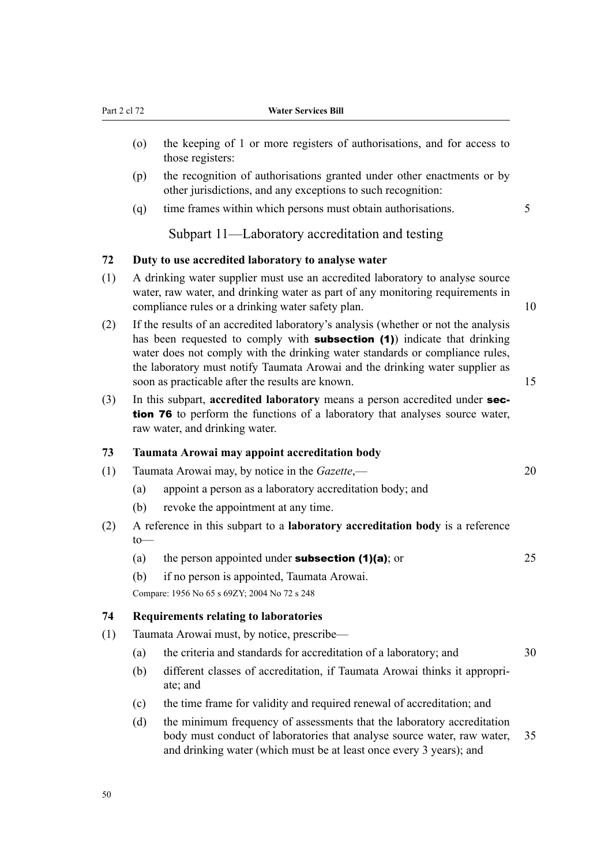- (o) the keeping of 1 or more registers of authorisations, and for access to those registers:
- (p) the recognition of authorisations granted under other enactments or by other jurisdictions, and any exceptions to such recognition:
- (q) time frames within which persons must obtain authorisations. 5

Subpart 11—Laboratory accreditation and testing

## **72 Duty to use accredited laboratory to analyse water**

- (1) A drinking water supplier must use an accredited laboratory to analyse source water, raw water, and drinking water as part of any monitoring requirements in compliance rules or a drinking water safety plan. 10
- (2) If the results of an accredited laboratory's analysis (whether or not the analysis has been requested to comply with **subsection (1)** indicate that drinking water does not comply with the drinking water standards or compliance rules, the laboratory must notify Taumata Arowai and the drinking water supplier as soon as practicable after the results are known. 15
- (3) In this subpart, **accredited laboratory** means a person accredited under section 76 to perform the functions of a laboratory that analyses source water, raw water, and drinking water.

#### **73 Taumata Arowai may appoint accreditation body**

- (1) Taumata Arowai may, by notice in the *Gazette*,— 20
	- (a) appoint a person as a laboratory accreditation body; and
	- (b) revoke the appointment at any time.
- (2) A reference in this subpart to a **laboratory accreditation body** is a reference to—
	- (a) the person appointed under **subsection (1)(a)**; or  $25$
	- (b) if no person is appointed, Taumata Arowai.

Compare: 1956 No 65 s 69ZY; 2004 No 72 s 248

# **74 Requirements relating to laboratories**

- (1) Taumata Arowai must, by notice, prescribe—
	- (a) the criteria and standards for accreditation of a laboratory; and 30
	- (b) different classes of accreditation, if Taumata Arowai thinks it appropri‐ ate; and
	- (c) the time frame for validity and required renewal of accreditation; and
	- (d) the minimum frequency of assessments that the laboratory accreditation body must conduct of laboratories that analyse source water, raw water, 35 and drinking water (which must be at least once every 3 years); and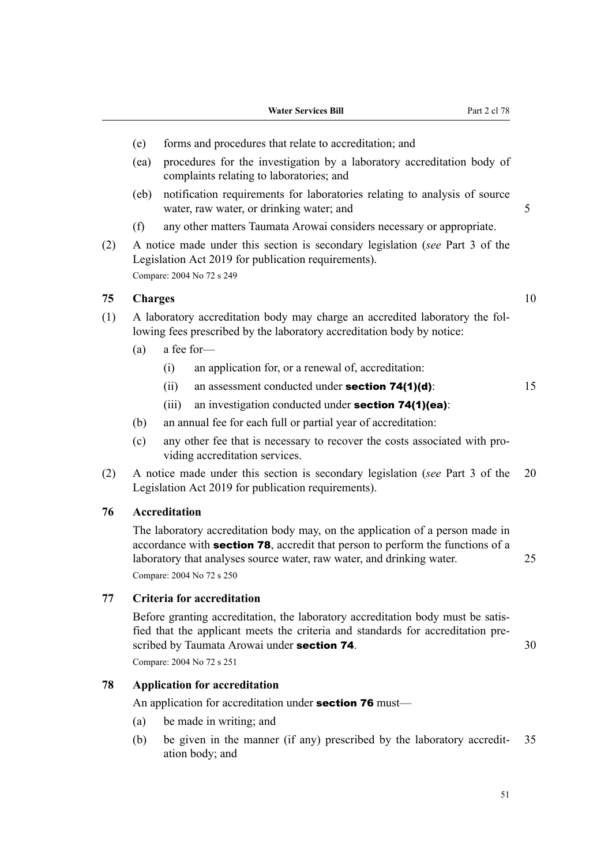- (e) forms and procedures that relate to accreditation; and
- (ea) procedures for the investigation by a laboratory accreditation body of complaints relating to laboratories; and
- (eb) notification requirements for laboratories relating to analysis of source water, raw water, or drinking water; and 5
- (f) any other matters Taumata Arowai considers necessary or appropriate.
- (2) A notice made under this section is secondary legislation (*see* Part 3 of the Legislation Act 2019 for publication requirements). Compare: 2004 No 72 s 249

#### **75 Charges** 10

- (1) A laboratory accreditation body may charge an accredited laboratory the fol‐ lowing fees prescribed by the laboratory accreditation body by notice:
	- (a) a fee for—
		- (i) an application for, or a renewal of, accreditation:
		- (ii) an assessment conducted under **section 74(1)(d)**:  $15$
		- (iii) an investigation conducted under **section 74(1)(ea)**:
	- (b) an annual fee for each full or partial year of accreditation:
	- (c) any other fee that is necessary to recover the costs associated with pro‐ viding accreditation services.
- (2) A notice made under this section is secondary legislation (*see* Part 3 of the 20 Legislation Act 2019 for publication requirements).

## **76 Accreditation**

The laboratory accreditation body may, on the application of a person made in accordance with section 78, accredit that person to perform the functions of a laboratory that analyses source water, raw water, and drinking water. 25 Compare: 2004 No 72 s 250

## **77 Criteria for accreditation**

Before granting accreditation, the laboratory accreditation body must be satisfied that the applicant meets the criteria and standards for accreditation pre‐ scribed by Taumata Arowai under **section 74**. 30

Compare: 2004 No 72 s 251

## **78 Application for accreditation**

An application for accreditation under **section 76** must—

- (a) be made in writing; and
- (b) be given in the manner (if any) prescribed by the laboratory accredit‐ 35 ation body; and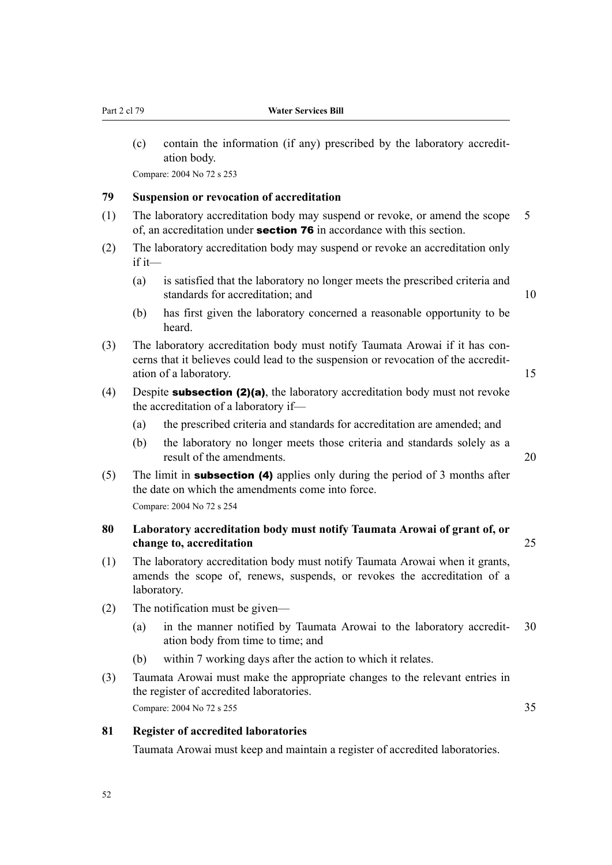(c) contain the information (if any) prescribed by the laboratory accredit‐ ation body.

Compare: 2004 No 72 s 253

## **79 Suspension or revocation of accreditation**

- (1) The laboratory accreditation body may suspend or revoke, or amend the scope 5 of, an accreditation under **section 76** in accordance with this section.
- (2) The laboratory accreditation body may suspend or revoke an accreditation only if it—
	- (a) is satisfied that the laboratory no longer meets the prescribed criteria and standards for accreditation; and 10
		-
	- (b) has first given the laboratory concerned a reasonable opportunity to be heard.
- (3) The laboratory accreditation body must notify Taumata Arowai if it has con‐ cerns that it believes could lead to the suspension or revocation of the accredit‐ ation of a laboratory. 15
- (4) Despite **subsection (2)(a)**, the laboratory accreditation body must not revoke the accreditation of a laboratory if—
	- (a) the prescribed criteria and standards for accreditation are amended; and
	- (b) the laboratory no longer meets those criteria and standards solely as a result of the amendments. 20
- (5) The limit in **subsection (4)** applies only during the period of 3 months after the date on which the amendments come into force. Compare: 2004 No 72 s 254

## **80 Laboratory accreditation body must notify Taumata Arowai of grant of, or change to, accreditation** 25

- (1) The laboratory accreditation body must notify Taumata Arowai when it grants, amends the scope of, renews, suspends, or revokes the accreditation of a laboratory.
- (2) The notification must be given—
	- (a) in the manner notified by Taumata Arowai to the laboratory accredit- 30 ation body from time to time; and
	- (b) within 7 working days after the action to which it relates.
- (3) Taumata Arowai must make the appropriate changes to the relevant entries in the register of accredited laboratories. Compare: 2004 No 72 s 255 35

## **81 Register of accredited laboratories**

Taumata Arowai must keep and maintain a register of accredited laboratories.

52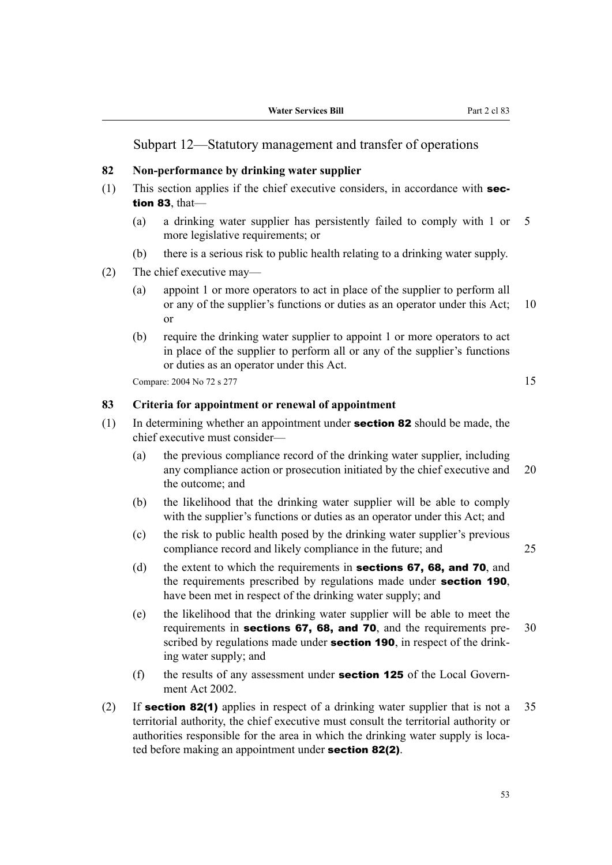## Subpart 12—Statutory management and transfer of operations

#### **82 Non-performance by drinking water supplier**

- $(1)$  This section applies if the chief executive considers, in accordance with **sec**tion 83, that—
	- (a) a drinking water supplier has persistently failed to comply with 1 or 5 more legislative requirements; or
	- (b) there is a serious risk to public health relating to a drinking water supply.
- (2) The chief executive may—
	- (a) appoint 1 or more operators to act in place of the supplier to perform all or any of the supplier's functions or duties as an operator under this Act; 10 or
	- (b) require the drinking water supplier to appoint 1 or more operators to act in place of the supplier to perform all or any of the supplier's functions or duties as an operator under this Act.

Compare: 2004 No 72 s 277 15

#### **83 Criteria for appointment or renewal of appointment**

- (1) In determining whether an appointment under **section 82** should be made, the chief executive must consider—
	- (a) the previous compliance record of the drinking water supplier, including any compliance action or prosecution initiated by the chief executive and 20 the outcome; and
	- (b) the likelihood that the drinking water supplier will be able to comply with the supplier's functions or duties as an operator under this Act; and
	- (c) the risk to public health posed by the drinking water supplier's previous compliance record and likely compliance in the future; and 25
	- (d) the extent to which the requirements in sections 67, 68, and 70, and the requirements prescribed by regulations made under section 190, have been met in respect of the drinking water supply; and
	- (e) the likelihood that the drinking water supplier will be able to meet the requirements in **sections 67, 68, and 70**, and the requirements pre- 30 scribed by regulations made under **section 190**, in respect of the drinking water supply; and
	- (f) the results of any assessment under **section 125** of the Local Government Act 2002.
- (2) If **section 82(1)** applies in respect of a drinking water supplier that is not a  $35$ territorial authority, the chief executive must consult the territorial authority or authorities responsible for the area in which the drinking water supply is located before making an appointment under **section 82(2)**.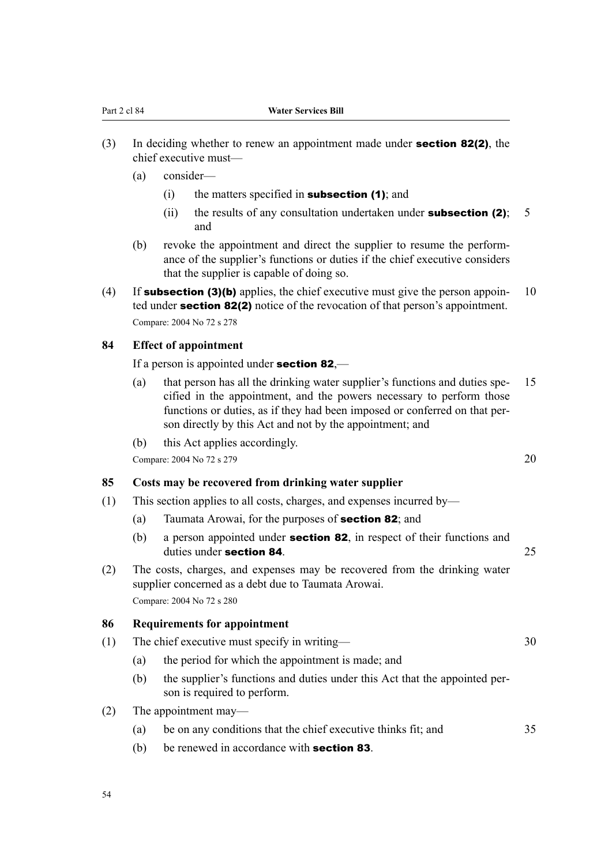- (3) In deciding whether to renew an appointment made under **section 82(2)**, the chief executive must—
	- (a) consider—
		- (i) the matters specified in **subsection (1)**; and
		- (ii) the results of any consultation undertaken under **subsection (2)**; 5 and
	- (b) revoke the appointment and direct the supplier to resume the performance of the supplier's functions or duties if the chief executive considers that the supplier is capable of doing so.
- (4) If **subsection (3)(b)** applies, the chief executive must give the person appoin-  $10$ ted under **section 82(2)** notice of the revocation of that person's appointment. Compare: 2004 No 72 s 278

#### **84 Effect of appointment**

If a person is appointed under **section 82**,—

- (a) that person has all the drinking water supplier's functions and duties spe‐ 15 cified in the appointment, and the powers necessary to perform those functions or duties, as if they had been imposed or conferred on that person directly by this Act and not by the appointment; and
- (b) this Act applies accordingly.

Compare: 2004 No 72 s 279 20

#### **85 Costs may be recovered from drinking water supplier**

- (1) This section applies to all costs, charges, and expenses incurred by—
	- (a) Taumata Arowai, for the purposes of section 82; and
	- (b) a person appointed under **section 82**, in respect of their functions and duties under section 84. 25
- (2) The costs, charges, and expenses may be recovered from the drinking water supplier concerned as a debt due to Taumata Arowai. Compare: 2004 No 72 s 280

#### **86 Requirements for appointment**

- (1) The chief executive must specify in writing— 30
	- (a) the period for which the appointment is made; and
	- (b) the supplier's functions and duties under this Act that the appointed per‐ son is required to perform.
- (2) The appointment may—
	- (a) be on any conditions that the chief executive thinks fit; and 35
	- (b) be renewed in accordance with **section 83**.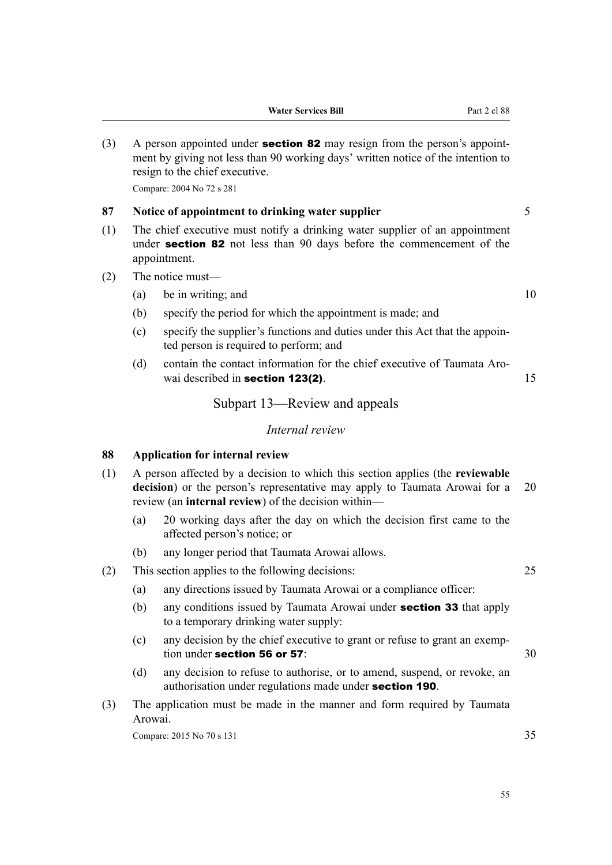(3) A person appointed under **section 82** may resign from the person's appointment by giving not less than 90 working days' written notice of the intention to resign to the chief executive.

Compare: 2004 No 72 s 281

## **87 Notice of appointment to drinking water supplier** 5

- (1) The chief executive must notify a drinking water supplier of an appointment under **section 82** not less than 90 days before the commencement of the appointment.
- (2) The notice must—
	- (a) be in writing; and  $10$
	- (b) specify the period for which the appointment is made; and
	- (c) specify the supplier's functions and duties under this Act that the appoin‐ ted person is required to perform; and
	- (d) contain the contact information for the chief executive of Taumata Arowai described in **section 123(2)**. 15

Subpart 13—Review and appeals

#### *Internal review*

## **88 Application for internal review**

- (1) A person affected by a decision to which this section applies (the **reviewable decision**) or the person's representative may apply to Taumata Arowai for a 20 review (an **internal review**) of the decision within—
	- (a) 20 working days after the day on which the decision first came to the affected person's notice; or
	- (b) any longer period that Taumata Arowai allows.

## (2) This section applies to the following decisions: 25

- (a) any directions issued by Taumata Arowai or a compliance officer:
- (b) any conditions issued by Taumata Arowai under section 33 that apply to a temporary drinking water supply:
- (c) any decision by the chief executive to grant or refuse to grant an exemp‐ tion under section 56 or 57:  $30$
- (d) any decision to refuse to authorise, or to amend, suspend, or revoke, an authorisation under regulations made under section 190.
- (3) The application must be made in the manner and form required by Taumata Arowai.

Compare: 2015 No 70 s 131 35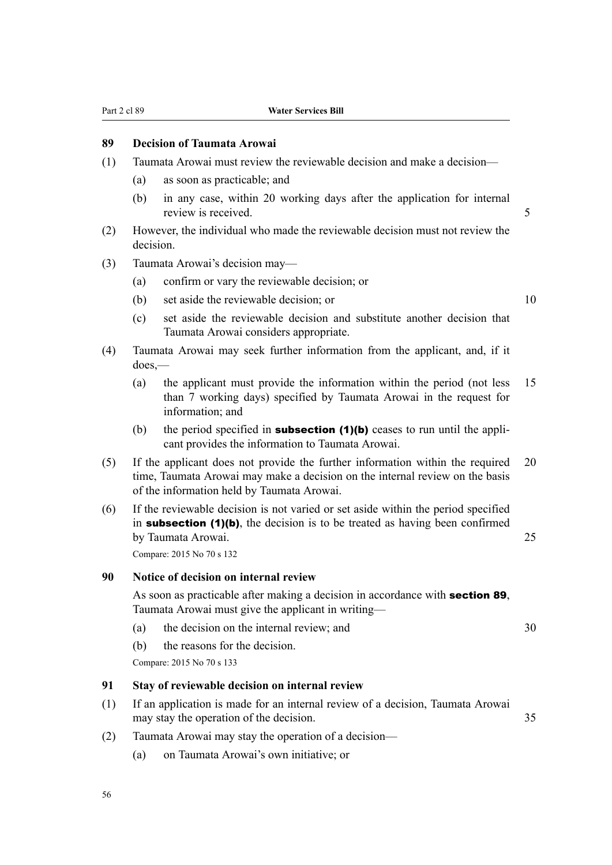# **89 Decision of Taumata Arowai**

- (1) Taumata Arowai must review the reviewable decision and make a decision—
	- (a) as soon as practicable; and
	- (b) in any case, within 20 working days after the application for internal review is received. 5
- (2) However, the individual who made the reviewable decision must not review the decision.
- (3) Taumata Arowai's decision may—
	- (a) confirm or vary the reviewable decision; or
	- (b) set aside the reviewable decision; or 10
	- (c) set aside the reviewable decision and substitute another decision that Taumata Arowai considers appropriate.
- (4) Taumata Arowai may seek further information from the applicant, and, if it does,—
	- (a) the applicant must provide the information within the period (not less 15 than 7 working days) specified by Taumata Arowai in the request for information; and
	- (b) the period specified in **subsection (1)(b)** ceases to run until the applicant provides the information to Taumata Arowai.
- (5) If the applicant does not provide the further information within the required 20 time, Taumata Arowai may make a decision on the internal review on the basis of the information held by Taumata Arowai.
- (6) If the reviewable decision is not varied or set aside within the period specified in subsection (1)(b), the decision is to be treated as having been confirmed by Taumata Arowai. 25

Compare: 2015 No 70 s 132

#### **90 Notice of decision on internal review**

As soon as practicable after making a decision in accordance with **section 89**, Taumata Arowai must give the applicant in writing—

- (a) the decision on the internal review; and 30
- (b) the reasons for the decision.

Compare: 2015 No 70 s 133

## **91 Stay of reviewable decision on internal review**

- (1) If an application is made for an internal review of a decision, Taumata Arowai may stay the operation of the decision. 35
- (2) Taumata Arowai may stay the operation of a decision—
	- (a) on Taumata Arowai's own initiative; or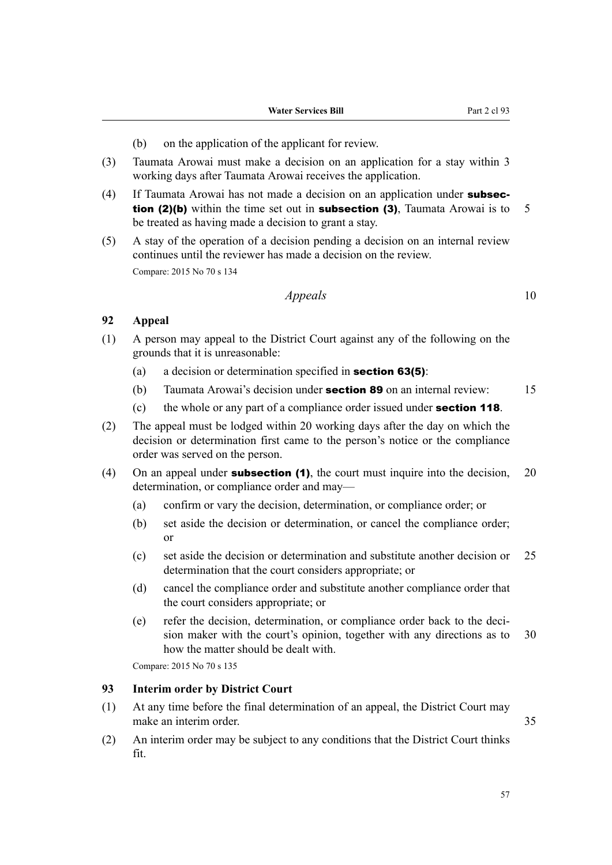- (b) on the application of the applicant for review.
- (3) Taumata Arowai must make a decision on an application for a stay within 3 working days after Taumata Arowai receives the application.
- (4) If Taumata Arowai has not made a decision on an application under **subsection (2)(b)** within the time set out in **subsection (3)**, Taumata Arowai is to  $5$ be treated as having made a decision to grant a stay.
- (5) A stay of the operation of a decision pending a decision on an internal review continues until the reviewer has made a decision on the review. Compare: 2015 No 70 s 134

## *Appeals* 10

## **92 Appeal**

- (1) A person may appeal to the District Court against any of the following on the grounds that it is unreasonable:
	- (a) a decision or determination specified in **section 63(5)**:
	- (b) Taumata Arowai's decision under **section 89** on an internal review:  $15$
	- (c) the whole or any part of a compliance order issued under **section 118**.
- (2) The appeal must be lodged within 20 working days after the day on which the decision or determination first came to the person's notice or the compliance order was served on the person.
- (4) On an appeal under **subsection (1)**, the court must inquire into the decision,  $20$ determination, or compliance order and may—
	- (a) confirm or vary the decision, determination, or compliance order; or
	- (b) set aside the decision or determination, or cancel the compliance order; or
	- (c) set aside the decision or determination and substitute another decision or 25 determination that the court considers appropriate; or
	- (d) cancel the compliance order and substitute another compliance order that the court considers appropriate; or
	- (e) refer the decision, determination, or compliance order back to the decision maker with the court's opinion, together with any directions as to 30 how the matter should be dealt with.

Compare: 2015 No 70 s 135

## **93 Interim order by District Court**

- (1) At any time before the final determination of an appeal, the District Court may make an interim order. 35
- (2) An interim order may be subject to any conditions that the District Court thinks fit.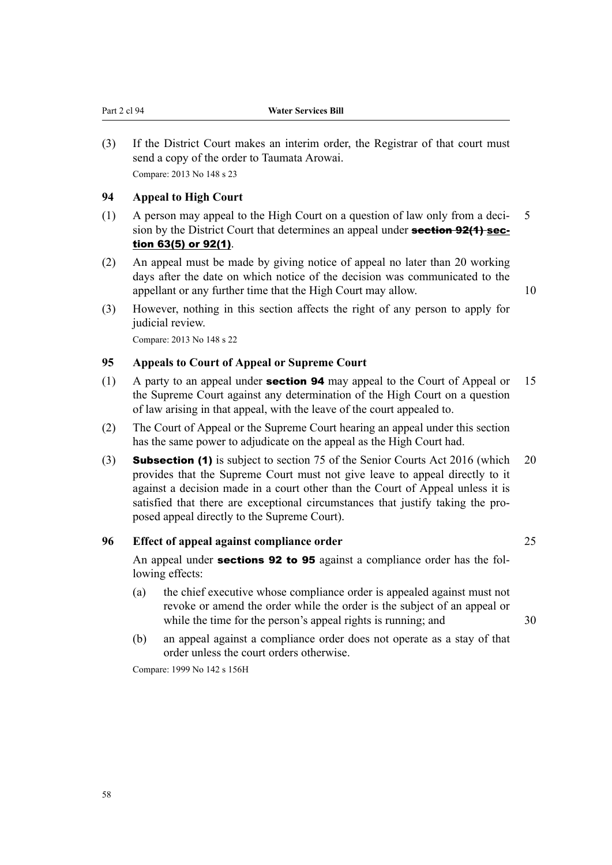(3) If the District Court makes an interim order, the Registrar of that court must send a copy of the order to Taumata Arowai. Compare: 2013 No 148 s 23

## **94 Appeal to High Court**

- (1) A person may appeal to the High Court on a question of law only from a decision by the District Court that determines an appeal under **section 92(1) sec**tion 63(5) or 92(1).
- (2) An appeal must be made by giving notice of appeal no later than 20 working days after the date on which notice of the decision was communicated to the appellant or any further time that the High Court may allow. 10
	-
- (3) However, nothing in this section affects the right of any person to apply for judicial review.

Compare: 2013 No 148 s 22

## **95 Appeals to Court of Appeal or Supreme Court**

- (1) A party to an appeal under **section 94** may appeal to the Court of Appeal or 15 the Supreme Court against any determination of the High Court on a question of law arising in that appeal, with the leave of the court appealed to.
- (2) The Court of Appeal or the Supreme Court hearing an appeal under this section has the same power to adjudicate on the appeal as the High Court had.
- (3) Subsection (1) is subject to section 75 of the Senior Courts Act 2016 (which 20 provides that the Supreme Court must not give leave to appeal directly to it against a decision made in a court other than the Court of Appeal unless it is satisfied that there are exceptional circumstances that justify taking the proposed appeal directly to the Supreme Court).

## **96 Effect of appeal against compliance order** 25

An appeal under sections 92 to 95 against a compliance order has the following effects:

- (a) the chief executive whose compliance order is appealed against must not revoke or amend the order while the order is the subject of an appeal or while the time for the person's appeal rights is running; and 30
- (b) an appeal against a compliance order does not operate as a stay of that order unless the court orders otherwise.

Compare: 1999 No 142 s 156H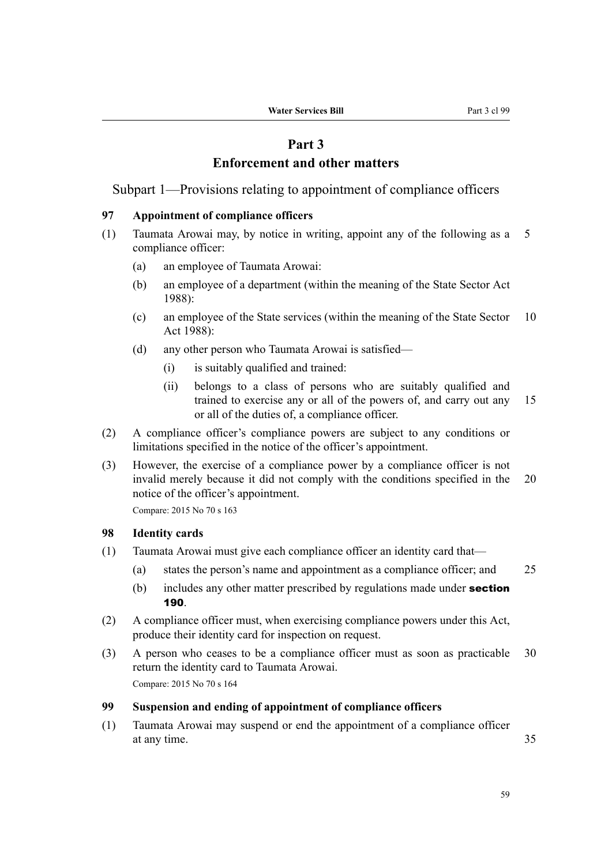# **Part 3 Enforcement and other matters**

Subpart 1—Provisions relating to appointment of compliance officers

#### **97 Appointment of compliance officers**

- (1) Taumata Arowai may, by notice in writing, appoint any of the following as a 5 compliance officer:
	- (a) an employee of Taumata Arowai:
	- (b) an employee of a department (within the meaning of the State Sector Act 1988):
	- (c) an employee of the State services (within the meaning of the State Sector 10 Act 1988):
	- (d) any other person who Taumata Arowai is satisfied—
		- (i) is suitably qualified and trained:
		- (ii) belongs to a class of persons who are suitably qualified and trained to exercise any or all of the powers of, and carry out any 15 or all of the duties of, a compliance officer.
- (2) A compliance officer's compliance powers are subject to any conditions or limitations specified in the notice of the officer's appointment.
- (3) However, the exercise of a compliance power by a compliance officer is not invalid merely because it did not comply with the conditions specified in the 20 notice of the officer's appointment.

Compare: 2015 No 70 s 163

## **98 Identity cards**

- (1) Taumata Arowai must give each compliance officer an identity card that—
	- (a) states the person's name and appointment as a compliance officer; and 25
	- (b) includes any other matter prescribed by regulations made under **section** 190.
- (2) A compliance officer must, when exercising compliance powers under this Act, produce their identity card for inspection on request.
- (3) A person who ceases to be a compliance officer must as soon as practicable 30 return the identity card to Taumata Arowai. Compare: 2015 No 70 s 164

### **99 Suspension and ending of appointment of compliance officers**

(1) Taumata Arowai may suspend or end the appointment of a compliance officer at any time. 35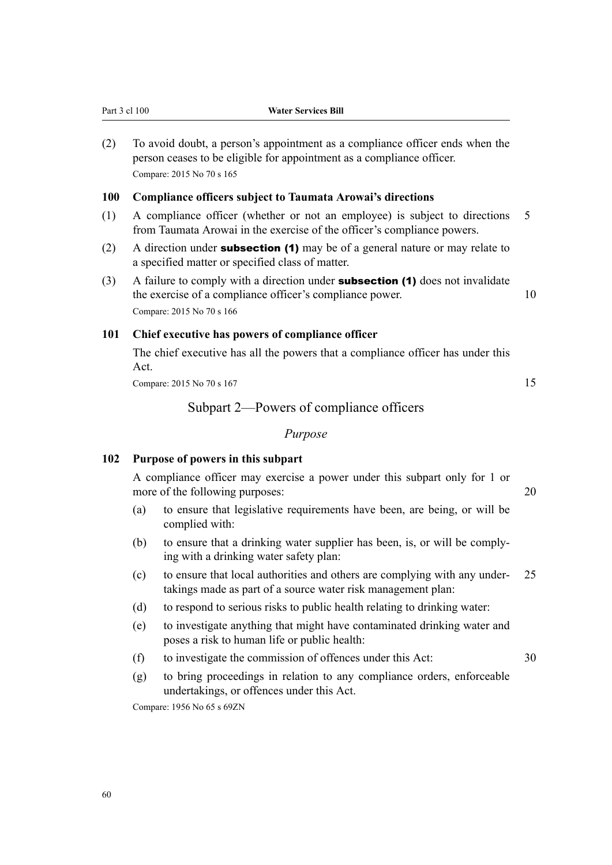| (2) | To avoid doubt, a person's appointment as a compliance officer ends when the<br>person ceases to be eligible for appointment as a compliance officer.<br>Compare: 2015 No 70 s 165 |                |
|-----|------------------------------------------------------------------------------------------------------------------------------------------------------------------------------------|----------------|
| 100 | <b>Compliance officers subject to Taumata Arowai's directions</b>                                                                                                                  |                |
| (1) | A compliance officer (whether or not an employee) is subject to directions<br>from Taumata Arowai in the exercise of the officer's compliance powers.                              | $\overline{5}$ |
| (2) | A direction under <b>subsection (1)</b> may be of a general nature or may relate to<br>a specified matter or specified class of matter.                                            |                |

(3) A failure to comply with a direction under **subsection (1)** does not invalidate the exercise of a compliance officer's compliance power. 10 Compare: 2015 No 70 s 166

## **101 Chief executive has powers of compliance officer**

Part 3 cl 100 **Water Services Bill**

The chief executive has all the powers that a compliance officer has under this Act.

Compare: 2015 No 70 s 167 15

## Subpart 2—Powers of compliance officers

## *Purpose*

## **102 Purpose of powers in this subpart**

A compliance officer may exercise a power under this subpart only for 1 or more of the following purposes: 20

- (a) to ensure that legislative requirements have been, are being, or will be complied with:
- (b) to ensure that a drinking water supplier has been, is, or will be comply‐ ing with a drinking water safety plan:
- (c) to ensure that local authorities and others are complying with any under‐ 25 takings made as part of a source water risk management plan:
- (d) to respond to serious risks to public health relating to drinking water:
- (e) to investigate anything that might have contaminated drinking water and poses a risk to human life or public health:
- (f) to investigate the commission of offences under this Act: 30
- (g) to bring proceedings in relation to any compliance orders, enforceable undertakings, or offences under this Act.

Compare: 1956 No 65 s 69ZN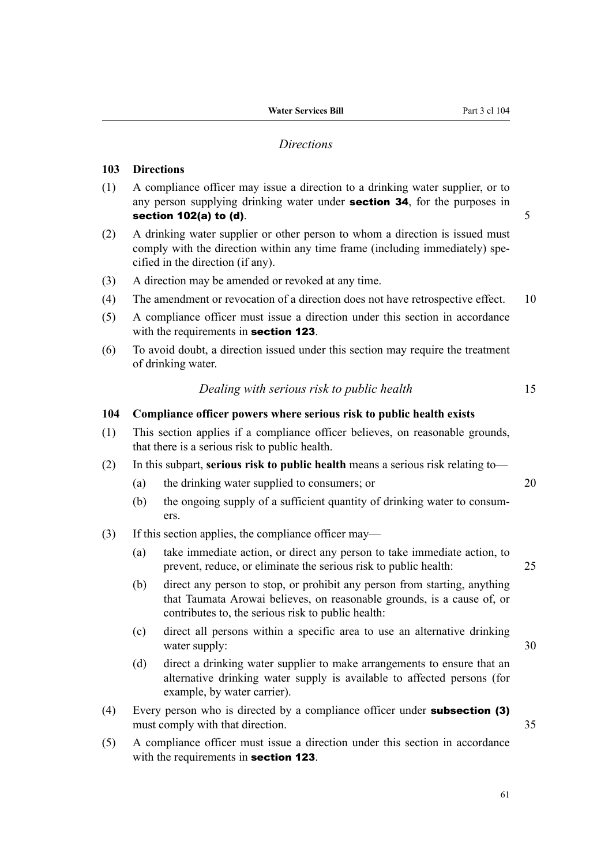#### *Directions*

## **103 Directions**

- (1) A compliance officer may issue a direction to a drinking water supplier, or to any person supplying drinking water under **section 34**, for the purposes in section 102(a) to (d).  $5$
- (2) A drinking water supplier or other person to whom a direction is issued must comply with the direction within any time frame (including immediately) specified in the direction (if any).
- (3) A direction may be amended or revoked at any time.
- (4) The amendment or revocation of a direction does not have retrospective effect. 10
- (5) A compliance officer must issue a direction under this section in accordance with the requirements in **section 123**.
- (6) To avoid doubt, a direction issued under this section may require the treatment of drinking water.

## *Dealing with serious risk to public health* 15

#### **104 Compliance officer powers where serious risk to public health exists**

- (1) This section applies if a compliance officer believes, on reasonable grounds, that there is a serious risk to public health.
- (2) In this subpart, **serious risk to public health** means a serious risk relating to—
	- (a) the drinking water supplied to consumers; or 20
	- (b) the ongoing supply of a sufficient quantity of drinking water to consumers.
- (3) If this section applies, the compliance officer may—
	- (a) take immediate action, or direct any person to take immediate action, to prevent, reduce, or eliminate the serious risk to public health: 25
	- (b) direct any person to stop, or prohibit any person from starting, anything that Taumata Arowai believes, on reasonable grounds, is a cause of, or contributes to, the serious risk to public health:
	- (c) direct all persons within a specific area to use an alternative drinking water supply: 30
	- (d) direct a drinking water supplier to make arrangements to ensure that an alternative drinking water supply is available to affected persons (for example, by water carrier).
- (4) Every person who is directed by a compliance officer under subsection (3) must comply with that direction. 35
- (5) A compliance officer must issue a direction under this section in accordance with the requirements in **section 123**.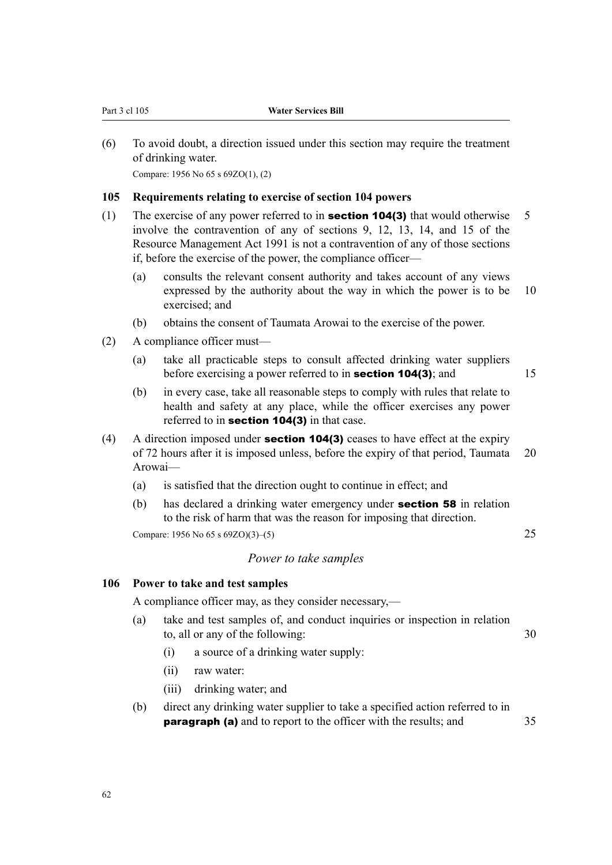(6) To avoid doubt, a direction issued under this section may require the treatment of drinking water.

Compare: 1956 No 65 s 69ZO(1), (2)

## **105 Requirements relating to exercise of section 104 powers**

- (1) The exercise of any power referred to in **section 104(3)** that would otherwise  $\overline{\phantom{a}}$  5 involve the contravention of any of sections 9, 12, 13, 14, and 15 of the Resource Management Act 1991 is not a contravention of any of those sections if, before the exercise of the power, the compliance officer—
	- (a) consults the relevant consent authority and takes account of any views expressed by the authority about the way in which the power is to be 10 exercised; and
	- (b) obtains the consent of Taumata Arowai to the exercise of the power.
- (2) A compliance officer must—
	- (a) take all practicable steps to consult affected drinking water suppliers before exercising a power referred to in **section 104(3)**; and 15
		-
	- (b) in every case, take all reasonable steps to comply with rules that relate to health and safety at any place, while the officer exercises any power referred to in **section 104(3)** in that case.
- (4) A direction imposed under **section 104(3)** ceases to have effect at the expiry of 72 hours after it is imposed unless, before the expiry of that period, Taumata 20 Arowai—
	- (a) is satisfied that the direction ought to continue in effect; and
	- (b) has declared a drinking water emergency under section 58 in relation to the risk of harm that was the reason for imposing that direction.

Compare:  $1956 \text{ No } 65 \text{ s } 69 \text{ZO}(3) - (5)$  25

### *Power to take samples*

#### **106 Power to take and test samples**

A compliance officer may, as they consider necessary,—

- (a) take and test samples of, and conduct inquiries or inspection in relation to, all or any of the following: 30
	- (i) a source of a drinking water supply:
	- (ii) raw water:
	- (iii) drinking water; and
- (b) direct any drinking water supplier to take a specified action referred to in **paragraph (a)** and to report to the officer with the results; and 35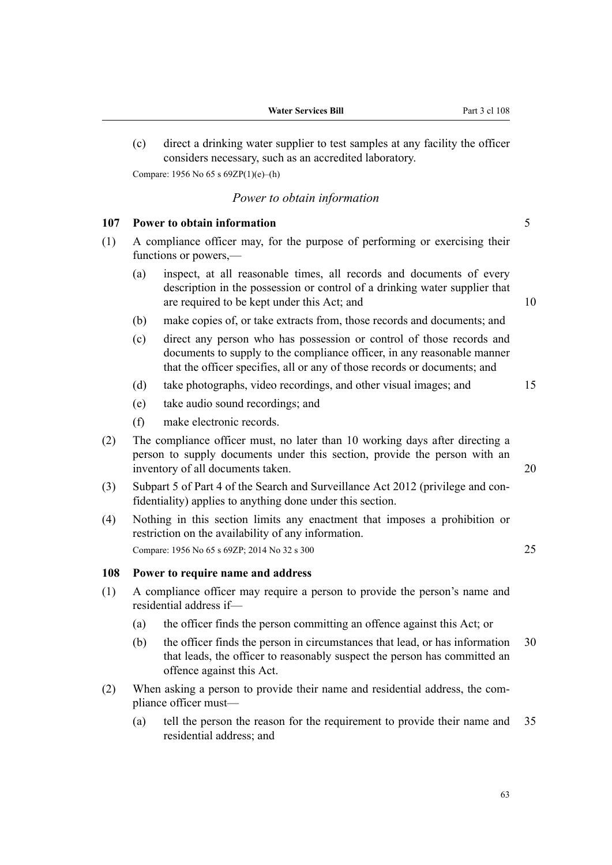(c) direct a drinking water supplier to test samples at any facility the officer considers necessary, such as an accredited laboratory. Compare: 1956 No 65 s 69ZP(1)(e)–(h)

## *Power to obtain information*

## **107 Power to obtain information** 5

- (1) A compliance officer may, for the purpose of performing or exercising their functions or powers,—
	- (a) inspect, at all reasonable times, all records and documents of every description in the possession or control of a drinking water supplier that are required to be kept under this Act; and 10
	- (b) make copies of, or take extracts from, those records and documents; and
	- (c) direct any person who has possession or control of those records and documents to supply to the compliance officer, in any reasonable manner that the officer specifies, all or any of those records or documents; and
	- (d) take photographs, video recordings, and other visual images; and 15
	- (e) take audio sound recordings; and
	- (f) make electronic records.
- (2) The compliance officer must, no later than 10 working days after directing a person to supply documents under this section, provide the person with an inventory of all documents taken. 20
- (3) Subpart 5 of Part 4 of the Search and Surveillance Act 2012 (privilege and con‐ fidentiality) applies to anything done under this section.
- (4) Nothing in this section limits any enactment that imposes a prohibition or restriction on the availability of any information. Compare: 1956 No 65 s 69ZP; 2014 No 32 s 300 25

## **108 Power to require name and address**

- (1) A compliance officer may require a person to provide the person's name and residential address if—
	- (a) the officer finds the person committing an offence against this Act; or
	- (b) the officer finds the person in circumstances that lead, or has information 30 that leads, the officer to reasonably suspect the person has committed an offence against this Act.
- (2) When asking a person to provide their name and residential address, the com‐ pliance officer must—
	- (a) tell the person the reason for the requirement to provide their name and 35 residential address; and

63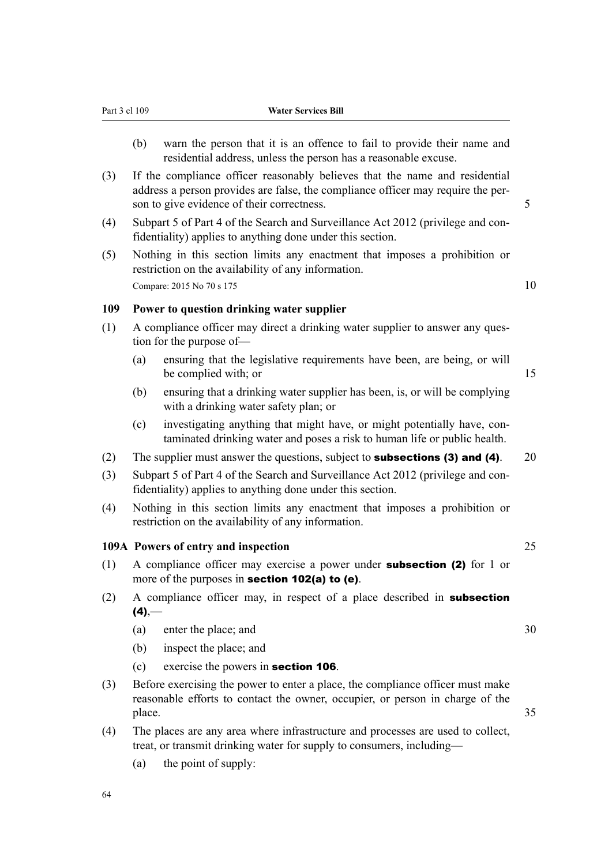- (b) warn the person that it is an offence to fail to provide their name and residential address, unless the person has a reasonable excuse.
- (3) If the compliance officer reasonably believes that the name and residential address a person provides are false, the compliance officer may require the per‐ son to give evidence of their correctness.  $\frac{5}{5}$
- (4) Subpart 5 of Part 4 of the Search and Surveillance Act 2012 (privilege and con‐ fidentiality) applies to anything done under this section.
- (5) Nothing in this section limits any enactment that imposes a prohibition or restriction on the availability of any information. Compare: 2015 No 70 s 175 10

## **109 Power to question drinking water supplier**

- (1) A compliance officer may direct a drinking water supplier to answer any ques‐ tion for the purpose of—
	- (a) ensuring that the legislative requirements have been, are being, or will be complied with; or 15
	- (b) ensuring that a drinking water supplier has been, is, or will be complying with a drinking water safety plan; or
	- (c) investigating anything that might have, or might potentially have, contaminated drinking water and poses a risk to human life or public health.
- (2) The supplier must answer the questions, subject to **subsections (3) and (4)**. 20
- (3) Subpart 5 of Part 4 of the Search and Surveillance Act 2012 (privilege and con‐ fidentiality) applies to anything done under this section.
- (4) Nothing in this section limits any enactment that imposes a prohibition or restriction on the availability of any information.

#### **109A Powers of entry and inspection** 25

- (1) A compliance officer may exercise a power under subsection (2) for 1 or more of the purposes in **section 102(a) to (e)**.
- (2) A compliance officer may, in respect of a place described in subsection  $(4)$ ,—
	- (a) enter the place; and 30
	- (b) inspect the place; and
	- (c) exercise the powers in section 106.
- (3) Before exercising the power to enter a place, the compliance officer must make reasonable efforts to contact the owner, occupier, or person in charge of the place. 35
- (4) The places are any area where infrastructure and processes are used to collect, treat, or transmit drinking water for supply to consumers, including—
	- (a) the point of supply: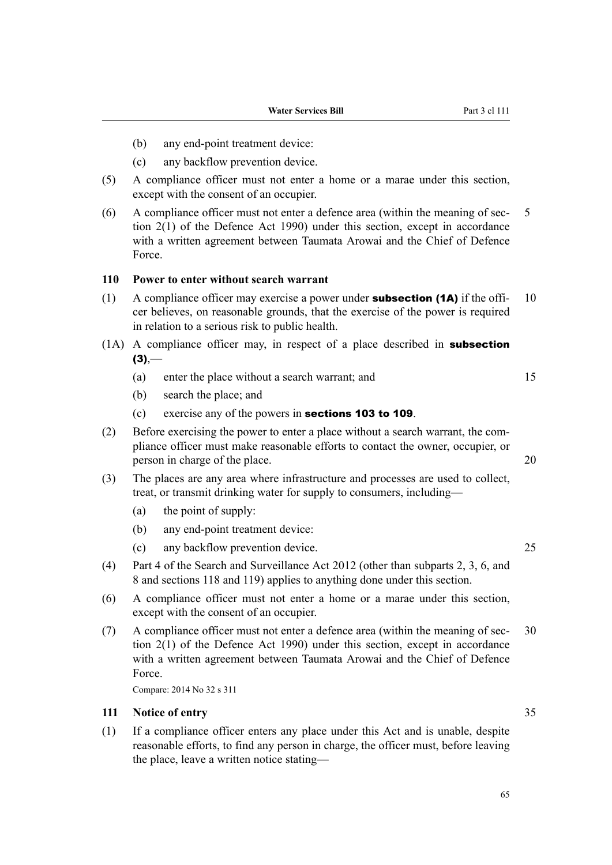- (b) any end-point treatment device:
- (c) any backflow prevention device.
- (5) A compliance officer must not enter a home or a marae under this section, except with the consent of an occupier.
- (6) A compliance officer must not enter a defence area (within the meaning of sec‐ 5 tion 2(1) of the Defence Act 1990) under this section, except in accordance with a written agreement between Taumata Arowai and the Chief of Defence Force.

## **110 Power to enter without search warrant**

- (1) A compliance officer may exercise a power under **subsection (1A)** if the offi- 10 cer believes, on reasonable grounds, that the exercise of the power is required in relation to a serious risk to public health.
- (1A) A compliance officer may, in respect of a place described in subsection  $(3)$ ,—
	- (a) enter the place without a search warrant; and 15
	- (b) search the place; and
	- (c) exercise any of the powers in sections 103 to 109.
- (2) Before exercising the power to enter a place without a search warrant, the com‐ pliance officer must make reasonable efforts to contact the owner, occupier, or person in charge of the place. 20
- (3) The places are any area where infrastructure and processes are used to collect, treat, or transmit drinking water for supply to consumers, including—
	- (a) the point of supply:
	- (b) any end-point treatment device:
	- (c) any backflow prevention device. 25
- (4) Part 4 of the Search and Surveillance Act 2012 (other than subparts 2, 3, 6, and 8 and sections 118 and 119) applies to anything done under this section.
- (6) A compliance officer must not enter a home or a marae under this section, except with the consent of an occupier.
- (7) A compliance officer must not enter a defence area (within the meaning of sec‐ 30 tion 2(1) of the Defence Act 1990) under this section, except in accordance with a written agreement between Taumata Arowai and the Chief of Defence Force.

Compare: 2014 No 32 s 311

## **111 Notice of entry** 35

(1) If a compliance officer enters any place under this Act and is unable, despite reasonable efforts, to find any person in charge, the officer must, before leaving the place, leave a written notice stating—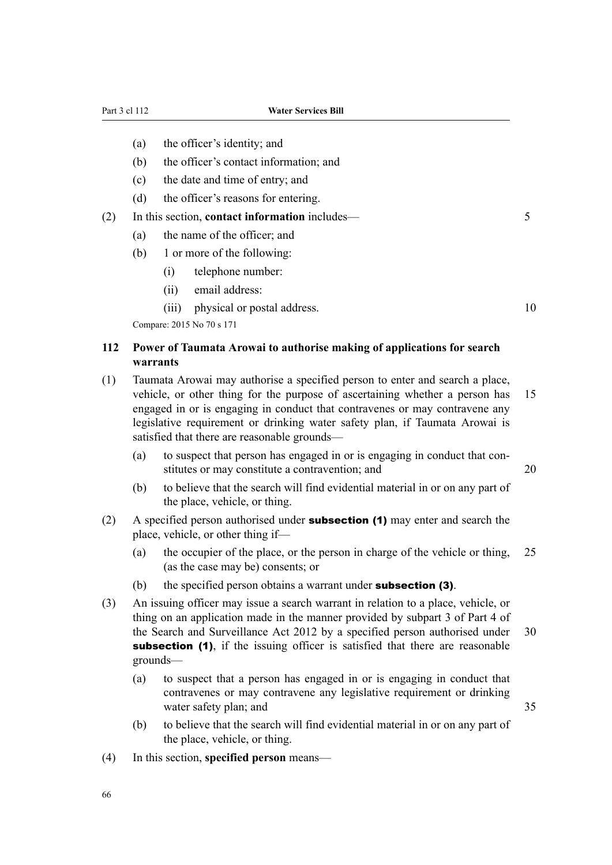- (a) the officer's identity; and
- (b) the officer's contact information; and
- (c) the date and time of entry; and
- (d) the officer's reasons for entering.
- (2) In this section, **contact information** includes— 5
	- (a) the name of the officer; and
	- (b) 1 or more of the following:
		- (i) telephone number:
		- (ii) email address:
		- (iii) physical or postal address. 10

Compare: 2015 No 70 s 171

# **112 Power of Taumata Arowai to authorise making of applications for search warrants**

- (1) Taumata Arowai may authorise a specified person to enter and search a place, vehicle, or other thing for the purpose of ascertaining whether a person has 15 engaged in or is engaging in conduct that contravenes or may contravene any legislative requirement or drinking water safety plan, if Taumata Arowai is satisfied that there are reasonable grounds—
	- (a) to suspect that person has engaged in or is engaging in conduct that con‐ stitutes or may constitute a contravention; and 20
	- (b) to believe that the search will find evidential material in or on any part of the place, vehicle, or thing.
- (2) A specified person authorised under **subsection (1)** may enter and search the place, vehicle, or other thing if—
	- (a) the occupier of the place, or the person in charge of the vehicle or thing, 25 (as the case may be) consents; or
	- (b) the specified person obtains a warrant under **subsection (3)**.
- (3) An issuing officer may issue a search warrant in relation to a place, vehicle, or thing on an application made in the manner provided by subpart 3 of Part 4 of the Search and Surveillance Act 2012 by a specified person authorised under 30 subsection (1), if the issuing officer is satisfied that there are reasonable grounds—
	- (a) to suspect that a person has engaged in or is engaging in conduct that contravenes or may contravene any legislative requirement or drinking water safety plan; and 35
	- (b) to believe that the search will find evidential material in or on any part of the place, vehicle, or thing.
- (4) In this section, **specified person** means—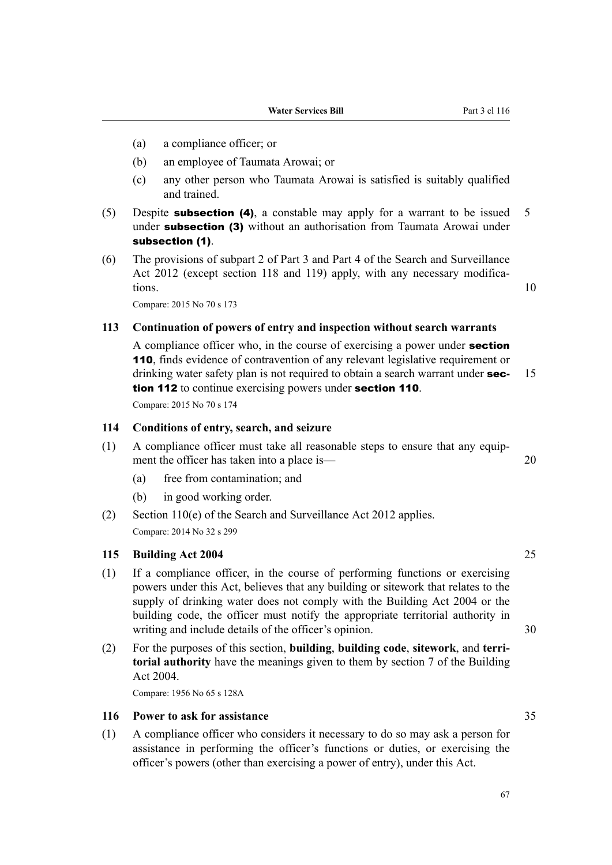- (a) a compliance officer; or
- (b) an employee of Taumata Arowai; or
- (c) any other person who Taumata Arowai is satisfied is suitably qualified and trained.
- (5) Despite **subsection (4)**, a constable may apply for a warrant to be issued 5 under **subsection (3)** without an authorisation from Taumata Arowai under subsection (1).
- (6) The provisions of subpart 2 of Part 3 and Part 4 of the Search and Surveillance Act 2012 (except section 118 and 119) apply, with any necessary modifications. 10

Compare: 2015 No 70 s 173

## **113 Continuation of powers of entry and inspection without search warrants**

A compliance officer who, in the course of exercising a power under **section** 110, finds evidence of contravention of any relevant legislative requirement or drinking water safety plan is not required to obtain a search warrant under **sec-** 15 tion 112 to continue exercising powers under section 110.

Compare: 2015 No 70 s 174

### **114 Conditions of entry, search, and seizure**

- (1) A compliance officer must take all reasonable steps to ensure that any equip‐ ment the officer has taken into a place is— 20
	- (a) free from contamination; and
	- (b) in good working order.
- (2) Section 110(e) of the Search and Surveillance Act 2012 applies. Compare: 2014 No 32 s 299

## **115 Building Act 2004** 25

- (1) If a compliance officer, in the course of performing functions or exercising powers under this Act, believes that any building or sitework that relates to the supply of drinking water does not comply with the Building Act 2004 or the building code, the officer must notify the appropriate territorial authority in writing and include details of the officer's opinion. 30
- (2) For the purposes of this section, **building**, **building code**, **sitework**, and **terri‐ torial authority** have the meanings given to them by section 7 of the Building Act 2004.

Compare: 1956 No 65 s 128A

## **116 Power to ask for assistance** 35

(1) A compliance officer who considers it necessary to do so may ask a person for assistance in performing the officer's functions or duties, or exercising the officer's powers (other than exercising a power of entry), under this Act.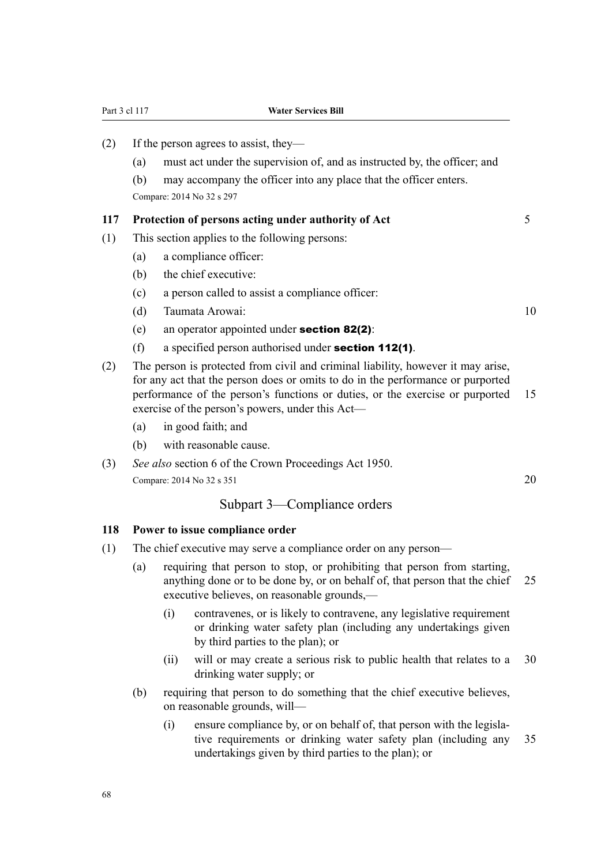| Part 3 cl 117 |                                                                                                                                                                                                                                                                                                                                       |      | <b>Water Services Bill</b>                                                                                                                                                                                           |    |  |  |  |
|---------------|---------------------------------------------------------------------------------------------------------------------------------------------------------------------------------------------------------------------------------------------------------------------------------------------------------------------------------------|------|----------------------------------------------------------------------------------------------------------------------------------------------------------------------------------------------------------------------|----|--|--|--|
| (2)           | (a)<br>(b)                                                                                                                                                                                                                                                                                                                            |      | If the person agrees to assist, they—<br>must act under the supervision of, and as instructed by, the officer; and<br>may accompany the officer into any place that the officer enters.<br>Compare: 2014 No 32 s 297 |    |  |  |  |
| 117           | Protection of persons acting under authority of Act                                                                                                                                                                                                                                                                                   |      |                                                                                                                                                                                                                      |    |  |  |  |
| (1)           | (a)<br>(b)<br>(c)                                                                                                                                                                                                                                                                                                                     |      | This section applies to the following persons:<br>a compliance officer:<br>the chief executive:<br>a person called to assist a compliance officer:                                                                   |    |  |  |  |
|               | (d)<br>(e)<br>(f)                                                                                                                                                                                                                                                                                                                     |      | Taumata Arowai:<br>an operator appointed under section $82(2)$ :<br>a specified person authorised under section 112(1).                                                                                              | 10 |  |  |  |
| (2)           | The person is protected from civil and criminal liability, however it may arise,<br>for any act that the person does or omits to do in the performance or purported<br>performance of the person's functions or duties, or the exercise or purported<br>exercise of the person's powers, under this Act-<br>in good faith; and<br>(a) |      |                                                                                                                                                                                                                      |    |  |  |  |
|               | (b)                                                                                                                                                                                                                                                                                                                                   |      | with reasonable cause.                                                                                                                                                                                               |    |  |  |  |
| (3)           |                                                                                                                                                                                                                                                                                                                                       |      | See also section 6 of the Crown Proceedings Act 1950.<br>Compare: 2014 No 32 s 351                                                                                                                                   | 20 |  |  |  |
|               |                                                                                                                                                                                                                                                                                                                                       |      | Subpart 3—Compliance orders                                                                                                                                                                                          |    |  |  |  |
| 118           | Power to issue compliance order                                                                                                                                                                                                                                                                                                       |      |                                                                                                                                                                                                                      |    |  |  |  |
| (1)           | The chief executive may serve a compliance order on any person—                                                                                                                                                                                                                                                                       |      |                                                                                                                                                                                                                      |    |  |  |  |
|               | requiring that person to stop, or prohibiting that person from starting,<br>(a)<br>anything done or to be done by, or on behalf of, that person that the chief<br>executive believes, on reasonable grounds,—                                                                                                                         |      |                                                                                                                                                                                                                      |    |  |  |  |
|               |                                                                                                                                                                                                                                                                                                                                       | (i)  | contravenes, or is likely to contravene, any legislative requirement<br>or drinking water safety plan (including any undertakings given<br>by third parties to the plan); or                                         |    |  |  |  |
|               |                                                                                                                                                                                                                                                                                                                                       | (ii) | will or may create a serious risk to public health that relates to a<br>drinking water supply; or                                                                                                                    | 30 |  |  |  |
|               | (b)                                                                                                                                                                                                                                                                                                                                   |      | requiring that person to do something that the chief executive believes,                                                                                                                                             |    |  |  |  |

- on reasonable grounds, will— (i) ensure compliance by, or on behalf of, that person with the legisla‐
	- tive requirements or drinking water safety plan (including any 35 undertakings given by third parties to the plan); or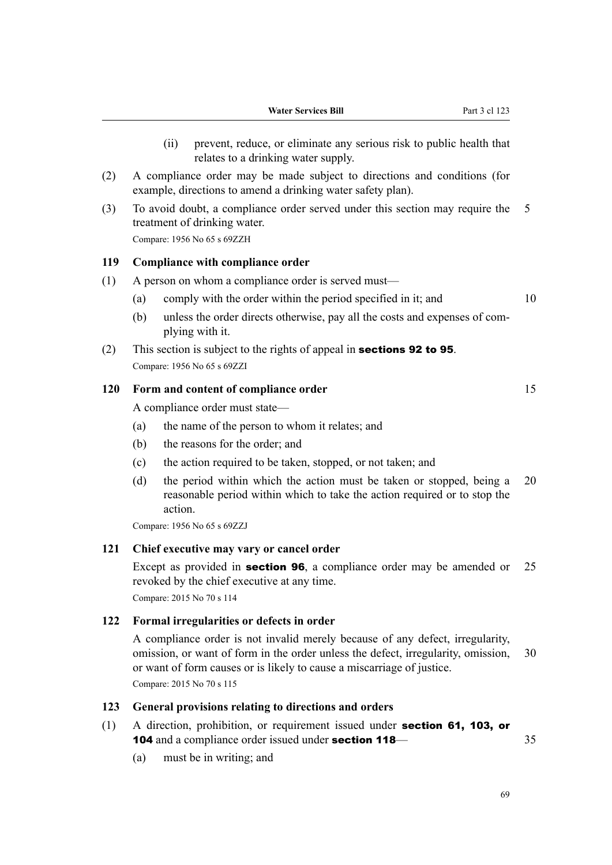- (ii) prevent, reduce, or eliminate any serious risk to public health that relates to a drinking water supply.
- (2) A compliance order may be made subject to directions and conditions (for example, directions to amend a drinking water safety plan).
- (3) To avoid doubt, a compliance order served under this section may require the 5 treatment of drinking water. Compare: 1956 No 65 s 69ZZH

#### **119 Compliance with compliance order**

- (1) A person on whom a compliance order is served must—
	- (a) comply with the order within the period specified in it; and  $10$
	- (b) unless the order directs otherwise, pay all the costs and expenses of complying with it.
- (2) This section is subject to the rights of appeal in sections 92 to 95. Compare: 1956 No 65 s 69ZZI

#### **120 Form and content of compliance order** 15

A compliance order must state—

- (a) the name of the person to whom it relates; and
- (b) the reasons for the order; and
- (c) the action required to be taken, stopped, or not taken; and
- (d) the period within which the action must be taken or stopped, being a 20 reasonable period within which to take the action required or to stop the action.

Compare: 1956 No 65 s 69ZZJ

### **121 Chief executive may vary or cancel order**

Except as provided in **section 96**, a compliance order may be amended or 25 revoked by the chief executive at any time. Compare: 2015 No 70 s 114

#### **122 Formal irregularities or defects in order**

A compliance order is not invalid merely because of any defect, irregularity, omission, or want of form in the order unless the defect, irregularity, omission, 30 or want of form causes or is likely to cause a miscarriage of justice. Compare: 2015 No 70 s 115

## **123 General provisions relating to directions and orders**

- (1) A direction, prohibition, or requirement issued under section 61, 103, or 104 and a compliance order issued under **section 118**— 35
	- (a) must be in writing; and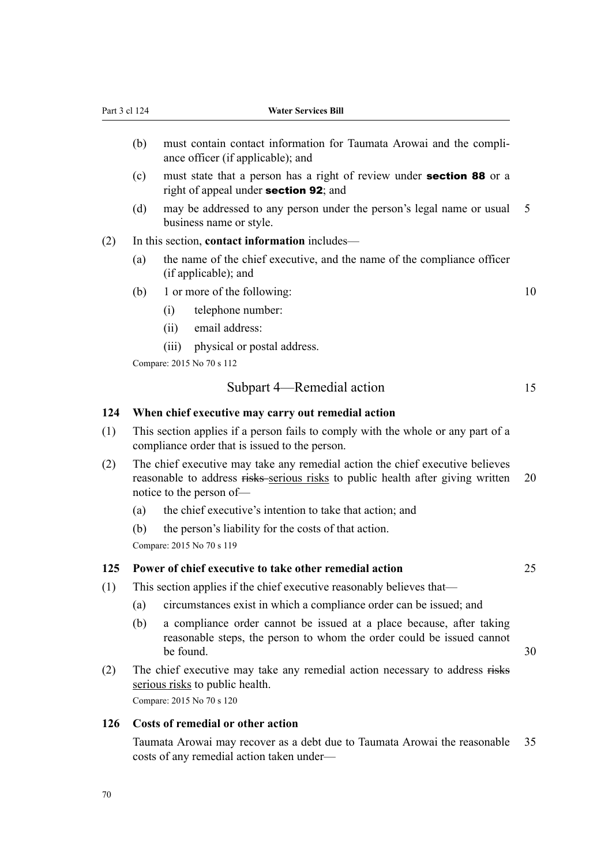- (b) must contain contact information for Taumata Arowai and the compliance officer (if applicable); and
- (c) must state that a person has a right of review under section 88 or a right of appeal under section 92; and
- (d) may be addressed to any person under the person's legal name or usual 5 business name or style.
- (2) In this section, **contact information** includes—
	- (a) the name of the chief executive, and the name of the compliance officer (if applicable); and
	- (b) 1 or more of the following:  $10$ 
		- (i) telephone number:
		- (ii) email address:
		- (iii) physical or postal address.

Compare: 2015 No 70 s 112

#### Subpart 4—Remedial action 15

#### **124 When chief executive may carry out remedial action**

- (1) This section applies if a person fails to comply with the whole or any part of a compliance order that is issued to the person.
- (2) The chief executive may take any remedial action the chief executive believes reasonable to address risks serious risks to public health after giving written 20 notice to the person of—
	- (a) the chief executive's intention to take that action; and
	- (b) the person's liability for the costs of that action.

Compare: 2015 No 70 s 119

#### **125 Power of chief executive to take other remedial action** 25

- (1) This section applies if the chief executive reasonably believes that—
	- (a) circumstances exist in which a compliance order can be issued; and
	- (b) a compliance order cannot be issued at a place because, after taking reasonable steps, the person to whom the order could be issued cannot be found.  $30$
- (2) The chief executive may take any remedial action necessary to address risks serious risks to public health.

Compare: 2015 No 70 s 120

### **126 Costs of remedial or other action**

Taumata Arowai may recover as a debt due to Taumata Arowai the reasonable 35 costs of any remedial action taken under—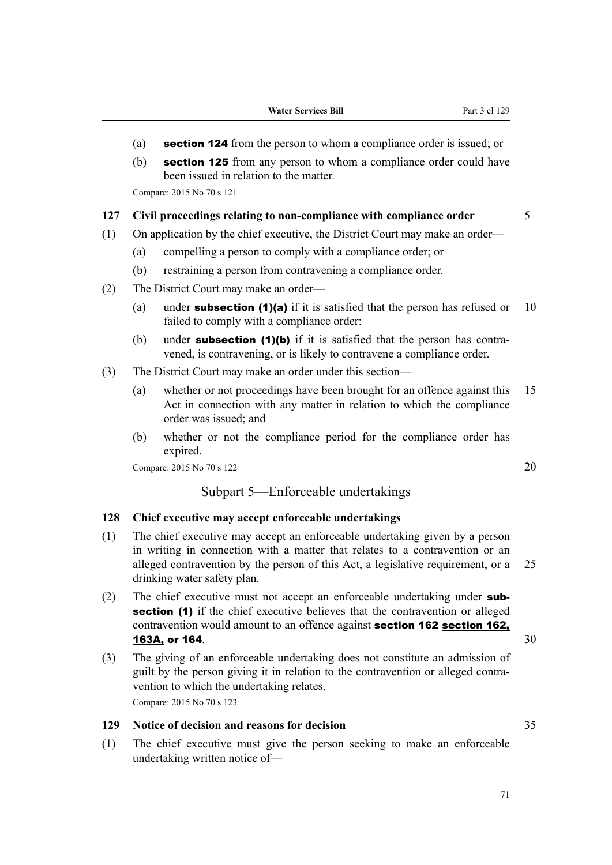- (a) section 124 from the person to whom a compliance order is issued; or
- (b) section 125 from any person to whom a compliance order could have been issued in relation to the matter.

Compare: 2015 No 70 s 121

### **127 Civil proceedings relating to non-compliance with compliance order** 5

- (1) On application by the chief executive, the District Court may make an order—
	- (a) compelling a person to comply with a compliance order; or
	- (b) restraining a person from contravening a compliance order.
- (2) The District Court may make an order—
	- (a) under **subsection (1)(a)** if it is satisfied that the person has refused or  $10$ failed to comply with a compliance order:
	- (b) under **subsection (1)(b)** if it is satisfied that the person has contravened, is contravening, or is likely to contravene a compliance order.
- (3) The District Court may make an order under this section—
	- (a) whether or not proceedings have been brought for an offence against this 15 Act in connection with any matter in relation to which the compliance order was issued; and
	- (b) whether or not the compliance period for the compliance order has expired.

Compare: 2015 No 70 s 122 20

## Subpart 5—Enforceable undertakings

### **128 Chief executive may accept enforceable undertakings**

- (1) The chief executive may accept an enforceable undertaking given by a person in writing in connection with a matter that relates to a contravention or an alleged contravention by the person of this Act, a legislative requirement, or a 25 drinking water safety plan.
- (2) The chief executive must not accept an enforceable undertaking under **sub**section (1) if the chief executive believes that the contravention or alleged contravention would amount to an offence against **section 162** section 162, **163A, or 164.** 30
- (3) The giving of an enforceable undertaking does not constitute an admission of guilt by the person giving it in relation to the contravention or alleged contra‐ vention to which the undertaking relates. Compare: 2015 No 70 s 123

# **129 Notice of decision and reasons for decision** 35

(1) The chief executive must give the person seeking to make an enforceable undertaking written notice of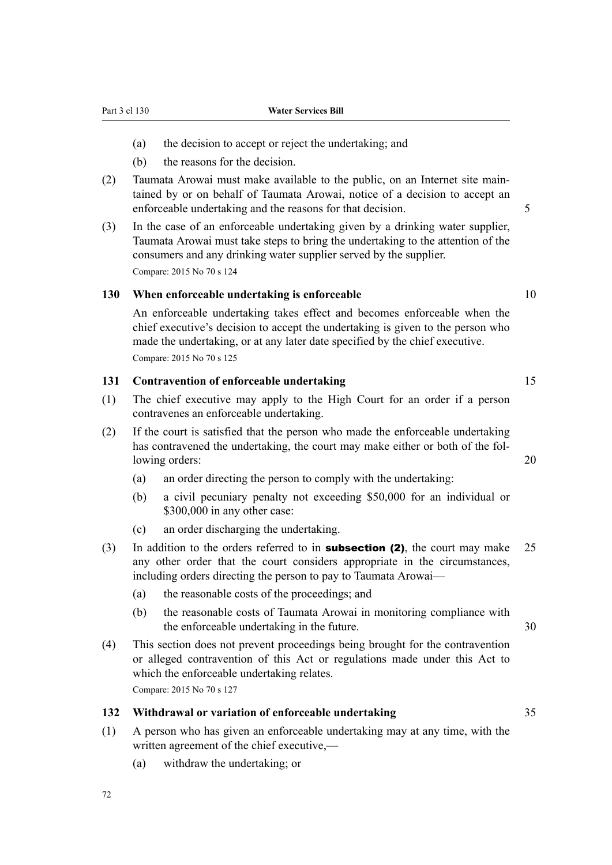Part 3 cl 130 **Water Services Bill**

- (a) the decision to accept or reject the undertaking; and
- (b) the reasons for the decision.
- (2) Taumata Arowai must make available to the public, on an Internet site main‐ tained by or on behalf of Taumata Arowai, notice of a decision to accept an enforceable undertaking and the reasons for that decision. 5
- (3) In the case of an enforceable undertaking given by a drinking water supplier, Taumata Arowai must take steps to bring the undertaking to the attention of the consumers and any drinking water supplier served by the supplier. Compare: 2015 No 70 s 124

## **130 When enforceable undertaking is enforceable** 10

An enforceable undertaking takes effect and becomes enforceable when the chief executive's decision to accept the undertaking is given to the person who made the undertaking, or at any later date specified by the chief executive. Compare: 2015 No 70 s 125

### **131 Contravention of enforceable undertaking** 15

- (1) The chief executive may apply to the High Court for an order if a person contravenes an enforceable undertaking.
- (2) If the court is satisfied that the person who made the enforceable undertaking has contravened the undertaking, the court may make either or both of the following orders: 20
	- (a) an order directing the person to comply with the undertaking:
	- (b) a civil pecuniary penalty not exceeding \$50,000 for an individual or \$300,000 in any other case:
	- (c) an order discharging the undertaking.
- (3) In addition to the orders referred to in **subsection (2)**, the court may make  $25$ any other order that the court considers appropriate in the circumstances, including orders directing the person to pay to Taumata Arowai—
	- (a) the reasonable costs of the proceedings; and
	- (b) the reasonable costs of Taumata Arowai in monitoring compliance with the enforceable undertaking in the future. 30
- (4) This section does not prevent proceedings being brought for the contravention or alleged contravention of this Act or regulations made under this Act to which the enforceable undertaking relates.

Compare: 2015 No 70 s 127

## **132 Withdrawal or variation of enforceable undertaking** 35

- (1) A person who has given an enforceable undertaking may at any time, with the written agreement of the chief executive,—
	- (a) withdraw the undertaking; or

72

- 
-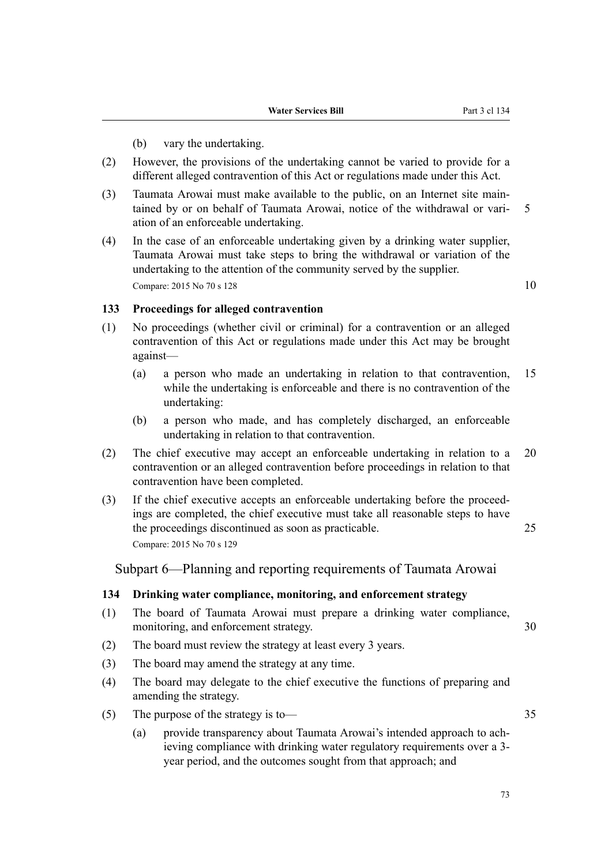- (b) vary the undertaking.
- (2) However, the provisions of the undertaking cannot be varied to provide for a different alleged contravention of this Act or regulations made under this Act.
- (3) Taumata Arowai must make available to the public, on an Internet site main‐ tained by or on behalf of Taumata Arowai, notice of the withdrawal or vari- 5 ation of an enforceable undertaking.
- (4) In the case of an enforceable undertaking given by a drinking water supplier, Taumata Arowai must take steps to bring the withdrawal or variation of the undertaking to the attention of the community served by the supplier. Compare: 2015 No 70 s 128  $10$

### **133 Proceedings for alleged contravention**

- (1) No proceedings (whether civil or criminal) for a contravention or an alleged contravention of this Act or regulations made under this Act may be brought against—
	- (a) a person who made an undertaking in relation to that contravention, 15 while the undertaking is enforceable and there is no contravention of the undertaking:
	- (b) a person who made, and has completely discharged, an enforceable undertaking in relation to that contravention.
- (2) The chief executive may accept an enforceable undertaking in relation to a 20 contravention or an alleged contravention before proceedings in relation to that contravention have been completed.
- (3) If the chief executive accepts an enforceable undertaking before the proceed‐ ings are completed, the chief executive must take all reasonable steps to have the proceedings discontinued as soon as practicable. 25 Compare: 2015 No 70 s 129

Subpart 6—Planning and reporting requirements of Taumata Arowai

### **134 Drinking water compliance, monitoring, and enforcement strategy**

- (1) The board of Taumata Arowai must prepare a drinking water compliance, monitoring, and enforcement strategy. 30
- (2) The board must review the strategy at least every 3 years.
- (3) The board may amend the strategy at any time.
- (4) The board may delegate to the chief executive the functions of preparing and amending the strategy.
- (5) The purpose of the strategy is to— 35
	- (a) provide transparency about Taumata Arowai's intended approach to ach‐ ieving compliance with drinking water regulatory requirements over a 3 year period, and the outcomes sought from that approach; and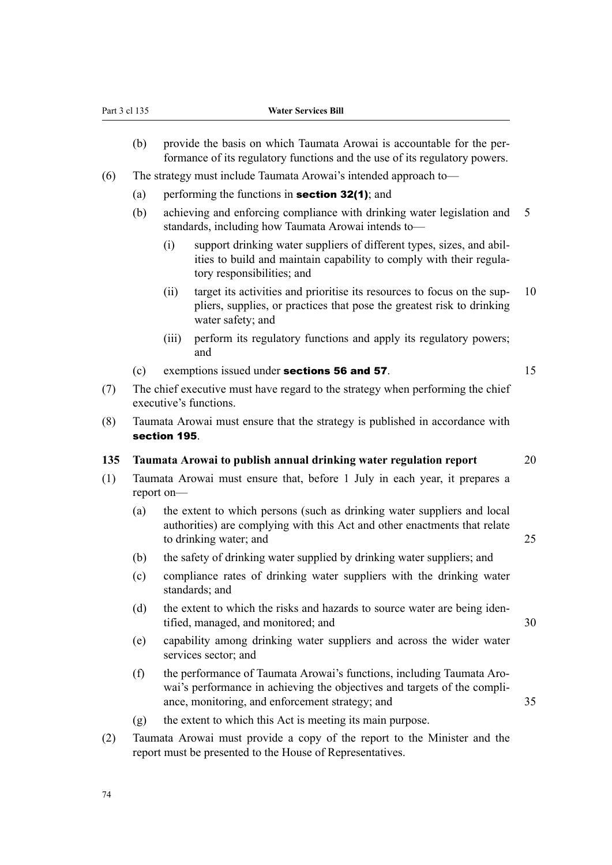- (b) provide the basis on which Taumata Arowai is accountable for the performance of its regulatory functions and the use of its regulatory powers.
- (6) The strategy must include Taumata Arowai's intended approach to—
	- (a) performing the functions in **section 32(1)**; and
	- (b) achieving and enforcing compliance with drinking water legislation and 5 standards, including how Taumata Arowai intends to—
		- (i) support drinking water suppliers of different types, sizes, and abil‐ ities to build and maintain capability to comply with their regula‐ tory responsibilities; and
		- (ii) target its activities and prioritise its resources to focus on the sup- 10 pliers, supplies, or practices that pose the greatest risk to drinking water safety; and
		- (iii) perform its regulatory functions and apply its regulatory powers; and
	- (c) exemptions issued under **sections 56 and 57**. 15
- (7) The chief executive must have regard to the strategy when performing the chief executive's functions.
- (8) Taumata Arowai must ensure that the strategy is published in accordance with section 195.

## **135 Taumata Arowai to publish annual drinking water regulation report** 20

- (1) Taumata Arowai must ensure that, before 1 July in each year, it prepares a report on—
	- (a) the extent to which persons (such as drinking water suppliers and local authorities) are complying with this Act and other enactments that relate to drinking water; and 25
	- (b) the safety of drinking water supplied by drinking water suppliers; and
	- (c) compliance rates of drinking water suppliers with the drinking water standards; and
	- (d) the extent to which the risks and hazards to source water are being iden‐ tified, managed, and monitored; and 30
	- (e) capability among drinking water suppliers and across the wider water services sector; and
	- (f) the performance of Taumata Arowai's functions, including Taumata Aro‐ wai's performance in achieving the objectives and targets of the compliance, monitoring, and enforcement strategy; and  $35$
	- (g) the extent to which this Act is meeting its main purpose.
- (2) Taumata Arowai must provide a copy of the report to the Minister and the report must be presented to the House of Representatives.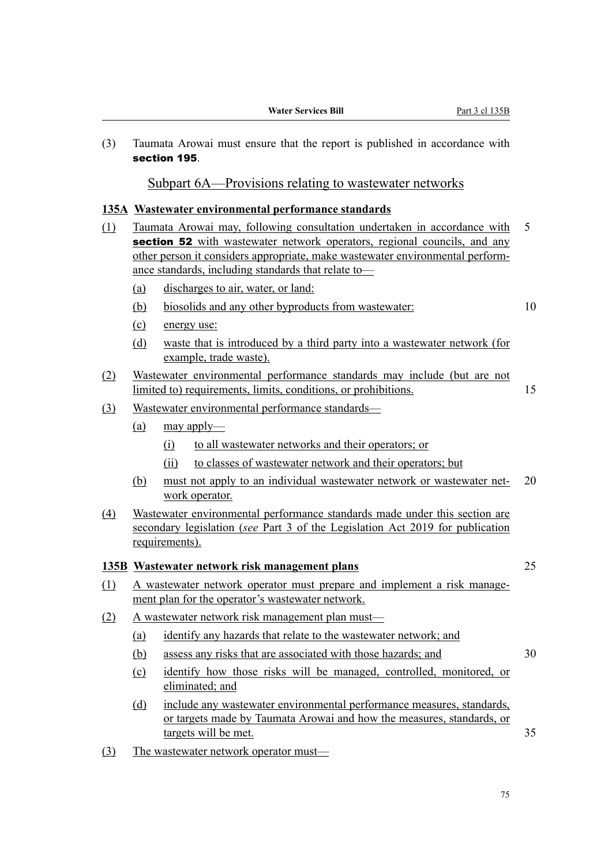| (3)              | Taumata Arowai must ensure that the report is published in accordance with<br>section 195.                                  |                                                                                                                                                                                                                                                                                              |    |  |  |
|------------------|-----------------------------------------------------------------------------------------------------------------------------|----------------------------------------------------------------------------------------------------------------------------------------------------------------------------------------------------------------------------------------------------------------------------------------------|----|--|--|
|                  |                                                                                                                             | Subpart 6A—Provisions relating to wastewater networks                                                                                                                                                                                                                                        |    |  |  |
|                  |                                                                                                                             | 135A Wastewater environmental performance standards                                                                                                                                                                                                                                          |    |  |  |
| (1)              |                                                                                                                             | Taumata Arowai may, following consultation undertaken in accordance with<br>section 52 with wastewater network operators, regional councils, and any<br>other person it considers appropriate, make wastewater environmental perform-<br>ance standards, including standards that relate to- | 5  |  |  |
|                  | (a)                                                                                                                         | discharges to air, water, or land:                                                                                                                                                                                                                                                           |    |  |  |
|                  | (b)                                                                                                                         | biosolids and any other byproducts from wastewater:                                                                                                                                                                                                                                          | 10 |  |  |
|                  | (c)                                                                                                                         | energy use:                                                                                                                                                                                                                                                                                  |    |  |  |
|                  | (d)                                                                                                                         | waste that is introduced by a third party into a wastewater network (for<br>example, trade waste).                                                                                                                                                                                           |    |  |  |
| (2)              |                                                                                                                             | Wastewater environmental performance standards may include (but are not<br>limited to) requirements, limits, conditions, or prohibitions.                                                                                                                                                    | 15 |  |  |
| (3)              | Wastewater environmental performance standards-                                                                             |                                                                                                                                                                                                                                                                                              |    |  |  |
|                  | (a)                                                                                                                         | $\frac{may$ apply—                                                                                                                                                                                                                                                                           |    |  |  |
|                  |                                                                                                                             | to all wastewater networks and their operators; or<br>(i)                                                                                                                                                                                                                                    |    |  |  |
|                  |                                                                                                                             | to classes of wastewater network and their operators; but<br>(ii)                                                                                                                                                                                                                            |    |  |  |
|                  | (b)                                                                                                                         | must not apply to an individual wastewater network or wastewater net-<br>work operator.                                                                                                                                                                                                      | 20 |  |  |
| $\left(4\right)$ |                                                                                                                             | Wastewater environmental performance standards made under this section are<br>secondary legislation (see Part 3 of the Legislation Act 2019 for publication<br>requirements).                                                                                                                |    |  |  |
|                  |                                                                                                                             | 135B Wastewater network risk management plans                                                                                                                                                                                                                                                | 25 |  |  |
| (1)              | A wastewater network operator must prepare and implement a risk manage-<br>ment plan for the operator's wastewater network. |                                                                                                                                                                                                                                                                                              |    |  |  |
| (2)              | A wastewater network risk management plan must-                                                                             |                                                                                                                                                                                                                                                                                              |    |  |  |
|                  | (a)                                                                                                                         | identify any hazards that relate to the wastewater network; and                                                                                                                                                                                                                              |    |  |  |
|                  | (b)                                                                                                                         | assess any risks that are associated with those hazards; and                                                                                                                                                                                                                                 | 30 |  |  |
|                  | (c)                                                                                                                         | identify how those risks will be managed, controlled, monitored, or<br>eliminated; and                                                                                                                                                                                                       |    |  |  |
|                  | (d)                                                                                                                         | include any wastewater environmental performance measures, standards,<br>or targets made by Taumata Arowai and how the measures, standards, or<br>targets will be met.                                                                                                                       | 35 |  |  |

(3) The wastewater network operator must—

75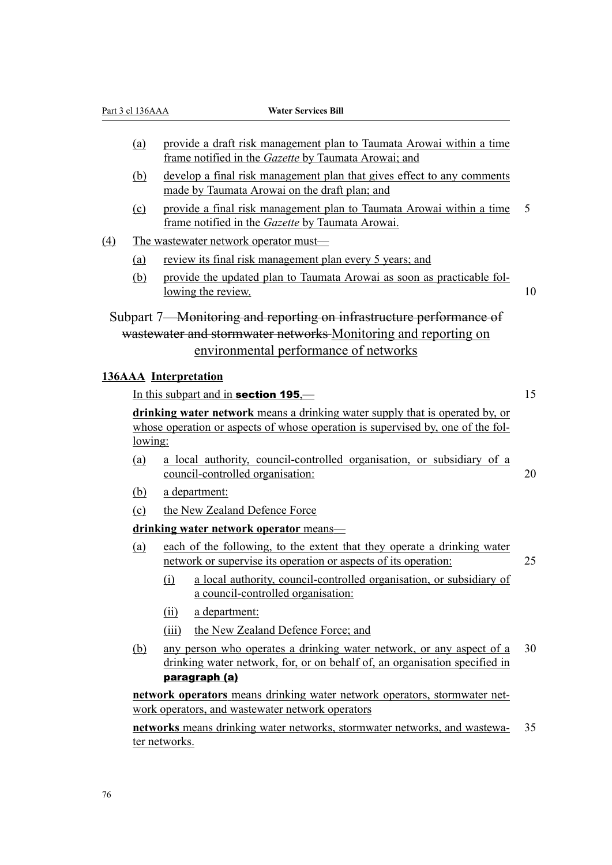|                  | Part 3 cl 136AAA | <b>Water Services Bill</b>                                                                                                                                      |    |
|------------------|------------------|-----------------------------------------------------------------------------------------------------------------------------------------------------------------|----|
|                  | (a)              | provide a draft risk management plan to Taumata Arowai within a time                                                                                            |    |
|                  |                  | frame notified in the Gazette by Taumata Arowai; and                                                                                                            |    |
|                  | (b)              | develop a final risk management plan that gives effect to any comments<br>made by Taumata Arowai on the draft plan; and                                         |    |
|                  | (c)              | provide a final risk management plan to Taumata Arowai within a time<br>frame notified in the Gazette by Taumata Arowai.                                        | 5  |
| $\left(4\right)$ |                  | The wastewater network operator must-                                                                                                                           |    |
|                  | (a)              | review its final risk management plan every 5 years; and                                                                                                        |    |
|                  | (b)              | provide the updated plan to Taumata Arowai as soon as practicable fol-<br>lowing the review.                                                                    | 10 |
|                  |                  | Subpart 7—Monitoring and reporting on infrastructure performance of                                                                                             |    |
|                  |                  | wastewater and stormwater networks Monitoring and reporting on                                                                                                  |    |
|                  |                  | environmental performance of networks                                                                                                                           |    |
|                  |                  | <b>136AAA</b> Interpretation                                                                                                                                    |    |
|                  |                  | In this subpart and in section 195,—                                                                                                                            | 15 |
|                  | <u>lowing:</u>   | drinking water network means a drinking water supply that is operated by, or<br>whose operation or aspects of whose operation is supervised by, one of the fol- |    |
|                  |                  |                                                                                                                                                                 |    |
|                  | (a)              | a local authority, council-controlled organisation, or subsidiary of a<br>council-controlled organisation:                                                      | 20 |
|                  | (b)              | a department:                                                                                                                                                   |    |
|                  | (c)              | the New Zealand Defence Force                                                                                                                                   |    |
|                  |                  | drinking water network operator means-                                                                                                                          |    |
|                  | (a)              | each of the following, to the extent that they operate a drinking water<br>network or supervise its operation or aspects of its operation:                      | 25 |
|                  |                  | a local authority, council-controlled organisation, or subsidiary of<br>$\Omega$<br>a council-controlled organisation:                                          |    |
|                  |                  | a department:<br>(ii)                                                                                                                                           |    |
|                  |                  | the New Zealand Defence Force; and<br>(iii)                                                                                                                     |    |
|                  | (b)              | any person who operates a drinking water network, or any aspect of a<br>drinking water network, for, or on behalf of, an organisation specified in              | 30 |
|                  |                  | paragraph (a)                                                                                                                                                   |    |
|                  |                  | network operators means drinking water network operators, stormwater net-<br>work operators, and wastewater network operators                                   |    |
|                  |                  |                                                                                                                                                                 | 35 |
|                  |                  | networks means drinking water networks, stormwater networks, and wastewa-                                                                                       |    |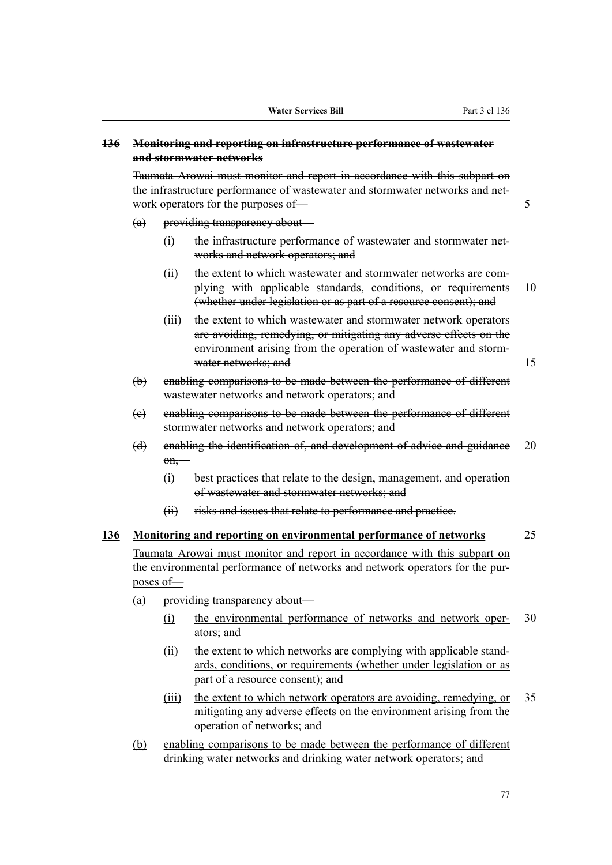## **136 Monitoring and reporting on infrastructure performance of wastewater and stormwater networks**

Taumata Arowai must monitor and report in accordance with this subpart on the infrastructure performance of wastewater and stormwater networks and network operators for the purposes of — 5

- (a) providing transparency about—
	- (i) the infrastructure performance of wastewater and stormwater networks and network operators; and
	- (ii) the extent to which wastewater and stormwater networks are complying with applicable standards, conditions, or requirements 10 (whether under legislation or as part of a resource consent); and
	- (iii) the extent to which wastewater and stormwater network operators are avoiding, remedying, or mitigating any adverse effects on the environment arising from the operation of wastewater and stormwater networks; and 15
- (b) enabling comparisons to be made between the performance of different wastewater networks and network operators; and
- (c) enabling comparisons to be made between the performance of different stormwater networks and network operators; and
- (d) enabling the identification of, and development of advice and guidance 20 on,—
	- (i) best practices that relate to the design, management, and operation of wastewater and stormwater networks; and
	- (ii) risks and issues that relate to performance and practice.

# **136 Monitoring and reporting on environmental performance of networks** 25

Taumata Arowai must monitor and report in accordance with this subpart on the environmental performance of networks and network operators for the purposes of—

- (a) providing transparency about—
	- (i) the environmental performance of networks and network oper- 30 ators; and
	- (ii) the extent to which networks are complying with applicable standards, conditions, or requirements (whether under legislation or as part of a resource consent); and
	- (iii) the extent to which network operators are avoiding, remedying, or 35 mitigating any adverse effects on the environment arising from the operation of networks; and
- (b) enabling comparisons to be made between the performance of different drinking water networks and drinking water network operators; and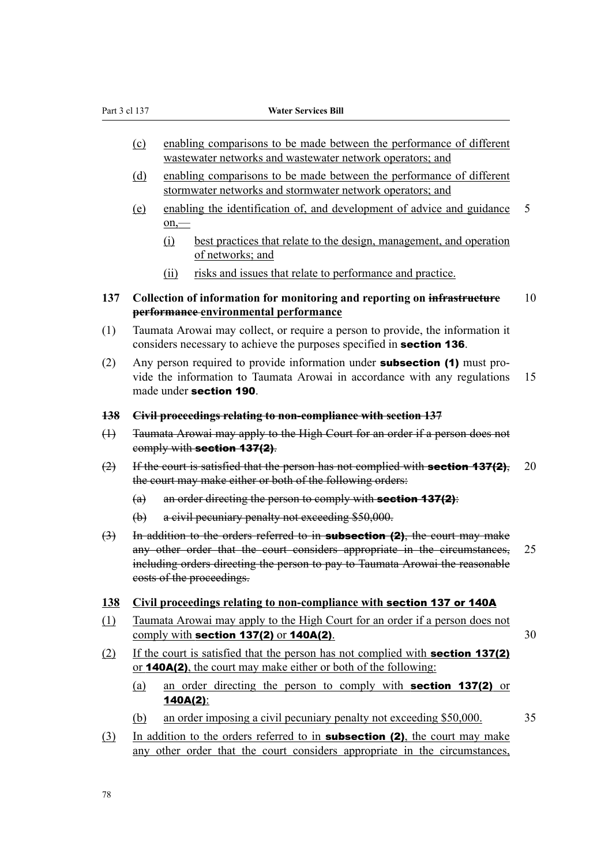- (c) enabling comparisons to be made between the performance of different wastewater networks and wastewater network operators; and
- (d) enabling comparisons to be made between the performance of different stormwater networks and stormwater network operators; and
- (e) enabling the identification of, and development of advice and guidance 5 on,—
	- (i) best practices that relate to the design, management, and operation of networks; and
	- (ii) risks and issues that relate to performance and practice.
- **137 Collection of information for monitoring and reporting on infrastructure** 10 **performance environmental performance**
- (1) Taumata Arowai may collect, or require a person to provide, the information it considers necessary to achieve the purposes specified in section 136.
- (2) Any person required to provide information under **subsection (1)** must provide the information to Taumata Arowai in accordance with any regulations 15 made under section 190.
- **138 Civil proceedings relating to non-compliance with section 137**
- (1) Taumata Arowai may apply to the High Court for an order if a person does not comply with section 137(2).
- $(2)$  If the court is satisfied that the person has not complied with **section 137(2)**, 20 the court may make either or both of the following orders:
	- $(a)$  an order directing the person to comply with **section 137(2)**:
	- (b) a civil pecuniary penalty not exceeding \$50,000.
- $(3)$  In addition to the orders referred to in **subsection (2)**, the court may make any other order that the court considers appropriate in the circumstances, 25 including orders directing the person to pay to Taumata Arowai the reasonable costs of the proceedings.
- **138 Civil proceedings relating to non-compliance with** section 137 or 140A
- (1) Taumata Arowai may apply to the High Court for an order if a person does not comply with section  $137(2)$  or  $140A(2)$ .  $30$
- (2) If the court is satisfied that the person has not complied with section 137(2) or 140A(2), the court may make either or both of the following:
	- (a) an order directing the person to comply with section 137(2) or 140A(2):
	- (b) an order imposing a civil pecuniary penalty not exceeding \$50,000. 35
- (3) In addition to the orders referred to in **subsection (2)**, the court may make any other order that the court considers appropriate in the circumstances,

78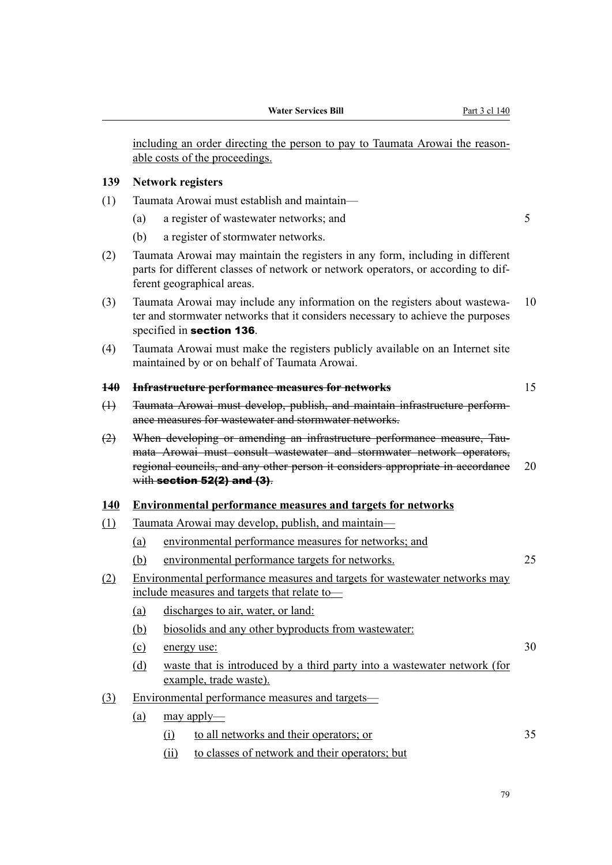including an order directing the person to pay to Taumata Arowai the reasonable costs of the proceedings.

#### **139 Network registers**

- (1) Taumata Arowai must establish and maintain—
	- (a) a register of wastewater networks; and 5
	- (b) a register of stormwater networks.
- (2) Taumata Arowai may maintain the registers in any form, including in different parts for different classes of network or network operators, or according to different geographical areas.
- (3) Taumata Arowai may include any information on the registers about wastewa‐ 10 ter and stormwater networks that it considers necessary to achieve the purposes specified in section 136.
- (4) Taumata Arowai must make the registers publicly available on an Internet site maintained by or on behalf of Taumata Arowai.

#### **140 Infrastructure performance measures for networks** 15

- (1) Taumata Arowai must develop, publish, and maintain infrastructure perform‐ ance measures for wastewater and stormwater networks.
- (2) When developing or amending an infrastructure performance measure, Taumata Arowai must consult wastewater and stormwater network operators, regional councils, and any other person it considers appropriate in accordance 20 with section 52(2) and (3).

#### **140 Environmental performance measures and targets for networks**

- (1) Taumata Arowai may develop, publish, and maintain—
	- (a) environmental performance measures for networks; and
	- (b) environmental performance targets for networks. 25
- (2) Environmental performance measures and targets for wastewater networks may include measures and targets that relate to—
	- (a) discharges to air, water, or land:
	- (b) biosolids and any other byproducts from wastewater:
	- (c) energy use:  $30$
	- (d) waste that is introduced by a third party into a wastewater network (for example, trade waste).
- (3) Environmental performance measures and targets—
	- (a) may apply—
		- (i) to all networks and their operators; or 35
		- (ii) to classes of network and their operators; but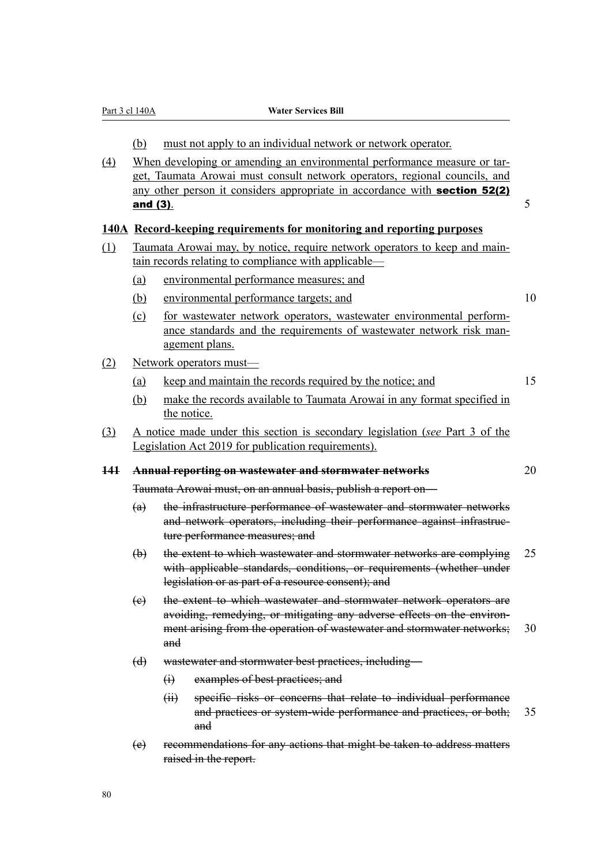| $\left(4\right)$ |                                                                                                                                    | must not apply to an individual network or network operator.<br>When developing or amending an environmental performance measure or tar-                                                                                       |  |  |  |
|------------------|------------------------------------------------------------------------------------------------------------------------------------|--------------------------------------------------------------------------------------------------------------------------------------------------------------------------------------------------------------------------------|--|--|--|
|                  | and (3).                                                                                                                           | get, Taumata Arowai must consult network operators, regional councils, and<br>any other person it considers appropriate in accordance with <b>section 52(2)</b>                                                                |  |  |  |
|                  |                                                                                                                                    | 140A Record-keeping requirements for monitoring and reporting purposes                                                                                                                                                         |  |  |  |
| (1)              | Taumata Arowai may, by notice, require network operators to keep and main-<br>tain records relating to compliance with applicable— |                                                                                                                                                                                                                                |  |  |  |
|                  | (a)                                                                                                                                | environmental performance measures; and                                                                                                                                                                                        |  |  |  |
|                  | (b)                                                                                                                                | environmental performance targets; and                                                                                                                                                                                         |  |  |  |
|                  | $\Omega$                                                                                                                           | for wastewater network operators, wastewater environmental perform-<br>ance standards and the requirements of wastewater network risk man-<br>agement plans.                                                                   |  |  |  |
| (2)              |                                                                                                                                    | Network operators must-                                                                                                                                                                                                        |  |  |  |
|                  | (a)                                                                                                                                | keep and maintain the records required by the notice; and                                                                                                                                                                      |  |  |  |
|                  | (b)                                                                                                                                | make the records available to Taumata Arowai in any format specified in<br>the notice.                                                                                                                                         |  |  |  |
| (3)              |                                                                                                                                    | A notice made under this section is secondary legislation (see Part 3 of the<br>Legislation Act 2019 for publication requirements).                                                                                            |  |  |  |
| 141              |                                                                                                                                    | <b>Annual reporting on wastewater and stormwater networks</b>                                                                                                                                                                  |  |  |  |
|                  |                                                                                                                                    | Taumata Arowai must, on an annual basis, publish a report on-                                                                                                                                                                  |  |  |  |
|                  | (a)                                                                                                                                | the infrastructure performance of wastewater and stormwater networks<br>and network operators, including their performance against infrastruc-<br>ture performance measures; and                                               |  |  |  |
|                  | $\biguplus$                                                                                                                        | the extent to which wastewater and stormwater networks are complying<br>with applicable standards, conditions, or requirements (whether under<br>legislation or as part of a resource consent); and                            |  |  |  |
|                  | (e)                                                                                                                                | the extent to which wastewater and stormwater network operators are<br>avoiding, remedying, or mitigating any adverse effects on the environ-<br>ment arising from the operation of wastewater and stormwater networks;<br>and |  |  |  |
|                  | $\Theta$                                                                                                                           | wastewater and stormwater best practices, including—                                                                                                                                                                           |  |  |  |
|                  |                                                                                                                                    | examples of best practices; and<br>$\bigoplus$                                                                                                                                                                                 |  |  |  |
|                  |                                                                                                                                    | (ii)<br>specific risks or concerns that relate to individual performance<br>and practices or system-wide performance and practices, or both;<br>and                                                                            |  |  |  |
|                  |                                                                                                                                    |                                                                                                                                                                                                                                |  |  |  |

Part 3 cl 140A **Water Services Bill**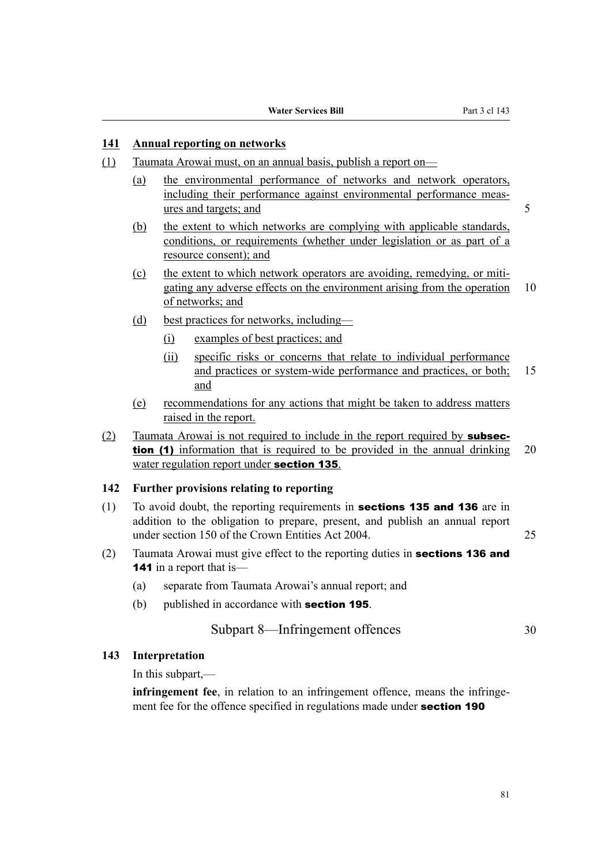### **141 Annual reporting on networks**

- (1) Taumata Arowai must, on an annual basis, publish a report on—
	- (a) the environmental performance of networks and network operators, including their performance against environmental performance measures and targets; and 5
	- (b) the extent to which networks are complying with applicable standards, conditions, or requirements (whether under legislation or as part of a resource consent); and
	- $(c)$  the extent to which network operators are avoiding, remedying, or mitigating any adverse effects on the environment arising from the operation 10 of networks; and
	- (d) best practices for networks, including—
		- (i) examples of best practices; and
		- (ii) specific risks or concerns that relate to individual performance and practices or system-wide performance and practices, or both; 15 and
	- (e) recommendations for any actions that might be taken to address matters raised in the report.
- (2) Taumata Arowai is not required to include in the report required by subsection (1) information that is required to be provided in the annual drinking 20 water regulation report under **section 135**.

## **142 Further provisions relating to reporting**

- (1) To avoid doubt, the reporting requirements in **sections 135 and 136** are in addition to the obligation to prepare, present, and publish an annual report under section 150 of the Crown Entities Act 2004. 25
- (2) Taumata Arowai must give effect to the reporting duties in **sections 136 and 141** in a report that is—
	- (a) separate from Taumata Arowai's annual report; and
	- (b) published in accordance with **section 195**.

## Subpart 8—Infringement offences 30

### **143 Interpretation**

In this subpart,—

**infringement fee**, in relation to an infringement offence, means the infringement fee for the offence specified in regulations made under **section 190**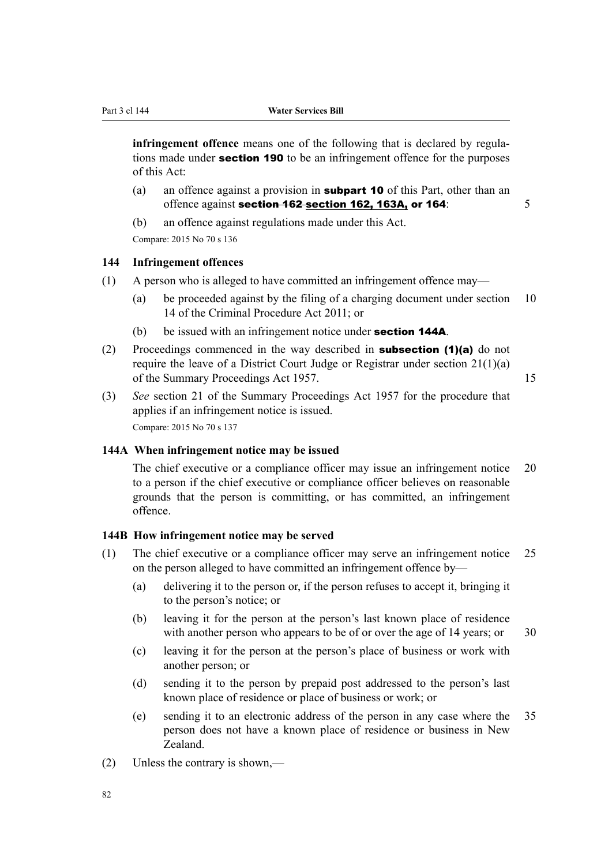**infringement offence** means one of the following that is declared by regulations made under **section 190** to be an infringement offence for the purposes of this Act:

- (a) an offence against a provision in **subpart 10** of this Part, other than an offence against **section 162 section 162, 163A, or 164**:  $\frac{5}{5}$
- (b) an offence against regulations made under this Act.

Compare: 2015 No 70 s 136

#### **144 Infringement offences**

- (1) A person who is alleged to have committed an infringement offence may—
	- (a) be proceeded against by the filing of a charging document under section 10 14 of the Criminal Procedure Act 2011; or
	- (b) be issued with an infringement notice under **section 144A**.
- (2) Proceedings commenced in the way described in subsection (1)(a) do not require the leave of a District Court Judge or Registrar under section 21(1)(a) of the Summary Proceedings Act 1957. 15
- (3) *See* section 21 of the Summary Proceedings Act 1957 for the procedure that applies if an infringement notice is issued. Compare: 2015 No 70 s 137

#### **144A When infringement notice may be issued**

The chief executive or a compliance officer may issue an infringement notice 20 to a person if the chief executive or compliance officer believes on reasonable grounds that the person is committing, or has committed, an infringement offence.

#### **144B How infringement notice may be served**

- (1) The chief executive or a compliance officer may serve an infringement notice 25 on the person alleged to have committed an infringement offence by—
	- (a) delivering it to the person or, if the person refuses to accept it, bringing it to the person's notice; or
	- (b) leaving it for the person at the person's last known place of residence with another person who appears to be of or over the age of  $14$  years; or  $30$
	- (c) leaving it for the person at the person's place of business or work with another person; or
	- (d) sending it to the person by prepaid post addressed to the person's last known place of residence or place of business or work; or
	- (e) sending it to an electronic address of the person in any case where the 35 person does not have a known place of residence or business in New Zealand.
- (2) Unless the contrary is shown,—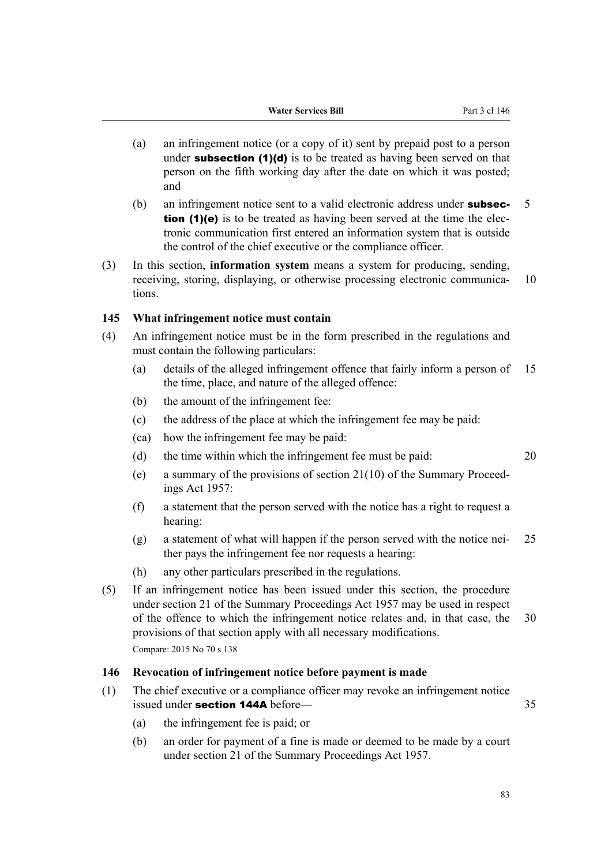- (a) an infringement notice (or a copy of it) sent by prepaid post to a person under **subsection**  $(1)(d)$  is to be treated as having been served on that person on the fifth working day after the date on which it was posted; and
- (b) an infringement notice sent to a valid electronic address under **subsec-**  $5$ tion (1)(e) is to be treated as having been served at the time the electronic communication first entered an information system that is outside the control of the chief executive or the compliance officer.
- (3) In this section, **information system** means a system for producing, sending, receiving, storing, displaying, or otherwise processing electronic communica- 10 tions.

#### **145 What infringement notice must contain**

- (4) An infringement notice must be in the form prescribed in the regulations and must contain the following particulars:
	- (a) details of the alleged infringement offence that fairly inform a person of 15 the time, place, and nature of the alleged offence:
	- (b) the amount of the infringement fee:
	- (c) the address of the place at which the infringement fee may be paid:
	- (ca) how the infringement fee may be paid:
	- (d) the time within which the infringement fee must be paid: 20
	- (e) a summary of the provisions of section  $21(10)$  of the Summary Proceedings Act 1957:
	- (f) a statement that the person served with the notice has a right to request a hearing:
	- (g) a statement of what will happen if the person served with the notice nei-  $25$ ther pays the infringement fee nor requests a hearing:
	- (h) any other particulars prescribed in the regulations.
- (5) If an infringement notice has been issued under this section, the procedure under section 21 of the Summary Proceedings Act 1957 may be used in respect of the offence to which the infringement notice relates and, in that case, the 30 provisions of that section apply with all necessary modifications. Compare: 2015 No 70 s 138

## **146 Revocation of infringement notice before payment is made**

- (1) The chief executive or a compliance officer may revoke an infringement notice issued under section 144A before— 35
	- (a) the infringement fee is paid; or
	- (b) an order for payment of a fine is made or deemed to be made by a court under section 21 of the Summary Proceedings Act 1957.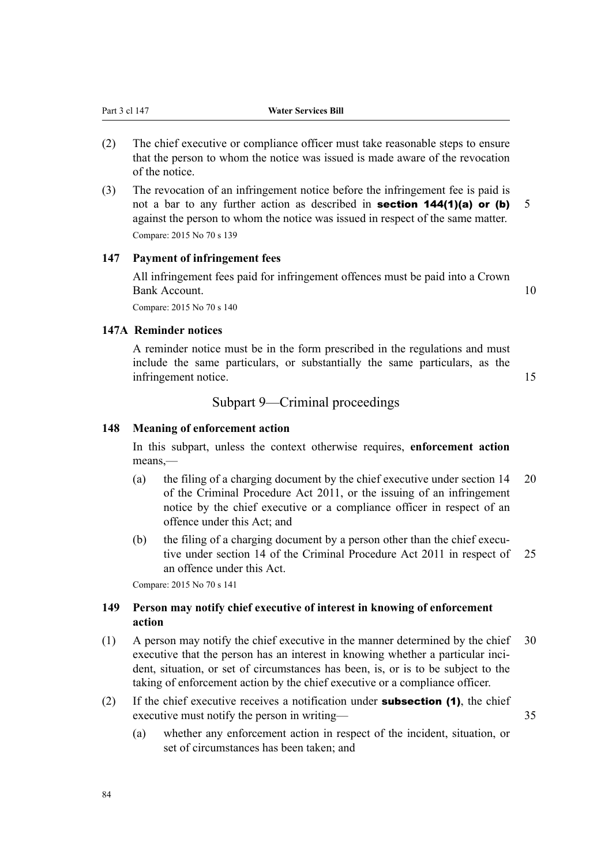- (2) The chief executive or compliance officer must take reasonable steps to ensure that the person to whom the notice was issued is made aware of the revocation of the notice.
- (3) The revocation of an infringement notice before the infringement fee is paid is not a bar to any further action as described in **section 144(1)(a) or (b)** 5 against the person to whom the notice was issued in respect of the same matter. Compare: 2015 No 70 s 139

## **147 Payment of infringement fees**

All infringement fees paid for infringement offences must be paid into a Crown Bank Account. 10

Compare: 2015 No 70 s 140

## **147A Reminder notices**

A reminder notice must be in the form prescribed in the regulations and must include the same particulars, or substantially the same particulars, as the infringement notice. 15

# Subpart 9—Criminal proceedings

### **148 Meaning of enforcement action**

In this subpart, unless the context otherwise requires, **enforcement action** means,—

- (a) the filing of a charging document by the chief executive under section 14 20 of the Criminal Procedure Act 2011, or the issuing of an infringement notice by the chief executive or a compliance officer in respect of an offence under this Act; and
- (b) the filing of a charging document by a person other than the chief executive under section 14 of the Criminal Procedure Act 2011 in respect of 25 an offence under this Act.

Compare: 2015 No 70 s 141

## **149 Person may notify chief executive of interest in knowing of enforcement action**

- (1) A person may notify the chief executive in the manner determined by the chief 30 executive that the person has an interest in knowing whether a particular incident, situation, or set of circumstances has been, is, or is to be subject to the taking of enforcement action by the chief executive or a compliance officer.
- (2) If the chief executive receives a notification under **subsection (1)**, the chief executive must notify the person in writing— 35

(a) whether any enforcement action in respect of the incident, situation, or set of circumstances has been taken; and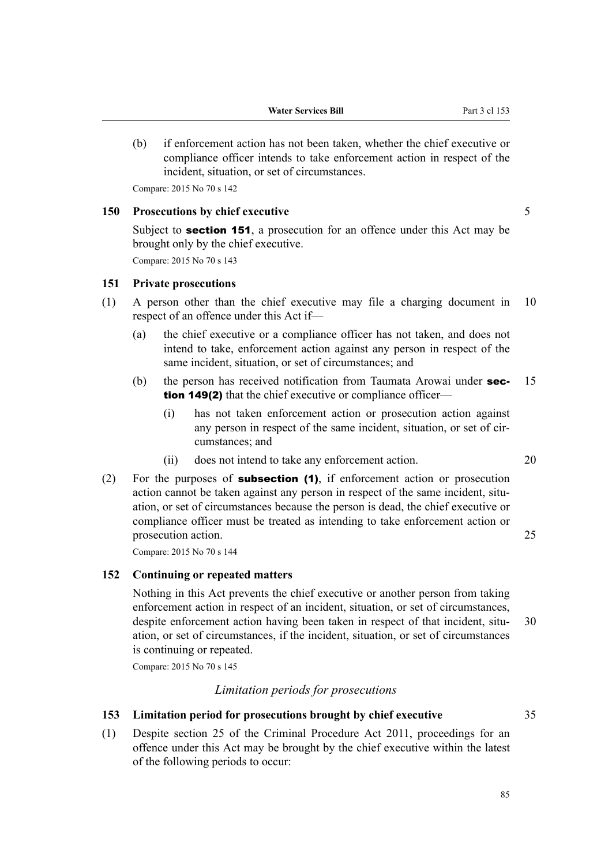(b) if enforcement action has not been taken, whether the chief executive or compliance officer intends to take enforcement action in respect of the incident, situation, or set of circumstances.

Compare: 2015 No 70 s 142

## **150 Prosecutions by chief executive** 5

Subject to **section 151**, a prosecution for an offence under this Act may be brought only by the chief executive.

Compare: 2015 No 70 s 143

#### **151 Private prosecutions**

- (1) A person other than the chief executive may file a charging document in 10 respect of an offence under this Act if—
	- (a) the chief executive or a compliance officer has not taken, and does not intend to take, enforcement action against any person in respect of the same incident, situation, or set of circumstances; and
	- (b) the person has received notification from Taumata Arowai under **sec-** 15 tion 149(2) that the chief executive or compliance officer—
		- (i) has not taken enforcement action or prosecution action against any person in respect of the same incident, situation, or set of circumstances; and
		- (ii) does not intend to take any enforcement action. 20
- (2) For the purposes of **subsection (1)**, if enforcement action or prosecution action cannot be taken against any person in respect of the same incident, situation, or set of circumstances because the person is dead, the chief executive or compliance officer must be treated as intending to take enforcement action or prosecution action. 25

Compare: 2015 No 70 s 144

## **152 Continuing or repeated matters**

Nothing in this Act prevents the chief executive or another person from taking enforcement action in respect of an incident, situation, or set of circumstances, despite enforcement action having been taken in respect of that incident, situ-<br>30 ation, or set of circumstances, if the incident, situation, or set of circumstances is continuing or repeated.

Compare: 2015 No 70 s 145

## *Limitation periods for prosecutions*

## **153 Limitation period for prosecutions brought by chief executive** 35

(1) Despite section 25 of the Criminal Procedure Act 2011, proceedings for an offence under this Act may be brought by the chief executive within the latest of the following periods to occur: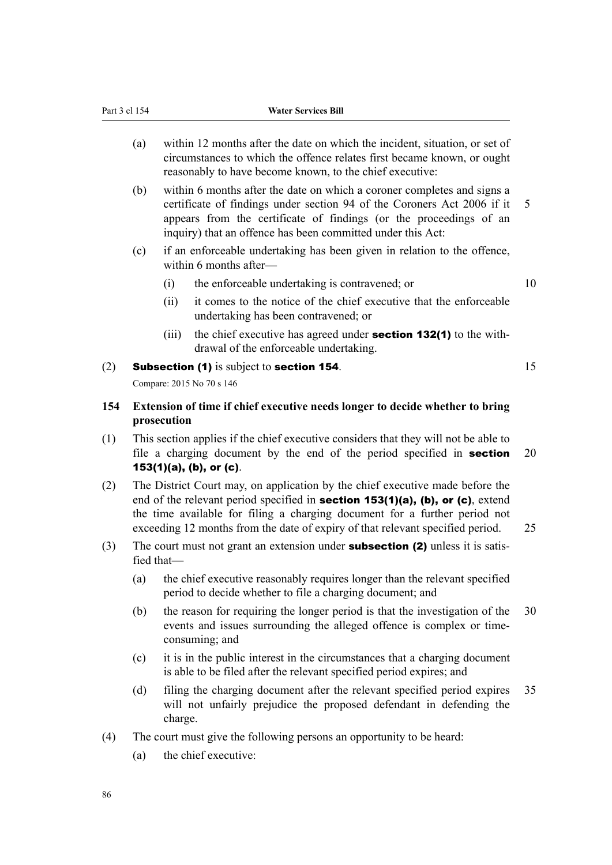- (a) within 12 months after the date on which the incident, situation, or set of circumstances to which the offence relates first became known, or ought reasonably to have become known, to the chief executive:
- (b) within 6 months after the date on which a coroner completes and signs a certificate of findings under section 94 of the Coroners Act 2006 if it 5 appears from the certificate of findings (or the proceedings of an inquiry) that an offence has been committed under this Act:
- (c) if an enforceable undertaking has been given in relation to the offence, within 6 months after—
	- (i) the enforceable undertaking is contravened; or 10
	- (ii) it comes to the notice of the chief executive that the enforceable undertaking has been contravened; or
	- (iii) the chief executive has agreed under **section 132(1)** to the withdrawal of the enforceable undertaking.

## (2) **Subsection (1)** is subject to **section 154**.  $15$

Compare: 2015 No 70 s 146

## **154 Extension of time if chief executive needs longer to decide whether to bring prosecution**

- (1) This section applies if the chief executive considers that they will not be able to file a charging document by the end of the period specified in **section** 20 153(1)(a), (b), or (c).
- (2) The District Court may, on application by the chief executive made before the end of the relevant period specified in **section 153(1)(a), (b), or (c)**, extend the time available for filing a charging document for a further period not exceeding 12 months from the date of expiry of that relevant specified period. 25
- (3) The court must not grant an extension under **subsection (2)** unless it is satisfied that—
	- (a) the chief executive reasonably requires longer than the relevant specified period to decide whether to file a charging document; and
	- (b) the reason for requiring the longer period is that the investigation of the 30 events and issues surrounding the alleged offence is complex or timeconsuming; and
	- (c) it is in the public interest in the circumstances that a charging document is able to be filed after the relevant specified period expires; and
	- (d) filing the charging document after the relevant specified period expires 35 will not unfairly prejudice the proposed defendant in defending the charge.
- (4) The court must give the following persons an opportunity to be heard:
	- (a) the chief executive: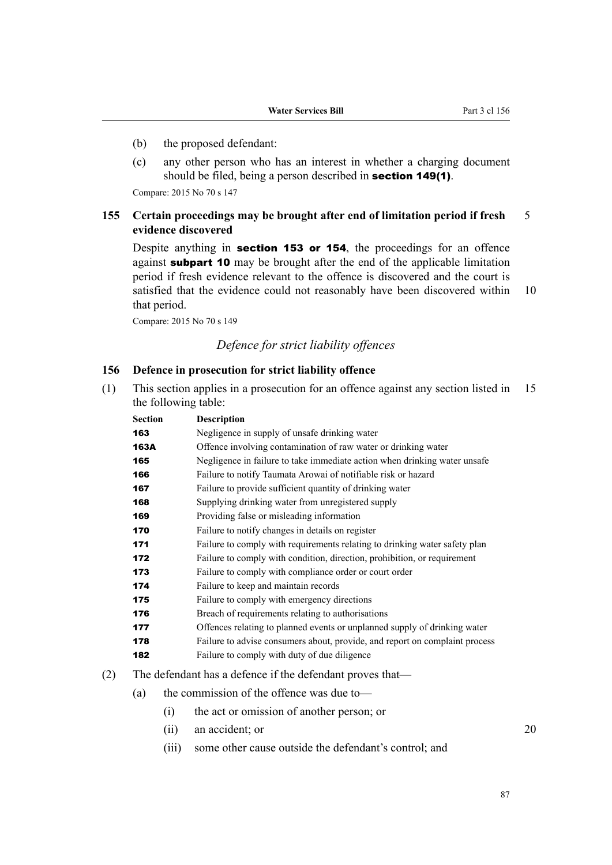- (b) the proposed defendant:
- (c) any other person who has an interest in whether a charging document should be filed, being a person described in **section 149(1)**.

Compare: 2015 No 70 s 147

## **155 Certain proceedings may be brought after end of limitation period if fresh** 5 **evidence discovered**

Despite anything in section 153 or 154, the proceedings for an offence against **subpart 10** may be brought after the end of the applicable limitation period if fresh evidence relevant to the offence is discovered and the court is satisfied that the evidence could not reasonably have been discovered within 10 that period.

Compare: 2015 No 70 s 149

# *Defence for strict liability offences*

### **156 Defence in prosecution for strict liability offence**

(1) This section applies in a prosecution for an offence against any section listed in 15 the following table:

| <b>Section</b> | <b>Description</b>                                                          |
|----------------|-----------------------------------------------------------------------------|
| 163            | Negligence in supply of unsafe drinking water                               |
| 163A           | Offence involving contamination of raw water or drinking water              |
| 165            | Negligence in failure to take immediate action when drinking water unsafe   |
| 166            | Failure to notify Taumata Arowai of notifiable risk or hazard               |
| 167            | Failure to provide sufficient quantity of drinking water                    |
| 168            | Supplying drinking water from unregistered supply                           |
| 169            | Providing false or misleading information                                   |
| 170            | Failure to notify changes in details on register                            |
| 171            | Failure to comply with requirements relating to drinking water safety plan  |
| 172            | Failure to comply with condition, direction, prohibition, or requirement    |
| 173            | Failure to comply with compliance order or court order                      |
| 174            | Failure to keep and maintain records                                        |
| 175            | Failure to comply with emergency directions                                 |
| 176            | Breach of requirements relating to authorisations                           |
| 177            | Offences relating to planned events or unplanned supply of drinking water   |
| 178            | Failure to advise consumers about, provide, and report on complaint process |
| 182            | Failure to comply with duty of due diligence                                |

- (2) The defendant has a defence if the defendant proves that—
	- (a) the commission of the offence was due to—
		- (i) the act or omission of another person; or
		- (ii) an accident; or 20
		- (iii) some other cause outside the defendant's control; and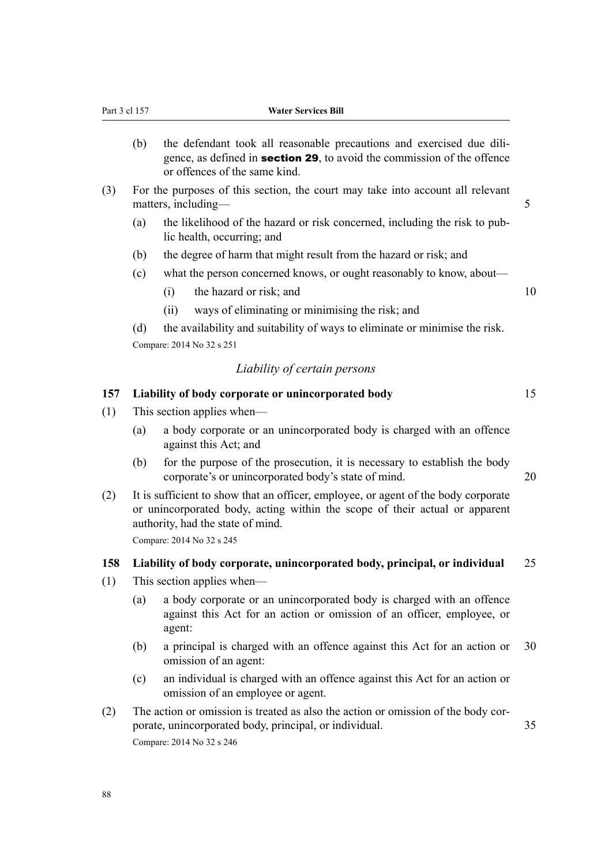- (b) the defendant took all reasonable precautions and exercised due diligence, as defined in section 29, to avoid the commission of the offence or offences of the same kind.
- (3) For the purposes of this section, the court may take into account all relevant matters, including— 5
	- (a) the likelihood of the hazard or risk concerned, including the risk to pub‐ lic health, occurring; and
	- (b) the degree of harm that might result from the hazard or risk; and
	- (c) what the person concerned knows, or ought reasonably to know, about—
		- $(i)$  the hazard or risk; and  $10$
		- (ii) ways of eliminating or minimising the risk; and

(d) the availability and suitability of ways to eliminate or minimise the risk. Compare: 2014 No 32 s 251

### *Liability of certain persons*

## **157 Liability of body corporate or unincorporated body** 15

- (1) This section applies when—
	- (a) a body corporate or an unincorporated body is charged with an offence against this Act; and
	- (b) for the purpose of the prosecution, it is necessary to establish the body corporate's or unincorporated body's state of mind. 20
- (2) It is sufficient to show that an officer, employee, or agent of the body corporate or unincorporated body, acting within the scope of their actual or apparent authority, had the state of mind. Compare: 2014 No 32 s 245

**158 Liability of body corporate, unincorporated body, principal, or individual** 25

- (1) This section applies when—
	- (a) a body corporate or an unincorporated body is charged with an offence against this Act for an action or omission of an officer, employee, or agent:
	- (b) a principal is charged with an offence against this Act for an action or 30 omission of an agent:
	- (c) an individual is charged with an offence against this Act for an action or omission of an employee or agent.
- (2) The action or omission is treated as also the action or omission of the body corporate, unincorporated body, principal, or individual. 35 Compare: 2014 No 32 s 246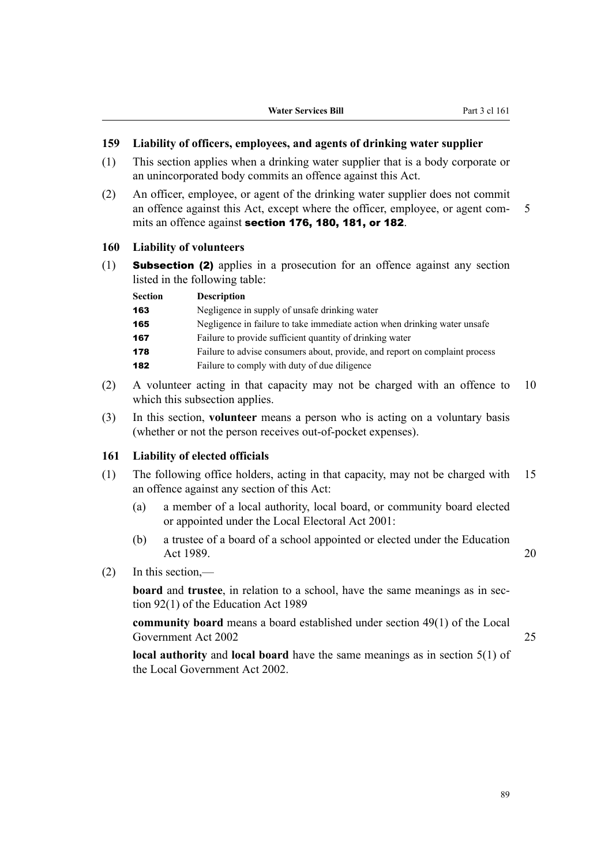### **159 Liability of officers, employees, and agents of drinking water supplier**

- (1) This section applies when a drinking water supplier that is a body corporate or an unincorporated body commits an offence against this Act.
- (2) An officer, employee, or agent of the drinking water supplier does not commit an offence against this Act, except where the officer, employee, or agent commits an offence against section 176, 180, 181, or 182.

## **160 Liability of volunteers**

 $(1)$  **Subsection (2)** applies in a prosecution for an offence against any section listed in the following table:

| <b>Section</b> | <b>Description</b>                                                          |
|----------------|-----------------------------------------------------------------------------|
| 163            | Negligence in supply of unsafe drinking water                               |
| 165            | Negligence in failure to take immediate action when drinking water unsafe   |
| 167            | Failure to provide sufficient quantity of drinking water                    |
| 178            | Failure to advise consumers about, provide, and report on complaint process |
| 182            | Failure to comply with duty of due diligence                                |

- (2) A volunteer acting in that capacity may not be charged with an offence to 10 which this subsection applies.
- (3) In this section, **volunteer** means a person who is acting on a voluntary basis (whether or not the person receives out-of-pocket expenses).

### **161 Liability of elected officials**

- (1) The following office holders, acting in that capacity, may not be charged with 15 an offence against any section of this Act:
	- (a) a member of a local authority, local board, or community board elected or appointed under the Local Electoral Act 2001:
	- (b) a trustee of a board of a school appointed or elected under the Education Act 1989. 20

(2) In this section,—

**board** and **trustee**, in relation to a school, have the same meanings as in section 92(1) of the Education Act 1989

**community board** means a board established under section 49(1) of the Local Government Act 2002 25

**local authority** and **local board** have the same meanings as in section 5(1) of the Local Government Act 2002.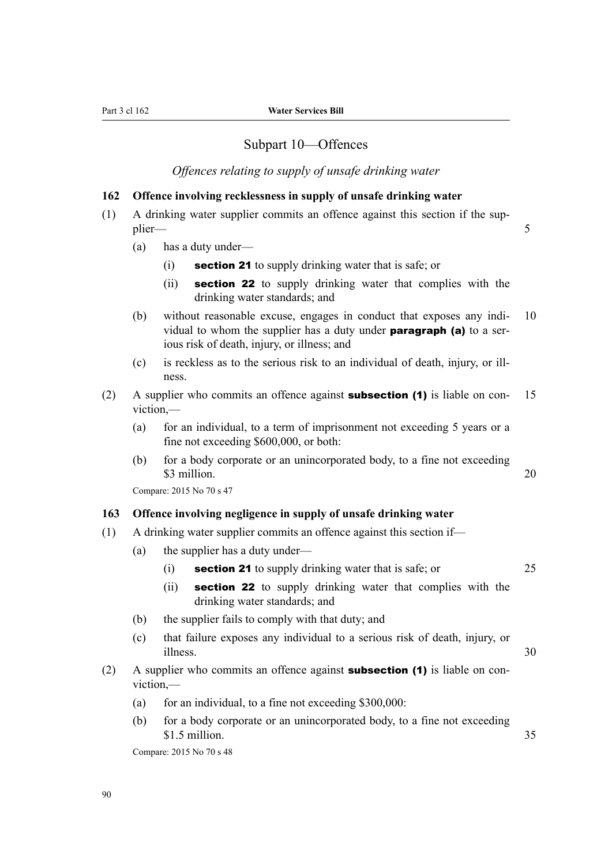## Subpart 10—Offences

*Offences relating to supply of unsafe drinking water*

### **162 Offence involving recklessness in supply of unsafe drinking water**

- (1) A drinking water supplier commits an offence against this section if the sup‐ plier— 5
	- (a) has a duty under—
		- (i) section 21 to supply drinking water that is safe; or
		- (ii) **section 22** to supply drinking water that complies with the drinking water standards; and
	- (b) without reasonable excuse, engages in conduct that exposes any indi- 10 vidual to whom the supplier has a duty under paragraph (a) to a serious risk of death, injury, or illness; and
	- (c) is reckless as to the serious risk to an individual of death, injury, or ill‐ ness.
- (2) A supplier who commits an offence against **subsection (1)** is liable on con- 15 viction,—
	- (a) for an individual, to a term of imprisonment not exceeding 5 years or a fine not exceeding \$600,000, or both:
	- (b) for a body corporate or an unincorporated body, to a fine not exceeding  $\$\,3$  million. 20

Compare: 2015 No 70 s 47

#### **163 Offence involving negligence in supply of unsafe drinking water**

- (1) A drinking water supplier commits an offence against this section if—
	- (a) the supplier has a duty under—
		- (i) **section 21** to supply drinking water that is safe; or  $25$
		- (ii) **section 22** to supply drinking water that complies with the drinking water standards; and
	- (b) the supplier fails to comply with that duty; and
	- (c) that failure exposes any individual to a serious risk of death, injury, or illness. 30
- (2) A supplier who commits an offence against **subsection (1)** is liable on conviction,—
	- (a) for an individual, to a fine not exceeding  $$300,000$ :
	- (b) for a body corporate or an unincorporated body, to a fine not exceeding  $$1.5$  million.  $$35$

Compare: 2015 No 70 s 48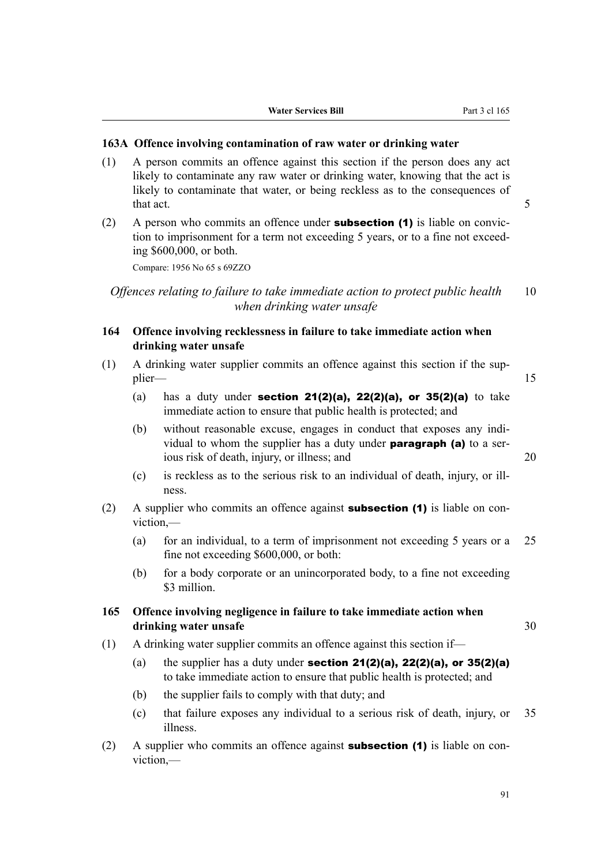#### **163A Offence involving contamination of raw water or drinking water**

- (1) A person commits an offence against this section if the person does any act likely to contaminate any raw water or drinking water, knowing that the act is likely to contaminate that water, or being reckless as to the consequences of that act. 5
- (2) A person who commits an offence under **subsection (1)** is liable on conviction to imprisonment for a term not exceeding 5 years, or to a fine not exceeding \$600,000, or both.

Compare: 1956 No 65 s 69ZZO

*Offences relating to failure to take immediate action to protect public health* 10 *when drinking water unsafe*

- **164 Offence involving recklessness in failure to take immediate action when drinking water unsafe**
- (1) A drinking water supplier commits an offence against this section if the sup‐ plier— 15
	- (a) has a duty under **section 21(2)(a), 22(2)(a), or 35(2)(a)** to take immediate action to ensure that public health is protected; and
	- (b) without reasonable excuse, engages in conduct that exposes any individual to whom the supplier has a duty under **paragraph (a)** to a serious risk of death, injury, or illness; and 20
	- (c) is reckless as to the serious risk to an individual of death, injury, or ill‐ ness.
- (2) A supplier who commits an offence against **subsection (1)** is liable on conviction,—
	- (a) for an individual, to a term of imprisonment not exceeding 5 years or a 25 fine not exceeding \$600,000, or both:
	- (b) for a body corporate or an unincorporated body, to a fine not exceeding \$3 million.

## **165 Offence involving negligence in failure to take immediate action when drinking water unsafe** 30

- (1) A drinking water supplier commits an offence against this section if—
	- (a) the supplier has a duty under **section 21(2)(a), 22(2)(a), or 35(2)(a)** to take immediate action to ensure that public health is protected; and
	- (b) the supplier fails to comply with that duty; and
	- (c) that failure exposes any individual to a serious risk of death, injury, or 35 illness.
- (2) A supplier who commits an offence against **subsection (1)** is liable on conviction,—

91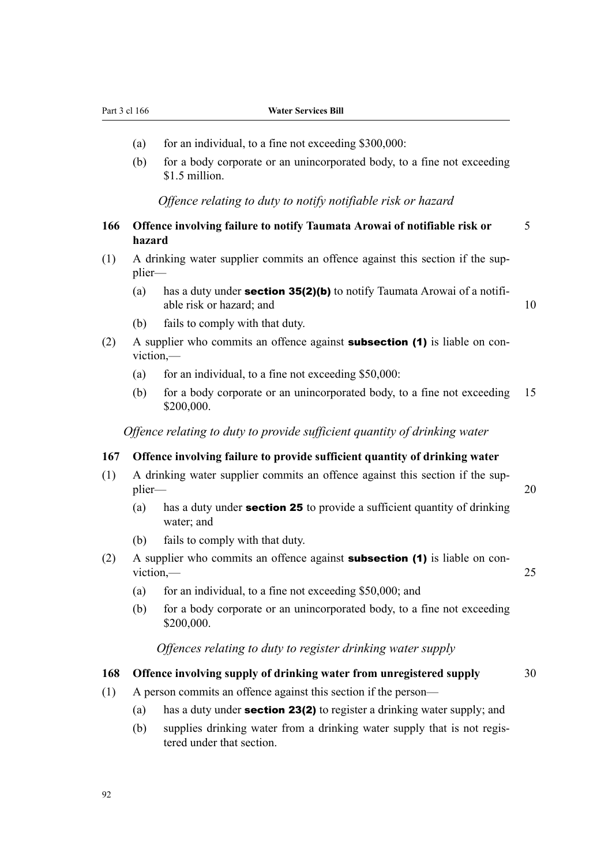Part 3 cl 166 **Water Services Bill**

- (a) for an individual, to a fine not exceeding  $$300,000$ :
- (b) for a body corporate or an unincorporated body, to a fine not exceeding \$1.5 million.

*Offence relating to duty to notify notifiable risk or hazard*

| 166 | Offence involving failure to notify Taumata Arowai of notifiable risk or |  |  |  |
|-----|--------------------------------------------------------------------------|--|--|--|
|     | hazard                                                                   |  |  |  |

- (1) A drinking water supplier commits an offence against this section if the supplier—
	- (a) has a duty under **section 35(2)(b)** to notify Taumata Arowai of a notifiable risk or hazard; and 10
	- (b) fails to comply with that duty.
- (2) A supplier who commits an offence against **subsection (1)** is liable on conviction,—
	- (a) for an individual, to a fine not exceeding  $$50,000$ :
	- (b) for a body corporate or an unincorporated body, to a fine not exceeding 15 \$200,000.

*Offence relating to duty to provide sufficient quantity of drinking water*

#### **167 Offence involving failure to provide sufficient quantity of drinking water**

- (1) A drinking water supplier commits an offence against this section if the sup‐ plier— 20
	- (a) has a duty under **section 25** to provide a sufficient quantity of drinking water; and
	- (b) fails to comply with that duty.
- (2) A supplier who commits an offence against **subsection (1)** is liable on conviction,—
	- (a) for an individual, to a fine not exceeding  $$50,000$ ; and
	- (b) for a body corporate or an unincorporated body, to a fine not exceeding \$200,000.

#### *Offences relating to duty to register drinking water supply*

#### **168 Offence involving supply of drinking water from unregistered supply** 30

- (1) A person commits an offence against this section if the person—
	- (a) has a duty under **section 23(2)** to register a drinking water supply; and
	- (b) supplies drinking water from a drinking water supply that is not regis‐ tered under that section.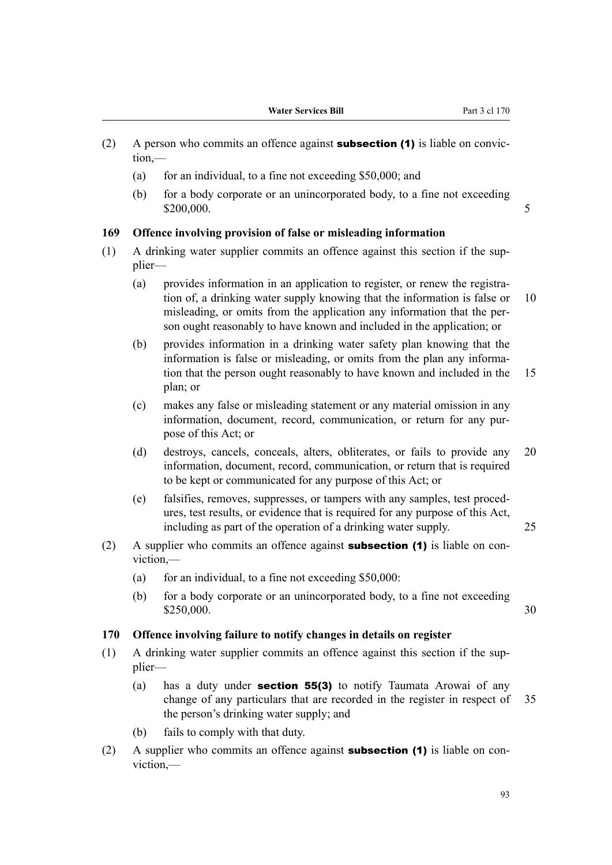- (2) A person who commits an offence against **subsection (1)** is liable on conviction,—
	- (a) for an individual, to a fine not exceeding  $$50,000$ ; and
	- (b) for a body corporate or an unincorporated body, to a fine not exceeding \$200,000. 5

#### **169 Offence involving provision of false or misleading information**

- (1) A drinking water supplier commits an offence against this section if the sup‐ plier—
	- (a) provides information in an application to register, or renew the registration of, a drinking water supply knowing that the information is false or 10 misleading, or omits from the application any information that the per‐ son ought reasonably to have known and included in the application; or
	- (b) provides information in a drinking water safety plan knowing that the information is false or misleading, or omits from the plan any information that the person ought reasonably to have known and included in the 15 plan; or
	- (c) makes any false or misleading statement or any material omission in any information, document, record, communication, or return for any purpose of this Act; or
	- (d) destroys, cancels, conceals, alters, obliterates, or fails to provide any 20 information, document, record, communication, or return that is required to be kept or communicated for any purpose of this Act; or
	- (e) falsifies, removes, suppresses, or tampers with any samples, test proced‐ ures, test results, or evidence that is required for any purpose of this Act, including as part of the operation of a drinking water supply. 25
- (2) A supplier who commits an offence against **subsection (1)** is liable on conviction,—
	- (a) for an individual, to a fine not exceeding  $$50,000$ :
	- (b) for a body corporate or an unincorporated body, to a fine not exceeding  $$250,000$ . 30

### **170 Offence involving failure to notify changes in details on register**

- (1) A drinking water supplier commits an offence against this section if the sup‐ plier—
	- (a) has a duty under section 55(3) to notify Taumata Arowai of any change of any particulars that are recorded in the register in respect of 35 the person's drinking water supply; and
	- (b) fails to comply with that duty.
- (2) A supplier who commits an offence against **subsection (1)** is liable on conviction,—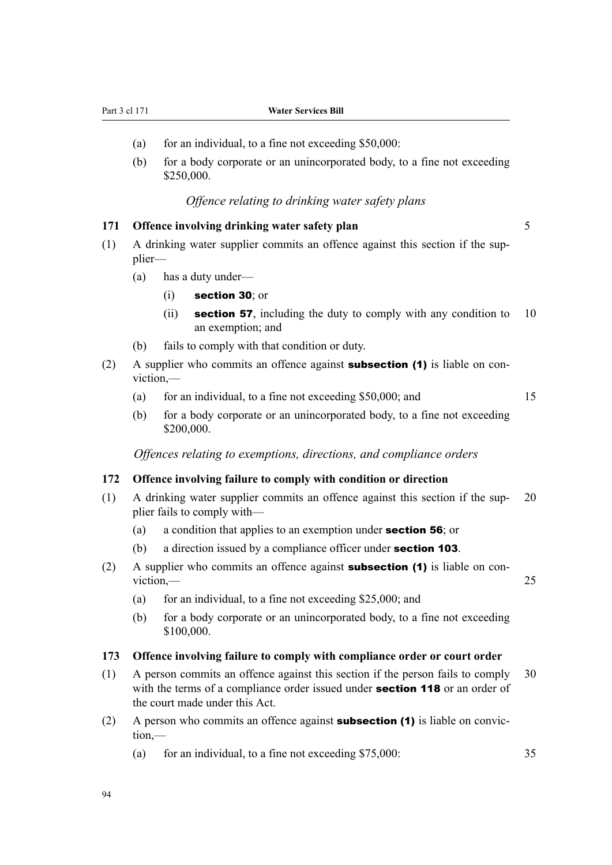Part 3 cl 171 **Water Services Bill**

- (a) for an individual, to a fine not exceeding  $$50,000$ :
- (b) for a body corporate or an unincorporated body, to a fine not exceeding \$250,000.

## *Offence relating to drinking water safety plans*

### **171 Offence involving drinking water safety plan** 5

- $(1)$  A drinking water supplier commits an offence against this section if the supplier—
	- (a) has a duty under—
		- (i) section 30; or
		- (ii) section 57, including the duty to comply with any condition to  $10$ an exemption; and
	- (b) fails to comply with that condition or duty.
- (2) A supplier who commits an offence against **subsection (1)** is liable on conviction,—
	- (a) for an individual, to a fine not exceeding \$50,000; and 15
	- (b) for a body corporate or an unincorporated body, to a fine not exceeding \$200,000.

*Offences relating to exemptions, directions, and compliance orders*

### **172 Offence involving failure to comply with condition or direction**

- (1) A drinking water supplier commits an offence against this section if the sup‐ 20 plier fails to comply with—
	- (a) a condition that applies to an exemption under section 56; or
	- (b) a direction issued by a compliance officer under **section 103**.
- (2) A supplier who commits an offence against **subsection (1)** is liable on conviction, — 25
	- (a) for an individual, to a fine not exceeding  $$25,000$ ; and
	- (b) for a body corporate or an unincorporated body, to a fine not exceeding \$100,000.

#### **173 Offence involving failure to comply with compliance order or court order**

- (1) A person commits an offence against this section if the person fails to comply 30 with the terms of a compliance order issued under **section 118** or an order of the court made under this Act.
- (2) A person who commits an offence against **subsection (1)** is liable on conviction,—
	- (a) for an individual, to a fine not exceeding \$75,000: 35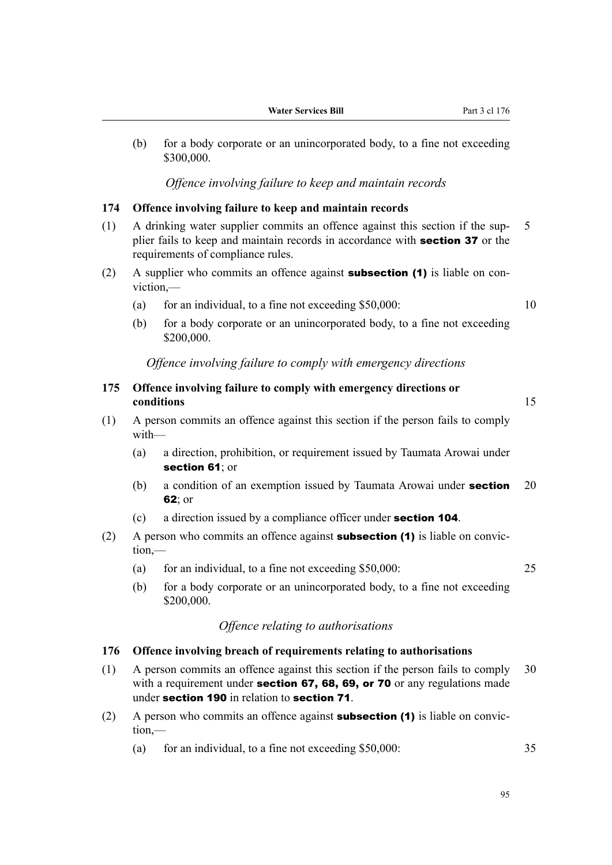(b) for a body corporate or an unincorporated body, to a fine not exceeding \$300,000.

*Offence involving failure to keep and maintain records*

#### **174 Offence involving failure to keep and maintain records**

- (1) A drinking water supplier commits an offence against this section if the sup‐ 5 plier fails to keep and maintain records in accordance with **section 37** or the requirements of compliance rules.
- (2) A supplier who commits an offence against **subsection (1)** is liable on conviction,—
	- (a) for an individual, to a fine not exceeding  $$50,000$ :  $10$

(b) for a body corporate or an unincorporated body, to a fine not exceeding \$200,000.

#### *Offence involving failure to comply with emergency directions*

**175 Offence involving failure to comply with emergency directions or conditions** 15

- (1) A person commits an offence against this section if the person fails to comply with—
	- (a) a direction, prohibition, or requirement issued by Taumata Arowai under section 61; or
	- (b) a condition of an exemption issued by Taumata Arowai under **section** 20 62; or
	- (c) a direction issued by a compliance officer under section 104.
- (2) A person who commits an offence against **subsection (1)** is liable on conviction,—
	- (a) for an individual, to a fine not exceeding \$50,000: 25
- - (b) for a body corporate or an unincorporated body, to a fine not exceeding \$200,000.

## *Offence relating to authorisations*

### **176 Offence involving breach of requirements relating to authorisations**

- (1) A person commits an offence against this section if the person fails to comply 30 with a requirement under **section 67, 68, 69, or 70** or any regulations made under section 190 in relation to section 71.
- (2) A person who commits an offence against **subsection (1)** is liable on conviction,—
	- (a) for an individual, to a fine not exceeding \$50,000: 35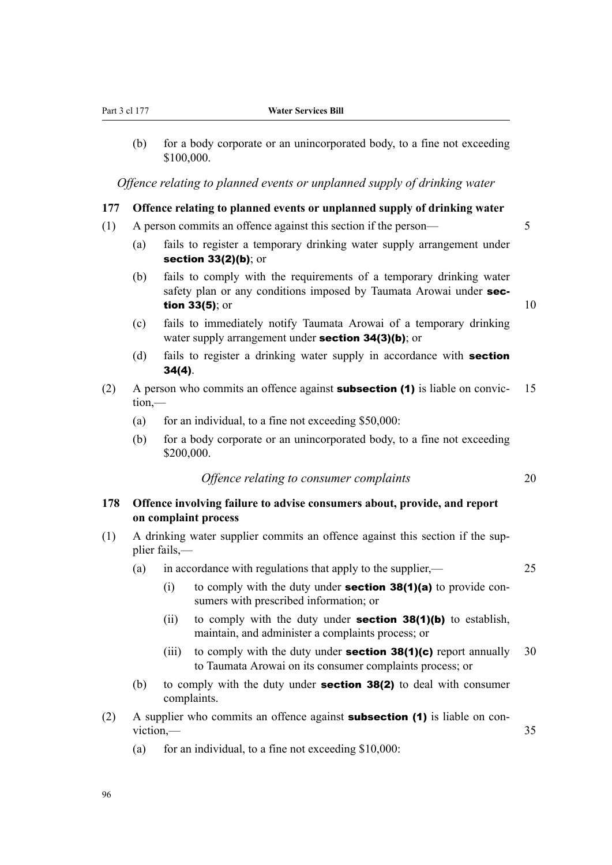(b) for a body corporate or an unincorporated body, to a fine not exceeding \$100,000.

*Offence relating to planned events or unplanned supply of drinking water*

## **177 Offence relating to planned events or unplanned supply of drinking water**

- (1) A person commits an offence against this section if the person— 5
	- (a) fails to register a temporary drinking water supply arrangement under section 33(2)(b); or
	- (b) fails to comply with the requirements of a temporary drinking water safety plan or any conditions imposed by Taumata Arowai under sec**tion 33(5)**; or  $10$

- (c) fails to immediately notify Taumata Arowai of a temporary drinking water supply arrangement under **section 34(3)(b)**; or
- (d) fails to register a drinking water supply in accordance with **section** 34(4).
- (2) A person who commits an offence against **subsection (1)** is liable on convic- 15 tion,—
	- (a) for an individual, to a fine not exceeding  $$50,000$ :
	- (b) for a body corporate or an unincorporated body, to a fine not exceeding \$200,000.

*Offence relating to consumer complaints* 20

## **178 Offence involving failure to advise consumers about, provide, and report on complaint process**

- (1) A drinking water supplier commits an offence against this section if the sup‐ plier fails,—
	- (a) in accordance with regulations that apply to the supplier,  $\frac{25}{25}$ 
		- (i) to comply with the duty under **section 38(1)(a)** to provide consumers with prescribed information; or
		- (ii) to comply with the duty under **section 38(1)(b)** to establish, maintain, and administer a complaints process; or
		- (iii) to comply with the duty under **section 38(1)(c)** report annually 30 to Taumata Arowai on its consumer complaints process; or
	- (b) to comply with the duty under **section 38(2)** to deal with consumer complaints.
- (2) A supplier who commits an offence against **subsection (1)** is liable on conviction, — 35
	- (a) for an individual, to a fine not exceeding  $$10,000$ :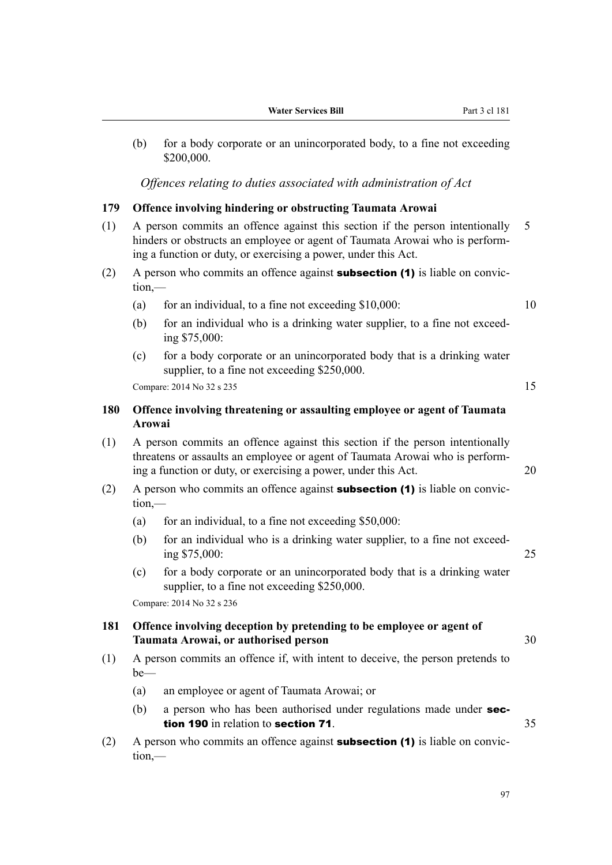(b) for a body corporate or an unincorporated body, to a fine not exceeding \$200,000.

*Offences relating to duties associated with administration of Act*

### **179 Offence involving hindering or obstructing Taumata Arowai**

- (1) A person commits an offence against this section if the person intentionally 5 hinders or obstructs an employee or agent of Taumata Arowai who is perform‐ ing a function or duty, or exercising a power, under this Act.
- (2) A person who commits an offence against **subsection (1)** is liable on conviction,—
	- (a) for an individual, to a fine not exceeding  $$10,000$ :  $10$
	- (b) for an individual who is a drinking water supplier, to a fine not exceeding \$75,000:
	- (c) for a body corporate or an unincorporated body that is a drinking water supplier, to a fine not exceeding \$250,000.

 $Compare: 2014 No 32 s 235$  15

## **180 Offence involving threatening or assaulting employee or agent of Taumata Arowai**

- (1) A person commits an offence against this section if the person intentionally threatens or assaults an employee or agent of Taumata Arowai who is perform‐ ing a function or duty, or exercising a power, under this Act. 20
- (2) A person who commits an offence against **subsection (1)** is liable on conviction,—
	- (a) for an individual, to a fine not exceeding  $$50,000$ :
	- (b) for an individual who is a drinking water supplier, to a fine not exceeding \$75,000: 25
	- (c) for a body corporate or an unincorporated body that is a drinking water supplier, to a fine not exceeding \$250,000.

Compare: 2014 No 32 s 236

## **181 Offence involving deception by pretending to be employee or agent of Taumata Arowai, or authorised person** 30

- (1) A person commits an offence if, with intent to deceive, the person pretends to be—
	- (a) an employee or agent of Taumata Arowai; or
	- (b) a person who has been authorised under regulations made under **sec**tion 190 in relation to section 71.  $35$
- (2) A person who commits an offence against **subsection (1)** is liable on conviction,—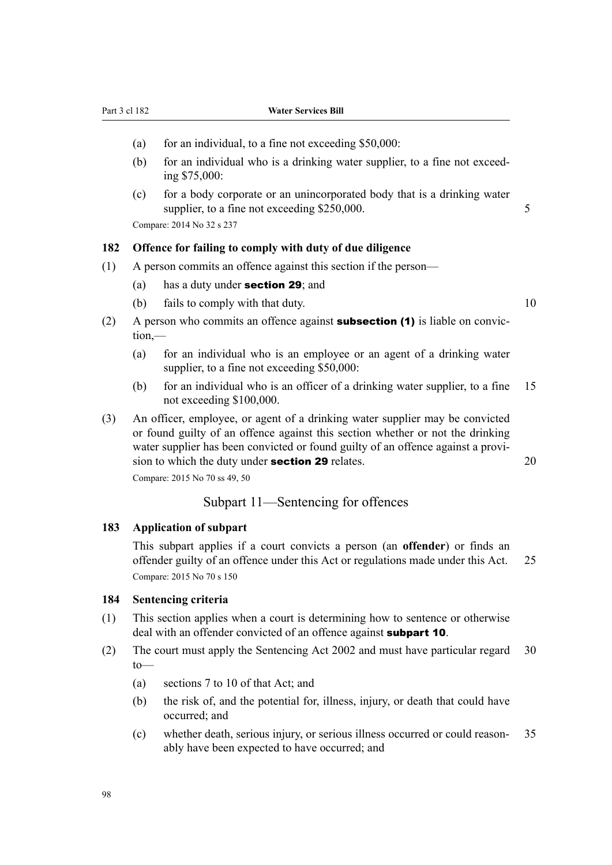- (a) for an individual, to a fine not exceeding  $$50,000$ :
- (b) for an individual who is a drinking water supplier, to a fine not exceeding \$75,000:
- (c) for a body corporate or an unincorporated body that is a drinking water supplier, to a fine not exceeding \$250,000. 5

Compare: 2014 No 32 s 237

#### **182 Offence for failing to comply with duty of due diligence**

- (1) A person commits an offence against this section if the person—
	- (a) has a duty under section 29; and
	- (b) fails to comply with that duty. 10
- (2) A person who commits an offence against **subsection (1)** is liable on conviction,—
	- (a) for an individual who is an employee or an agent of a drinking water supplier, to a fine not exceeding \$50,000:
	- (b) for an individual who is an officer of a drinking water supplier, to a fine 15 not exceeding \$100,000.
- (3) An officer, employee, or agent of a drinking water supplier may be convicted or found guilty of an offence against this section whether or not the drinking water supplier has been convicted or found guilty of an offence against a provision to which the duty under **section 29** relates. 20

Compare: 2015 No 70 ss 49, 50

### Subpart 11—Sentencing for offences

#### **183 Application of subpart**

This subpart applies if a court convicts a person (an **offender**) or finds an offender guilty of an offence under this Act or regulations made under this Act. 25 Compare: 2015 No 70 s 150

#### **184 Sentencing criteria**

- (1) This section applies when a court is determining how to sentence or otherwise deal with an offender convicted of an offence against **subpart 10**.
- (2) The court must apply the Sentencing Act 2002 and must have particular regard 30 to—
	- (a) sections 7 to 10 of that Act; and
	- (b) the risk of, and the potential for, illness, injury, or death that could have occurred; and
	- (c) whether death, serious injury, or serious illness occurred or could reason‐ 35 ably have been expected to have occurred; and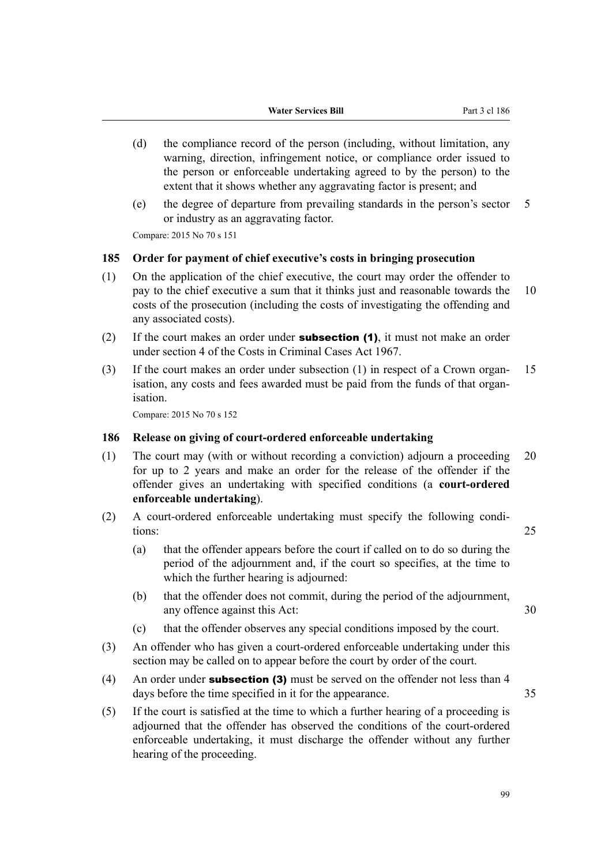- (d) the compliance record of the person (including, without limitation, any warning, direction, infringement notice, or compliance order issued to the person or enforceable undertaking agreed to by the person) to the extent that it shows whether any aggravating factor is present; and
- (e) the degree of departure from prevailing standards in the person's sector 5 or industry as an aggravating factor.

Compare: 2015 No 70 s 151

#### **185 Order for payment of chief executive's costs in bringing prosecution**

- (1) On the application of the chief executive, the court may order the offender to pay to the chief executive a sum that it thinks just and reasonable towards the 10 costs of the prosecution (including the costs of investigating the offending and any associated costs).
- (2) If the court makes an order under **subsection (1)**, it must not make an order under section 4 of the Costs in Criminal Cases Act 1967.
- (3) If the court makes an order under subsection (1) in respect of a Crown organ- 15 isation, any costs and fees awarded must be paid from the funds of that organisation.

Compare: 2015 No 70 s 152

### **186 Release on giving of court-ordered enforceable undertaking**

- (1) The court may (with or without recording a conviction) adjourn a proceeding 20 for up to 2 years and make an order for the release of the offender if the offender gives an undertaking with specified conditions (a **court-ordered enforceable undertaking**).
- (2) A court-ordered enforceable undertaking must specify the following conditions: 25
	- (a) that the offender appears before the court if called on to do so during the period of the adjournment and, if the court so specifies, at the time to which the further hearing is adjourned:
	- (b) that the offender does not commit, during the period of the adjournment, any offence against this Act: 30
	- (c) that the offender observes any special conditions imposed by the court.
- (3) An offender who has given a court-ordered enforceable undertaking under this section may be called on to appear before the court by order of the court.
- (4) An order under **subsection (3)** must be served on the offender not less than 4 days before the time specified in it for the appearance. 35
- (5) If the court is satisfied at the time to which a further hearing of a proceeding is adjourned that the offender has observed the conditions of the court-ordered enforceable undertaking, it must discharge the offender without any further hearing of the proceeding.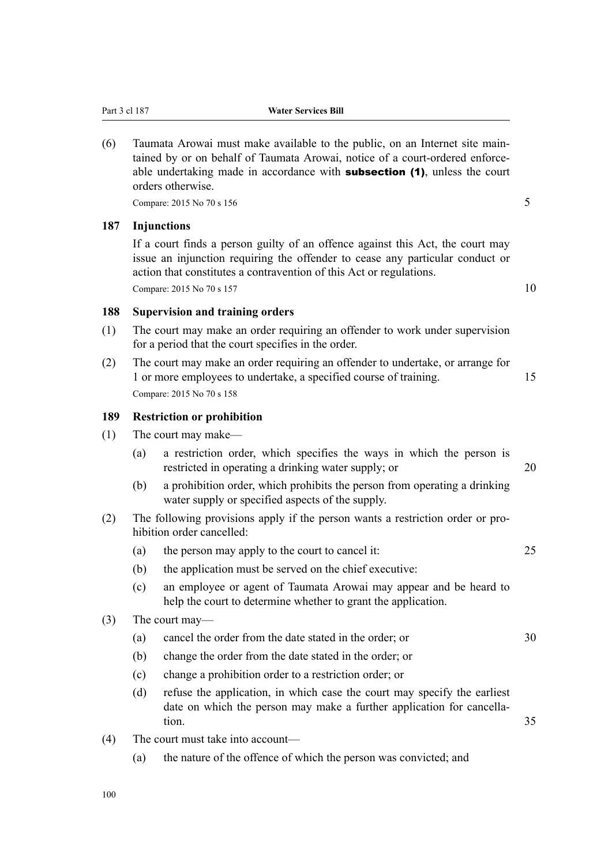(6) Taumata Arowai must make available to the public, on an Internet site main‐ tained by or on behalf of Taumata Arowai, notice of a court-ordered enforceable undertaking made in accordance with **subsection (1)**, unless the court orders otherwise.

 $Compare: 2015 No 70 s 156$  5

#### **187 Injunctions**

If a court finds a person guilty of an offence against this Act, the court may issue an injunction requiring the offender to cease any particular conduct or action that constitutes a contravention of this Act or regulations. Compare:  $2015 \text{ No } 70 \text{ s } 157$  10

### **188 Supervision and training orders**

- (1) The court may make an order requiring an offender to work under supervision for a period that the court specifies in the order.
- (2) The court may make an order requiring an offender to undertake, or arrange for 1 or more employees to undertake, a specified course of training. 15 Compare: 2015 No 70 s 158

### **189 Restriction or prohibition**

- (1) The court may make—
	- (a) a restriction order, which specifies the ways in which the person is restricted in operating a drinking water supply; or 20
	- (b) a prohibition order, which prohibits the person from operating a drinking water supply or specified aspects of the supply.
- (2) The following provisions apply if the person wants a restriction order or pro‐ hibition order cancelled:
	- (a) the person may apply to the court to cancel it: 25
	- (b) the application must be served on the chief executive:
	- (c) an employee or agent of Taumata Arowai may appear and be heard to help the court to determine whether to grant the application.

#### (3) The court may—

- (a) cancel the order from the date stated in the order; or 30
- (b) change the order from the date stated in the order; or
- (c) change a prohibition order to a restriction order; or
- (d) refuse the application, in which case the court may specify the earliest date on which the person may make a further application for cancellation. 35
- (4) The court must take into account—
	- (a) the nature of the offence of which the person was convicted; and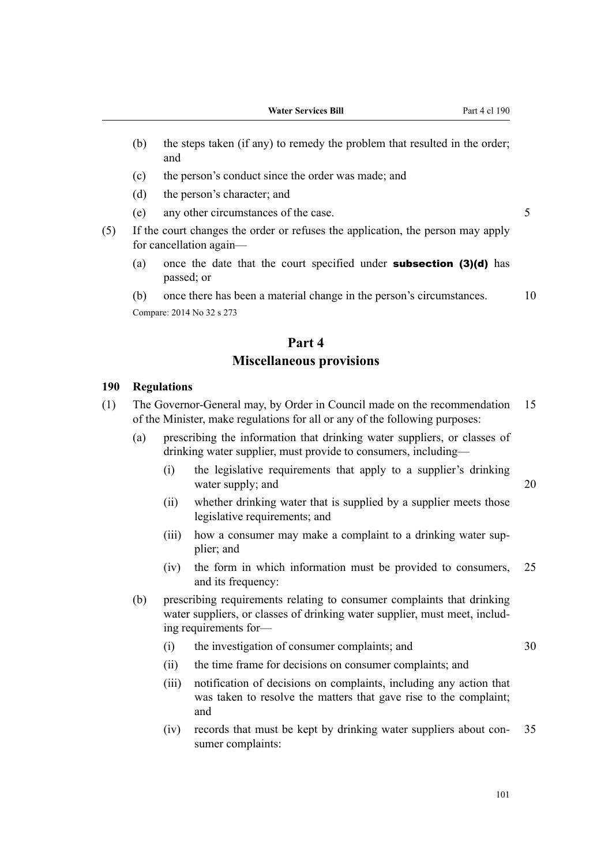- (b) the steps taken (if any) to remedy the problem that resulted in the order; and
- (c) the person's conduct since the order was made; and
- (d) the person's character; and
- (e) any other circumstances of the case. 5

(5) If the court changes the order or refuses the application, the person may apply for cancellation again—

- (a) once the date that the court specified under **subsection (3)(d)** has passed; or
- (b) once there has been a material change in the person's circumstances. 10 Compare: 2014 No 32 s 273

# **Part 4 Miscellaneous provisions**

#### **190 Regulations**

- (1) The Governor-General may, by Order in Council made on the recommendation 15 of the Minister, make regulations for all or any of the following purposes:
	- (a) prescribing the information that drinking water suppliers, or classes of drinking water supplier, must provide to consumers, including—
		- (i) the legislative requirements that apply to a supplier's drinking water supply; and 20
		- (ii) whether drinking water that is supplied by a supplier meets those legislative requirements; and
		- (iii) how a consumer may make a complaint to a drinking water supplier; and
		- (iv) the form in which information must be provided to consumers, 25 and its frequency:
	- (b) prescribing requirements relating to consumer complaints that drinking water suppliers, or classes of drinking water supplier, must meet, including requirements for—
		- (i) the investigation of consumer complaints; and 30
		- (ii) the time frame for decisions on consumer complaints; and
		- (iii) notification of decisions on complaints, including any action that was taken to resolve the matters that gave rise to the complaint; and
		- (iv) records that must be kept by drinking water suppliers about con‐ 35 sumer complaints: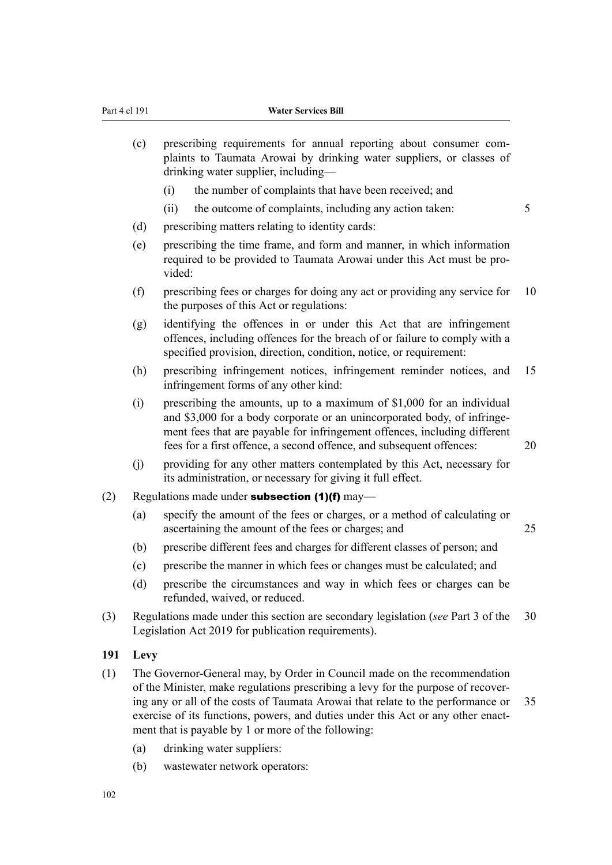- (c) prescribing requirements for annual reporting about consumer complaints to Taumata Arowai by drinking water suppliers, or classes of drinking water supplier, including— (i) the number of complaints that have been received; and (ii) the outcome of complaints, including any action taken: 5 (d) prescribing matters relating to identity cards: (e) prescribing the time frame, and form and manner, in which information required to be provided to Taumata Arowai under this Act must be pro‐ vided: (f) prescribing fees or charges for doing any act or providing any service for 10 the purposes of this Act or regulations: (g) identifying the offences in or under this Act that are infringement offences, including offences for the breach of or failure to comply with a specified provision, direction, condition, notice, or requirement: (h) prescribing infringement notices, infringement reminder notices, and 15 infringement forms of any other kind: (i) prescribing the amounts, up to a maximum of \$1,000 for an individual and \$3,000 for a body corporate or an unincorporated body, of infringement fees that are payable for infringement offences, including different fees for a first offence, a second offence, and subsequent offences: 20 (j) providing for any other matters contemplated by this Act, necessary for its administration, or necessary for giving it full effect. (2) Regulations made under **subsection (1)(f)** may— (a) specify the amount of the fees or charges, or a method of calculating or ascertaining the amount of the fees or charges; and 25 (b) prescribe different fees and charges for different classes of person; and (c) prescribe the manner in which fees or changes must be calculated; and (d) prescribe the circumstances and way in which fees or charges can be refunded, waived, or reduced.
- (3) Regulations made under this section are secondary legislation (*see* Part 3 of the 30 Legislation Act 2019 for publication requirements).

#### **191 Levy**

- (1) The Governor-General may, by Order in Council made on the recommendation of the Minister, make regulations prescribing a levy for the purpose of recover‐ ing any or all of the costs of Taumata Arowai that relate to the performance or 35 exercise of its functions, powers, and duties under this Act or any other enactment that is payable by 1 or more of the following:
	- (a) drinking water suppliers:
	- (b) wastewater network operators: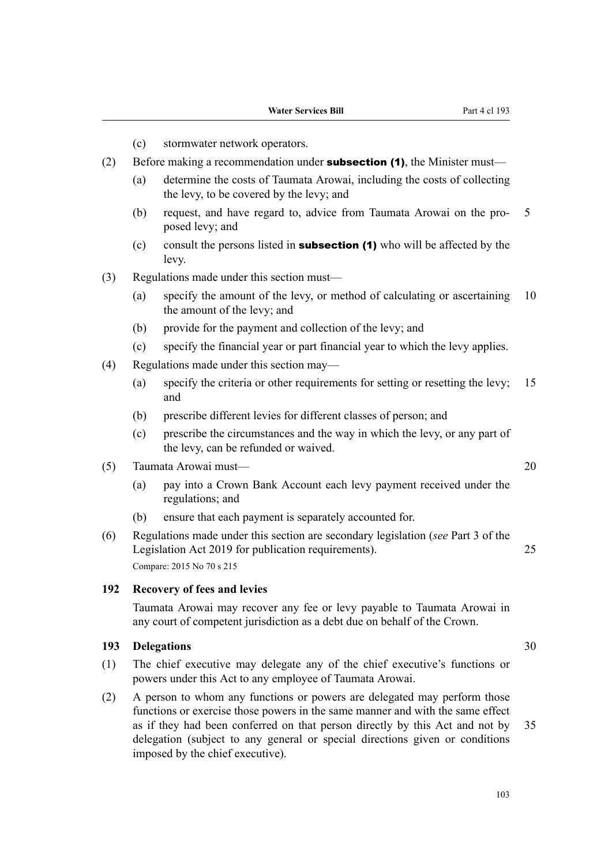- (c) stormwater network operators.
- (2) Before making a recommendation under **subsection (1)**, the Minister must—
	- (a) determine the costs of Taumata Arowai, including the costs of collecting the levy, to be covered by the levy; and
	- (b) request, and have regard to, advice from Taumata Arowai on the pro‐ 5 posed levy; and
	- (c) consult the persons listed in **subsection (1)** who will be affected by the levy.
- (3) Regulations made under this section must—
	- (a) specify the amount of the levy, or method of calculating or ascertaining 10 the amount of the levy; and
	- (b) provide for the payment and collection of the levy; and
	- (c) specify the financial year or part financial year to which the levy applies.
- (4) Regulations made under this section may—
	- (a) specify the criteria or other requirements for setting or resetting the levy; 15 and
	- (b) prescribe different levies for different classes of person; and
	- (c) prescribe the circumstances and the way in which the levy, or any part of the levy, can be refunded or waived.
- (5) Taumata Arowai must— 20
	- (a) pay into a Crown Bank Account each levy payment received under the regulations; and
	- (b) ensure that each payment is separately accounted for.
- (6) Regulations made under this section are secondary legislation (*see* Part 3 of the Legislation Act 2019 for publication requirements). 25 Compare: 2015 No 70 s 215

### **192 Recovery of fees and levies**

Taumata Arowai may recover any fee or levy payable to Taumata Arowai in any court of competent jurisdiction as a debt due on behalf of the Crown.

### **193 Delegations** 30

- (1) The chief executive may delegate any of the chief executive's functions or powers under this Act to any employee of Taumata Arowai.
- (2) A person to whom any functions or powers are delegated may perform those functions or exercise those powers in the same manner and with the same effect as if they had been conferred on that person directly by this Act and not by 35 delegation (subject to any general or special directions given or conditions imposed by the chief executive).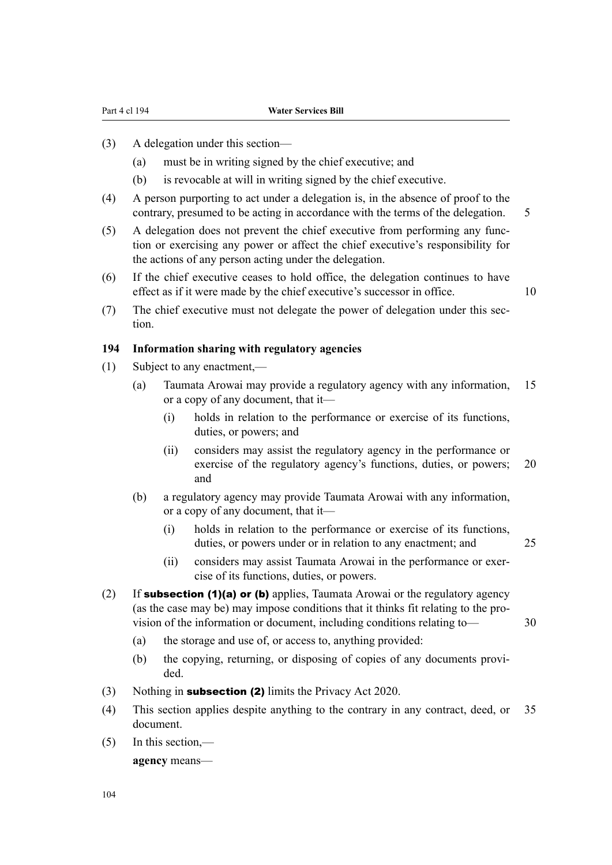- (3) A delegation under this section—
	- (a) must be in writing signed by the chief executive; and
	- (b) is revocable at will in writing signed by the chief executive.
- (4) A person purporting to act under a delegation is, in the absence of proof to the contrary, presumed to be acting in accordance with the terms of the delegation. 5
- (5) A delegation does not prevent the chief executive from performing any func‐ tion or exercising any power or affect the chief executive's responsibility for the actions of any person acting under the delegation.
- (6) If the chief executive ceases to hold office, the delegation continues to have effect as if it were made by the chief executive's successor in office. 10
- (7) The chief executive must not delegate the power of delegation under this section.

## **194 Information sharing with regulatory agencies**

- (1) Subject to any enactment,—
	- (a) Taumata Arowai may provide a regulatory agency with any information, 15 or a copy of any document, that it—
		- (i) holds in relation to the performance or exercise of its functions, duties, or powers; and
		- (ii) considers may assist the regulatory agency in the performance or exercise of the regulatory agency's functions, duties, or powers; 20 and
	- (b) a regulatory agency may provide Taumata Arowai with any information, or a copy of any document, that it—
		- (i) holds in relation to the performance or exercise of its functions, duties, or powers under or in relation to any enactment; and 25
		- (ii) considers may assist Taumata Arowai in the performance or exer‐ cise of its functions, duties, or powers.
- (2) If **subsection (1)(a) or (b)** applies, Taumata Arowai or the regulatory agency (as the case may be) may impose conditions that it thinks fit relating to the pro‐ vision of the information or document, including conditions relating to— 30
	- (a) the storage and use of, or access to, anything provided:
	- (b) the copying, returning, or disposing of copies of any documents provided.
- (3) Nothing in subsection (2) limits the Privacy Act 2020.
- (4) This section applies despite anything to the contrary in any contract, deed, or 35 document.
- (5) In this section,—

**agency** means—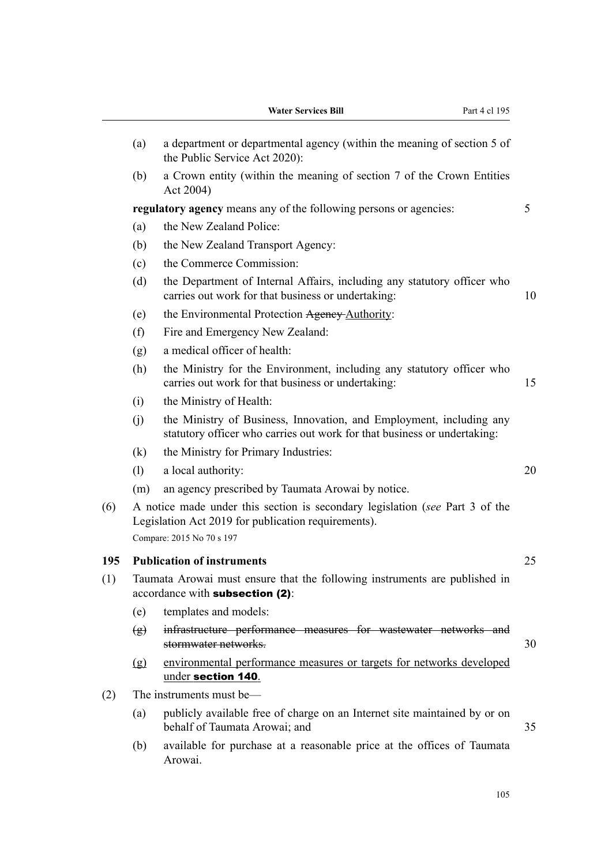|     |               | <b>Water Services Bill</b><br>Part 4 cl 195                                                                                                                      |    |
|-----|---------------|------------------------------------------------------------------------------------------------------------------------------------------------------------------|----|
|     | (a)           | a department or departmental agency (within the meaning of section 5 of<br>the Public Service Act 2020):                                                         |    |
|     | (b)           | a Crown entity (within the meaning of section 7 of the Crown Entities<br>Act 2004)                                                                               |    |
|     |               | regulatory agency means any of the following persons or agencies:                                                                                                | 5  |
|     | (a)           | the New Zealand Police:                                                                                                                                          |    |
|     | (b)           | the New Zealand Transport Agency:                                                                                                                                |    |
|     | (c)           | the Commerce Commission:                                                                                                                                         |    |
|     | (d)           | the Department of Internal Affairs, including any statutory officer who<br>carries out work for that business or undertaking:                                    | 10 |
|     | (e)           | the Environmental Protection Agency-Authority:                                                                                                                   |    |
|     | (f)           | Fire and Emergency New Zealand:                                                                                                                                  |    |
|     | (g)           | a medical officer of health:                                                                                                                                     |    |
|     | (h)           | the Ministry for the Environment, including any statutory officer who<br>carries out work for that business or undertaking:                                      | 15 |
|     | (i)           | the Ministry of Health:                                                                                                                                          |    |
|     | (i)           | the Ministry of Business, Innovation, and Employment, including any<br>statutory officer who carries out work for that business or undertaking:                  |    |
|     | (k)           | the Ministry for Primary Industries:                                                                                                                             |    |
|     | (1)           | a local authority:                                                                                                                                               | 20 |
|     | (m)           | an agency prescribed by Taumata Arowai by notice.                                                                                                                |    |
| (6) |               | A notice made under this section is secondary legislation (see Part 3 of the<br>Legislation Act 2019 for publication requirements).<br>Compare: 2015 No 70 s 197 |    |
| 195 |               | <b>Publication of instruments</b>                                                                                                                                | 25 |
| (1) |               | Taumata Arowai must ensure that the following instruments are published in<br>accordance with subsection (2):                                                    |    |
|     | (e)           | templates and models:                                                                                                                                            |    |
|     | $\circled{g}$ | infrastructure performance measures for wastewater networks and<br>stormwater networks.                                                                          | 30 |
|     | (g)           | environmental performance measures or targets for networks developed<br>under section 140.                                                                       |    |
| (2) |               | The instruments must be—                                                                                                                                         |    |
|     | (a)           | publicly available free of charge on an Internet site maintained by or on<br>behalf of Taumata Arowai; and                                                       | 35 |
|     | (b)           | available for purchase at a reasonable price at the offices of Taumata<br>Arowai.                                                                                |    |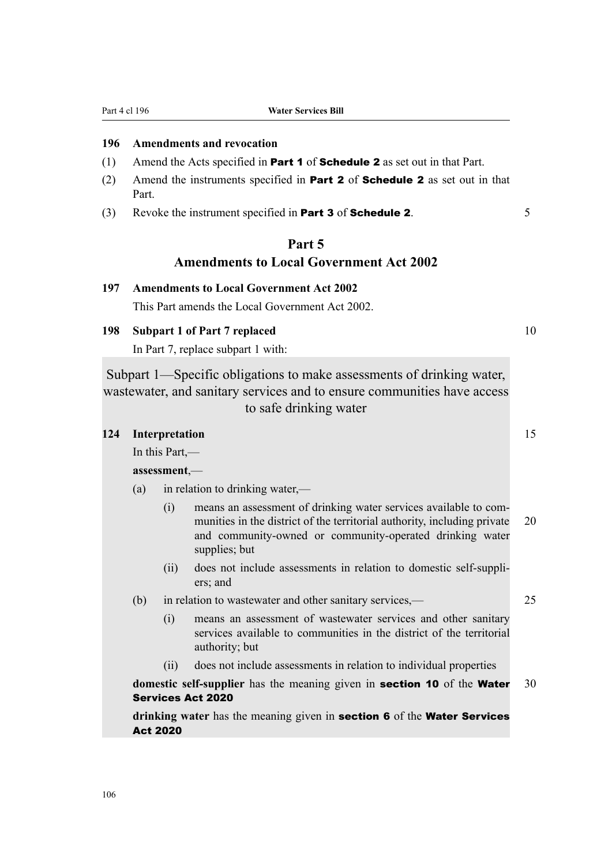Part 4 cl 196 **Water Services Bill**

### **196 Amendments and revocation**

- (1) Amend the Acts specified in **Part 1** of **Schedule 2** as set out in that Part.
- (2) Amend the instruments specified in Part 2 of Schedule 2 as set out in that Part.
- (3) Revoke the instrument specified in **Part 3** of **Schedule 2**. 5

# **Part 5 Amendments to Local Government Act 2002**

## **197 Amendments to Local Government Act 2002**

This Part amends the Local Government Act 2002.

## **198 Subpart 1 of Part 7 replaced** 10

In Part 7, replace subpart 1 with:

Subpart 1—Specific obligations to make assessments of drinking water, wastewater, and sanitary services and to ensure communities have access to safe drinking water

## **124 Interpretation** 15

In this Part,—

**assessment**,—

- (a) in relation to drinking water,—
	- (i) means an assessment of drinking water services available to com‐ munities in the district of the territorial authority, including private 20 and community-owned or community-operated drinking water supplies; but
	- (ii) does not include assessments in relation to domestic self-suppli‐ ers; and
- (b) in relation to wastewater and other sanitary services,— 25
	- (i) means an assessment of wastewater services and other sanitary services available to communities in the district of the territorial authority; but
	- (ii) does not include assessments in relation to individual properties

**domestic self-supplier** has the meaning given in **section 10** of the **Water** 30 Services Act 2020

**drinking water** has the meaning given in section 6 of the Water Services Act 2020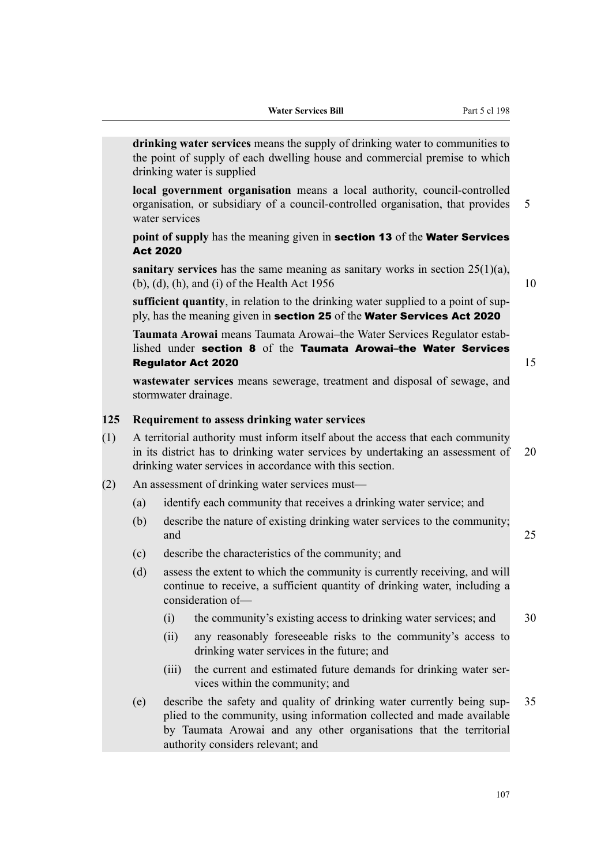|     |     |                 | <b>Water Services Bill</b>                                                                                                                                                                                                                                                     | Part 5 cl 198 |    |
|-----|-----|-----------------|--------------------------------------------------------------------------------------------------------------------------------------------------------------------------------------------------------------------------------------------------------------------------------|---------------|----|
|     |     |                 | drinking water services means the supply of drinking water to communities to<br>the point of supply of each dwelling house and commercial premise to which<br>drinking water is supplied                                                                                       |               |    |
|     |     | water services  | local government organisation means a local authority, council-controlled<br>organisation, or subsidiary of a council-controlled organisation, that provides                                                                                                                   |               | 5  |
|     |     | <b>Act 2020</b> | point of supply has the meaning given in section 13 of the Water Services                                                                                                                                                                                                      |               |    |
|     |     |                 | sanitary services has the same meaning as sanitary works in section $25(1)(a)$ ,<br>$(b)$ , $(d)$ , $(h)$ , and $(i)$ of the Health Act 1956                                                                                                                                   |               | 10 |
|     |     |                 | sufficient quantity, in relation to the drinking water supplied to a point of sup-<br>ply, has the meaning given in section 25 of the Water Services Act 2020                                                                                                                  |               |    |
|     |     |                 | Taumata Arowai means Taumata Arowai-the Water Services Regulator estab-<br>lished under section 8 of the Taumata Arowai-the Water Services<br><b>Regulator Act 2020</b><br>wastewater services means sewerage, treatment and disposal of sewage, and<br>stormwater drainage.   |               | 15 |
| 125 |     |                 |                                                                                                                                                                                                                                                                                |               |    |
| (1) |     |                 | Requirement to assess drinking water services<br>A territorial authority must inform itself about the access that each community<br>in its district has to drinking water services by undertaking an assessment of<br>drinking water services in accordance with this section. |               | 20 |
| (2) |     |                 | An assessment of drinking water services must-                                                                                                                                                                                                                                 |               |    |
|     | (a) |                 | identify each community that receives a drinking water service; and                                                                                                                                                                                                            |               |    |
|     | (b) | and             | describe the nature of existing drinking water services to the community;                                                                                                                                                                                                      |               | 25 |
|     | (c) |                 | describe the characteristics of the community; and                                                                                                                                                                                                                             |               |    |
|     | (d) |                 | assess the extent to which the community is currently receiving, and will<br>continue to receive, a sufficient quantity of drinking water, including a<br>consideration of-                                                                                                    |               |    |
|     |     | (i)             | the community's existing access to drinking water services; and                                                                                                                                                                                                                |               | 30 |
|     |     | (ii)            | any reasonably foreseeable risks to the community's access to<br>drinking water services in the future; and                                                                                                                                                                    |               |    |
|     |     | (iii)           | the current and estimated future demands for drinking water ser-<br>vices within the community; and                                                                                                                                                                            |               |    |
|     | (e) |                 | describe the safety and quality of drinking water currently being sup-<br>plied to the community, using information collected and made available<br>by Taumata Arowai and any other organisations that the territorial<br>authority considers relevant; and                    |               | 35 |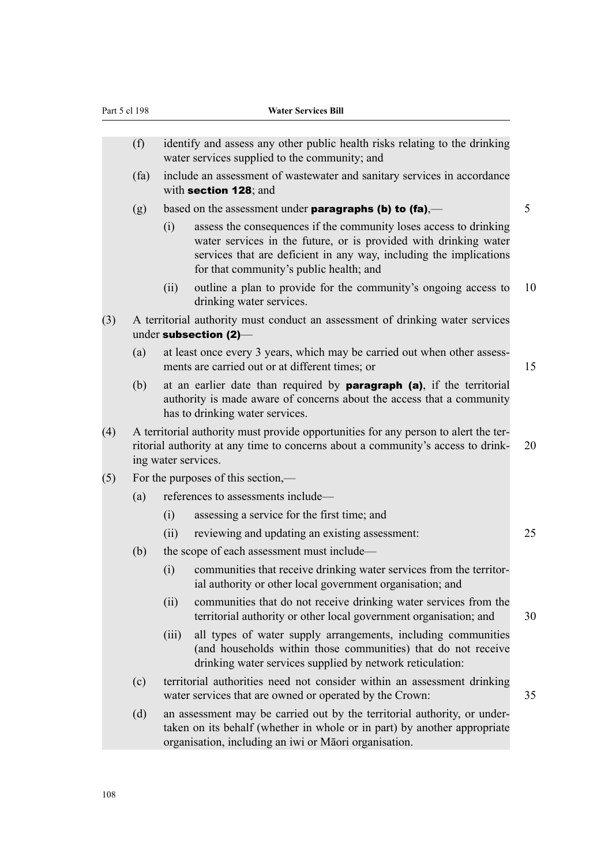|     | Part 5 cl 198 |       | <b>Water Services Bill</b>                                                                                                                                                                                                                             |    |
|-----|---------------|-------|--------------------------------------------------------------------------------------------------------------------------------------------------------------------------------------------------------------------------------------------------------|----|
|     | (f)           |       | identify and assess any other public health risks relating to the drinking<br>water services supplied to the community; and                                                                                                                            |    |
|     | (fa)          |       | include an assessment of wastewater and sanitary services in accordance<br>with section 128; and                                                                                                                                                       |    |
|     | (g)           |       | based on the assessment under <b>paragraphs (b) to (fa)</b> ,—                                                                                                                                                                                         | 5  |
|     |               | (i)   | assess the consequences if the community loses access to drinking<br>water services in the future, or is provided with drinking water<br>services that are deficient in any way, including the implications<br>for that community's public health; and |    |
|     |               | (ii)  | outline a plan to provide for the community's ongoing access to<br>drinking water services.                                                                                                                                                            | 10 |
| (3) |               |       | A territorial authority must conduct an assessment of drinking water services<br>under subsection (2)-                                                                                                                                                 |    |
|     | (a)           |       | at least once every 3 years, which may be carried out when other assess-<br>ments are carried out or at different times; or                                                                                                                            | 15 |
|     | (b)           |       | at an earlier date than required by <b>paragraph</b> (a), if the territorial<br>authority is made aware of concerns about the access that a community<br>has to drinking water services.                                                               |    |
| (4) |               |       | A territorial authority must provide opportunities for any person to alert the ter-<br>ritorial authority at any time to concerns about a community's access to drink-<br>ing water services.                                                          | 20 |
| (5) |               |       | For the purposes of this section,—                                                                                                                                                                                                                     |    |
|     | (a)           |       | references to assessments include—                                                                                                                                                                                                                     |    |
|     |               | (i)   | assessing a service for the first time; and                                                                                                                                                                                                            |    |
|     |               | (ii)  | reviewing and updating an existing assessment:                                                                                                                                                                                                         | 25 |
|     | (b)           |       | the scope of each assessment must include—                                                                                                                                                                                                             |    |
|     |               | (i)   | communities that receive drinking water services from the territor-<br>ial authority or other local government organisation; and                                                                                                                       |    |
|     |               | (ii)  | communities that do not receive drinking water services from the<br>territorial authority or other local government organisation; and                                                                                                                  | 30 |
|     |               | (iii) | all types of water supply arrangements, including communities<br>(and households within those communities) that do not receive<br>drinking water services supplied by network reticulation:                                                            |    |
|     | (c)           |       | territorial authorities need not consider within an assessment drinking<br>water services that are owned or operated by the Crown:                                                                                                                     | 35 |
|     | (d)           |       | an assessment may be carried out by the territorial authority, or under-<br>taken on its behalf (whether in whole or in part) by another appropriate<br>organisation, including an iwi or Māori organisation.                                          |    |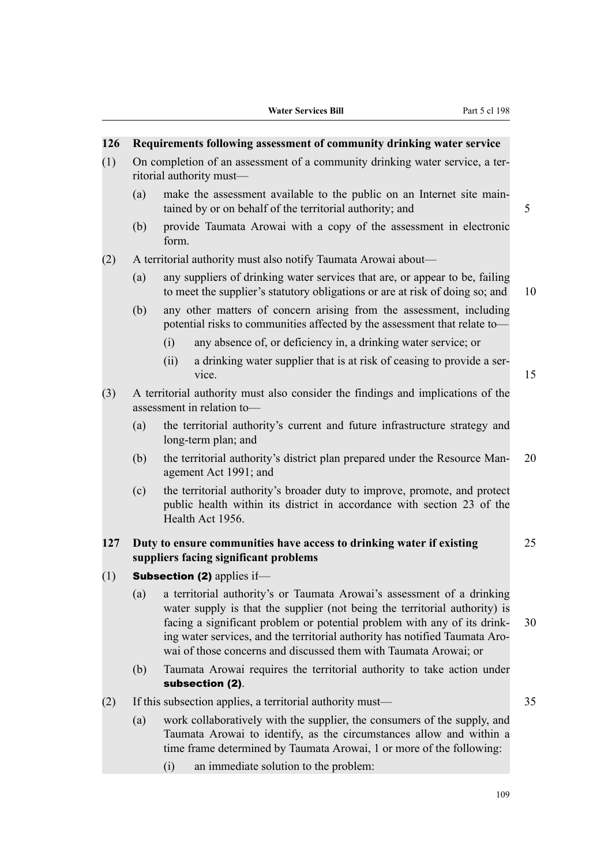# **126 Requirements following assessment of community drinking water service** (1) On completion of an assessment of a community drinking water service, a ter‐

- ritorial authority must—
	- (a) make the assessment available to the public on an Internet site main‐ tained by or on behalf of the territorial authority; and 5
	- (b) provide Taumata Arowai with a copy of the assessment in electronic form.
- (2) A territorial authority must also notify Taumata Arowai about—
	- (a) any suppliers of drinking water services that are, or appear to be, failing to meet the supplier's statutory obligations or are at risk of doing so; and 10
	- (b) any other matters of concern arising from the assessment, including potential risks to communities affected by the assessment that relate to—
		- (i) any absence of, or deficiency in, a drinking water service; or
		- (ii) a drinking water supplier that is at risk of ceasing to provide a ser‐ vice. 15
- (3) A territorial authority must also consider the findings and implications of the assessment in relation to—
	- (a) the territorial authority's current and future infrastructure strategy and long-term plan; and
	- (b) the territorial authority's district plan prepared under the Resource Man-20 agement Act 1991; and
	- (c) the territorial authority's broader duty to improve, promote, and protect public health within its district in accordance with section 23 of the Health Act 1956.

## **127 Duty to ensure communities have access to drinking water if existing** 25 **suppliers facing significant problems**

- $(1)$  Subsection (2) applies if-
	- (a) a territorial authority's or Taumata Arowai's assessment of a drinking water supply is that the supplier (not being the territorial authority) is facing a significant problem or potential problem with any of its drink- 30 ing water services, and the territorial authority has notified Taumata Arowai of those concerns and discussed them with Taumata Arowai; or
	- (b) Taumata Arowai requires the territorial authority to take action under subsection (2).
- (2) If this subsection applies, a territorial authority must— 35

- (a) work collaboratively with the supplier, the consumers of the supply, and Taumata Arowai to identify, as the circumstances allow and within a time frame determined by Taumata Arowai, 1 or more of the following:
	- (i) an immediate solution to the problem: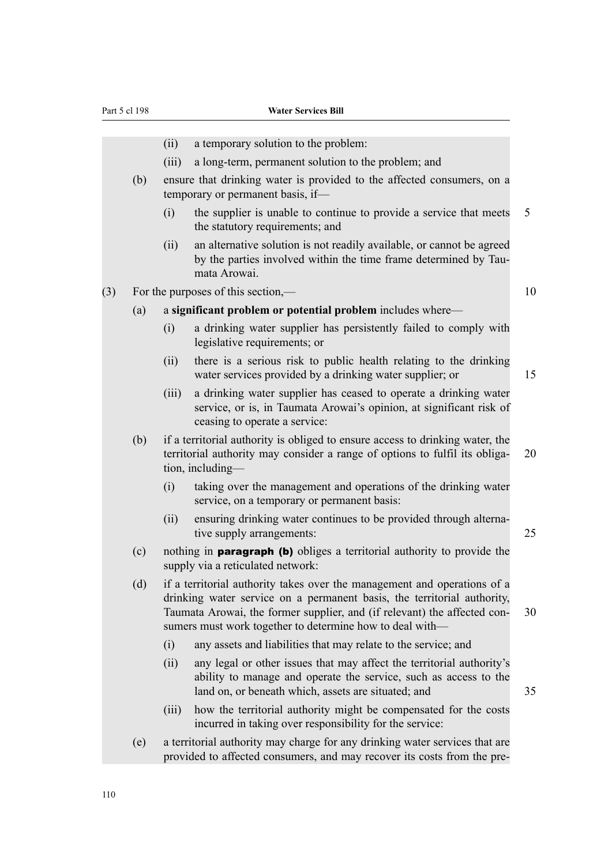- (ii) a temporary solution to the problem: (iii) a long-term, permanent solution to the problem; and (b) ensure that drinking water is provided to the affected consumers, on a temporary or permanent basis, if— (i) the supplier is unable to continue to provide a service that meets 5 the statutory requirements; and (ii) an alternative solution is not readily available, or cannot be agreed by the parties involved within the time frame determined by Taumata Arowai. (3) For the purposes of this section,— 10 (a) a **significant problem or potential problem** includes where— (i) a drinking water supplier has persistently failed to comply with legislative requirements; or (ii) there is a serious risk to public health relating to the drinking water services provided by a drinking water supplier; or 15 (iii) a drinking water supplier has ceased to operate a drinking water service, or is, in Taumata Arowai's opinion, at significant risk of ceasing to operate a service: (b) if a territorial authority is obliged to ensure access to drinking water, the territorial authority may consider a range of options to fulfil its obliga- 20 tion, including— (i) taking over the management and operations of the drinking water service, on a temporary or permanent basis: (ii) ensuring drinking water continues to be provided through alternative supply arrangements: 25 (c) nothing in paragraph (b) obliges a territorial authority to provide the supply via a reticulated network: (d) if a territorial authority takes over the management and operations of a drinking water service on a permanent basis, the territorial authority, Taumata Arowai, the former supplier, and (if relevant) the affected con-<br>30 sumers must work together to determine how to deal with— (i) any assets and liabilities that may relate to the service; and (ii) any legal or other issues that may affect the territorial authority's ability to manage and operate the service, such as access to the land on, or beneath which, assets are situated; and  $35$ (iii) how the territorial authority might be compensated for the costs incurred in taking over responsibility for the service:
	- (e) a territorial authority may charge for any drinking water services that are provided to affected consumers, and may recover its costs from the pre‐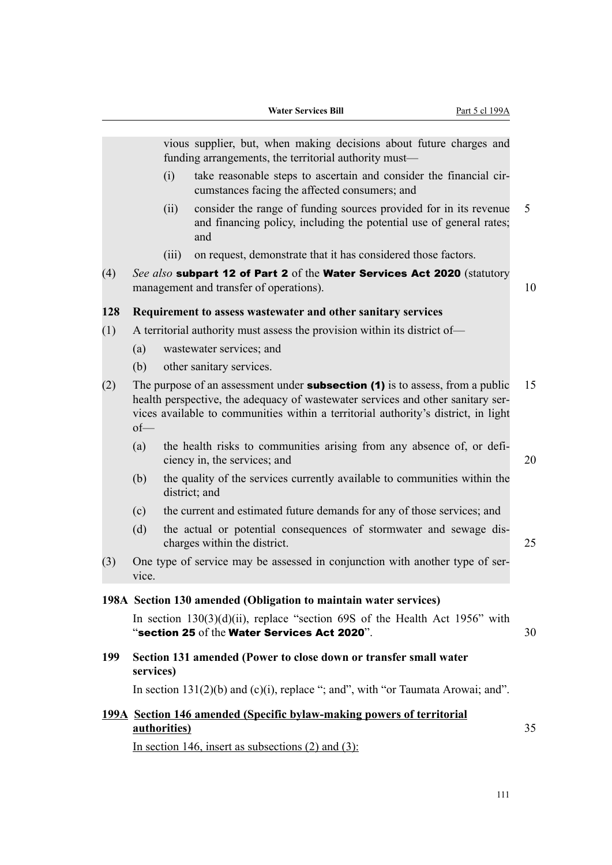vious supplier, but, when making decisions about future charges and funding arrangements, the territorial authority must—

- $(i)$  take reasonable steps to ascertain and consider the financial circumstances facing the affected consumers; and
- (ii) consider the range of funding sources provided for in its revenue 5 and financing policy, including the potential use of general rates; and
- (iii) on request, demonstrate that it has considered those factors.
- (4) *See also* subpart 12 of Part 2 of the Water Services Act 2020 (statutory management and transfer of operations). The same state of  $\sim$  10

#### **128 Requirement to assess wastewater and other sanitary services**

- (1) A territorial authority must assess the provision within its district of—
	- (a) wastewater services; and
	- (b) other sanitary services.
- (2) The purpose of an assessment under **subsection (1)** is to assess, from a public 15 health perspective, the adequacy of wastewater services and other sanitary services available to communities within a territorial authority's district, in light of—
	- (a) the health risks to communities arising from any absence of, or deficiency in, the services; and 20
	- (b) the quality of the services currently available to communities within the district; and
	- (c) the current and estimated future demands for any of those services; and
	- (d) the actual or potential consequences of stormwater and sewage dis‐ charges within the district. 25
- (3) One type of service may be assessed in conjunction with another type of ser‐ vice.

#### **198A Section 130 amended (Obligation to maintain water services)**

In section  $130(3)(d)(ii)$ , replace "section 69S of the Health Act 1956" with "section 25 of the Water Services Act 2020".  $30$ 

## **199 Section 131 amended (Power to close down or transfer small water services)**

In section  $131(2)(b)$  and  $(c)(i)$ , replace "; and", with "or Taumata Arowai; and".

|              | 199A Section 146 amended (Specific bylaw-making powers of territorial |  |
|--------------|-----------------------------------------------------------------------|--|
| authorities) |                                                                       |  |

In section 146, insert as subsections  $(2)$  and  $(3)$ :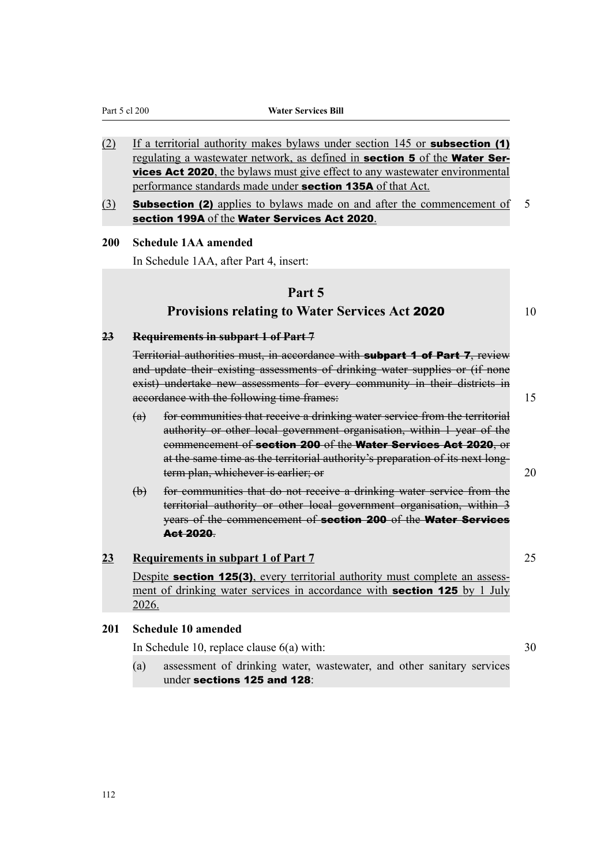Part 5 cl 200 **Water Services Bill**

- (2) If a territorial authority makes bylaws under section  $145$  or **subsection (1)** regulating a wastewater network, as defined in **section 5** of the **Water Services Act 2020**, the bylaws must give effect to any wastewater environmental performance standards made under section 135A of that Act.
- (3) **Subsection (2)** applies to bylaws made on and after the commencement of 5 section 199A of the Water Services Act 2020.

#### **200 Schedule 1AA amended**

In Schedule 1AA, after Part 4, insert:

#### **Part 5**

## **Provisions relating to Water Services Act 2020** 10

**23 Requirements in subpart 1 of Part 7**

Territorial authorities must, in accordance with **subpart 1 of Part 7**, review and update their existing assessments of drinking water supplies or (if none exist) undertake new assessments for every community in their districts in accordance with the following time frames: 15

- (a) for communities that receive a drinking water service from the territorial authority or other local government organisation, within 1 year of the commencement of section 200 of the Water Services Act 2020, or at the same time as the territorial authority's preparation of its next longterm plan, whichever is earlier; or 20
- (b) for communities that do not receive a drinking water service from the territorial authority or other local government organisation, within 3 years of the commencement of section 200 of the Water Services Act 2020.

#### **23 Requirements in subpart 1 of Part 7** 25

Despite **section 125(3)**, every territorial authority must complete an assessment of drinking water services in accordance with **section 125** by 1 July 2026.

#### **201 Schedule 10 amended**

In Schedule 10, replace clause 6(a) with: 30

(a) assessment of drinking water, wastewater, and other sanitary services under sections 125 and 128: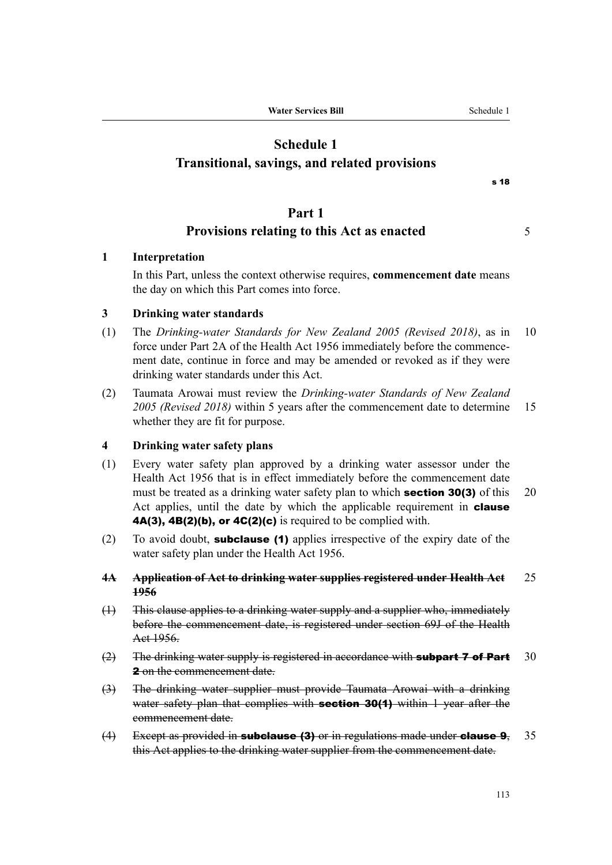# **Schedule 1 Transitional, savings, and related provisions**

s 18

## **Part 1**

## **Provisions relating to this Act as enacted** 5

## **1 Interpretation**

In this Part, unless the context otherwise requires, **commencement date** means the day on which this Part comes into force.

### **3 Drinking water standards**

- (1) The *Drinking-water Standards for New Zealand 2005 (Revised 2018)*, as in 10 force under Part 2A of the Health Act 1956 immediately before the commencement date, continue in force and may be amended or revoked as if they were drinking water standards under this Act.
- (2) Taumata Arowai must review the *Drinking-water Standards of New Zealand 2005 (Revised 2018)* within 5 years after the commencement date to determine 15 whether they are fit for purpose.

#### **4 Drinking water safety plans**

- (1) Every water safety plan approved by a drinking water assessor under the Health Act 1956 that is in effect immediately before the commencement date must be treated as a drinking water safety plan to which **section 30(3)** of this 20 Act applies, until the date by which the applicable requirement in **clause 4A(3), 4B(2)(b), or 4C(2)(c)** is required to be complied with.
- (2) To avoid doubt, **subclause (1)** applies irrespective of the expiry date of the water safety plan under the Health Act 1956.

#### **4A Application of Act to drinking water supplies registered under Health Act** 25 **1956**

- (1) This clause applies to a drinking water supply and a supplier who, immediately before the commencement date, is registered under section 69J of the Health Act 1956.
- $(2)$  The drinking water supply is registered in accordance with **subpart 7 of Part** 30 2 on the commencement date.
- (3) The drinking water supplier must provide Taumata Arowai with a drinking water safety plan that complies with **section 30(1)** within 1 year after the commencement date.
- $(4)$  Except as provided in **subclause (3)** or in regulations made under **clause 9**, 35 this Act applies to the drinking water supplier from the commencement date.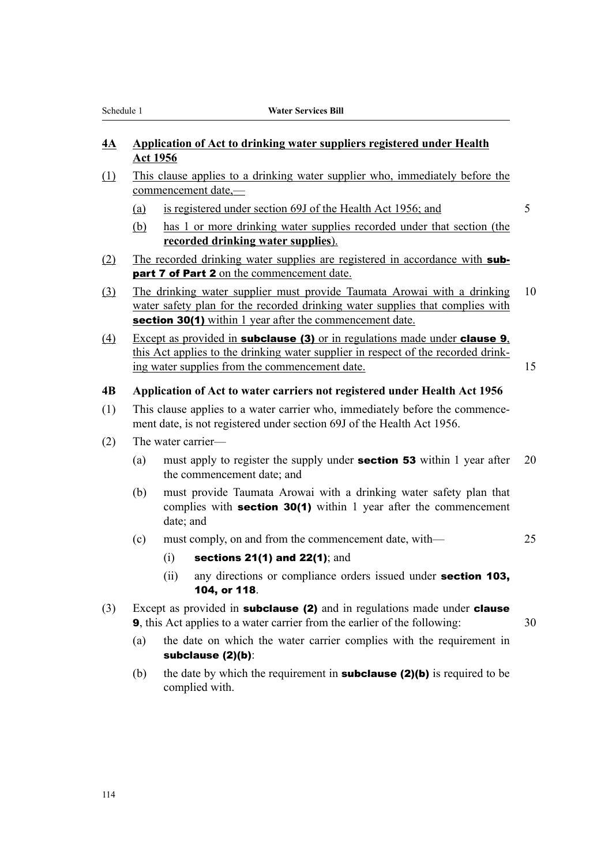## **4A Application of Act to drinking water suppliers registered under Health Act 1956**

- (1) This clause applies to a drinking water supplier who, immediately before the commencement date,—
	- (a) is registered under section 69J of the Health Act 1956; and 5
	- (b) has 1 or more drinking water supplies recorded under that section (the **recorded drinking water supplies**).
- (2) The recorded drinking water supplies are registered in accordance with **sub**part 7 of Part 2 on the commencement date.
- (3) The drinking water supplier must provide Taumata Arowai with a drinking 10 water safety plan for the recorded drinking water supplies that complies with section 30(1) within 1 year after the commencement date.
- (4) Except as provided in subclause (3) or in regulations made under clause 9, this Act applies to the drinking water supplier in respect of the recorded drink‐ ing water supplies from the commencement date. 15

### **4B Application of Act to water carriers not registered under Health Act 1956**

- (1) This clause applies to a water carrier who, immediately before the commence‐ ment date, is not registered under section 69J of the Health Act 1956.
- (2) The water carrier—
	- (a) must apply to register the supply under **section 53** within 1 year after 20 the commencement date; and
	- (b) must provide Taumata Arowai with a drinking water safety plan that complies with **section 30(1)** within 1 year after the commencement date; and
	- (c) must comply, on and from the commencement date, with— 25

- $(i)$  sections 21(1) and 22(1); and
- (ii) any directions or compliance orders issued under section 103, 104, or 118.
- (3) Except as provided in **subclause (2)** and in regulations made under **clause 9**, this Act applies to a water carrier from the earlier of the following: 30
	- (a) the date on which the water carrier complies with the requirement in subclause (2)(b):
	- (b) the date by which the requirement in **subclause (2)(b)** is required to be complied with.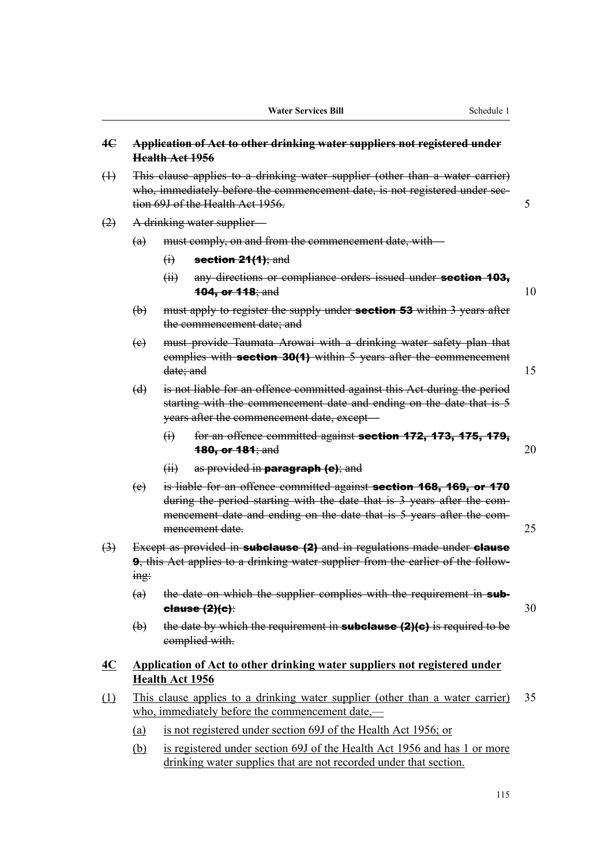| 4E                |                | Health Act 1956                                                                                                                                                                                  | Application of Act to other drinking water suppliers not registered under                                                                                                                                                                 |    |
|-------------------|----------------|--------------------------------------------------------------------------------------------------------------------------------------------------------------------------------------------------|-------------------------------------------------------------------------------------------------------------------------------------------------------------------------------------------------------------------------------------------|----|
| $\oplus$          |                | This clause applies to a drinking water supplier (other than a water carrier)<br>who, immediately before the commencement date, is not registered under see-<br>tion 69J of the Health Act 1956. |                                                                                                                                                                                                                                           | 5  |
| (2)               |                |                                                                                                                                                                                                  | A drinking water supplier-                                                                                                                                                                                                                |    |
|                   | (a)            |                                                                                                                                                                                                  | must comply, on and from the commencement date, with-                                                                                                                                                                                     |    |
|                   |                | $\Theta$                                                                                                                                                                                         | section $24(1)$ ; and                                                                                                                                                                                                                     |    |
|                   |                | (ii)                                                                                                                                                                                             | any directions or compliance orders issued under section 103,<br><b>104, or 118</b> ; and                                                                                                                                                 | 10 |
|                   | $\biguplus$    |                                                                                                                                                                                                  | must apply to register the supply under <b>section 53</b> within 3 years after<br>the commencement date; and                                                                                                                              |    |
|                   | (e)            | date; and                                                                                                                                                                                        | must provide Taumata Arowai with a drinking water safety plan that<br>complies with section 30(1) within 5 years after the commencement                                                                                                   | 15 |
|                   | (d)            |                                                                                                                                                                                                  | is not liable for an offence committed against this Act during the period<br>starting with the commencement date and ending on the date that is 5<br>years after the commencement date, except-                                           |    |
|                   |                | $\Theta$                                                                                                                                                                                         | for an offence committed against section 172, 173, 175, 179,<br><b>180, or 181; and</b>                                                                                                                                                   | 20 |
|                   |                | $\overline{f}$                                                                                                                                                                                   | as provided in <b>paragraph</b> (e); and                                                                                                                                                                                                  |    |
|                   | (e)            |                                                                                                                                                                                                  | is liable for an offence committed against section 168, 169, or 170<br>during the period starting with the date that is 3 years after the com-<br>mencement date and ending on the date that is 5 years after the com-<br>mencement date. | 25 |
| $\leftrightarrow$ | $\frac{mg}{m}$ |                                                                                                                                                                                                  | Except as provided in subclause (2) and in regulations made under clause<br>9, this Act applies to a drinking water supplier from the earlier of the follow-                                                                              |    |
|                   | (a)            |                                                                                                                                                                                                  | the date on which the supplier complies with the requirement in sub-<br>else(2)(e):                                                                                                                                                       | 30 |
|                   | $\biguplus$    |                                                                                                                                                                                                  | the date by which the requirement in <b>subclause <math>(2)(c)</math></b> is required to be<br>complied with.                                                                                                                             |    |
| <u>4C</u>         |                | Health Act 1956                                                                                                                                                                                  | Application of Act to other drinking water suppliers not registered under                                                                                                                                                                 |    |
| (1)               |                |                                                                                                                                                                                                  | This clause applies to a drinking water supplier (other than a water carrier)<br>who, immediately before the commencement date,—                                                                                                          | 35 |

- (a) is not registered under section 69J of the Health Act 1956; or
- (b) is registered under section 69J of the Health Act 1956 and has 1 or more drinking water supplies that are not recorded under that section.

115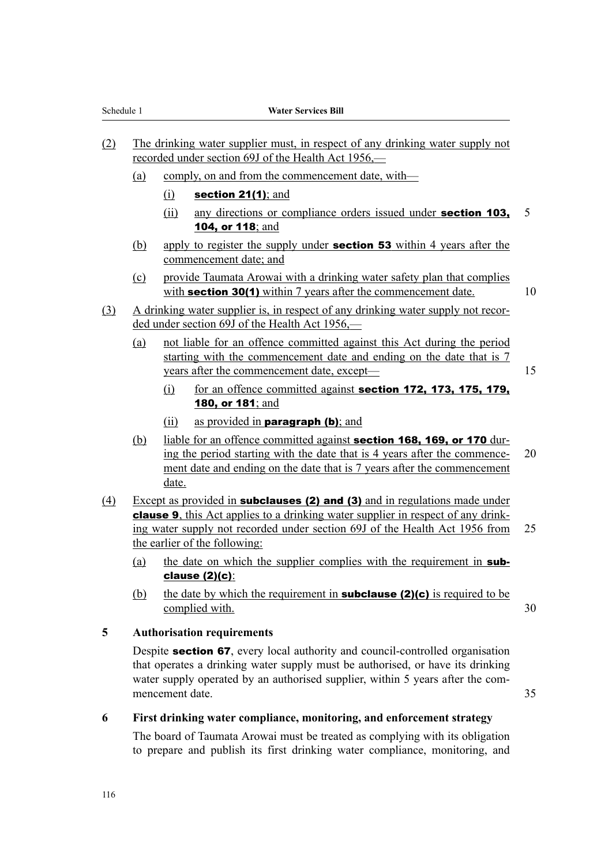- (2) The drinking water supplier must, in respect of any drinking water supply not recorded under section 69J of the Health Act 1956,—
	- (a) comply, on and from the commencement date, with—
		- $(i)$  section 21(1); and
		- (ii) any directions or compliance orders issued under **section 103,** 5 104, or 118; and
	- (b) apply to register the supply under **section 53** within 4 years after the commencement date; and
	- (c) provide Taumata Arowai with a drinking water safety plan that complies with **section 30(1)** within 7 years after the commencement date.  $10$
- (3) A drinking water supplier is, in respect of any drinking water supply not recor‐ ded under section 69J of the Health Act 1956,—
	- (a) not liable for an offence committed against this Act during the period starting with the commencement date and ending on the date that is 7 years after the commencement date, except— 15
		- $(i)$  for an offence committed against **section 172, 173, 175, 179,** 180, or 181; and
		- (ii) as provided in **paragraph (b)**; and
	- (b) liable for an offence committed against **section 168, 169, or 170** during the period starting with the date that is  $4$  years after the commence-  $20$ ment date and ending on the date that is 7 years after the commencement date.
- (4) Except as provided in **subclauses (2) and (3)** and in regulations made under clause 9, this Act applies to a drinking water supplier in respect of any drink‐ ing water supply not recorded under section 69J of the Health Act 1956 from 25 the earlier of the following:
	- (a) the date on which the supplier complies with the requirement in  $sub$ clause (2)(c):
	- (b) the date by which the requirement in **subclause (2)(c)** is required to be complied with. 30

#### **5 Authorisation requirements**

Despite section 67, every local authority and council-controlled organisation that operates a drinking water supply must be authorised, or have its drinking water supply operated by an authorised supplier, within 5 years after the commencement date. 35

#### **6 First drinking water compliance, monitoring, and enforcement strategy**

The board of Taumata Arowai must be treated as complying with its obligation to prepare and publish its first drinking water compliance, monitoring, and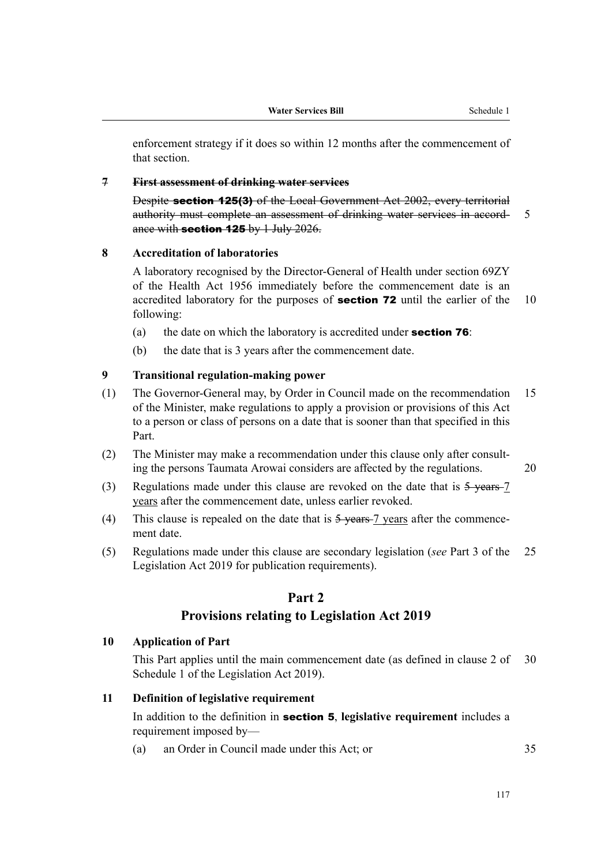enforcement strategy if it does so within 12 months after the commencement of that section.

#### **7 First assessment of drinking water services**

Despite section 125(3) of the Local Government Act 2002, every territorial authority must complete an assessment of drinking water services in accord- 5 ance with section  $125$  by 1 July 2026.

#### **8 Accreditation of laboratories**

A laboratory recognised by the Director-General of Health under section 69ZY of the Health Act 1956 immediately before the commencement date is an accredited laboratory for the purposes of **section 72** until the earlier of the  $10$ following:

- (a) the date on which the laboratory is accredited under **section 76**:
- (b) the date that is 3 years after the commencement date.

#### **9 Transitional regulation-making power**

- (1) The Governor-General may, by Order in Council made on the recommendation 15 of the Minister, make regulations to apply a provision or provisions of this Act to a person or class of persons on a date that is sooner than that specified in this Part.
- (2) The Minister may make a recommendation under this clause only after consult‐ ing the persons Taumata Arowai considers are affected by the regulations. 20
- (3) Regulations made under this clause are revoked on the date that is  $5$ -vears-7 years after the commencement date, unless earlier revoked.
- (4) This clause is repealed on the date that is  $5$  years  $-7$  years after the commencement date.
- (5) Regulations made under this clause are secondary legislation (*see* Part 3 of the 25 Legislation Act 2019 for publication requirements).

## **Part 2**

#### **Provisions relating to Legislation Act 2019**

#### **10 Application of Part**

This Part applies until the main commencement date (as defined in clause 2 of 30 Schedule 1 of the Legislation Act 2019).

#### **11 Definition of legislative requirement**

In addition to the definition in section 5, **legislative requirement** includes a requirement imposed by—

(a) an Order in Council made under this Act; or 35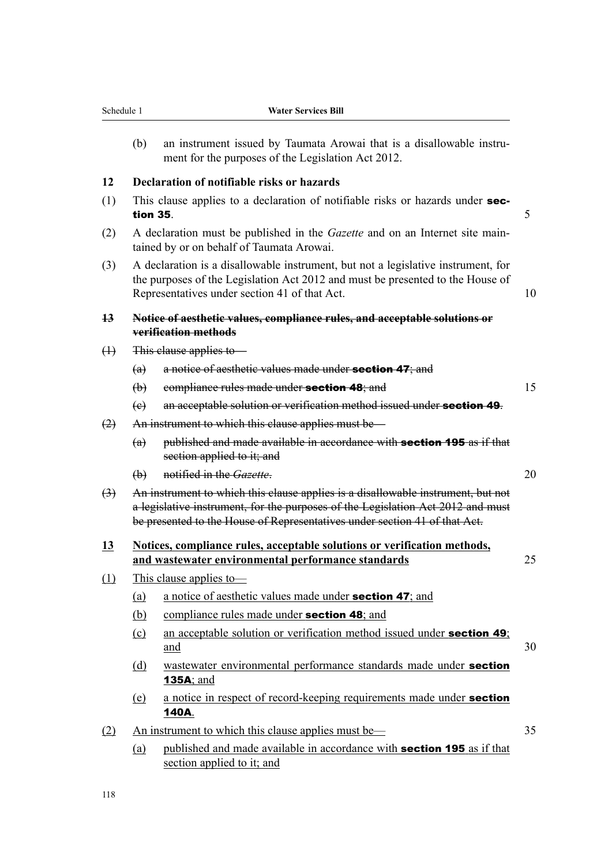| Schedule 1                 |             | water services bill                                                                                                                                                                                                                               |
|----------------------------|-------------|---------------------------------------------------------------------------------------------------------------------------------------------------------------------------------------------------------------------------------------------------|
|                            | (b)         | an instrument issued by Taumata Arowai that is a disallowable instru-<br>ment for the purposes of the Legislation Act 2012.                                                                                                                       |
| 12                         |             | Declaration of notifiable risks or hazards                                                                                                                                                                                                        |
| (1)                        | tion 35.    | This clause applies to a declaration of notifiable risks or hazards under sec-                                                                                                                                                                    |
| (2)                        |             | A declaration must be published in the <i>Gazette</i> and on an Internet site main-<br>tained by or on behalf of Taumata Arowai.                                                                                                                  |
| (3)                        |             | A declaration is a disallowable instrument, but not a legislative instrument, for<br>the purposes of the Legislation Act 2012 and must be presented to the House of<br>Representatives under section 41 of that Act.                              |
| $\overline{13}$            |             | Notice of aesthetic values, compliance rules, and acceptable solutions or<br>verification methods                                                                                                                                                 |
| $\bigoplus$                |             | This clause applies to                                                                                                                                                                                                                            |
|                            | (a)         | a notice of aesthetic values made under section 47; and                                                                                                                                                                                           |
|                            | $\bigoplus$ | compliance rules made under section 48; and                                                                                                                                                                                                       |
|                            | (e)         | an acceptable solution or verification method issued under section 49.                                                                                                                                                                            |
| (2)                        |             | An instrument to which this clause applies must be—                                                                                                                                                                                               |
|                            | (a)         | published and made available in accordance with section 195 as if that<br>section applied to it; and                                                                                                                                              |
|                            | $\bigoplus$ | notified in the Gazette.                                                                                                                                                                                                                          |
| $\left(\frac{1}{2}\right)$ |             | An instrument to which this clause applies is a disallowable instrument, but not<br>a legislative instrument, for the purposes of the Legislation Act 2012 and must<br>be presented to the House of Representatives under section 41 of that Act. |
| <b>13</b>                  |             | Notices, compliance rules, acceptable solutions or verification methods,<br>and wastewater environmental performance standards                                                                                                                    |
| (1)                        |             | This clause applies to-                                                                                                                                                                                                                           |
|                            | (a)         | a notice of aesthetic values made under section 47; and                                                                                                                                                                                           |
|                            | (b)         | compliance rules made under section 48; and                                                                                                                                                                                                       |
|                            | $\Omega$    | an acceptable solution or verification method issued under section 49;<br>and                                                                                                                                                                     |
|                            | (d)         | wastewater environmental performance standards made under section<br><b>135A</b> ; and                                                                                                                                                            |
|                            | (e)         | a notice in respect of record-keeping requirements made under section<br>140A.                                                                                                                                                                    |
| (2)                        |             | An instrument to which this clause applies must be—                                                                                                                                                                                               |
|                            | (a)         | published and made available in accordance with <b>section 195</b> as if that<br>section applied to it; and                                                                                                                                       |
|                            |             |                                                                                                                                                                                                                                                   |

118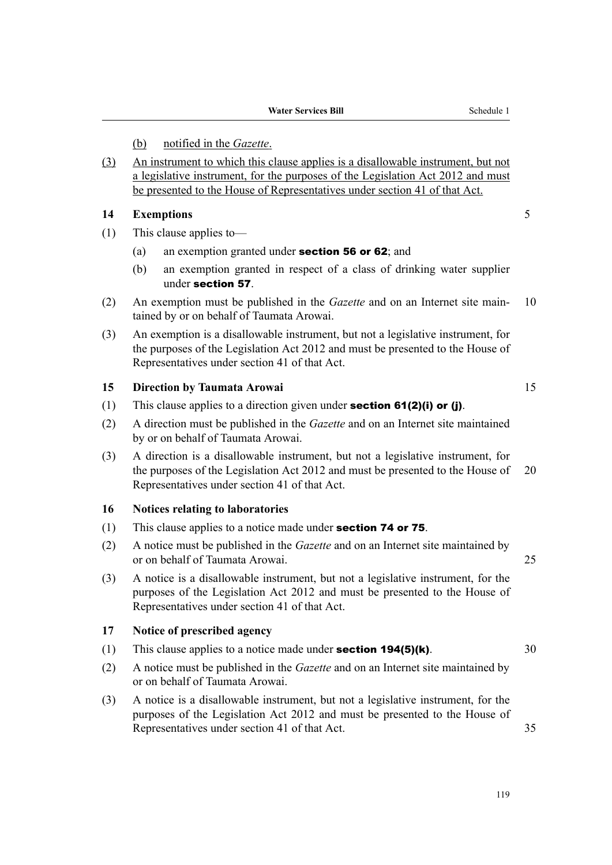### (b) notified in the *Gazette*.

(3) An instrument to which this clause applies is a disallowable instrument, but not a legislative instrument, for the purposes of the Legislation Act 2012 and must be presented to the House of Representatives under section 41 of that Act.

#### **14 Exemptions** 5

- (1) This clause applies to—
	- (a) an exemption granted under section 56 or 62; and
	- (b) an exemption granted in respect of a class of drinking water supplier under section 57.
- (2) An exemption must be published in the *Gazette* and on an Internet site maintained by or on behalf of Taumata Arowai.
- (3) An exemption is a disallowable instrument, but not a legislative instrument, for the purposes of the Legislation Act 2012 and must be presented to the House of Representatives under section 41 of that Act.

#### **15 Direction by Taumata Arowai** 15

- (1) This clause applies to a direction given under **section 61(2)(i) or (j)**.
- (2) A direction must be published in the *Gazette* and on an Internet site maintained by or on behalf of Taumata Arowai.
- (3) A direction is a disallowable instrument, but not a legislative instrument, for the purposes of the Legislation Act 2012 and must be presented to the House of 20 Representatives under section 41 of that Act.

#### **16 Notices relating to laboratories**

- (1) This clause applies to a notice made under **section 74 or 75**.
- (2) A notice must be published in the *Gazette* and on an Internet site maintained by or on behalf of Taumata Arowai. 25
- (3) A notice is a disallowable instrument, but not a legislative instrument, for the purposes of the Legislation Act 2012 and must be presented to the House of Representatives under section 41 of that Act.

## **17 Notice of prescribed agency**

- (1) This clause applies to a notice made under **section 194(5)(k)**.  $30$
- (2) A notice must be published in the *Gazette* and on an Internet site maintained by or on behalf of Taumata Arowai.
- (3) A notice is a disallowable instrument, but not a legislative instrument, for the purposes of the Legislation Act 2012 and must be presented to the House of Representatives under section 41 of that Act. 35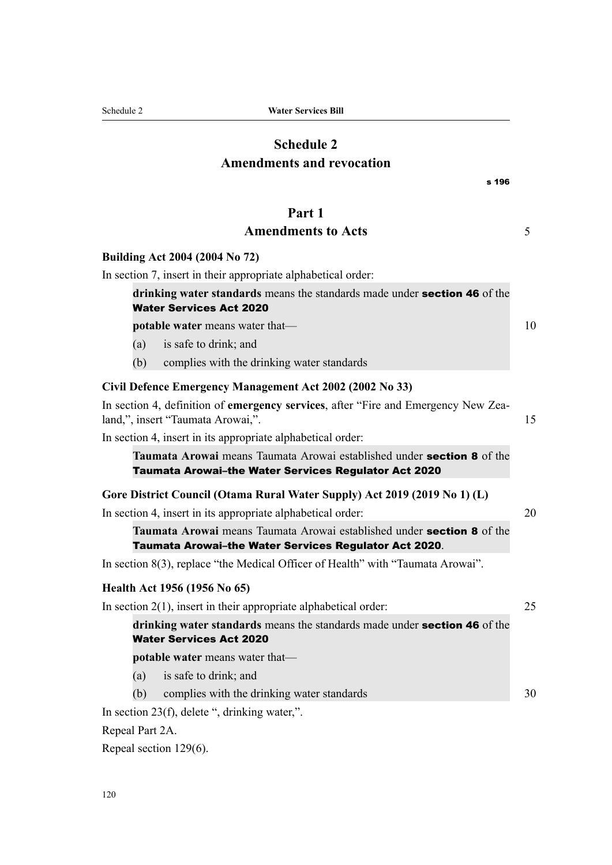# **Schedule 2 Amendments and revocation**

| s 196                                                                                                                                 |    |
|---------------------------------------------------------------------------------------------------------------------------------------|----|
| Part 1                                                                                                                                |    |
| <b>Amendments to Acts</b>                                                                                                             | 5  |
| Building Act 2004 (2004 No 72)                                                                                                        |    |
| In section 7, insert in their appropriate alphabetical order:                                                                         |    |
| drinking water standards means the standards made under section 46 of the<br><b>Water Services Act 2020</b>                           |    |
| <b>potable water</b> means water that—                                                                                                | 10 |
| is safe to drink; and<br>(a)                                                                                                          |    |
| (b)<br>complies with the drinking water standards                                                                                     |    |
| Civil Defence Emergency Management Act 2002 (2002 No 33)                                                                              |    |
| In section 4, definition of emergency services, after "Fire and Emergency New Zea-<br>land,", insert "Taumata Arowai,".               | 15 |
| In section 4, insert in its appropriate alphabetical order:                                                                           |    |
| Taumata Arowai means Taumata Arowai established under <b>section 8</b> of the<br>Taumata Arowai-the Water Services Regulator Act 2020 |    |
| Gore District Council (Otama Rural Water Supply) Act 2019 (2019 No 1) (L)                                                             |    |
| In section 4, insert in its appropriate alphabetical order:                                                                           | 20 |
| Taumata Arowai means Taumata Arowai established under section 8 of the<br>Taumata Arowai-the Water Services Regulator Act 2020.       |    |
| In section 8(3), replace "the Medical Officer of Health" with "Taumata Arowai".                                                       |    |
| Health Act 1956 (1956 No 65)                                                                                                          |    |
| In section $2(1)$ , insert in their appropriate alphabetical order:                                                                   | 25 |
| drinking water standards means the standards made under section 46 of the<br><b>Water Services Act 2020</b>                           |    |
| potable water means water that-                                                                                                       |    |
| is safe to drink; and<br>(a)                                                                                                          |    |
| complies with the drinking water standards<br>(b)                                                                                     | 30 |
| In section 23(f), delete ", drinking water,".                                                                                         |    |

Repeal Part 2A.

Repeal section 129(6).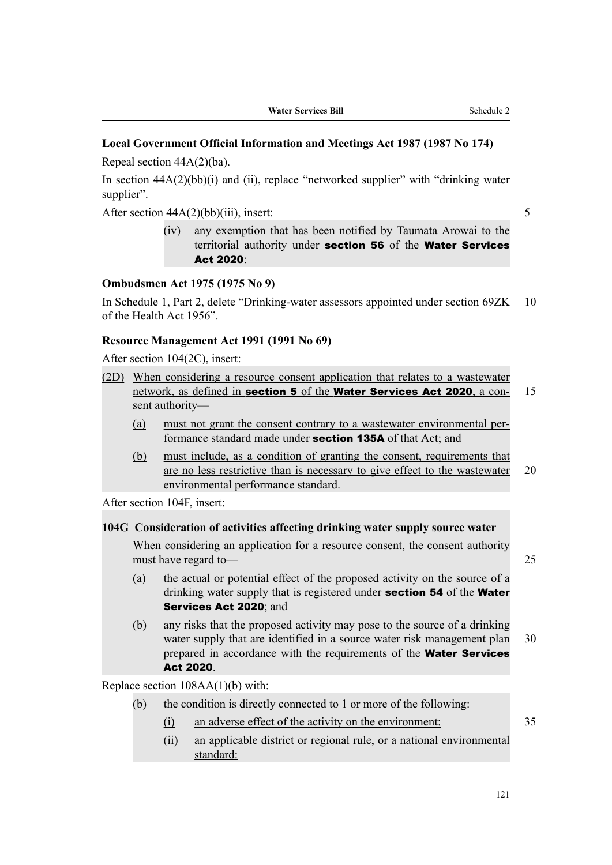## **Local Government Official Information and Meetings Act 1987 (1987 No 174)**

Repeal section 44A(2)(ba).

In section  $44A(2)(bb)(i)$  and (ii), replace "networked supplier" with "drinking water supplier".

After section  $44A(2)(bb)(iii)$ , insert: 5

(iv) any exemption that has been notified by Taumata Arowai to the territorial authority under section 56 of the Water Services Act 2020:

#### **Ombudsmen Act 1975 (1975 No 9)**

In Schedule 1, Part 2, delete "Drinking-water assessors appointed under section 69ZK 10 of the Health Act 1956".

#### **Resource Management Act 1991 (1991 No 69)**

After section 104(2C), insert:

- (2D) When considering a resource consent application that relates to a wastewater network, as defined in section 5 of the Water Services Act 2020, a con-<br>15 sent authority—
	- (a) must not grant the consent contrary to a wastewater environmental per‐ formance standard made under section 135A of that Act; and
	- (b) must include, as a condition of granting the consent, requirements that are no less restrictive than is necessary to give effect to the wastewater 20 environmental performance standard.

After section 104F, insert:

#### **104G Consideration of activities affecting drinking water supply source water**

When considering an application for a resource consent, the consent authority must have regard to— 25

- (a) the actual or potential effect of the proposed activity on the source of a drinking water supply that is registered under **section 54** of the **Water** Services Act 2020: and
- (b) any risks that the proposed activity may pose to the source of a drinking water supply that are identified in a source water risk management plan 30 prepared in accordance with the requirements of the **Water Services** Act 2020.

Replace section 108AA(1)(b) with:

- (b) the condition is directly connected to 1 or more of the following:
	- (i) an adverse effect of the activity on the environment: 35
	- (ii) an applicable district or regional rule, or a national environmental standard: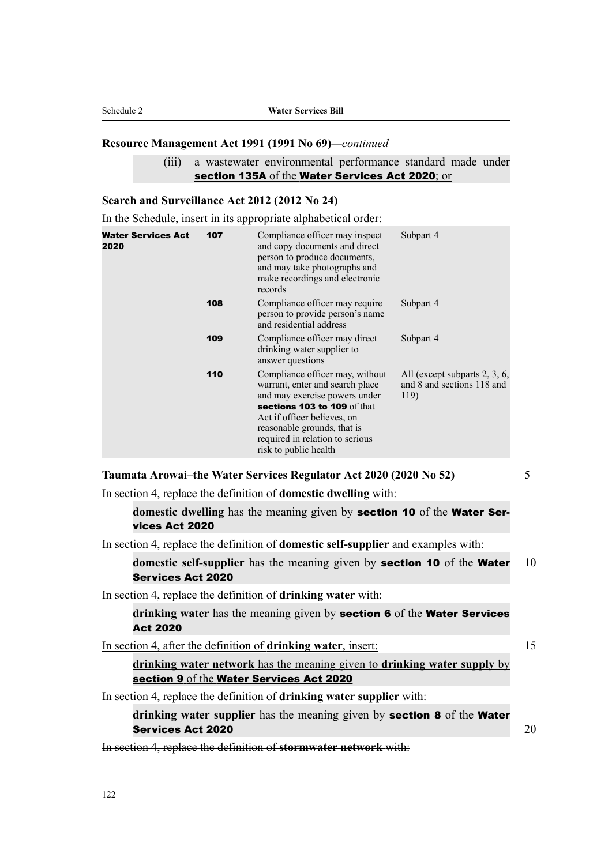#### **Resource Management Act 1991 (1991 No 69)***—continued*

### (iii) a wastewater environmental performance standard made under section 135A of the Water Services Act 2020; or

#### **Search and Surveillance Act 2012 (2012 No 24)**

In the Schedule, insert in its appropriate alphabetical order:

| <b>Water Services Act</b><br>2020 | 107 | Compliance officer may inspect<br>and copy documents and direct<br>person to produce documents,<br>and may take photographs and<br>make recordings and electronic<br>records                                                                                 | Subpart 4                                                           |
|-----------------------------------|-----|--------------------------------------------------------------------------------------------------------------------------------------------------------------------------------------------------------------------------------------------------------------|---------------------------------------------------------------------|
|                                   | 108 | Compliance officer may require<br>person to provide person's name<br>and residential address                                                                                                                                                                 | Subpart 4                                                           |
|                                   | 109 | Compliance officer may direct<br>drinking water supplier to<br>answer questions                                                                                                                                                                              | Subpart 4                                                           |
|                                   | 110 | Compliance officer may, without<br>warrant, enter and search place<br>and may exercise powers under<br>sections 103 to 109 of that<br>Act if officer believes, on<br>reasonable grounds, that is<br>required in relation to serious<br>risk to public health | All (except subparts 2, 3, 6,<br>and 8 and sections 118 and<br>119) |

**Taumata Arowai–the Water Services Regulator Act 2020 (2020 No 52)** 5

In section 4, replace the definition of **domestic dwelling** with:

**domestic dwelling** has the meaning given by section 10 of the Water Services Act 2020

In section 4, replace the definition of **domestic self-supplier** and examples with:

**domestic self-supplier** has the meaning given by **section 10** of the **Water** 10 Services Act 2020

In section 4, replace the definition of **drinking water** with:

**drinking water** has the meaning given by section 6 of the Water Services Act 2020

In section 4, after the definition of **drinking water**, insert: 15

**drinking water network** has the meaning given to **drinking water supply** by section 9 of the Water Services Act 2020

In section 4, replace the definition of **drinking water supplier** with:

**drinking water supplier** has the meaning given by section 8 of the Water Services Act 2020 **20** 20 and 20 and 20 and 20 and 20 and 20 and 20 and 20 and 20 and 20 and 20 and 20 and 20 and 20 and 20 and 20 and 20 and 20 and 20 and 20 and 20 and 20 and 20 and 20 and 20 and 20 and 20 and 20 and 20

In section 4, replace the definition of **stormwater network** with: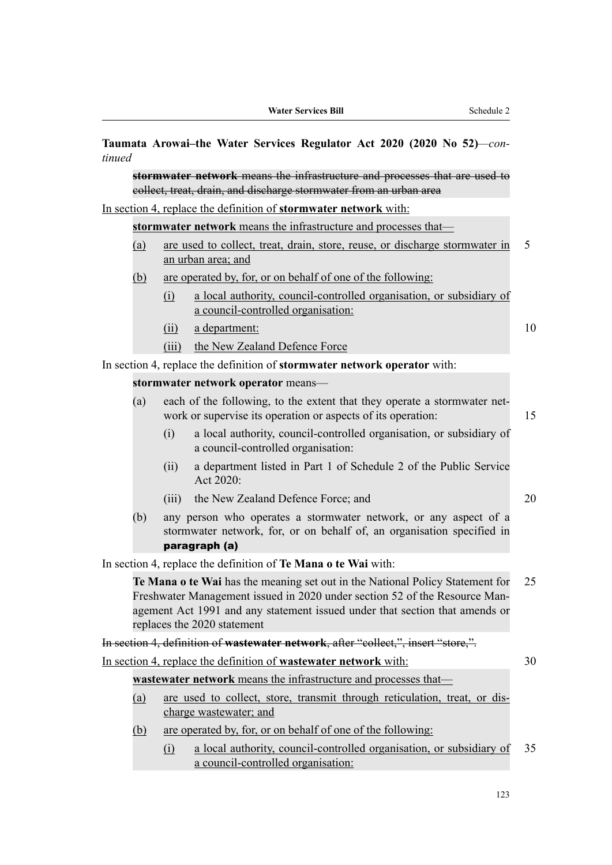| tinued |            |          | Taumata Arowai-the Water Services Regulator Act 2020 (2020 No 52)-con-                                                                                                                                                                                                    |    |
|--------|------------|----------|---------------------------------------------------------------------------------------------------------------------------------------------------------------------------------------------------------------------------------------------------------------------------|----|
|        |            |          | stormwater network means the infrastructure and processes that are used to<br>collect, treat, drain, and discharge stormwater from an urban area                                                                                                                          |    |
|        |            |          | In section 4, replace the definition of <b>stormwater network</b> with:                                                                                                                                                                                                   |    |
|        |            |          | stormwater network means the infrastructure and processes that-                                                                                                                                                                                                           |    |
|        | (a)        |          | are used to collect, treat, drain, store, reuse, or discharge stormwater in<br>an urban area; and                                                                                                                                                                         | 5  |
|        | <u>(b)</u> |          | are operated by, for, or on behalf of one of the following:                                                                                                                                                                                                               |    |
|        |            | (i)      | a local authority, council-controlled organisation, or subsidiary of<br>a council-controlled organisation:                                                                                                                                                                |    |
|        |            | (ii)     | a department:                                                                                                                                                                                                                                                             | 10 |
|        |            | (iii)    | the New Zealand Defence Force                                                                                                                                                                                                                                             |    |
|        |            |          | In section 4, replace the definition of stormwater network operator with:                                                                                                                                                                                                 |    |
|        |            |          | stormwater network operator means-                                                                                                                                                                                                                                        |    |
|        | (a)        |          | each of the following, to the extent that they operate a stormwater net-<br>work or supervise its operation or aspects of its operation:                                                                                                                                  | 15 |
|        |            | (i)      | a local authority, council-controlled organisation, or subsidiary of<br>a council-controlled organisation:                                                                                                                                                                |    |
|        |            | (ii)     | a department listed in Part 1 of Schedule 2 of the Public Service<br>Act 2020:                                                                                                                                                                                            |    |
|        |            |          | (iii) the New Zealand Defence Force; and                                                                                                                                                                                                                                  | 20 |
|        | (b)        |          | any person who operates a stormwater network, or any aspect of a<br>stormwater network, for, or on behalf of, an organisation specified in<br>paragraph (a)                                                                                                               |    |
|        |            |          | In section 4, replace the definition of Te Mana o te Wai with:                                                                                                                                                                                                            |    |
|        |            |          | Te Mana o te Wai has the meaning set out in the National Policy Statement for<br>Freshwater Management issued in 2020 under section 52 of the Resource Man-<br>agement Act 1991 and any statement issued under that section that amends or<br>replaces the 2020 statement | 25 |
|        |            |          | In section 4, definition of wastewater network, after "collect,", insert "store,".                                                                                                                                                                                        |    |
|        |            |          | In section 4, replace the definition of wastewater network with:                                                                                                                                                                                                          | 30 |
|        |            |          | wastewater network means the infrastructure and processes that-                                                                                                                                                                                                           |    |
|        | <u>(a)</u> |          | are used to collect, store, transmit through reticulation, treat, or dis-<br>charge wastewater; and                                                                                                                                                                       |    |
|        | (b)        |          | are operated by, for, or on behalf of one of the following:                                                                                                                                                                                                               |    |
|        |            | $\Omega$ | a local authority, council-controlled organisation, or subsidiary of<br>a council-controlled organisation:                                                                                                                                                                | 35 |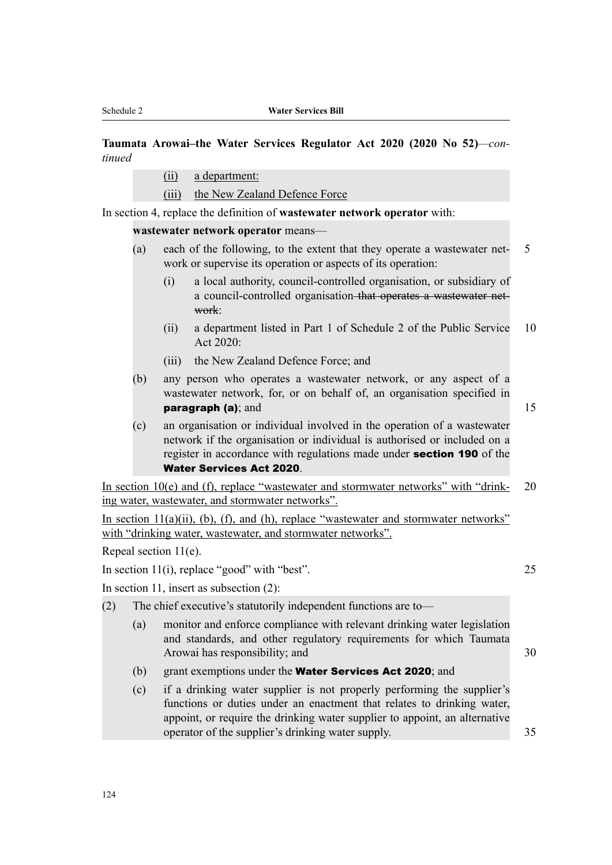## **Taumata Arowai–the Water Services Regulator Act 2020 (2020 No 52)***—con‐ tinued*

- (ii) a department:
- (iii) the New Zealand Defence Force

In section 4, replace the definition of **wastewater network operator** with:

**wastewater network operator** means—

- (a) each of the following, to the extent that they operate a wastewater network or supervise its operation or aspects of its operation:
	- (i) a local authority, council-controlled organisation, or subsidiary of a council-controlled organisation that operates a wastewater net‐ work:
	- (ii) a department listed in Part 1 of Schedule 2 of the Public Service 10 Act 2020:
	- (iii) the New Zealand Defence Force; and
- (b) any person who operates a wastewater network, or any aspect of a wastewater network, for, or on behalf of, an organisation specified in **paragraph (a)**; and 15
	-
- (c) an organisation or individual involved in the operation of a wastewater network if the organisation or individual is authorised or included on a register in accordance with regulations made under **section 190** of the Water Services Act 2020.

In section  $10(e)$  and (f), replace "wastewater and stormwater networks" with "drink- 20 ing water, wastewater, and stormwater networks".

In section 11(a)(ii), (b), (f), and (h), replace "wastewater and stormwater networks" with "drinking water, wastewater, and stormwater networks".

Repeal section 11(e).

In section 11(i), replace "good" with "best". 25

In section 11, insert as subsection (2):

- (2) The chief executive's statutorily independent functions are to—
	- (a) monitor and enforce compliance with relevant drinking water legislation and standards, and other regulatory requirements for which Taumata Arowai has responsibility; and 30
	- (b) grant exemptions under the **Water Services Act 2020**; and
	- (c) if a drinking water supplier is not properly performing the supplier's functions or duties under an enactment that relates to drinking water, appoint, or require the drinking water supplier to appoint, an alternative operator of the supplier's drinking water supply. 35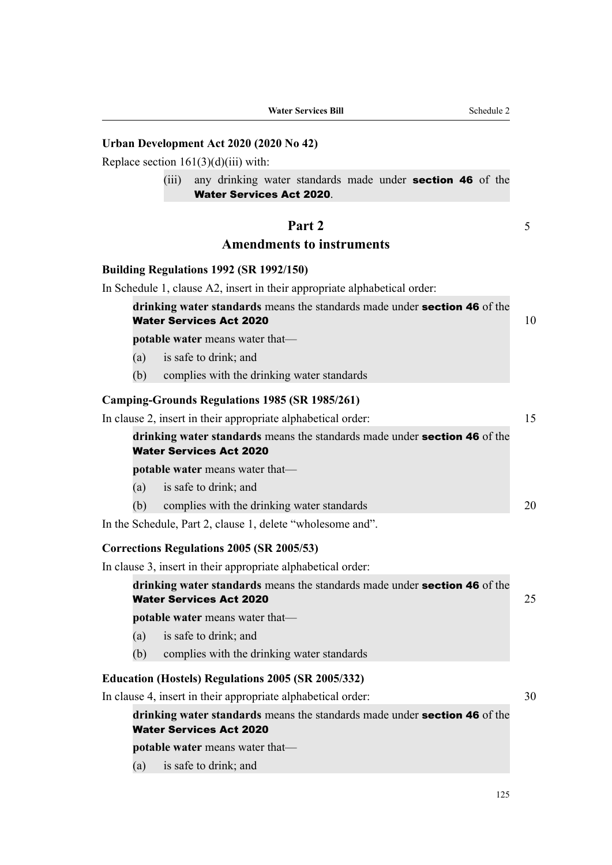| <b>Water Services Bill</b> |
|----------------------------|
|----------------------------|

#### **Urban Development Act 2020 (2020 No 42)**

Replace section  $161(3)(d)(iii)$  with:

(iii) any drinking water standards made under **section 46** of the Water Services Act 2020.

## **Part 2** 5

#### **Amendments to instruments**

#### **Building Regulations 1992 (SR 1992/150)**

In Schedule 1, clause A2, insert in their appropriate alphabetical order:

| drinking water standards means the standards made under section 46 of the |  |
|---------------------------------------------------------------------------|--|
| <b>Water Services Act 2020</b>                                            |  |

**potable water** means water that—

- (a) is safe to drink; and
- (b) complies with the drinking water standards

#### **Camping-Grounds Regulations 1985 (SR 1985/261)**

|     | In clause 2, insert in their appropriate alphabetical order:              |  |
|-----|---------------------------------------------------------------------------|--|
|     | drinking water standards means the standards made under section 46 of the |  |
|     | <b>Water Services Act 2020</b>                                            |  |
|     | <b>potable water</b> means water that—                                    |  |
| (a) | is safe to drink; and                                                     |  |
| (b) | complies with the drinking water standards                                |  |

In the Schedule, Part 2, clause 1, delete "wholesome and".

#### **Corrections Regulations 2005 (SR 2005/53)**

In clause 3, insert in their appropriate alphabetical order:

**drinking water standards** means the standards made under section 46 of the Water Services Act 2020 **25** 25

**potable water** means water that—

- (a) is safe to drink; and
- (b) complies with the drinking water standards

#### **Education (Hostels) Regulations 2005 (SR 2005/332)**

In clause 4, insert in their appropriate alphabetical order: 30

**drinking water standards** means the standards made under section 46 of the Water Services Act 2020

**potable water** means water that—

(a) is safe to drink; and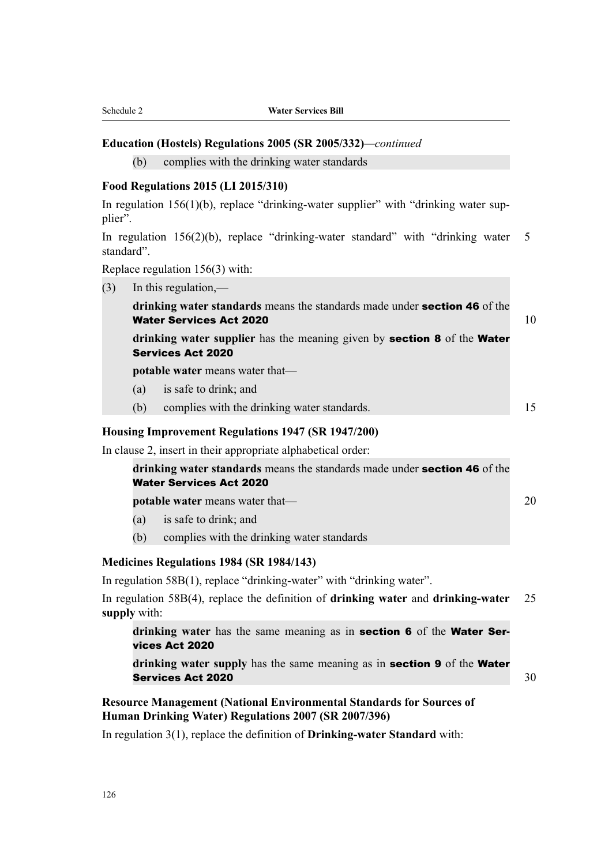#### **Education (Hostels) Regulations 2005 (SR 2005/332)***—continued*

(b) complies with the drinking water standards

#### **Food Regulations 2015 (LI 2015/310)**

In regulation  $156(1)(b)$ , replace "drinking-water supplier" with "drinking water supplier".

In regulation 156(2)(b), replace "drinking-water standard" with "drinking water 5 standard".

Replace regulation 156(3) with:

(3) In this regulation,—

**drinking water standards** means the standards made under section 46 of the Water Services Act 2020  $10$ 

**drinking water supplier** has the meaning given by section 8 of the Water Services Act 2020

**potable water** means water that—

- (a) is safe to drink; and
- (b) complies with the drinking water standards. 15

#### **Housing Improvement Regulations 1947 (SR 1947/200)**

In clause 2, insert in their appropriate alphabetical order:

| drinking water standards means the standards made under section 46 of the |  |
|---------------------------------------------------------------------------|--|
| <b>Water Services Act 2020</b>                                            |  |
| <b>potable water</b> means water that—                                    |  |

- (a) is safe to drink; and
- (b) complies with the drinking water standards

#### **Medicines Regulations 1984 (SR 1984/143)**

In regulation 58B(1), replace "drinking-water" with "drinking water".

In regulation 58B(4), replace the definition of **drinking water** and **drinking-water** 25 **supply** with:

**drinking water** has the same meaning as in section 6 of the Water Services Act 2020

**drinking water supply** has the same meaning as in section 9 of the Water Services Act 2020 30

## **Resource Management (National Environmental Standards for Sources of Human Drinking Water) Regulations 2007 (SR 2007/396)**

In regulation 3(1), replace the definition of **Drinking-water Standard** with: